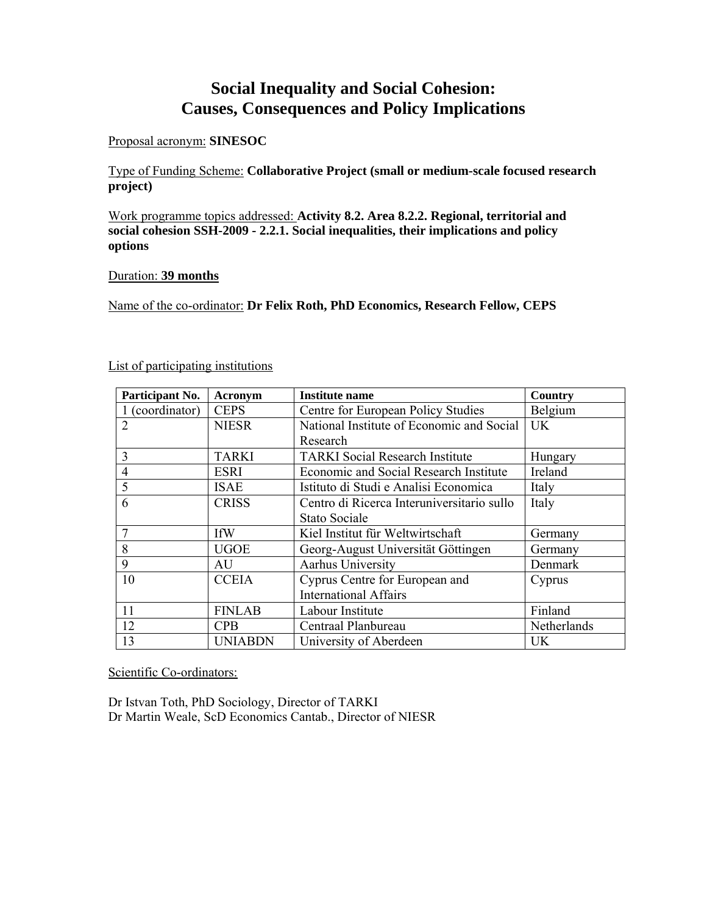# **Social Inequality and Social Cohesion: Causes, Consequences and Policy Implications**

# Proposal acronym: **SINESOC**

Type of Funding Scheme: **Collaborative Project (small or medium-scale focused research project)** 

Work programme topics addressed: **Activity 8.2. Area 8.2.2. Regional, territorial and social cohesion SSH-2009 - 2.2.1. Social inequalities, their implications and policy options**

# Duration: **39 months**

Name of the co-ordinator: **Dr Felix Roth, PhD Economics, Research Fellow, CEPS** 

| Participant No. | <b>Acronym</b> | Institute name                             | Country     |
|-----------------|----------------|--------------------------------------------|-------------|
| 1 (coordinator) | <b>CEPS</b>    | Centre for European Policy Studies         | Belgium     |
| $\overline{2}$  | <b>NIESR</b>   | National Institute of Economic and Social  | <b>UK</b>   |
|                 |                | Research                                   |             |
| 3               | <b>TARKI</b>   | <b>TARKI</b> Social Research Institute     | Hungary     |
| $\overline{4}$  | <b>ESRI</b>    | Economic and Social Research Institute     | Ireland     |
| 5               | <b>ISAE</b>    | Istituto di Studi e Analisi Economica      | Italy       |
| 6               | <b>CRISS</b>   | Centro di Ricerca Interuniversitario sullo | Italy       |
|                 |                | <b>Stato Sociale</b>                       |             |
| 7               | <b>IfW</b>     | Kiel Institut für Weltwirtschaft           | Germany     |
| 8               | <b>UGOE</b>    | Georg-August Universität Göttingen         | Germany     |
| 9               | AU             | Aarhus University                          | Denmark     |
| 10              | <b>CCEIA</b>   | Cyprus Centre for European and             | Cyprus      |
|                 |                | <b>International Affairs</b>               |             |
| 11              | <b>FINLAB</b>  | Labour Institute                           | Finland     |
| 12              | <b>CPB</b>     | Centraal Planbureau                        | Netherlands |
| 13              | <b>UNIABDN</b> | University of Aberdeen                     | <b>UK</b>   |

List of participating institutions

Scientific Co-ordinators:

Dr Istvan Toth, PhD Sociology, Director of TARKI Dr Martin Weale, ScD Economics Cantab., Director of NIESR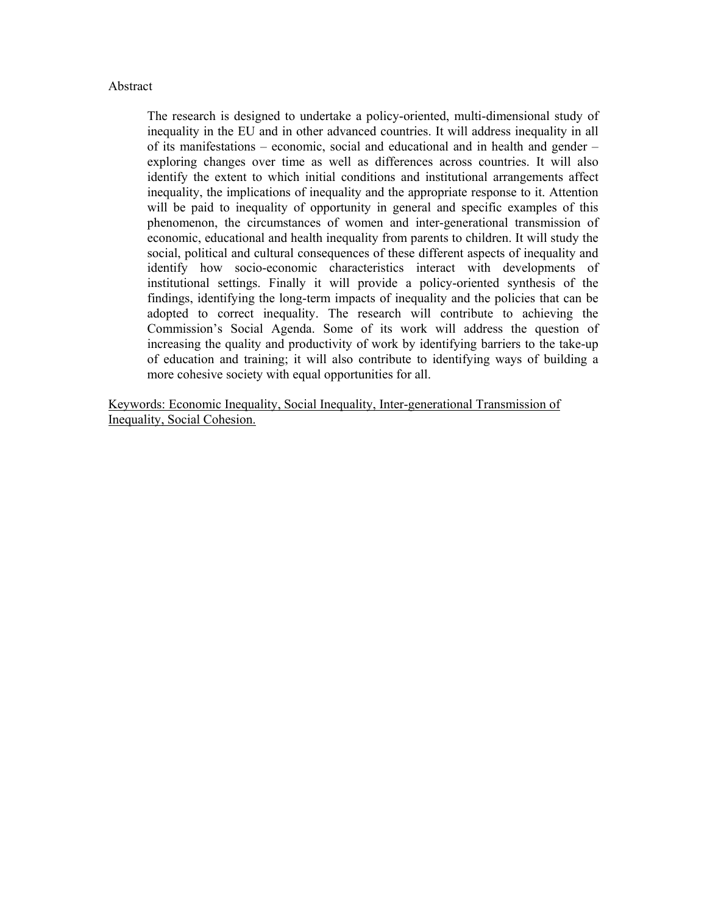# Abstract

The research is designed to undertake a policy-oriented, multi-dimensional study of inequality in the EU and in other advanced countries. It will address inequality in all of its manifestations – economic, social and educational and in health and gender – exploring changes over time as well as differences across countries. It will also identify the extent to which initial conditions and institutional arrangements affect inequality, the implications of inequality and the appropriate response to it. Attention will be paid to inequality of opportunity in general and specific examples of this phenomenon, the circumstances of women and inter-generational transmission of economic, educational and health inequality from parents to children. It will study the social, political and cultural consequences of these different aspects of inequality and identify how socio-economic characteristics interact with developments of institutional settings. Finally it will provide a policy-oriented synthesis of the findings, identifying the long-term impacts of inequality and the policies that can be adopted to correct inequality. The research will contribute to achieving the Commission's Social Agenda. Some of its work will address the question of increasing the quality and productivity of work by identifying barriers to the take-up of education and training; it will also contribute to identifying ways of building a more cohesive society with equal opportunities for all.

Keywords: Economic Inequality, Social Inequality, Inter-generational Transmission of Inequality, Social Cohesion.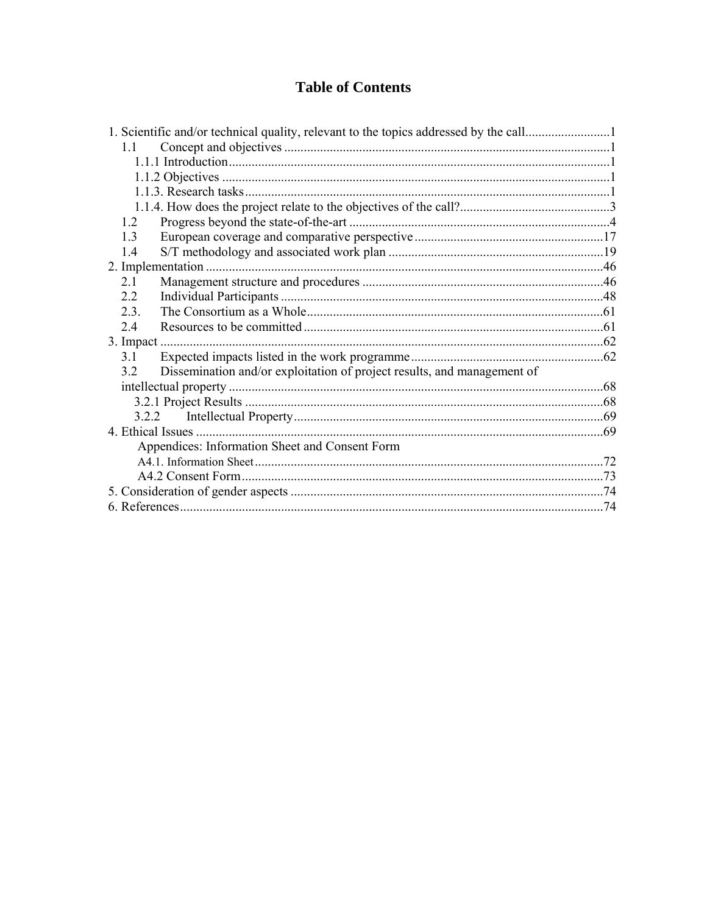# **Table of Contents**

| 1.1  |                                                                         |  |
|------|-------------------------------------------------------------------------|--|
|      |                                                                         |  |
|      |                                                                         |  |
|      |                                                                         |  |
|      |                                                                         |  |
| 1.2  |                                                                         |  |
| 13   |                                                                         |  |
| 1.4  |                                                                         |  |
|      |                                                                         |  |
| 21   |                                                                         |  |
| 2.2  |                                                                         |  |
| 2.3. |                                                                         |  |
| 24   |                                                                         |  |
|      |                                                                         |  |
| 3.1  |                                                                         |  |
| 3.2  | Dissemination and/or exploitation of project results, and management of |  |
|      |                                                                         |  |
|      |                                                                         |  |
|      |                                                                         |  |
|      |                                                                         |  |
|      | Appendices: Information Sheet and Consent Form                          |  |
|      |                                                                         |  |
|      |                                                                         |  |
|      |                                                                         |  |
|      |                                                                         |  |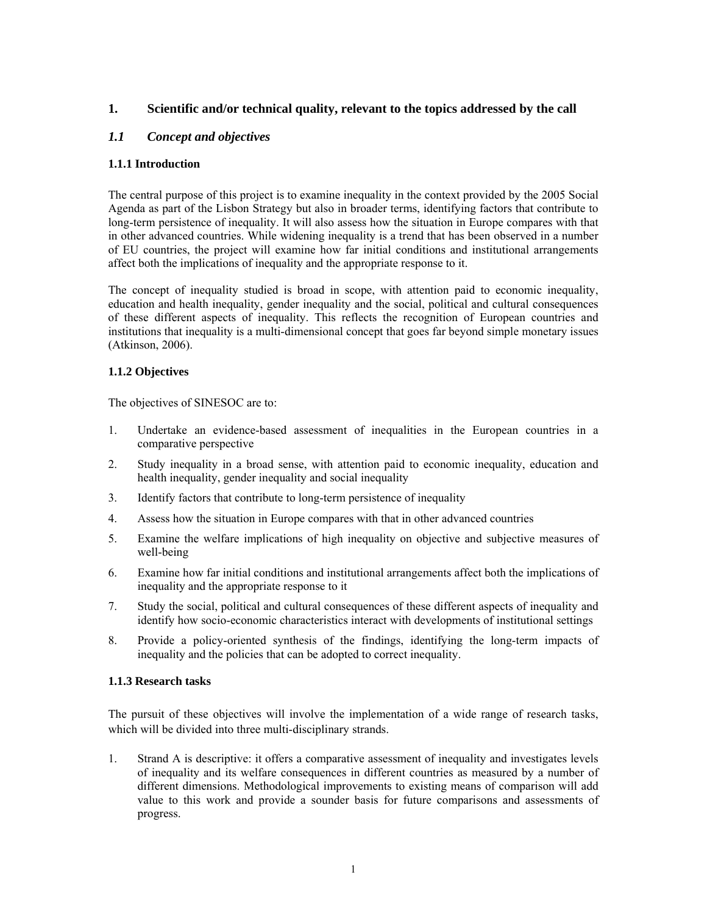# **1. Scientific and/or technical quality, relevant to the topics addressed by the call**

# *1.1 Concept and objectives*

# **1.1.1 Introduction**

The central purpose of this project is to examine inequality in the context provided by the 2005 Social Agenda as part of the Lisbon Strategy but also in broader terms, identifying factors that contribute to long-term persistence of inequality. It will also assess how the situation in Europe compares with that in other advanced countries. While widening inequality is a trend that has been observed in a number of EU countries, the project will examine how far initial conditions and institutional arrangements affect both the implications of inequality and the appropriate response to it.

The concept of inequality studied is broad in scope, with attention paid to economic inequality, education and health inequality, gender inequality and the social, political and cultural consequences of these different aspects of inequality. This reflects the recognition of European countries and institutions that inequality is a multi-dimensional concept that goes far beyond simple monetary issues (Atkinson, 2006).

# **1.1.2 Objectives**

The objectives of SINESOC are to:

- 1. Undertake an evidence-based assessment of inequalities in the European countries in a comparative perspective
- 2. Study inequality in a broad sense, with attention paid to economic inequality, education and health inequality, gender inequality and social inequality
- 3. Identify factors that contribute to long-term persistence of inequality
- 4. Assess how the situation in Europe compares with that in other advanced countries
- 5. Examine the welfare implications of high inequality on objective and subjective measures of well-being
- 6. Examine how far initial conditions and institutional arrangements affect both the implications of inequality and the appropriate response to it
- 7. Study the social, political and cultural consequences of these different aspects of inequality and identify how socio-economic characteristics interact with developments of institutional settings
- 8. Provide a policy-oriented synthesis of the findings, identifying the long-term impacts of inequality and the policies that can be adopted to correct inequality.

#### **1.1.3 Research tasks**

The pursuit of these objectives will involve the implementation of a wide range of research tasks, which will be divided into three multi-disciplinary strands.

1. Strand A is descriptive: it offers a comparative assessment of inequality and investigates levels of inequality and its welfare consequences in different countries as measured by a number of different dimensions. Methodological improvements to existing means of comparison will add value to this work and provide a sounder basis for future comparisons and assessments of progress.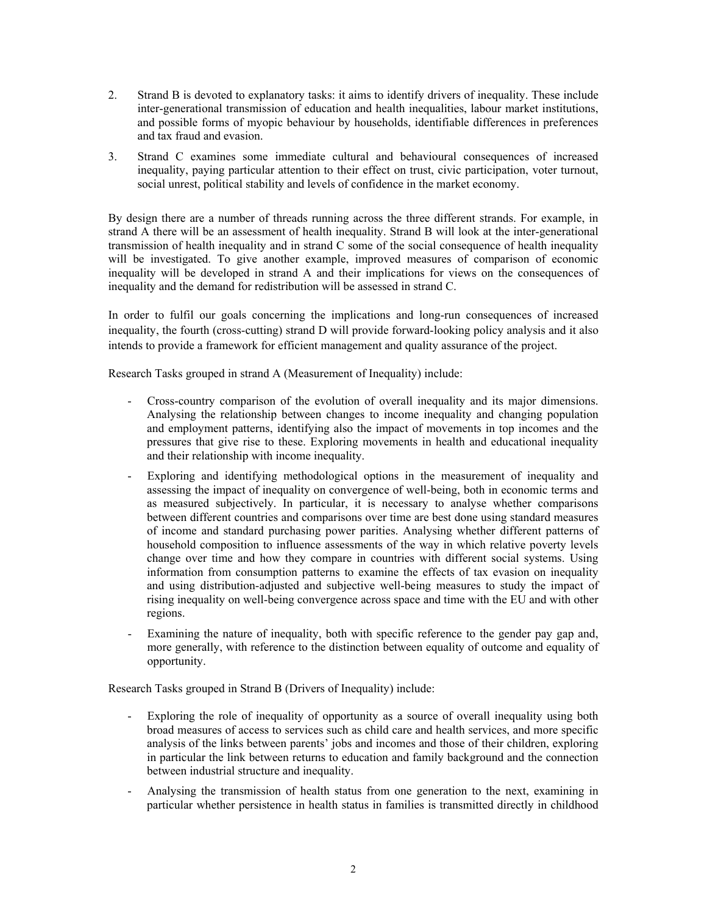- 2. Strand B is devoted to explanatory tasks: it aims to identify drivers of inequality. These include inter-generational transmission of education and health inequalities, labour market institutions, and possible forms of myopic behaviour by households, identifiable differences in preferences and tax fraud and evasion.
- 3. Strand C examines some immediate cultural and behavioural consequences of increased inequality, paying particular attention to their effect on trust, civic participation, voter turnout, social unrest, political stability and levels of confidence in the market economy.

By design there are a number of threads running across the three different strands. For example, in strand A there will be an assessment of health inequality. Strand B will look at the inter-generational transmission of health inequality and in strand C some of the social consequence of health inequality will be investigated. To give another example, improved measures of comparison of economic inequality will be developed in strand A and their implications for views on the consequences of inequality and the demand for redistribution will be assessed in strand C.

In order to fulfil our goals concerning the implications and long-run consequences of increased inequality, the fourth (cross-cutting) strand D will provide forward-looking policy analysis and it also intends to provide a framework for efficient management and quality assurance of the project.

Research Tasks grouped in strand A (Measurement of Inequality) include:

- Cross-country comparison of the evolution of overall inequality and its major dimensions. Analysing the relationship between changes to income inequality and changing population and employment patterns, identifying also the impact of movements in top incomes and the pressures that give rise to these. Exploring movements in health and educational inequality and their relationship with income inequality.
- Exploring and identifying methodological options in the measurement of inequality and assessing the impact of inequality on convergence of well-being, both in economic terms and as measured subjectively. In particular, it is necessary to analyse whether comparisons between different countries and comparisons over time are best done using standard measures of income and standard purchasing power parities. Analysing whether different patterns of household composition to influence assessments of the way in which relative poverty levels change over time and how they compare in countries with different social systems. Using information from consumption patterns to examine the effects of tax evasion on inequality and using distribution-adjusted and subjective well-being measures to study the impact of rising inequality on well-being convergence across space and time with the EU and with other regions.
- Examining the nature of inequality, both with specific reference to the gender pay gap and, more generally, with reference to the distinction between equality of outcome and equality of opportunity.

Research Tasks grouped in Strand B (Drivers of Inequality) include:

- Exploring the role of inequality of opportunity as a source of overall inequality using both broad measures of access to services such as child care and health services, and more specific analysis of the links between parents' jobs and incomes and those of their children, exploring in particular the link between returns to education and family background and the connection between industrial structure and inequality.
- Analysing the transmission of health status from one generation to the next, examining in particular whether persistence in health status in families is transmitted directly in childhood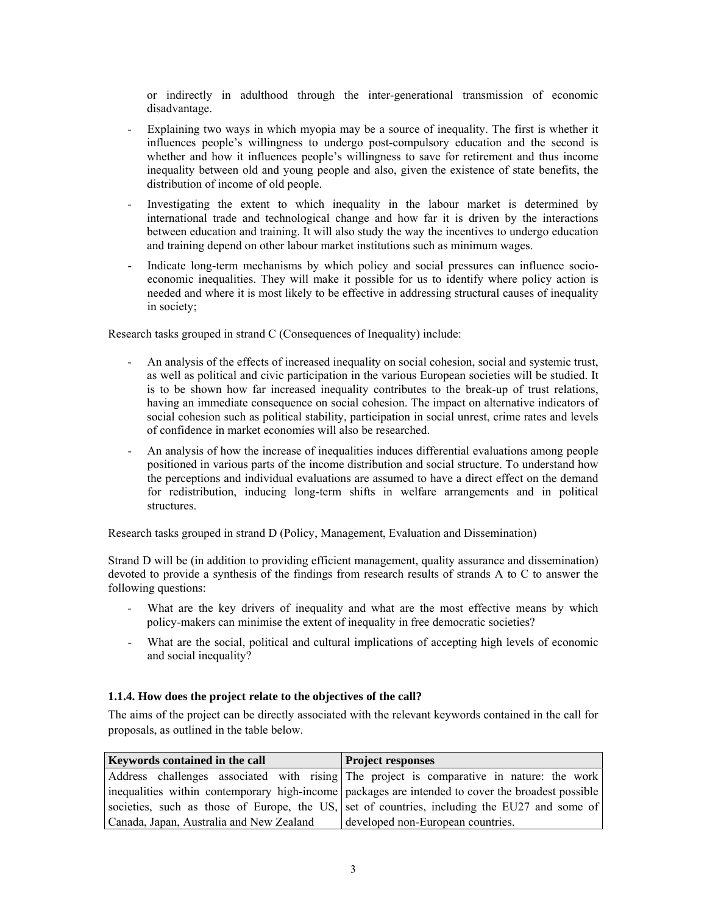or indirectly in adulthood through the inter-generational transmission of economic disadvantage.

- Explaining two ways in which myopia may be a source of inequality. The first is whether it influences people's willingness to undergo post-compulsory education and the second is whether and how it influences people's willingness to save for retirement and thus income inequality between old and young people and also, given the existence of state benefits, the distribution of income of old people.
- Investigating the extent to which inequality in the labour market is determined by international trade and technological change and how far it is driven by the interactions between education and training. It will also study the way the incentives to undergo education and training depend on other labour market institutions such as minimum wages.
- Indicate long-term mechanisms by which policy and social pressures can influence socioeconomic inequalities. They will make it possible for us to identify where policy action is needed and where it is most likely to be effective in addressing structural causes of inequality in society;

Research tasks grouped in strand C (Consequences of Inequality) include:

- An analysis of the effects of increased inequality on social cohesion, social and systemic trust, as well as political and civic participation in the various European societies will be studied. It is to be shown how far increased inequality contributes to the break-up of trust relations, having an immediate consequence on social cohesion. The impact on alternative indicators of social cohesion such as political stability, participation in social unrest, crime rates and levels of confidence in market economies will also be researched.
- An analysis of how the increase of inequalities induces differential evaluations among people positioned in various parts of the income distribution and social structure. To understand how the perceptions and individual evaluations are assumed to have a direct effect on the demand for redistribution, inducing long-term shifts in welfare arrangements and in political structures.

Research tasks grouped in strand D (Policy, Management, Evaluation and Dissemination)

Strand D will be (in addition to providing efficient management, quality assurance and dissemination) devoted to provide a synthesis of the findings from research results of strands A to C to answer the following questions:

- What are the key drivers of inequality and what are the most effective means by which policy-makers can minimise the extent of inequality in free democratic societies?
- What are the social, political and cultural implications of accepting high levels of economic and social inequality?

#### **1.1.4. How does the project relate to the objectives of the call?**

The aims of the project can be directly associated with the relevant keywords contained in the call for proposals, as outlined in the table below.

| <b>Keywords contained in the call</b>    | <b>Project responses</b>                                                                            |  |  |  |
|------------------------------------------|-----------------------------------------------------------------------------------------------------|--|--|--|
|                                          | Address challenges associated with rising The project is comparative in nature: the work            |  |  |  |
|                                          | inequalities within contemporary high-income   packages are intended to cover the broadest possible |  |  |  |
|                                          | societies, such as those of Europe, the US, set of countries, including the EU27 and some of        |  |  |  |
| Canada, Japan, Australia and New Zealand | developed non-European countries.                                                                   |  |  |  |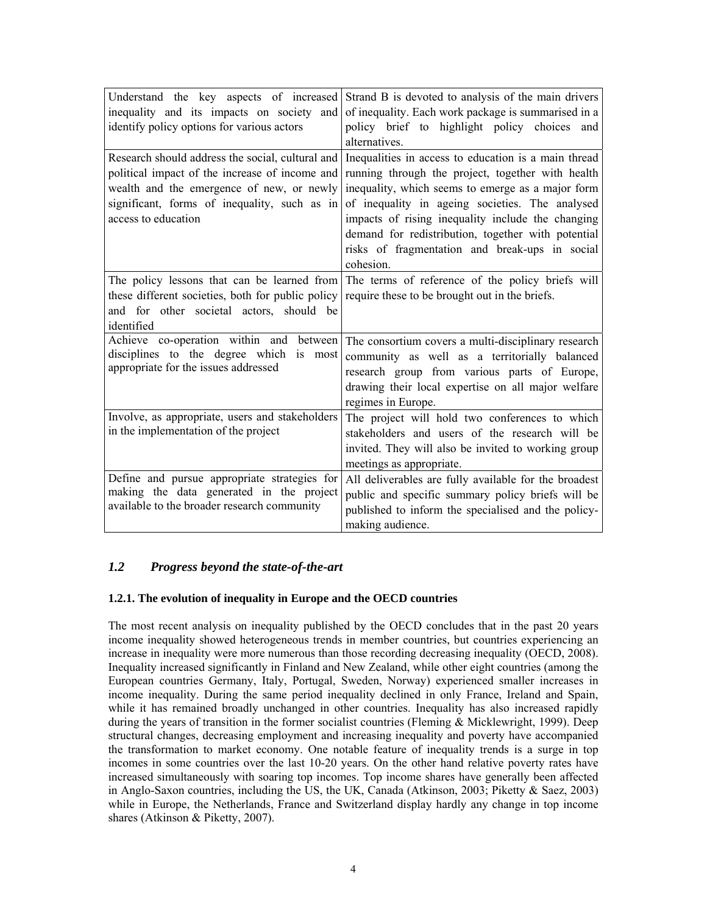| Understand the key aspects of increased                                                          | Strand B is devoted to analysis of the main drivers                                          |
|--------------------------------------------------------------------------------------------------|----------------------------------------------------------------------------------------------|
| inequality and its impacts on society and                                                        | of inequality. Each work package is summarised in a                                          |
| identify policy options for various actors                                                       | policy brief to highlight policy choices<br>and                                              |
|                                                                                                  | alternatives.                                                                                |
| Research should address the social, cultural and                                                 | Inequalities in access to education is a main thread                                         |
| political impact of the increase of income and                                                   | running through the project, together with health                                            |
| wealth and the emergence of new, or newly                                                        | inequality, which seems to emerge as a major form                                            |
| significant, forms of inequality, such as in                                                     | of inequality in ageing societies. The analysed                                              |
| access to education                                                                              | impacts of rising inequality include the changing                                            |
|                                                                                                  | demand for redistribution, together with potential                                           |
|                                                                                                  | risks of fragmentation and break-ups in social                                               |
|                                                                                                  | cohesion.                                                                                    |
|                                                                                                  | The policy lessons that can be learned from The terms of reference of the policy briefs will |
| these different societies, both for public policy require these to be brought out in the briefs. |                                                                                              |
| and for other societal actors, should be                                                         |                                                                                              |
| identified                                                                                       |                                                                                              |
| Achieve co-operation within and between                                                          | The consortium covers a multi-disciplinary research                                          |
| disciplines to the degree which is<br>most                                                       | community as well as a territorially balanced                                                |
| appropriate for the issues addressed                                                             | research group from various parts of Europe,                                                 |
|                                                                                                  | drawing their local expertise on all major welfare                                           |
|                                                                                                  | regimes in Europe.                                                                           |
| Involve, as appropriate, users and stakeholders                                                  | The project will hold two conferences to which                                               |
| in the implementation of the project                                                             | stakeholders and users of the research will be                                               |
|                                                                                                  | invited. They will also be invited to working group                                          |
|                                                                                                  | meetings as appropriate.                                                                     |
| Define and pursue appropriate strategies for                                                     | All deliverables are fully available for the broadest                                        |
| making the data generated in the project                                                         | public and specific summary policy briefs will be                                            |
| available to the broader research community                                                      | published to inform the specialised and the policy-                                          |
|                                                                                                  | making audience.                                                                             |

# *1.2 Progress beyond the state-of-the-art*

## **1.2.1. The evolution of inequality in Europe and the OECD countries**

The most recent analysis on inequality published by the OECD concludes that in the past 20 years income inequality showed heterogeneous trends in member countries, but countries experiencing an increase in inequality were more numerous than those recording decreasing inequality (OECD, 2008). Inequality increased significantly in Finland and New Zealand, while other eight countries (among the European countries Germany, Italy, Portugal, Sweden, Norway) experienced smaller increases in income inequality. During the same period inequality declined in only France, Ireland and Spain, while it has remained broadly unchanged in other countries. Inequality has also increased rapidly during the years of transition in the former socialist countries (Fleming & Micklewright, 1999). Deep structural changes, decreasing employment and increasing inequality and poverty have accompanied the transformation to market economy. One notable feature of inequality trends is a surge in top incomes in some countries over the last 10-20 years. On the other hand relative poverty rates have increased simultaneously with soaring top incomes. Top income shares have generally been affected in Anglo-Saxon countries, including the US, the UK, Canada (Atkinson, 2003; Piketty & Saez, 2003) while in Europe, the Netherlands, France and Switzerland display hardly any change in top income shares (Atkinson & Piketty, 2007).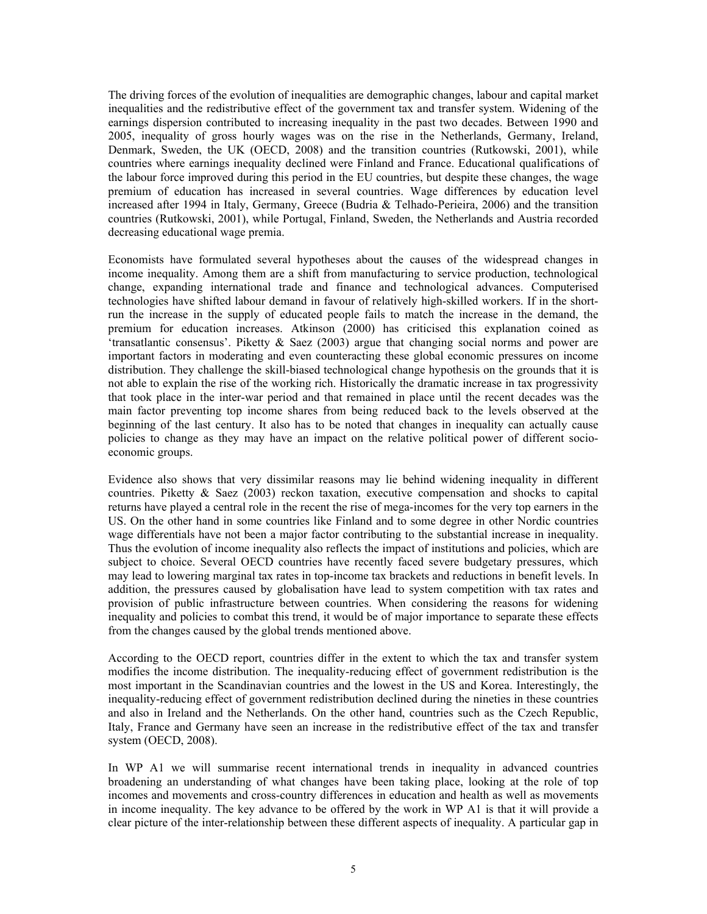The driving forces of the evolution of inequalities are demographic changes, labour and capital market inequalities and the redistributive effect of the government tax and transfer system. Widening of the earnings dispersion contributed to increasing inequality in the past two decades. Between 1990 and 2005, inequality of gross hourly wages was on the rise in the Netherlands, Germany, Ireland, Denmark, Sweden, the UK (OECD, 2008) and the transition countries (Rutkowski, 2001), while countries where earnings inequality declined were Finland and France. Educational qualifications of the labour force improved during this period in the EU countries, but despite these changes, the wage premium of education has increased in several countries. Wage differences by education level increased after 1994 in Italy, Germany, Greece (Budria & Telhado-Perieira, 2006) and the transition countries (Rutkowski, 2001), while Portugal, Finland, Sweden, the Netherlands and Austria recorded decreasing educational wage premia.

Economists have formulated several hypotheses about the causes of the widespread changes in income inequality. Among them are a shift from manufacturing to service production, technological change, expanding international trade and finance and technological advances. Computerised technologies have shifted labour demand in favour of relatively high-skilled workers. If in the shortrun the increase in the supply of educated people fails to match the increase in the demand, the premium for education increases. Atkinson (2000) has criticised this explanation coined as 'transatlantic consensus'. Piketty & Saez (2003) argue that changing social norms and power are important factors in moderating and even counteracting these global economic pressures on income distribution. They challenge the skill-biased technological change hypothesis on the grounds that it is not able to explain the rise of the working rich. Historically the dramatic increase in tax progressivity that took place in the inter-war period and that remained in place until the recent decades was the main factor preventing top income shares from being reduced back to the levels observed at the beginning of the last century. It also has to be noted that changes in inequality can actually cause policies to change as they may have an impact on the relative political power of different socioeconomic groups.

Evidence also shows that very dissimilar reasons may lie behind widening inequality in different countries. Piketty  $\&$  Saez (2003) reckon taxation, executive compensation and shocks to capital returns have played a central role in the recent the rise of mega-incomes for the very top earners in the US. On the other hand in some countries like Finland and to some degree in other Nordic countries wage differentials have not been a major factor contributing to the substantial increase in inequality. Thus the evolution of income inequality also reflects the impact of institutions and policies, which are subject to choice. Several OECD countries have recently faced severe budgetary pressures, which may lead to lowering marginal tax rates in top-income tax brackets and reductions in benefit levels. In addition, the pressures caused by globalisation have lead to system competition with tax rates and provision of public infrastructure between countries. When considering the reasons for widening inequality and policies to combat this trend, it would be of major importance to separate these effects from the changes caused by the global trends mentioned above.

According to the OECD report, countries differ in the extent to which the tax and transfer system modifies the income distribution. The inequality-reducing effect of government redistribution is the most important in the Scandinavian countries and the lowest in the US and Korea. Interestingly, the inequality-reducing effect of government redistribution declined during the nineties in these countries and also in Ireland and the Netherlands. On the other hand, countries such as the Czech Republic, Italy, France and Germany have seen an increase in the redistributive effect of the tax and transfer system (OECD, 2008).

In WP A1 we will summarise recent international trends in inequality in advanced countries broadening an understanding of what changes have been taking place, looking at the role of top incomes and movements and cross-country differences in education and health as well as movements in income inequality. The key advance to be offered by the work in WP A1 is that it will provide a clear picture of the inter-relationship between these different aspects of inequality. A particular gap in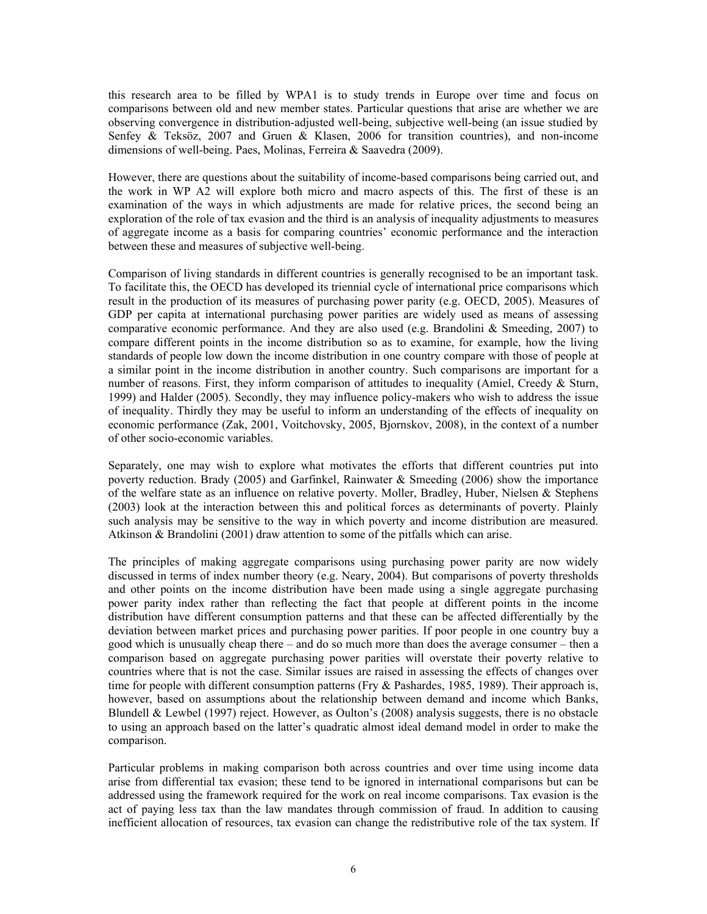this research area to be filled by WPA1 is to study trends in Europe over time and focus on comparisons between old and new member states. Particular questions that arise are whether we are observing convergence in distribution-adjusted well-being, subjective well-being (an issue studied by Senfey & Teksöz, 2007 and Gruen & Klasen, 2006 for transition countries), and non-income dimensions of well-being. Paes, Molinas, Ferreira & Saavedra (2009).

However, there are questions about the suitability of income-based comparisons being carried out, and the work in WP A2 will explore both micro and macro aspects of this. The first of these is an examination of the ways in which adjustments are made for relative prices, the second being an exploration of the role of tax evasion and the third is an analysis of inequality adjustments to measures of aggregate income as a basis for comparing countries' economic performance and the interaction between these and measures of subjective well-being.

Comparison of living standards in different countries is generally recognised to be an important task. To facilitate this, the OECD has developed its triennial cycle of international price comparisons which result in the production of its measures of purchasing power parity (e.g. OECD, 2005). Measures of GDP per capita at international purchasing power parities are widely used as means of assessing comparative economic performance. And they are also used (e.g. Brandolini & Smeeding, 2007) to compare different points in the income distribution so as to examine, for example, how the living standards of people low down the income distribution in one country compare with those of people at a similar point in the income distribution in another country. Such comparisons are important for a number of reasons. First, they inform comparison of attitudes to inequality (Amiel, Creedy  $\&$  Sturn, 1999) and Halder (2005). Secondly, they may influence policy-makers who wish to address the issue of inequality. Thirdly they may be useful to inform an understanding of the effects of inequality on economic performance (Zak, 2001, Voitchovsky, 2005, Bjornskov, 2008), in the context of a number of other socio-economic variables.

Separately, one may wish to explore what motivates the efforts that different countries put into poverty reduction. Brady (2005) and Garfinkel, Rainwater & Smeeding (2006) show the importance of the welfare state as an influence on relative poverty. Moller, Bradley, Huber, Nielsen & Stephens (2003) look at the interaction between this and political forces as determinants of poverty. Plainly such analysis may be sensitive to the way in which poverty and income distribution are measured. Atkinson & Brandolini (2001) draw attention to some of the pitfalls which can arise.

The principles of making aggregate comparisons using purchasing power parity are now widely discussed in terms of index number theory (e.g. Neary, 2004). But comparisons of poverty thresholds and other points on the income distribution have been made using a single aggregate purchasing power parity index rather than reflecting the fact that people at different points in the income distribution have different consumption patterns and that these can be affected differentially by the deviation between market prices and purchasing power parities. If poor people in one country buy a good which is unusually cheap there – and do so much more than does the average consumer – then a comparison based on aggregate purchasing power parities will overstate their poverty relative to countries where that is not the case. Similar issues are raised in assessing the effects of changes over time for people with different consumption patterns (Fry & Pashardes, 1985, 1989). Their approach is, however, based on assumptions about the relationship between demand and income which Banks, Blundell & Lewbel (1997) reject. However, as Oulton's (2008) analysis suggests, there is no obstacle to using an approach based on the latter's quadratic almost ideal demand model in order to make the comparison.

Particular problems in making comparison both across countries and over time using income data arise from differential tax evasion; these tend to be ignored in international comparisons but can be addressed using the framework required for the work on real income comparisons. Tax evasion is the act of paying less tax than the law mandates through commission of fraud. In addition to causing inefficient allocation of resources, tax evasion can change the redistributive role of the tax system. If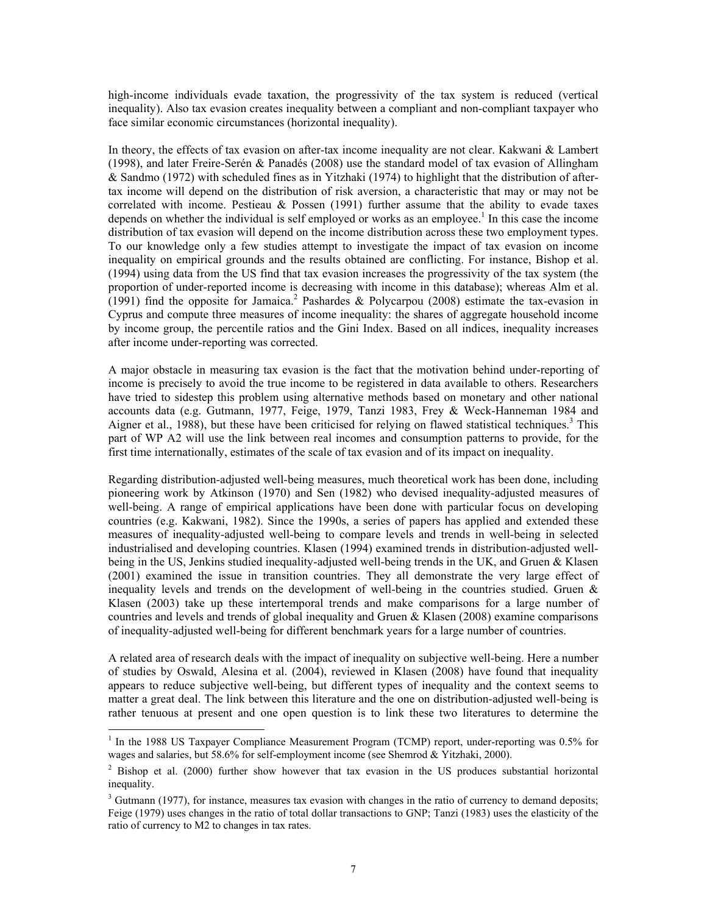high-income individuals evade taxation, the progressivity of the tax system is reduced (vertical inequality). Also tax evasion creates inequality between a compliant and non-compliant taxpayer who face similar economic circumstances (horizontal inequality).

In theory, the effects of tax evasion on after-tax income inequality are not clear. Kakwani  $\&$  Lambert (1998), and later Freire-Serén & Panadés (2008) use the standard model of tax evasion of Allingham & Sandmo (1972) with scheduled fines as in Yitzhaki (1974) to highlight that the distribution of aftertax income will depend on the distribution of risk aversion, a characteristic that may or may not be correlated with income. Pestieau  $\&$  Possen (1991) further assume that the ability to evade taxes depends on whether the individual is self employed or works as an employee.<sup>1</sup> In this case the income distribution of tax evasion will depend on the income distribution across these two employment types. To our knowledge only a few studies attempt to investigate the impact of tax evasion on income inequality on empirical grounds and the results obtained are conflicting. For instance, Bishop et al. (1994) using data from the US find that tax evasion increases the progressivity of the tax system (the proportion of under-reported income is decreasing with income in this database); whereas Alm et al. (1991) find the opposite for Jamaica.<sup>2</sup> Pashardes & Polycarpou (2008) estimate the tax-evasion in Cyprus and compute three measures of income inequality: the shares of aggregate household income by income group, the percentile ratios and the Gini Index. Based on all indices, inequality increases after income under-reporting was corrected.

A major obstacle in measuring tax evasion is the fact that the motivation behind under-reporting of income is precisely to avoid the true income to be registered in data available to others. Researchers have tried to sidestep this problem using alternative methods based on monetary and other national accounts data (e.g. Gutmann, 1977, Feige, 1979, Tanzi 1983, Frey & Weck-Hanneman 1984 and Aigner et al., 1988), but these have been criticised for relying on flawed statistical techniques.<sup>3</sup> This part of WP A2 will use the link between real incomes and consumption patterns to provide, for the first time internationally, estimates of the scale of tax evasion and of its impact on inequality.

Regarding distribution-adjusted well-being measures, much theoretical work has been done, including pioneering work by Atkinson (1970) and Sen (1982) who devised inequality-adjusted measures of well-being. A range of empirical applications have been done with particular focus on developing countries (e.g. Kakwani, 1982). Since the 1990s, a series of papers has applied and extended these measures of inequality-adjusted well-being to compare levels and trends in well-being in selected industrialised and developing countries. Klasen (1994) examined trends in distribution-adjusted wellbeing in the US, Jenkins studied inequality-adjusted well-being trends in the UK, and Gruen & Klasen (2001) examined the issue in transition countries. They all demonstrate the very large effect of inequality levels and trends on the development of well-being in the countries studied. Gruen & Klasen (2003) take up these intertemporal trends and make comparisons for a large number of countries and levels and trends of global inequality and Gruen  $\&$  Klasen (2008) examine comparisons of inequality-adjusted well-being for different benchmark years for a large number of countries.

A related area of research deals with the impact of inequality on subjective well-being. Here a number of studies by Oswald, Alesina et al. (2004), reviewed in Klasen (2008) have found that inequality appears to reduce subjective well-being, but different types of inequality and the context seems to matter a great deal. The link between this literature and the one on distribution-adjusted well-being is rather tenuous at present and one open question is to link these two literatures to determine the

-

<sup>&</sup>lt;sup>1</sup> In the 1988 US Taxpayer Compliance Measurement Program (TCMP) report, under-reporting was 0.5% for wages and salaries, but 58.6% for self-employment income (see Shemrod & Yitzhaki, 2000).

 $2$  Bishop et al. (2000) further show however that tax evasion in the US produces substantial horizontal inequality.

<sup>&</sup>lt;sup>3</sup> Gutmann (1977), for instance, measures tax evasion with changes in the ratio of currency to demand deposits; Feige (1979) uses changes in the ratio of total dollar transactions to GNP; Tanzi (1983) uses the elasticity of the ratio of currency to M2 to changes in tax rates.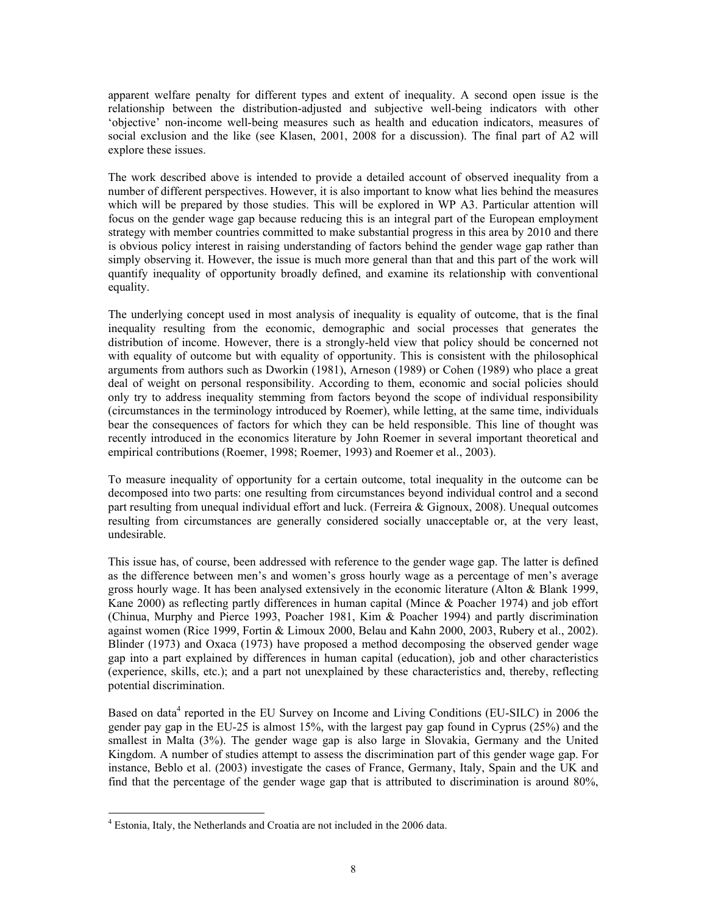apparent welfare penalty for different types and extent of inequality. A second open issue is the relationship between the distribution-adjusted and subjective well-being indicators with other 'objective' non-income well-being measures such as health and education indicators, measures of social exclusion and the like (see Klasen, 2001, 2008 for a discussion). The final part of A2 will explore these issues.

The work described above is intended to provide a detailed account of observed inequality from a number of different perspectives. However, it is also important to know what lies behind the measures which will be prepared by those studies. This will be explored in WP A3. Particular attention will focus on the gender wage gap because reducing this is an integral part of the European employment strategy with member countries committed to make substantial progress in this area by 2010 and there is obvious policy interest in raising understanding of factors behind the gender wage gap rather than simply observing it. However, the issue is much more general than that and this part of the work will quantify inequality of opportunity broadly defined, and examine its relationship with conventional equality.

The underlying concept used in most analysis of inequality is equality of outcome, that is the final inequality resulting from the economic, demographic and social processes that generates the distribution of income. However, there is a strongly-held view that policy should be concerned not with equality of outcome but with equality of opportunity. This is consistent with the philosophical arguments from authors such as Dworkin (1981), Arneson (1989) or Cohen (1989) who place a great deal of weight on personal responsibility. According to them, economic and social policies should only try to address inequality stemming from factors beyond the scope of individual responsibility (circumstances in the terminology introduced by Roemer), while letting, at the same time, individuals bear the consequences of factors for which they can be held responsible. This line of thought was recently introduced in the economics literature by John Roemer in several important theoretical and empirical contributions (Roemer, 1998; Roemer, 1993) and Roemer et al., 2003).

To measure inequality of opportunity for a certain outcome, total inequality in the outcome can be decomposed into two parts: one resulting from circumstances beyond individual control and a second part resulting from unequal individual effort and luck. (Ferreira & Gignoux, 2008). Unequal outcomes resulting from circumstances are generally considered socially unacceptable or, at the very least, undesirable.

This issue has, of course, been addressed with reference to the gender wage gap. The latter is defined as the difference between men's and women's gross hourly wage as a percentage of men's average gross hourly wage. It has been analysed extensively in the economic literature (Alton & Blank 1999, Kane 2000) as reflecting partly differences in human capital (Mince & Poacher 1974) and job effort (Chinua, Murphy and Pierce 1993, Poacher 1981, Kim & Poacher 1994) and partly discrimination against women (Rice 1999, Fortin & Limoux 2000, Belau and Kahn 2000, 2003, Rubery et al., 2002). Blinder (1973) and Oxaca (1973) have proposed a method decomposing the observed gender wage gap into a part explained by differences in human capital (education), job and other characteristics (experience, skills, etc.); and a part not unexplained by these characteristics and, thereby, reflecting potential discrimination.

Based on data<sup>4</sup> reported in the EU Survey on Income and Living Conditions (EU-SILC) in 2006 the gender pay gap in the EU-25 is almost 15%, with the largest pay gap found in Cyprus (25%) and the smallest in Malta (3%). The gender wage gap is also large in Slovakia, Germany and the United Kingdom. A number of studies attempt to assess the discrimination part of this gender wage gap. For instance, Beblo et al. (2003) investigate the cases of France, Germany, Italy, Spain and the UK and find that the percentage of the gender wage gap that is attributed to discrimination is around 80%,

-

<sup>&</sup>lt;sup>4</sup> Estonia, Italy, the Netherlands and Croatia are not included in the 2006 data.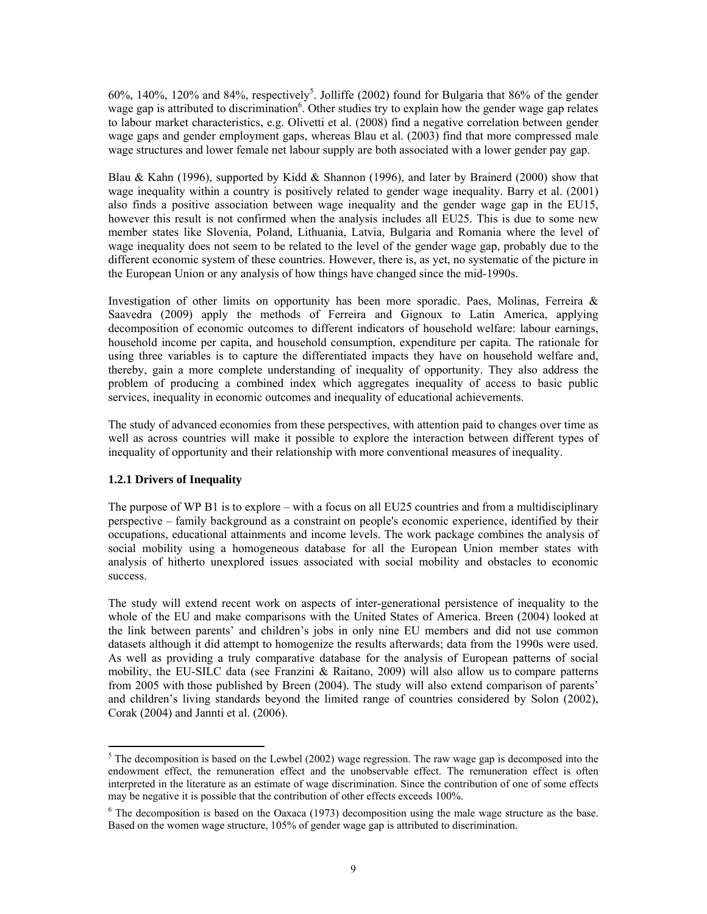$60\%$ , 140%, 120% and 84%, respectively<sup>5</sup>. Jolliffe (2002) found for Bulgaria that 86% of the gender wage gap is attributed to discrimination<sup>6</sup>. Other studies try to explain how the gender wage gap relates to labour market characteristics, e.g. Olivetti et al. (2008) find a negative correlation between gender wage gaps and gender employment gaps, whereas Blau et al. (2003) find that more compressed male wage structures and lower female net labour supply are both associated with a lower gender pay gap.

Blau & Kahn (1996), supported by Kidd & Shannon (1996), and later by Brainerd (2000) show that wage inequality within a country is positively related to gender wage inequality. Barry et al. (2001) also finds a positive association between wage inequality and the gender wage gap in the EU15, however this result is not confirmed when the analysis includes all EU25. This is due to some new member states like Slovenia, Poland, Lithuania, Latvia, Bulgaria and Romania where the level of wage inequality does not seem to be related to the level of the gender wage gap, probably due to the different economic system of these countries. However, there is, as yet, no systematic of the picture in the European Union or any analysis of how things have changed since the mid-1990s.

Investigation of other limits on opportunity has been more sporadic. Paes, Molinas, Ferreira  $\&$ Saavedra (2009) apply the methods of Ferreira and Gignoux to Latin America, applying decomposition of economic outcomes to different indicators of household welfare: labour earnings, household income per capita, and household consumption, expenditure per capita. The rationale for using three variables is to capture the differentiated impacts they have on household welfare and, thereby, gain a more complete understanding of inequality of opportunity. They also address the problem of producing a combined index which aggregates inequality of access to basic public services, inequality in economic outcomes and inequality of educational achievements.

The study of advanced economies from these perspectives, with attention paid to changes over time as well as across countries will make it possible to explore the interaction between different types of inequality of opportunity and their relationship with more conventional measures of inequality.

#### **1.2.1 Drivers of Inequality**

The purpose of WP B1 is to explore – with a focus on all EU25 countries and from a multidisciplinary perspective – family background as a constraint on people's economic experience, identified by their occupations, educational attainments and income levels. The work package combines the analysis of social mobility using a homogeneous database for all the European Union member states with analysis of hitherto unexplored issues associated with social mobility and obstacles to economic success.

The study will extend recent work on aspects of inter-generational persistence of inequality to the whole of the EU and make comparisons with the United States of America. Breen (2004) looked at the link between parents' and children's jobs in only nine EU members and did not use common datasets although it did attempt to homogenize the results afterwards; data from the 1990s were used. As well as providing a truly comparative database for the analysis of European patterns of social mobility, the EU-SILC data (see Franzini & Raitano, 2009) will also allow us to compare patterns from 2005 with those published by Breen (2004). The study will also extend comparison of parents' and children's living standards beyond the limited range of countries considered by Solon (2002), Corak (2004) and Jannti et al. (2006).

 $\frac{5}{10}$  The decomposition is based on the Lewbel (2002) wage regression. The raw wage gap is decomposed into the endowment effect, the remuneration effect and the unobservable effect. The remuneration effect is often interpreted in the literature as an estimate of wage discrimination. Since the contribution of one of some effects may be negative it is possible that the contribution of other effects exceeds 100%.

 $6$  The decomposition is based on the Oaxaca (1973) decomposition using the male wage structure as the base. Based on the women wage structure, 105% of gender wage gap is attributed to discrimination.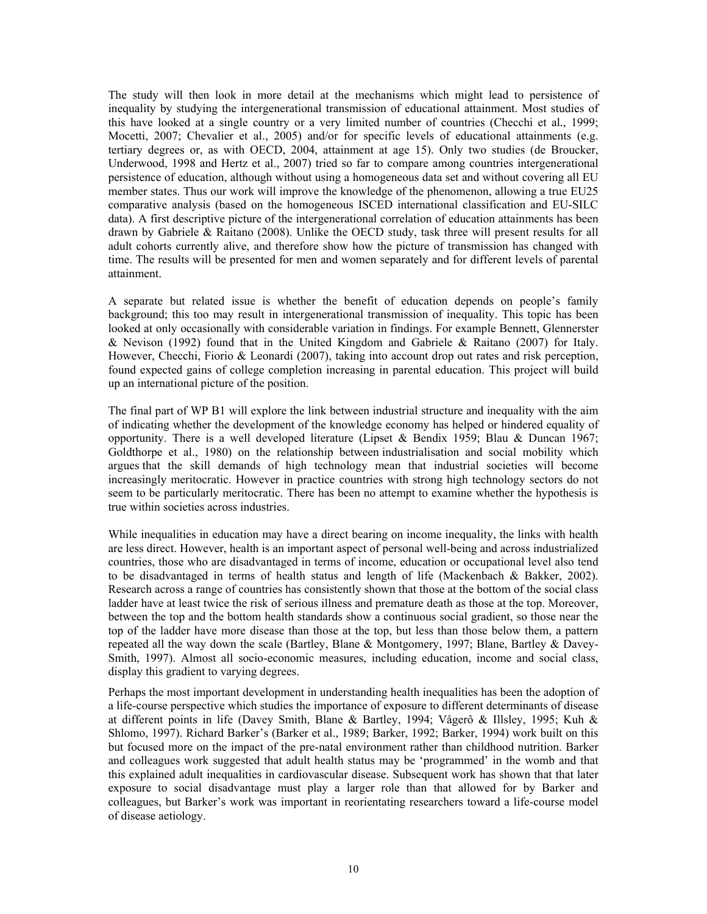The study will then look in more detail at the mechanisms which might lead to persistence of inequality by studying the intergenerational transmission of educational attainment. Most studies of this have looked at a single country or a very limited number of countries (Checchi et al*.*, 1999; Mocetti, 2007; Chevalier et al., 2005) and/or for specific levels of educational attainments (e.g. tertiary degrees or, as with OECD, 2004, attainment at age 15). Only two studies (de Broucker, Underwood, 1998 and Hertz et al., 2007) tried so far to compare among countries intergenerational persistence of education, although without using a homogeneous data set and without covering all EU member states. Thus our work will improve the knowledge of the phenomenon, allowing a true EU25 comparative analysis (based on the homogeneous ISCED international classification and EU-SILC data). A first descriptive picture of the intergenerational correlation of education attainments has been drawn by Gabriele & Raitano (2008). Unlike the OECD study, task three will present results for all adult cohorts currently alive, and therefore show how the picture of transmission has changed with time. The results will be presented for men and women separately and for different levels of parental attainment.

A separate but related issue is whether the benefit of education depends on people's family background; this too may result in intergenerational transmission of inequality. This topic has been looked at only occasionally with considerable variation in findings. For example Bennett, Glennerster & Nevison (1992) found that in the United Kingdom and Gabriele & Raitano (2007) for Italy. However, Checchi, Fiorio & Leonardi (2007), taking into account drop out rates and risk perception, found expected gains of college completion increasing in parental education. This project will build up an international picture of the position.

The final part of WP B1 will explore the link between industrial structure and inequality with the aim of indicating whether the development of the knowledge economy has helped or hindered equality of opportunity. There is a well developed literature (Lipset & Bendix 1959; Blau & Duncan 1967; Goldthorpe et al., 1980) on the relationship between industrialisation and social mobility which argues that the skill demands of high technology mean that industrial societies will become increasingly meritocratic. However in practice countries with strong high technology sectors do not seem to be particularly meritocratic. There has been no attempt to examine whether the hypothesis is true within societies across industries.

While inequalities in education may have a direct bearing on income inequality, the links with health are less direct. However, health is an important aspect of personal well-being and across industrialized countries, those who are disadvantaged in terms of income, education or occupational level also tend to be disadvantaged in terms of health status and length of life (Mackenbach & Bakker, 2002). Research across a range of countries has consistently shown that those at the bottom of the social class ladder have at least twice the risk of serious illness and premature death as those at the top. Moreover, between the top and the bottom health standards show a continuous social gradient, so those near the top of the ladder have more disease than those at the top, but less than those below them, a pattern repeated all the way down the scale (Bartley, Blane & Montgomery, 1997; Blane, Bartley & Davey-Smith, 1997). Almost all socio-economic measures, including education, income and social class, display this gradient to varying degrees.

Perhaps the most important development in understanding health inequalities has been the adoption of a life-course perspective which studies the importance of exposure to different determinants of disease at different points in life (Davey Smith, Blane & Bartley, 1994; Vågerô & Illsley, 1995; Kuh & Shlomo, 1997). Richard Barker's (Barker et al., 1989; Barker, 1992; Barker, 1994) work built on this but focused more on the impact of the pre-natal environment rather than childhood nutrition. Barker and colleagues work suggested that adult health status may be 'programmed' in the womb and that this explained adult inequalities in cardiovascular disease. Subsequent work has shown that that later exposure to social disadvantage must play a larger role than that allowed for by Barker and colleagues, but Barker's work was important in reorientating researchers toward a life-course model of disease aetiology.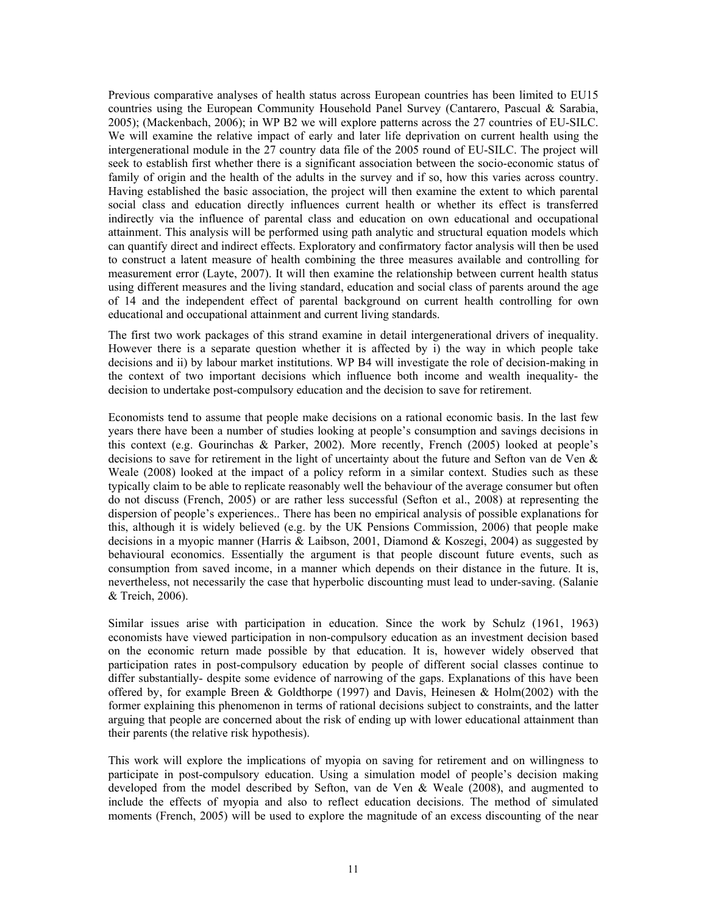Previous comparative analyses of health status across European countries has been limited to EU15 countries using the European Community Household Panel Survey (Cantarero, Pascual & Sarabia, 2005); (Mackenbach, 2006); in WP B2 we will explore patterns across the 27 countries of EU-SILC. We will examine the relative impact of early and later life deprivation on current health using the intergenerational module in the 27 country data file of the 2005 round of EU-SILC. The project will seek to establish first whether there is a significant association between the socio-economic status of family of origin and the health of the adults in the survey and if so, how this varies across country. Having established the basic association, the project will then examine the extent to which parental social class and education directly influences current health or whether its effect is transferred indirectly via the influence of parental class and education on own educational and occupational attainment. This analysis will be performed using path analytic and structural equation models which can quantify direct and indirect effects. Exploratory and confirmatory factor analysis will then be used to construct a latent measure of health combining the three measures available and controlling for measurement error (Layte, 2007). It will then examine the relationship between current health status using different measures and the living standard, education and social class of parents around the age of 14 and the independent effect of parental background on current health controlling for own educational and occupational attainment and current living standards.

The first two work packages of this strand examine in detail intergenerational drivers of inequality. However there is a separate question whether it is affected by i) the way in which people take decisions and ii) by labour market institutions. WP B4 will investigate the role of decision-making in the context of two important decisions which influence both income and wealth inequality- the decision to undertake post-compulsory education and the decision to save for retirement.

Economists tend to assume that people make decisions on a rational economic basis. In the last few years there have been a number of studies looking at people's consumption and savings decisions in this context (e.g. Gourinchas & Parker, 2002). More recently, French (2005) looked at people's decisions to save for retirement in the light of uncertainty about the future and Sefton van de Ven  $\&$ Weale (2008) looked at the impact of a policy reform in a similar context. Studies such as these typically claim to be able to replicate reasonably well the behaviour of the average consumer but often do not discuss (French, 2005) or are rather less successful (Sefton et al., 2008) at representing the dispersion of people's experiences.. There has been no empirical analysis of possible explanations for this, although it is widely believed (e.g. by the UK Pensions Commission, 2006) that people make decisions in a myopic manner (Harris & Laibson, 2001, Diamond & Koszegi, 2004) as suggested by behavioural economics. Essentially the argument is that people discount future events, such as consumption from saved income, in a manner which depends on their distance in the future. It is, nevertheless, not necessarily the case that hyperbolic discounting must lead to under-saving. (Salanie & Treich, 2006).

Similar issues arise with participation in education. Since the work by Schulz (1961, 1963) economists have viewed participation in non-compulsory education as an investment decision based on the economic return made possible by that education. It is, however widely observed that participation rates in post-compulsory education by people of different social classes continue to differ substantially- despite some evidence of narrowing of the gaps. Explanations of this have been offered by, for example Breen & Goldthorpe (1997) and Davis, Heinesen & Holm(2002) with the former explaining this phenomenon in terms of rational decisions subject to constraints, and the latter arguing that people are concerned about the risk of ending up with lower educational attainment than their parents (the relative risk hypothesis).

This work will explore the implications of myopia on saving for retirement and on willingness to participate in post-compulsory education. Using a simulation model of people's decision making developed from the model described by Sefton, van de Ven & Weale (2008), and augmented to include the effects of myopia and also to reflect education decisions. The method of simulated moments (French, 2005) will be used to explore the magnitude of an excess discounting of the near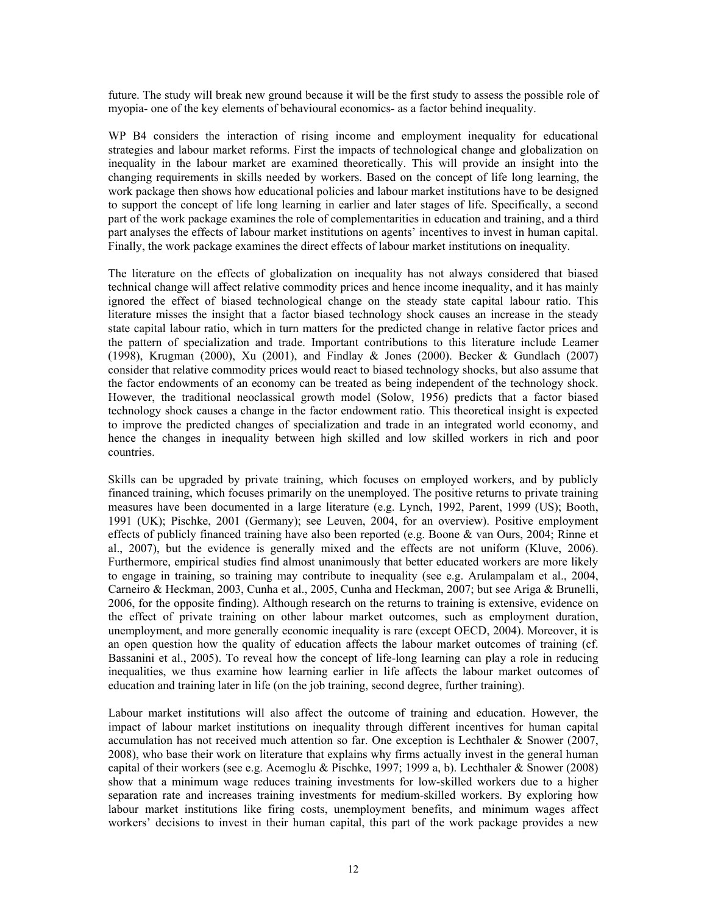future. The study will break new ground because it will be the first study to assess the possible role of myopia- one of the key elements of behavioural economics- as a factor behind inequality.

WP B4 considers the interaction of rising income and employment inequality for educational strategies and labour market reforms. First the impacts of technological change and globalization on inequality in the labour market are examined theoretically. This will provide an insight into the changing requirements in skills needed by workers. Based on the concept of life long learning, the work package then shows how educational policies and labour market institutions have to be designed to support the concept of life long learning in earlier and later stages of life. Specifically, a second part of the work package examines the role of complementarities in education and training, and a third part analyses the effects of labour market institutions on agents' incentives to invest in human capital. Finally, the work package examines the direct effects of labour market institutions on inequality.

The literature on the effects of globalization on inequality has not always considered that biased technical change will affect relative commodity prices and hence income inequality, and it has mainly ignored the effect of biased technological change on the steady state capital labour ratio. This literature misses the insight that a factor biased technology shock causes an increase in the steady state capital labour ratio, which in turn matters for the predicted change in relative factor prices and the pattern of specialization and trade. Important contributions to this literature include Leamer (1998), Krugman (2000), Xu (2001), and Findlay & Jones (2000). Becker & Gundlach (2007) consider that relative commodity prices would react to biased technology shocks, but also assume that the factor endowments of an economy can be treated as being independent of the technology shock. However, the traditional neoclassical growth model (Solow, 1956) predicts that a factor biased technology shock causes a change in the factor endowment ratio. This theoretical insight is expected to improve the predicted changes of specialization and trade in an integrated world economy, and hence the changes in inequality between high skilled and low skilled workers in rich and poor countries.

Skills can be upgraded by private training, which focuses on employed workers, and by publicly financed training, which focuses primarily on the unemployed. The positive returns to private training measures have been documented in a large literature (e.g. Lynch, 1992, Parent, 1999 (US); Booth, 1991 (UK); Pischke, 2001 (Germany); see Leuven, 2004, for an overview). Positive employment effects of publicly financed training have also been reported (e.g. Boone & van Ours, 2004; Rinne et al., 2007), but the evidence is generally mixed and the effects are not uniform (Kluve, 2006). Furthermore, empirical studies find almost unanimously that better educated workers are more likely to engage in training, so training may contribute to inequality (see e.g. Arulampalam et al., 2004, Carneiro & Heckman, 2003, Cunha et al., 2005, Cunha and Heckman, 2007; but see Ariga & Brunelli, 2006, for the opposite finding). Although research on the returns to training is extensive, evidence on the effect of private training on other labour market outcomes, such as employment duration, unemployment, and more generally economic inequality is rare (except OECD, 2004). Moreover, it is an open question how the quality of education affects the labour market outcomes of training (cf. Bassanini et al., 2005). To reveal how the concept of life-long learning can play a role in reducing inequalities, we thus examine how learning earlier in life affects the labour market outcomes of education and training later in life (on the job training, second degree, further training).

Labour market institutions will also affect the outcome of training and education. However, the impact of labour market institutions on inequality through different incentives for human capital accumulation has not received much attention so far. One exception is Lechthaler & Snower (2007, 2008), who base their work on literature that explains why firms actually invest in the general human capital of their workers (see e.g. Acemoglu & Pischke, 1997; 1999 a, b). Lechthaler & Snower (2008) show that a minimum wage reduces training investments for low-skilled workers due to a higher separation rate and increases training investments for medium-skilled workers. By exploring how labour market institutions like firing costs, unemployment benefits, and minimum wages affect workers' decisions to invest in their human capital, this part of the work package provides a new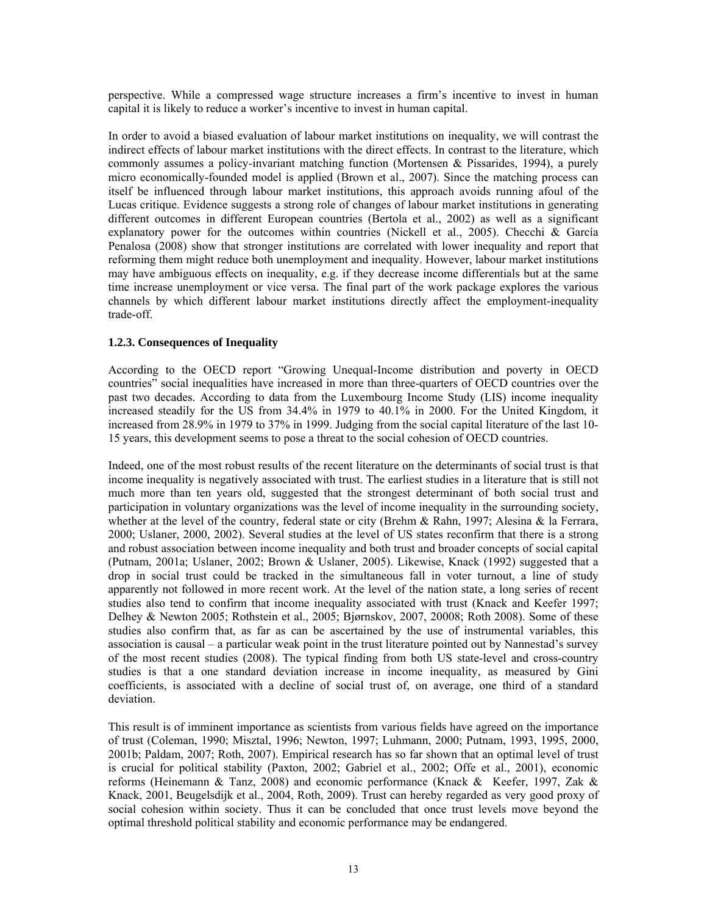perspective. While a compressed wage structure increases a firm's incentive to invest in human capital it is likely to reduce a worker's incentive to invest in human capital.

In order to avoid a biased evaluation of labour market institutions on inequality, we will contrast the indirect effects of labour market institutions with the direct effects. In contrast to the literature, which commonly assumes a policy-invariant matching function (Mortensen & Pissarides, 1994), a purely micro economically-founded model is applied (Brown et al., 2007). Since the matching process can itself be influenced through labour market institutions, this approach avoids running afoul of the Lucas critique. Evidence suggests a strong role of changes of labour market institutions in generating different outcomes in different European countries (Bertola et al., 2002) as well as a significant explanatory power for the outcomes within countries (Nickell et al., 2005). Checchi & García Penalosa (2008) show that stronger institutions are correlated with lower inequality and report that reforming them might reduce both unemployment and inequality. However, labour market institutions may have ambiguous effects on inequality, e.g. if they decrease income differentials but at the same time increase unemployment or vice versa. The final part of the work package explores the various channels by which different labour market institutions directly affect the employment-inequality trade-off.

#### **1.2.3. Consequences of Inequality**

According to the OECD report "Growing Unequal-Income distribution and poverty in OECD countries" social inequalities have increased in more than three-quarters of OECD countries over the past two decades. According to data from the Luxembourg Income Study (LIS) income inequality increased steadily for the US from 34.4% in 1979 to 40.1% in 2000. For the United Kingdom, it increased from 28.9% in 1979 to 37% in 1999. Judging from the social capital literature of the last 10- 15 years, this development seems to pose a threat to the social cohesion of OECD countries.

Indeed, one of the most robust results of the recent literature on the determinants of social trust is that income inequality is negatively associated with trust. The earliest studies in a literature that is still not much more than ten years old, suggested that the strongest determinant of both social trust and participation in voluntary organizations was the level of income inequality in the surrounding society, whether at the level of the country, federal state or city (Brehm & Rahn, 1997; Alesina & la Ferrara, 2000; Uslaner, 2000, 2002). Several studies at the level of US states reconfirm that there is a strong and robust association between income inequality and both trust and broader concepts of social capital (Putnam, 2001a; Uslaner, 2002; Brown & Uslaner, 2005). Likewise, Knack (1992) suggested that a drop in social trust could be tracked in the simultaneous fall in voter turnout, a line of study apparently not followed in more recent work. At the level of the nation state, a long series of recent studies also tend to confirm that income inequality associated with trust (Knack and Keefer 1997; Delhey & Newton 2005; Rothstein et al., 2005; Bjørnskov, 2007, 20008; Roth 2008). Some of these studies also confirm that, as far as can be ascertained by the use of instrumental variables, this association is causal – a particular weak point in the trust literature pointed out by Nannestad's survey of the most recent studies (2008). The typical finding from both US state-level and cross-country studies is that a one standard deviation increase in income inequality, as measured by Gini coefficients, is associated with a decline of social trust of, on average, one third of a standard deviation.

This result is of imminent importance as scientists from various fields have agreed on the importance of trust (Coleman, 1990; Misztal, 1996; Newton, 1997; Luhmann, 2000; Putnam, 1993, 1995, 2000, 2001b; Paldam, 2007; Roth, 2007). Empirical research has so far shown that an optimal level of trust is crucial for political stability (Paxton, 2002; Gabriel et al., 2002; Offe et al., 2001), economic reforms (Heinemann & Tanz, 2008) and economic performance (Knack & Keefer, 1997, Zak & Knack, 2001, Beugelsdijk et al., 2004, Roth, 2009). Trust can hereby regarded as very good proxy of social cohesion within society. Thus it can be concluded that once trust levels move beyond the optimal threshold political stability and economic performance may be endangered.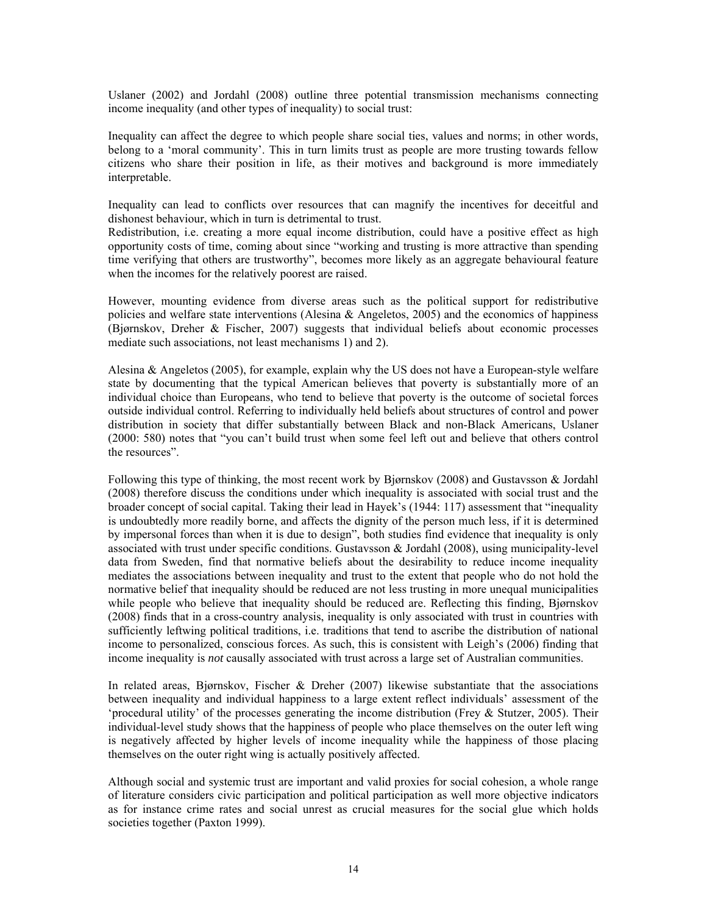Uslaner (2002) and Jordahl (2008) outline three potential transmission mechanisms connecting income inequality (and other types of inequality) to social trust:

Inequality can affect the degree to which people share social ties, values and norms; in other words, belong to a 'moral community'. This in turn limits trust as people are more trusting towards fellow citizens who share their position in life, as their motives and background is more immediately interpretable.

Inequality can lead to conflicts over resources that can magnify the incentives for deceitful and dishonest behaviour, which in turn is detrimental to trust.

Redistribution, i.e. creating a more equal income distribution, could have a positive effect as high opportunity costs of time, coming about since "working and trusting is more attractive than spending time verifying that others are trustworthy", becomes more likely as an aggregate behavioural feature when the incomes for the relatively poorest are raised.

However, mounting evidence from diverse areas such as the political support for redistributive policies and welfare state interventions (Alesina & Angeletos, 2005) and the economics of happiness (Bjørnskov, Dreher & Fischer, 2007) suggests that individual beliefs about economic processes mediate such associations, not least mechanisms 1) and 2).

Alesina & Angeletos (2005), for example, explain why the US does not have a European-style welfare state by documenting that the typical American believes that poverty is substantially more of an individual choice than Europeans, who tend to believe that poverty is the outcome of societal forces outside individual control. Referring to individually held beliefs about structures of control and power distribution in society that differ substantially between Black and non-Black Americans, Uslaner (2000: 580) notes that "you can't build trust when some feel left out and believe that others control the resources".

Following this type of thinking, the most recent work by Bjørnskov (2008) and Gustavsson & Jordahl (2008) therefore discuss the conditions under which inequality is associated with social trust and the broader concept of social capital. Taking their lead in Hayek's (1944: 117) assessment that "inequality is undoubtedly more readily borne, and affects the dignity of the person much less, if it is determined by impersonal forces than when it is due to design", both studies find evidence that inequality is only associated with trust under specific conditions. Gustavsson & Jordahl (2008), using municipality-level data from Sweden, find that normative beliefs about the desirability to reduce income inequality mediates the associations between inequality and trust to the extent that people who do not hold the normative belief that inequality should be reduced are not less trusting in more unequal municipalities while people who believe that inequality should be reduced are. Reflecting this finding, Bjørnskov (2008) finds that in a cross-country analysis, inequality is only associated with trust in countries with sufficiently leftwing political traditions, i.e. traditions that tend to ascribe the distribution of national income to personalized, conscious forces. As such, this is consistent with Leigh's (2006) finding that income inequality is *not* causally associated with trust across a large set of Australian communities.

In related areas, Bjørnskov, Fischer & Dreher (2007) likewise substantiate that the associations between inequality and individual happiness to a large extent reflect individuals' assessment of the 'procedural utility' of the processes generating the income distribution (Frey & Stutzer, 2005). Their individual-level study shows that the happiness of people who place themselves on the outer left wing is negatively affected by higher levels of income inequality while the happiness of those placing themselves on the outer right wing is actually positively affected.

Although social and systemic trust are important and valid proxies for social cohesion, a whole range of literature considers civic participation and political participation as well more objective indicators as for instance crime rates and social unrest as crucial measures for the social glue which holds societies together (Paxton 1999).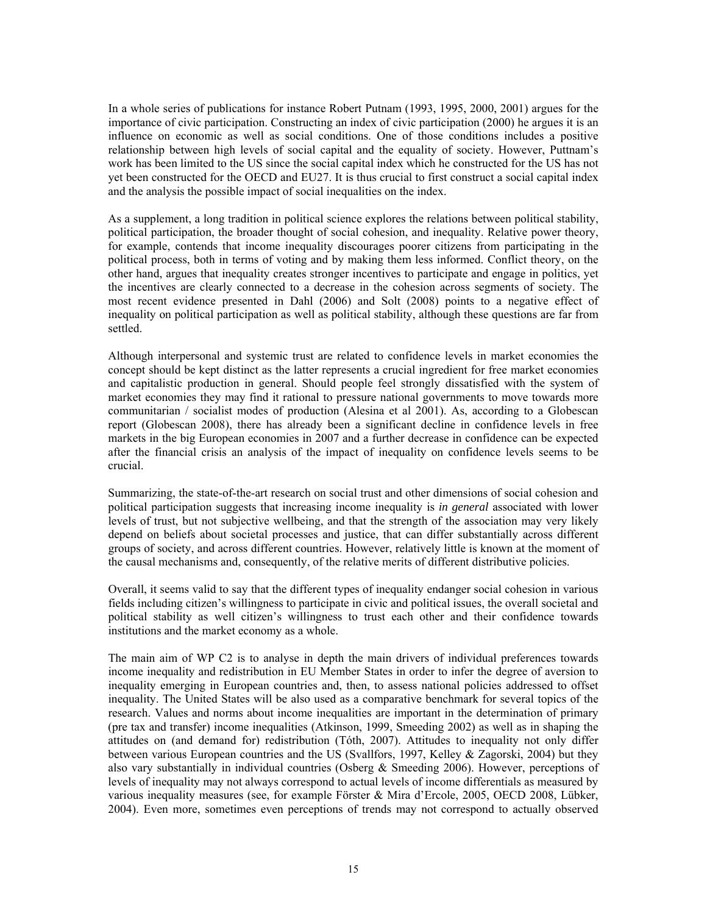In a whole series of publications for instance Robert Putnam (1993, 1995, 2000, 2001) argues for the importance of civic participation. Constructing an index of civic participation (2000) he argues it is an influence on economic as well as social conditions. One of those conditions includes a positive relationship between high levels of social capital and the equality of society. However, Puttnam's work has been limited to the US since the social capital index which he constructed for the US has not yet been constructed for the OECD and EU27. It is thus crucial to first construct a social capital index and the analysis the possible impact of social inequalities on the index.

As a supplement, a long tradition in political science explores the relations between political stability, political participation, the broader thought of social cohesion, and inequality. Relative power theory, for example, contends that income inequality discourages poorer citizens from participating in the political process, both in terms of voting and by making them less informed. Conflict theory, on the other hand, argues that inequality creates stronger incentives to participate and engage in politics, yet the incentives are clearly connected to a decrease in the cohesion across segments of society. The most recent evidence presented in Dahl (2006) and Solt (2008) points to a negative effect of inequality on political participation as well as political stability, although these questions are far from settled.

Although interpersonal and systemic trust are related to confidence levels in market economies the concept should be kept distinct as the latter represents a crucial ingredient for free market economies and capitalistic production in general. Should people feel strongly dissatisfied with the system of market economies they may find it rational to pressure national governments to move towards more communitarian / socialist modes of production (Alesina et al 2001). As, according to a Globescan report (Globescan 2008), there has already been a significant decline in confidence levels in free markets in the big European economies in 2007 and a further decrease in confidence can be expected after the financial crisis an analysis of the impact of inequality on confidence levels seems to be crucial.

Summarizing, the state-of-the-art research on social trust and other dimensions of social cohesion and political participation suggests that increasing income inequality is *in general* associated with lower levels of trust, but not subjective wellbeing, and that the strength of the association may very likely depend on beliefs about societal processes and justice, that can differ substantially across different groups of society, and across different countries. However, relatively little is known at the moment of the causal mechanisms and, consequently, of the relative merits of different distributive policies.

Overall, it seems valid to say that the different types of inequality endanger social cohesion in various fields including citizen's willingness to participate in civic and political issues, the overall societal and political stability as well citizen's willingness to trust each other and their confidence towards institutions and the market economy as a whole.

The main aim of WP C2 is to analyse in depth the main drivers of individual preferences towards income inequality and redistribution in EU Member States in order to infer the degree of aversion to inequality emerging in European countries and, then, to assess national policies addressed to offset inequality. The United States will be also used as a comparative benchmark for several topics of the research. Values and norms about income inequalities are important in the determination of primary (pre tax and transfer) income inequalities (Atkinson, 1999, Smeeding 2002) as well as in shaping the attitudes on (and demand for) redistribution (Tóth, 2007). Attitudes to inequality not only differ between various European countries and the US (Svallfors, 1997, Kelley & Zagorski, 2004) but they also vary substantially in individual countries (Osberg  $\&$  Smeeding 2006). However, perceptions of levels of inequality may not always correspond to actual levels of income differentials as measured by various inequality measures (see, for example Förster & Mira d'Ercole, 2005, OECD 2008, Lübker, 2004). Even more, sometimes even perceptions of trends may not correspond to actually observed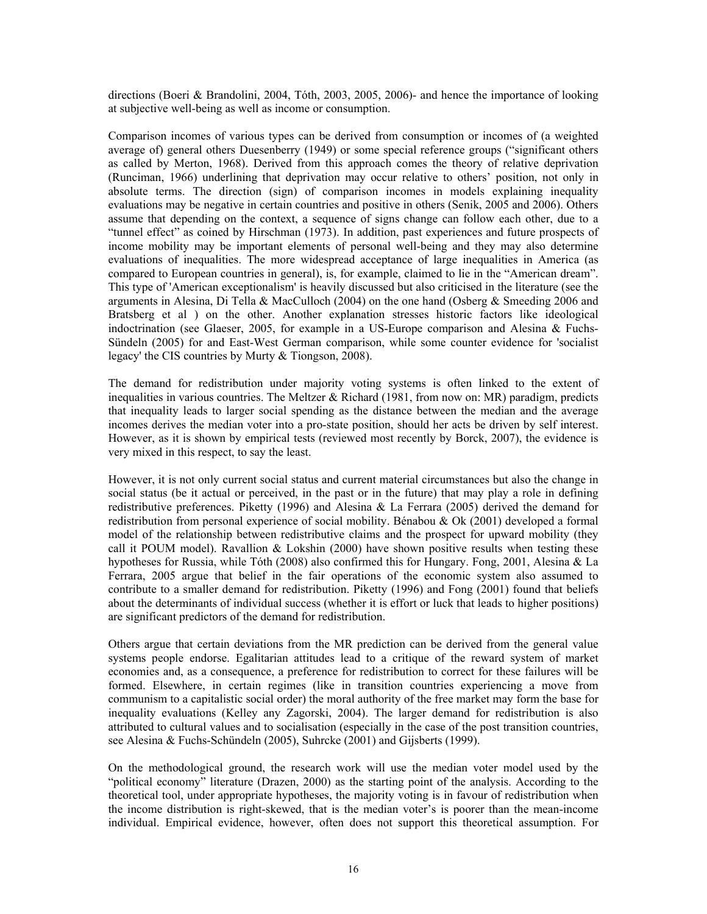directions (Boeri & Brandolini, 2004, Tóth, 2003, 2005, 2006)- and hence the importance of looking at subjective well-being as well as income or consumption.

Comparison incomes of various types can be derived from consumption or incomes of (a weighted average of) general others Duesenberry (1949) or some special reference groups ("significant others as called by Merton, 1968). Derived from this approach comes the theory of relative deprivation (Runciman, 1966) underlining that deprivation may occur relative to others' position, not only in absolute terms. The direction (sign) of comparison incomes in models explaining inequality evaluations may be negative in certain countries and positive in others (Senik, 2005 and 2006). Others assume that depending on the context, a sequence of signs change can follow each other, due to a "tunnel effect" as coined by Hirschman (1973). In addition, past experiences and future prospects of income mobility may be important elements of personal well-being and they may also determine evaluations of inequalities. The more widespread acceptance of large inequalities in America (as compared to European countries in general), is, for example, claimed to lie in the "American dream". This type of 'American exceptionalism' is heavily discussed but also criticised in the literature (see the arguments in Alesina, Di Tella & MacCulloch (2004) on the one hand (Osberg & Smeeding 2006 and Bratsberg et al ) on the other. Another explanation stresses historic factors like ideological indoctrination (see Glaeser, 2005, for example in a US-Europe comparison and Alesina & Fuchs-Sündeln (2005) for and East-West German comparison, while some counter evidence for 'socialist legacy' the CIS countries by Murty & Tiongson, 2008).

The demand for redistribution under majority voting systems is often linked to the extent of inequalities in various countries. The Meltzer  $& Richard (1981, from now on: MR) paradigm, predicts$ that inequality leads to larger social spending as the distance between the median and the average incomes derives the median voter into a pro-state position, should her acts be driven by self interest. However, as it is shown by empirical tests (reviewed most recently by Borck, 2007), the evidence is very mixed in this respect, to say the least.

However, it is not only current social status and current material circumstances but also the change in social status (be it actual or perceived, in the past or in the future) that may play a role in defining redistributive preferences. Piketty (1996) and Alesina & La Ferrara (2005) derived the demand for redistribution from personal experience of social mobility. Bénabou & Ok (2001) developed a formal model of the relationship between redistributive claims and the prospect for upward mobility (they call it POUM model). Ravallion  $&$  Lokshin (2000) have shown positive results when testing these hypotheses for Russia, while Tóth (2008) also confirmed this for Hungary. Fong, 2001, Alesina & La Ferrara, 2005 argue that belief in the fair operations of the economic system also assumed to contribute to a smaller demand for redistribution. Piketty (1996) and Fong (2001) found that beliefs about the determinants of individual success (whether it is effort or luck that leads to higher positions) are significant predictors of the demand for redistribution.

Others argue that certain deviations from the MR prediction can be derived from the general value systems people endorse. Egalitarian attitudes lead to a critique of the reward system of market economies and, as a consequence, a preference for redistribution to correct for these failures will be formed. Elsewhere, in certain regimes (like in transition countries experiencing a move from communism to a capitalistic social order) the moral authority of the free market may form the base for inequality evaluations (Kelley any Zagorski, 2004). The larger demand for redistribution is also attributed to cultural values and to socialisation (especially in the case of the post transition countries, see Alesina & Fuchs-Schündeln (2005), Suhrcke (2001) and Gijsberts (1999).

On the methodological ground, the research work will use the median voter model used by the "political economy" literature (Drazen, 2000) as the starting point of the analysis. According to the theoretical tool, under appropriate hypotheses, the majority voting is in favour of redistribution when the income distribution is right-skewed, that is the median voter's is poorer than the mean-income individual. Empirical evidence, however, often does not support this theoretical assumption. For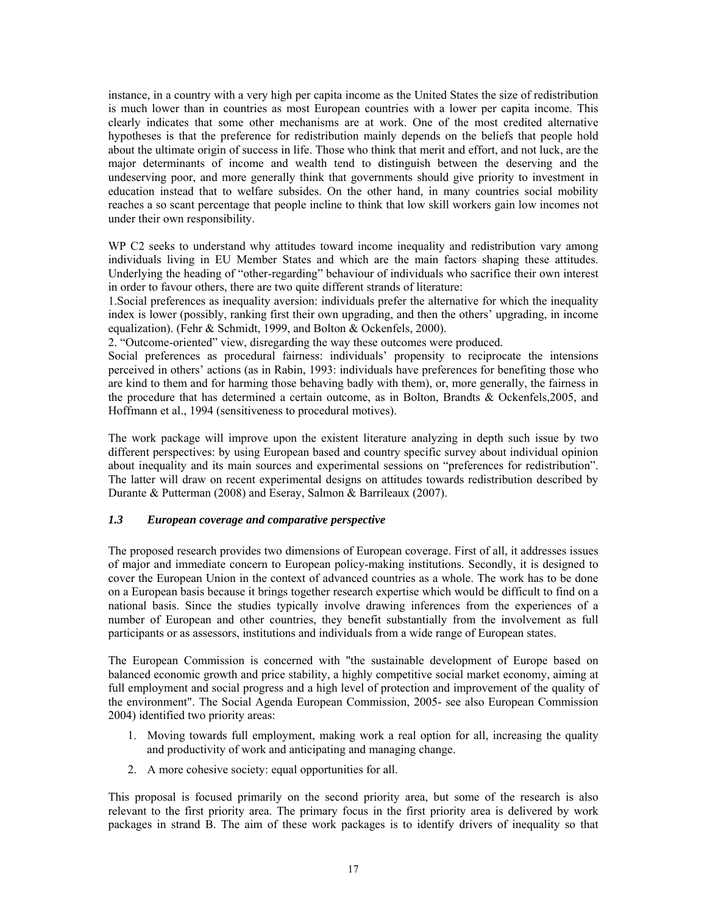instance, in a country with a very high per capita income as the United States the size of redistribution is much lower than in countries as most European countries with a lower per capita income. This clearly indicates that some other mechanisms are at work. One of the most credited alternative hypotheses is that the preference for redistribution mainly depends on the beliefs that people hold about the ultimate origin of success in life. Those who think that merit and effort, and not luck, are the major determinants of income and wealth tend to distinguish between the deserving and the undeserving poor, and more generally think that governments should give priority to investment in education instead that to welfare subsides. On the other hand, in many countries social mobility reaches a so scant percentage that people incline to think that low skill workers gain low incomes not under their own responsibility.

WP C2 seeks to understand why attitudes toward income inequality and redistribution vary among individuals living in EU Member States and which are the main factors shaping these attitudes. Underlying the heading of "other-regarding" behaviour of individuals who sacrifice their own interest in order to favour others, there are two quite different strands of literature:

1.Social preferences as inequality aversion: individuals prefer the alternative for which the inequality index is lower (possibly, ranking first their own upgrading, and then the others' upgrading, in income equalization). (Fehr & Schmidt, 1999, and Bolton & Ockenfels, 2000).

2. "Outcome-oriented" view, disregarding the way these outcomes were produced.

Social preferences as procedural fairness: individuals' propensity to reciprocate the intensions perceived in others' actions (as in Rabin, 1993: individuals have preferences for benefiting those who are kind to them and for harming those behaving badly with them), or, more generally, the fairness in the procedure that has determined a certain outcome, as in Bolton, Brandts & Ockenfels,2005, and Hoffmann et al., 1994 (sensitiveness to procedural motives).

The work package will improve upon the existent literature analyzing in depth such issue by two different perspectives: by using European based and country specific survey about individual opinion about inequality and its main sources and experimental sessions on "preferences for redistribution". The latter will draw on recent experimental designs on attitudes towards redistribution described by Durante & Putterman (2008) and Eseray, Salmon & Barrileaux (2007).

#### *1.3 European coverage and comparative perspective*

The proposed research provides two dimensions of European coverage. First of all, it addresses issues of major and immediate concern to European policy-making institutions. Secondly, it is designed to cover the European Union in the context of advanced countries as a whole. The work has to be done on a European basis because it brings together research expertise which would be difficult to find on a national basis. Since the studies typically involve drawing inferences from the experiences of a number of European and other countries, they benefit substantially from the involvement as full participants or as assessors, institutions and individuals from a wide range of European states.

The European Commission is concerned with "the sustainable development of Europe based on balanced economic growth and price stability, a highly competitive social market economy, aiming at full employment and social progress and a high level of protection and improvement of the quality of the environment". The Social Agenda European Commission, 2005- see also European Commission 2004) identified two priority areas:

- 1. Moving towards full employment, making work a real option for all, increasing the quality and productivity of work and anticipating and managing change.
- 2. A more cohesive society: equal opportunities for all.

This proposal is focused primarily on the second priority area, but some of the research is also relevant to the first priority area. The primary focus in the first priority area is delivered by work packages in strand B. The aim of these work packages is to identify drivers of inequality so that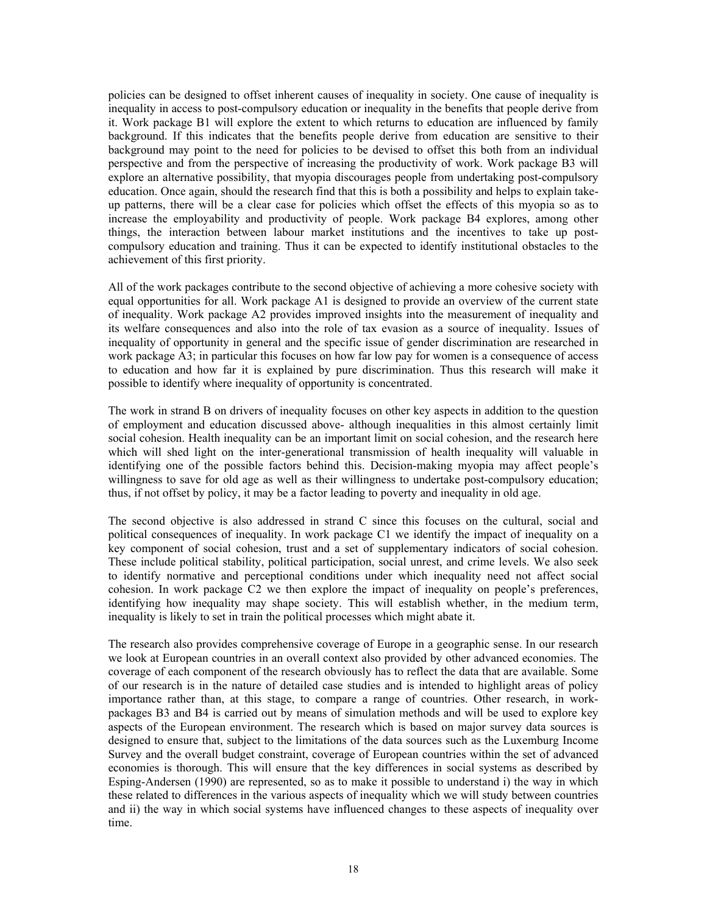policies can be designed to offset inherent causes of inequality in society. One cause of inequality is inequality in access to post-compulsory education or inequality in the benefits that people derive from it. Work package B1 will explore the extent to which returns to education are influenced by family background. If this indicates that the benefits people derive from education are sensitive to their background may point to the need for policies to be devised to offset this both from an individual perspective and from the perspective of increasing the productivity of work. Work package B3 will explore an alternative possibility, that myopia discourages people from undertaking post-compulsory education. Once again, should the research find that this is both a possibility and helps to explain takeup patterns, there will be a clear case for policies which offset the effects of this myopia so as to increase the employability and productivity of people. Work package B4 explores, among other things, the interaction between labour market institutions and the incentives to take up postcompulsory education and training. Thus it can be expected to identify institutional obstacles to the achievement of this first priority.

All of the work packages contribute to the second objective of achieving a more cohesive society with equal opportunities for all. Work package A1 is designed to provide an overview of the current state of inequality. Work package A2 provides improved insights into the measurement of inequality and its welfare consequences and also into the role of tax evasion as a source of inequality. Issues of inequality of opportunity in general and the specific issue of gender discrimination are researched in work package A3; in particular this focuses on how far low pay for women is a consequence of access to education and how far it is explained by pure discrimination. Thus this research will make it possible to identify where inequality of opportunity is concentrated.

The work in strand B on drivers of inequality focuses on other key aspects in addition to the question of employment and education discussed above- although inequalities in this almost certainly limit social cohesion. Health inequality can be an important limit on social cohesion, and the research here which will shed light on the inter-generational transmission of health inequality will valuable in identifying one of the possible factors behind this. Decision-making myopia may affect people's willingness to save for old age as well as their willingness to undertake post-compulsory education; thus, if not offset by policy, it may be a factor leading to poverty and inequality in old age.

The second objective is also addressed in strand C since this focuses on the cultural, social and political consequences of inequality. In work package C1 we identify the impact of inequality on a key component of social cohesion, trust and a set of supplementary indicators of social cohesion. These include political stability, political participation, social unrest, and crime levels. We also seek to identify normative and perceptional conditions under which inequality need not affect social cohesion. In work package C2 we then explore the impact of inequality on people's preferences, identifying how inequality may shape society. This will establish whether, in the medium term, inequality is likely to set in train the political processes which might abate it.

The research also provides comprehensive coverage of Europe in a geographic sense. In our research we look at European countries in an overall context also provided by other advanced economies. The coverage of each component of the research obviously has to reflect the data that are available. Some of our research is in the nature of detailed case studies and is intended to highlight areas of policy importance rather than, at this stage, to compare a range of countries. Other research, in workpackages B3 and B4 is carried out by means of simulation methods and will be used to explore key aspects of the European environment. The research which is based on major survey data sources is designed to ensure that, subject to the limitations of the data sources such as the Luxemburg Income Survey and the overall budget constraint, coverage of European countries within the set of advanced economies is thorough. This will ensure that the key differences in social systems as described by Esping-Andersen (1990) are represented, so as to make it possible to understand i) the way in which these related to differences in the various aspects of inequality which we will study between countries and ii) the way in which social systems have influenced changes to these aspects of inequality over time.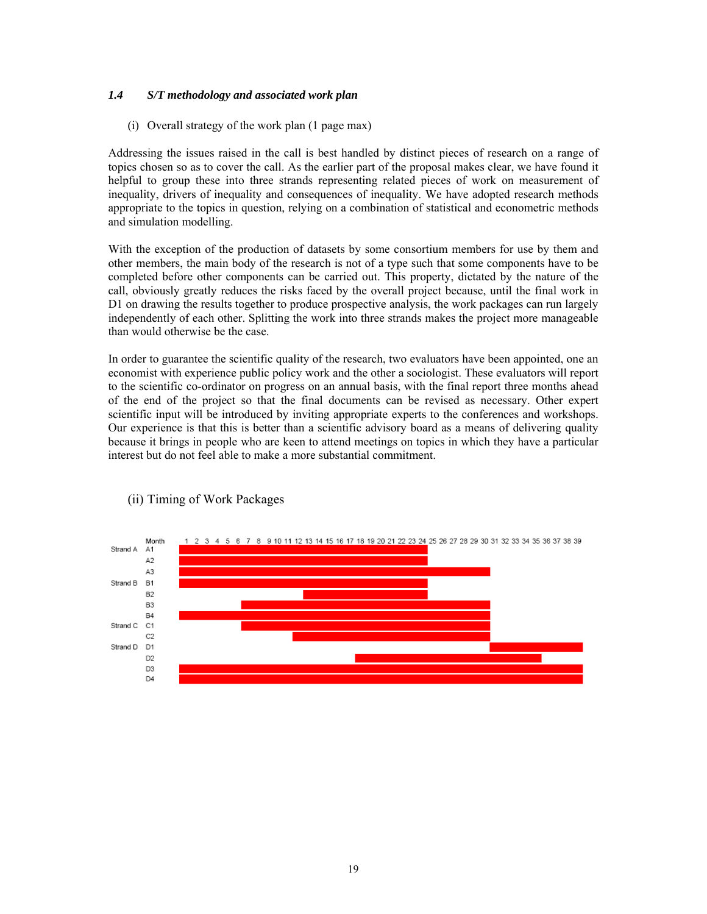## *1.4 S/T methodology and associated work plan*

#### (i) Overall strategy of the work plan (1 page max)

Addressing the issues raised in the call is best handled by distinct pieces of research on a range of topics chosen so as to cover the call. As the earlier part of the proposal makes clear, we have found it helpful to group these into three strands representing related pieces of work on measurement of inequality, drivers of inequality and consequences of inequality. We have adopted research methods appropriate to the topics in question, relying on a combination of statistical and econometric methods and simulation modelling.

With the exception of the production of datasets by some consortium members for use by them and other members, the main body of the research is not of a type such that some components have to be completed before other components can be carried out. This property, dictated by the nature of the call, obviously greatly reduces the risks faced by the overall project because, until the final work in D1 on drawing the results together to produce prospective analysis, the work packages can run largely independently of each other. Splitting the work into three strands makes the project more manageable than would otherwise be the case.

In order to guarantee the scientific quality of the research, two evaluators have been appointed, one an economist with experience public policy work and the other a sociologist. These evaluators will report to the scientific co-ordinator on progress on an annual basis, with the final report three months ahead of the end of the project so that the final documents can be revised as necessary. Other expert scientific input will be introduced by inviting appropriate experts to the conferences and workshops. Our experience is that this is better than a scientific advisory board as a means of delivering quality because it brings in people who are keen to attend meetings on topics in which they have a particular interest but do not feel able to make a more substantial commitment.



# (ii) Timing of Work Packages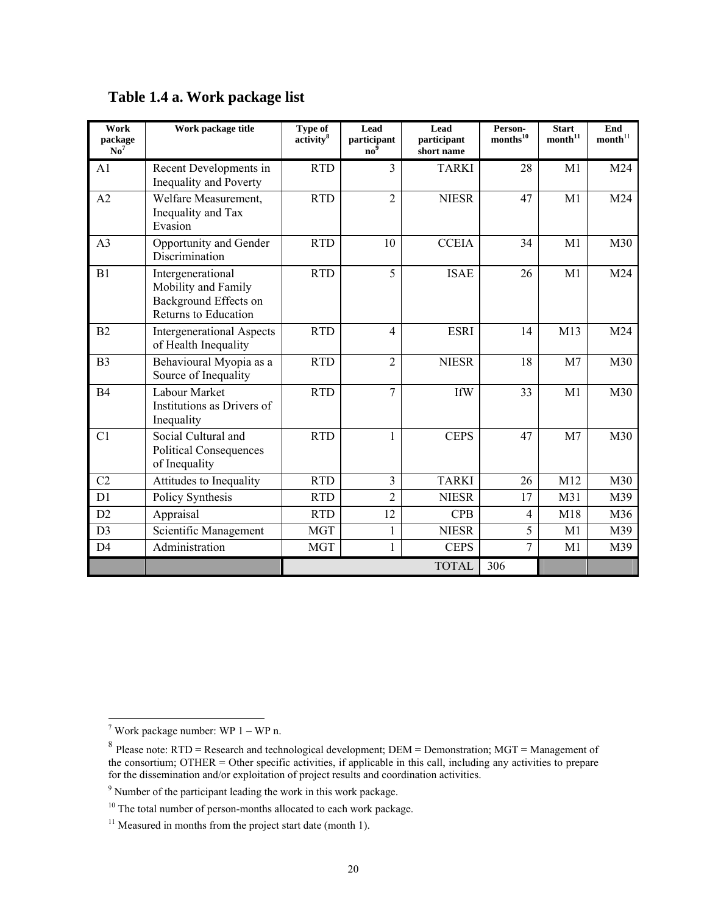| Work<br>package<br>$\mathbf{N}\mathbf{o}^7$ | Work package title                                                                               | <b>Type of</b><br>$\overline{\text{activity}}^8$ | Lead<br>participant<br>$\mathbf{n}\mathbf{o}^2$ | Lead<br>participant<br>short name | Person-<br>$\mathrm{months}^{10}$ | <b>Start</b><br>$\mathbf{month}^{11}$ | End<br>$\mathbf{month}^{11}$ |
|---------------------------------------------|--------------------------------------------------------------------------------------------------|--------------------------------------------------|-------------------------------------------------|-----------------------------------|-----------------------------------|---------------------------------------|------------------------------|
| A1                                          | Recent Developments in<br>Inequality and Poverty                                                 | <b>RTD</b>                                       | 3                                               | <b>TARKI</b>                      | 28                                | M <sub>1</sub>                        | M24                          |
| A2                                          | Welfare Measurement,<br>Inequality and Tax<br>Evasion                                            | <b>RTD</b>                                       | $\overline{2}$                                  | <b>NIESR</b>                      | 47                                | M1                                    | M24                          |
| A <sub>3</sub>                              | Opportunity and Gender<br>Discrimination                                                         | <b>RTD</b>                                       | 10                                              | <b>CCEIA</b>                      | 34                                | M <sub>1</sub>                        | M30                          |
| B1                                          | Intergenerational<br>Mobility and Family<br>Background Effects on<br><b>Returns to Education</b> | <b>RTD</b>                                       | 5                                               | <b>ISAE</b>                       | 26                                | M1                                    | M24                          |
| B2                                          | <b>Intergenerational Aspects</b><br>of Health Inequality                                         | <b>RTD</b>                                       | $\overline{4}$                                  | <b>ESRI</b>                       | 14                                | M13                                   | M24                          |
| B <sub>3</sub>                              | Behavioural Myopia as a<br>Source of Inequality                                                  | <b>RTD</b>                                       | $\overline{2}$                                  | <b>NIESR</b>                      | 18                                | M <sub>7</sub>                        | M30                          |
| <b>B4</b>                                   | Labour Market<br>Institutions as Drivers of<br>Inequality                                        | <b>RTD</b>                                       | $\overline{7}$                                  | <b>IfW</b>                        | 33                                | M <sub>1</sub>                        | M30                          |
| C <sub>1</sub>                              | Social Cultural and<br><b>Political Consequences</b><br>of Inequality                            | <b>RTD</b>                                       | 1                                               | <b>CEPS</b>                       | 47                                | M <sub>7</sub>                        | M30                          |
| C <sub>2</sub>                              | Attitudes to Inequality                                                                          | <b>RTD</b>                                       | 3                                               | <b>TARKI</b>                      | 26                                | M12                                   | M30                          |
| D1                                          | Policy Synthesis                                                                                 | <b>RTD</b>                                       | $\overline{2}$                                  | <b>NIESR</b>                      | 17                                | M31                                   | M39                          |
| D2                                          | Appraisal                                                                                        | <b>RTD</b>                                       | 12                                              | <b>CPB</b>                        | $\overline{4}$                    | M18                                   | M36                          |
| D <sub>3</sub>                              | Scientific Management                                                                            | <b>MGT</b>                                       | 1                                               | <b>NIESR</b>                      | 5                                 | M1                                    | M39                          |
| D <sub>4</sub>                              | Administration                                                                                   | <b>MGT</b>                                       | 1                                               | <b>CEPS</b>                       | 7                                 | M1                                    | M39                          |
|                                             |                                                                                                  |                                                  |                                                 | <b>TOTAL</b>                      | 306                               |                                       |                              |

# **Table 1.4 a. Work package list**

 7 Work package number: WP 1 – WP n.

<sup>&</sup>lt;sup>8</sup> Please note: RTD = Research and technological development; DEM = Demonstration; MGT = Management of the consortium; OTHER = Other specific activities, if applicable in this call, including any activities to prepare for the dissemination and/or exploitation of project results and coordination activities.

<sup>&</sup>lt;sup>9</sup> Number of the participant leading the work in this work package.

<sup>&</sup>lt;sup>10</sup> The total number of person-months allocated to each work package.

 $11$  Measured in months from the project start date (month 1).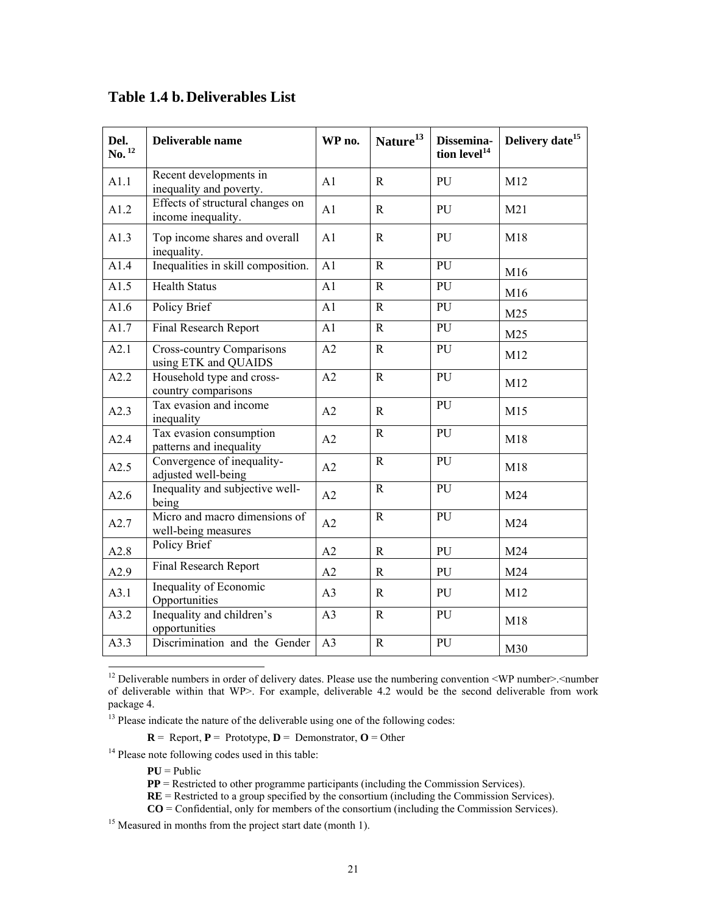| Del.<br>$\mathbf{No.}^{12}$ | Deliverable name                                         | WP no.          | Nature <sup>13</sup> | Dissemina-<br>tion level <sup>14</sup> | Delivery date <sup>15</sup> |
|-----------------------------|----------------------------------------------------------|-----------------|----------------------|----------------------------------------|-----------------------------|
| A1.1                        | Recent developments in<br>inequality and poverty.        | A1              | $\mathbf R$          | PU                                     | M12                         |
| A1.2                        | Effects of structural changes on<br>income inequality.   | A1              | $\mathbf{R}$         | PU                                     | M21                         |
| A1.3                        | Top income shares and overall<br>inequality.             | A <sub>1</sub>  | $\mathbf R$          | PU                                     | M18                         |
| A1.4                        | Inequalities in skill composition.                       | A <sub>1</sub>  | $\mathsf{R}$         | PU                                     | M16                         |
| A1.5                        | <b>Health Status</b>                                     | A1              | $\mathbf R$          | PU                                     | M16                         |
| A1.6                        | Policy Brief                                             | A1              | $\mathbf R$          | ${\bf PU}$                             | M25                         |
| A1.7                        | Final Research Report                                    | A1              | $\mathbf R$          | PU                                     | M25                         |
| A2.1                        | <b>Cross-country Comparisons</b><br>using ETK and QUAIDS | A2              | $\mathbf{R}$         | PU                                     | M12                         |
| A2.2                        | Household type and cross-<br>country comparisons         | A2              | $\mathbf R$          | PU                                     | M12                         |
| A2.3                        | Tax evasion and income<br>inequality                     | A2              | $\mathbf R$          | PU                                     | M15                         |
| A2.4                        | Tax evasion consumption<br>patterns and inequality       | A2              | $\mathbf R$          | PU                                     | M18                         |
| A2.5                        | Convergence of inequality-<br>adjusted well-being        | A2              | $\mathbf R$          | PU                                     | M18                         |
| A2.6                        | Inequality and subjective well-<br>being                 | A2              | $\mathbf R$          | ${\bf PU}$                             | M24                         |
| A2.7                        | Micro and macro dimensions of<br>well-being measures     | A2              | $\mathbf R$          | PU                                     | M24                         |
| A2.8                        | Policy Brief                                             | A2              | $\mathbf R$          | PU                                     | M24                         |
| A2.9                        | Final Research Report                                    | A2              | $\mathbf R$          | PU                                     | M24                         |
| A3.1                        | Inequality of Economic<br>Opportunities                  | A3              | $\mathbf R$          | PU                                     | M12                         |
| A3.2                        | Inequality and children's<br>opportunities               | A3              | $\mathbf R$          | PU                                     | M18                         |
| A3.3                        | Discrimination and the Gender                            | $\overline{A3}$ | $\overline{R}$       | $\overline{PU}$                        | M30                         |

# **Table 1.4 b. Deliverables List**

 $R =$  Report,  $P =$  Prototype,  $D =$  Demonstrator,  $O =$  Other

<sup>14</sup> Please note following codes used in this table:

 $PU = Public$ 

-

<sup>&</sup>lt;sup>12</sup> Deliverable numbers in order of delivery dates. Please use the numbering convention <WP number>.<number of deliverable within that WP>. For example, deliverable 4.2 would be the second deliverable from work package 4.

<sup>&</sup>lt;sup>13</sup> Please indicate the nature of the deliverable using one of the following codes:

**PP** = Restricted to other programme participants (including the Commission Services).

**RE** = Restricted to a group specified by the consortium (including the Commission Services).

**CO** = Confidential, only for members of the consortium (including the Commission Services).

<sup>&</sup>lt;sup>15</sup> Measured in months from the project start date (month 1).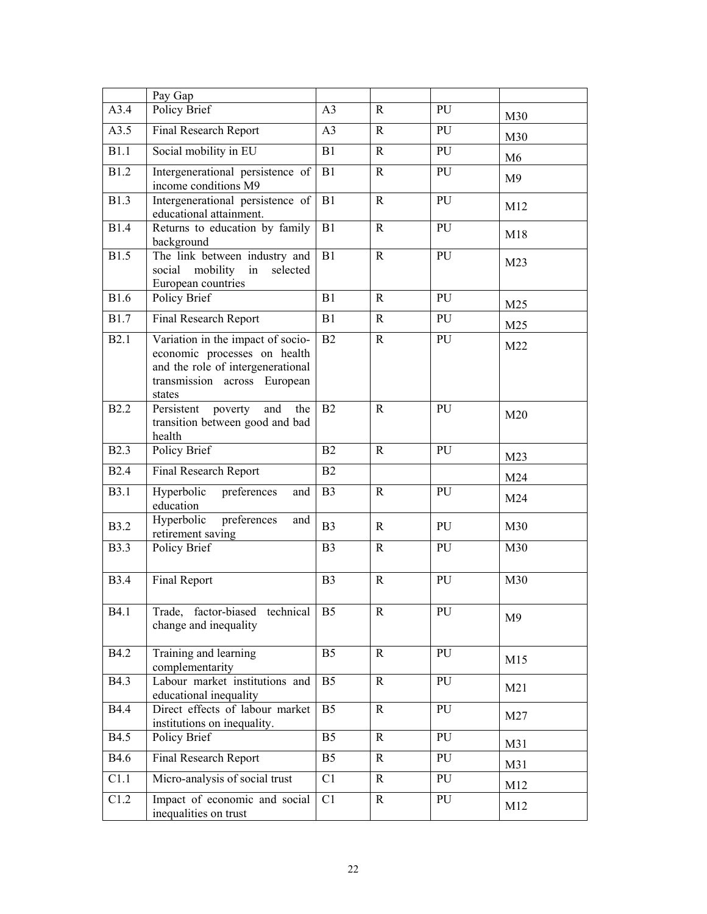|              | Pay Gap                                                                                                                                          |                |              |    |                 |
|--------------|--------------------------------------------------------------------------------------------------------------------------------------------------|----------------|--------------|----|-----------------|
| A3.4         | Policy Brief                                                                                                                                     | A <sub>3</sub> | R            | PU | M30             |
| A3.5         | Final Research Report                                                                                                                            | A <sub>3</sub> | $\mathbf R$  | PU | M30             |
| B1.1         | Social mobility in EU                                                                                                                            | B1             | $\mathbf R$  | PU | M6              |
| <b>B1.2</b>  | Intergenerational persistence of<br>income conditions M9                                                                                         | B1             | $\mathbf R$  | PU | M <sub>9</sub>  |
| <b>B1.3</b>  | Intergenerational persistence of<br>educational attainment.                                                                                      | B1             | $\mathbf R$  | PU | M12             |
| <b>B1.4</b>  | Returns to education by family<br>background                                                                                                     | B1             | $\mathbf R$  | PU | M18             |
| <b>B1.5</b>  | The link between industry and<br>social mobility<br>selected<br>in<br>European countries                                                         | B1             | $\mathbf R$  | PU | M <sub>23</sub> |
| <b>B1.6</b>  | Policy Brief                                                                                                                                     | B1             | $\mathbf R$  | PU | M25             |
| <b>B1.7</b>  | Final Research Report                                                                                                                            | B1             | $\mathbf{R}$ | PU | M <sub>25</sub> |
| B2.1         | Variation in the impact of socio-<br>economic processes on health<br>and the role of intergenerational<br>transmission across European<br>states | B2             | $\mathbf R$  | PU | M22             |
| <b>B2.2</b>  | Persistent<br>poverty<br>and<br>the<br>transition between good and bad<br>health                                                                 | B2             | $\mathbf R$  | PU | M20             |
| <b>B2.3</b>  | Policy Brief                                                                                                                                     | B2             | $\mathbf{R}$ | PU | M23             |
| <b>B2.4</b>  | Final Research Report                                                                                                                            | B2             |              |    | M24             |
| <b>B3.1</b>  | Hyperbolic<br>preferences<br>and<br>education                                                                                                    | B <sub>3</sub> | $\mathbf R$  | PU | M24             |
| <b>B3.2</b>  | Hyperbolic<br>preferences<br>and<br>retirement saving                                                                                            | B <sub>3</sub> | $\mathbf R$  | PU | M30             |
| <b>B</b> 3.3 | Policy Brief                                                                                                                                     | B <sub>3</sub> | $\mathbf R$  | PU | M30             |
| <b>B</b> 3.4 | Final Report                                                                                                                                     | B <sub>3</sub> | ${\bf R}$    | PU | M30             |
| <b>B4.1</b>  | Trade, factor-biased technical<br>change and inequality                                                                                          | B5             | $\mathbf R$  | PU | M <sub>9</sub>  |
| <b>B4.2</b>  | Training and learning<br>complementarity                                                                                                         | B <sub>5</sub> | $\mathbf R$  | PU | M15             |
| <b>B4.3</b>  | Labour market institutions and<br>educational inequality                                                                                         | B <sub>5</sub> | $\mathbf R$  | PU | M21             |
| <b>B4.4</b>  | Direct effects of labour market<br>institutions on inequality.                                                                                   | B <sub>5</sub> | $\mathbf R$  | PU | M27             |
| <b>B4.5</b>  | Policy Brief                                                                                                                                     | B <sub>5</sub> | $\mathbf R$  | PU | M31             |
| <b>B4.6</b>  | Final Research Report                                                                                                                            | B <sub>5</sub> | $\mathbf R$  | PU | M31             |
| C1.1         | Micro-analysis of social trust                                                                                                                   | C1             | $\mathbf R$  | PU | M12             |
| C1.2         | Impact of economic and social<br>inequalities on trust                                                                                           | C1             | $\mathbf R$  | PU | M12             |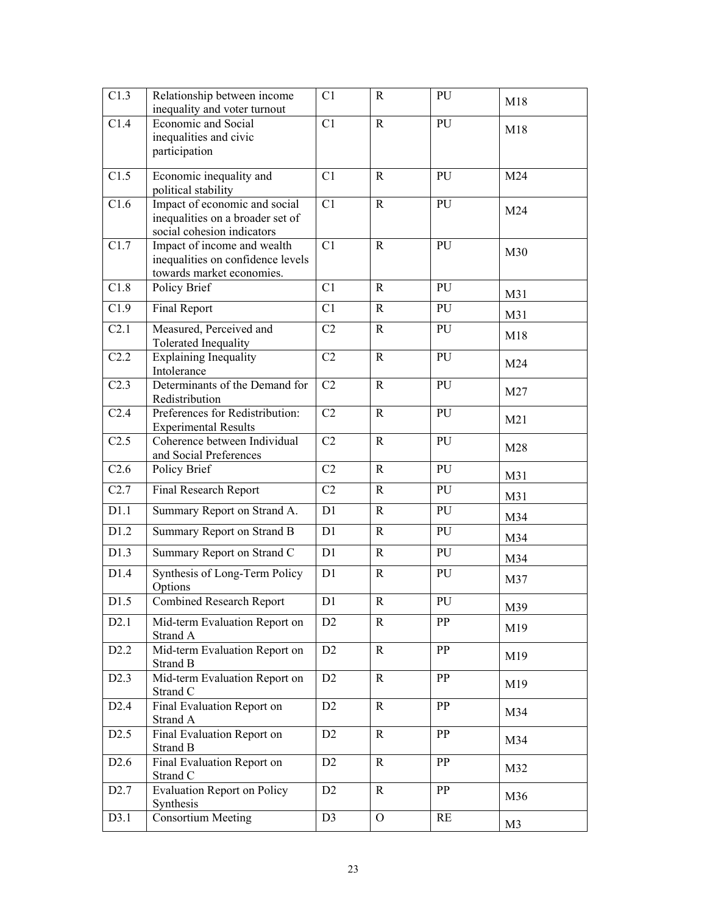| C1.3             | Relationship between income<br>inequality and voter turnout                                     | C1             | $\mathbf R$    | PU         | M18            |
|------------------|-------------------------------------------------------------------------------------------------|----------------|----------------|------------|----------------|
| C1.4             | <b>Economic and Social</b><br>inequalities and civic<br>participation                           | C1             | $\mathbf R$    | PU         | M18            |
| C1.5             | Economic inequality and<br>political stability                                                  | C1             | $\mathbf R$    | PU         | M24            |
| C1.6             | Impact of economic and social<br>inequalities on a broader set of<br>social cohesion indicators | C1             | ${\bf R}$      | PU         | M24            |
| C1.7             | Impact of income and wealth<br>inequalities on confidence levels<br>towards market economies.   | C1             | $\mathbf R$    | PU         | M30            |
| C1.8             | Policy Brief                                                                                    | C1             | $\mathbb{R}$   | PU         | M31            |
| C1.9             | Final Report                                                                                    | C1             | ${\bf R}$      | PU         | M31            |
| C <sub>2.1</sub> | Measured, Perceived and<br>Tolerated Inequality                                                 | C <sub>2</sub> | $\mathbf R$    | PU         | M18            |
| C2.2             | <b>Explaining Inequality</b><br>Intolerance                                                     | C2             | $\mathbf R$    | PU         | M24            |
| C <sub>2.3</sub> | Determinants of the Demand for<br>Redistribution                                                | C2             | $\mathbf R$    | PU         | M27            |
| C <sub>2.4</sub> | Preferences for Redistribution:<br><b>Experimental Results</b>                                  | C <sub>2</sub> | $\mathbf R$    | PU         | M21            |
| C2.5             | Coherence between Individual<br>and Social Preferences                                          | C <sub>2</sub> | $\mathbf R$    | PU         | M28            |
| C <sub>2.6</sub> | Policy Brief                                                                                    | C <sub>2</sub> | ${\bf R}$      | ${\bf PU}$ | M31            |
| C2.7             | Final Research Report                                                                           | C <sub>2</sub> | $\mathbf R$    | PU         | M31            |
| D1.1             | Summary Report on Strand A.                                                                     | D1             | $\mathbf R$    | PU         | M34            |
| D1.2             | Summary Report on Strand B                                                                      | D1             | $\mathbf R$    | PU         | M34            |
| D1.3             | Summary Report on Strand C                                                                      | D1             | $\mathbf R$    | PU         | M34            |
| D1.4             | Synthesis of Long-Term Policy<br>Options                                                        | D1             | $\mathbf R$    | PU         | M37            |
| D1.5             | <b>Combined Research Report</b>                                                                 | D1             | ${\bf R}$      | PU         | M39            |
| D2.1             | Mid-term Evaluation Report on<br>Strand A                                                       | D2             | $\mathbf R$    | PP         | M19            |
| D2.2             | Mid-term Evaluation Report on<br><b>Strand B</b>                                                | D <sub>2</sub> | $\mathbb{R}$   | PP         | M19            |
| D2.3             | Mid-term Evaluation Report on<br>Strand C                                                       | D2             | $\mathbf R$    | PP         | M19            |
| D2.4             | Final Evaluation Report on<br>Strand A                                                          | D <sub>2</sub> | $\mathbb{R}$   | PP         | M34            |
| D2.5             | Final Evaluation Report on<br>Strand B                                                          | D <sub>2</sub> | $\mathbb{R}$   | PP         | M34            |
| D <sub>2.6</sub> | Final Evaluation Report on<br>Strand C                                                          | D <sub>2</sub> | $\mathbf R$    | PP         | M32            |
| D <sub>2.7</sub> | <b>Evaluation Report on Policy</b><br>Synthesis                                                 | D <sub>2</sub> | $\mathbf R$    | PP         | M36            |
| D3.1             | <b>Consortium Meeting</b>                                                                       | D <sub>3</sub> | $\overline{O}$ | RE         | M <sub>3</sub> |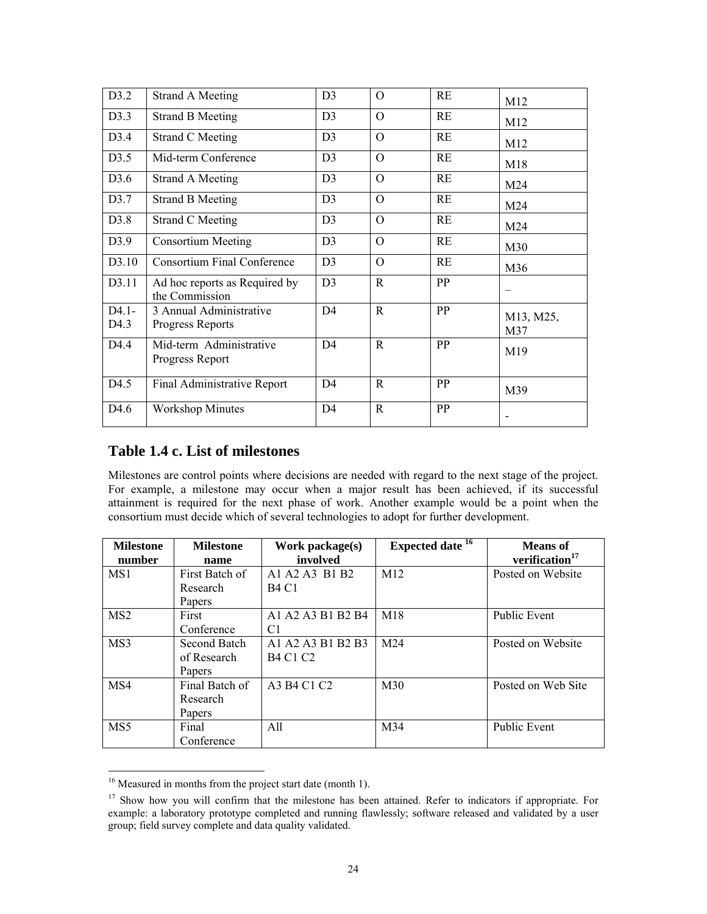| D3.2             | <b>Strand A Meeting</b>                         | D3             | $\Omega$    | RE | M12              |
|------------------|-------------------------------------------------|----------------|-------------|----|------------------|
| D3.3             | <b>Strand B Meeting</b>                         | D <sub>3</sub> | $\Omega$    | RE | M12              |
| D3.4             | <b>Strand C Meeting</b>                         | D <sub>3</sub> | $\Omega$    | RE | M12              |
| D3.5             | Mid-term Conference                             | D <sub>3</sub> | $\Omega$    | RE | M18              |
| D3.6             | Strand A Meeting                                | D <sub>3</sub> | $\Omega$    | RE | M24              |
| D3.7             | <b>Strand B Meeting</b>                         | D <sub>3</sub> | $\Omega$    | RE | M24              |
| D3.8             | <b>Strand C Meeting</b>                         | D <sub>3</sub> | $\Omega$    | RE | M24              |
| D3.9             | <b>Consortium Meeting</b>                       | D <sub>3</sub> | $\Omega$    | RE | M30              |
| D3.10            | <b>Consortium Final Conference</b>              | D <sub>3</sub> | $\Omega$    | RE | M36              |
| D3.11            | Ad hoc reports as Required by<br>the Commission | D <sub>3</sub> | $\mathbf R$ | PP |                  |
| $D4.1-$<br>D4.3  | 3 Annual Administrative<br>Progress Reports     | D <sub>4</sub> | $\mathbf R$ | PP | M13, M25,<br>M37 |
| D <sub>4.4</sub> | Mid-term Administrative<br>Progress Report      | D4             | $\mathbf R$ | PP | M19              |
| D4.5             | Final Administrative Report                     | D <sub>4</sub> | $\mathbf R$ | PP | M39              |
| D4.6             | <b>Workshop Minutes</b>                         | D <sub>4</sub> | $\mathbf R$ | PP | -                |

# **Table 1.4 c. List of milestones**

Milestones are control points where decisions are needed with regard to the next stage of the project. For example, a milestone may occur when a major result has been achieved, if its successful attainment is required for the next phase of work. Another example would be a point when the consortium must decide which of several technologies to adopt for further development.

| <b>Milestone</b> | <b>Milestone</b> | Work package(s)   | Expected date <sup>16</sup> | <b>Means</b> of<br>verification <sup>17</sup> |
|------------------|------------------|-------------------|-----------------------------|-----------------------------------------------|
| number           | name             | involved          |                             |                                               |
| MS1              | First Batch of   | A1 A2 A3 B1 B2    | M <sub>12</sub>             | Posted on Website                             |
|                  | Research         | <b>B4 C1</b>      |                             |                                               |
|                  | Papers           |                   |                             |                                               |
| MS <sub>2</sub>  | First            | A1 A2 A3 B1 B2 B4 | M18                         | <b>Public Event</b>                           |
|                  | Conference       | C1                |                             |                                               |
| MS3              | Second Batch     | A1 A2 A3 B1 B2 B3 | M24                         | Posted on Website                             |
|                  | of Research      | <b>B4 C1 C2</b>   |                             |                                               |
|                  | Papers           |                   |                             |                                               |
| MS4              | Final Batch of   | A3 B4 C1 C2       | M <sub>30</sub>             | Posted on Web Site                            |
|                  | Research         |                   |                             |                                               |
|                  | Papers           |                   |                             |                                               |
| MS5              | Final            | All               | M34                         | Public Event                                  |
|                  | Conference       |                   |                             |                                               |

<sup>&</sup>lt;sup>16</sup> Measured in months from the project start date (month 1).

-

<sup>&</sup>lt;sup>17</sup> Show how you will confirm that the milestone has been attained. Refer to indicators if appropriate. For example: a laboratory prototype completed and running flawlessly; software released and validated by a user group; field survey complete and data quality validated.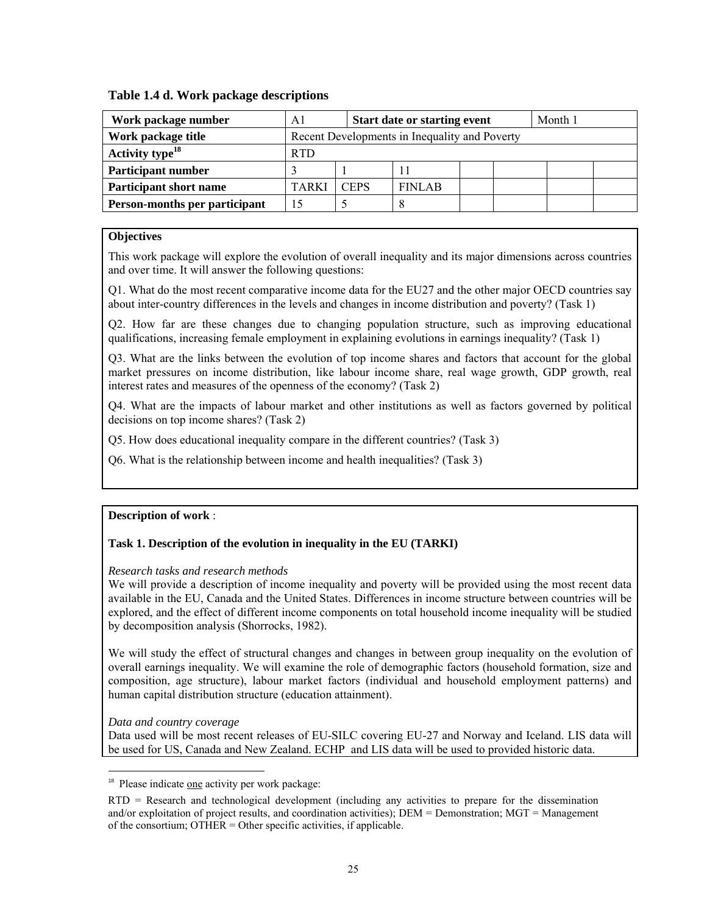# **Table 1.4 d. Work package descriptions**

| Work package number           | <b>Start date or starting event</b><br>A1     |             |               | Month 1 |  |  |  |
|-------------------------------|-----------------------------------------------|-------------|---------------|---------|--|--|--|
| Work package title            | Recent Developments in Inequality and Poverty |             |               |         |  |  |  |
| Activity type $^{18}$         | <b>RTD</b>                                    |             |               |         |  |  |  |
| <b>Participant number</b>     |                                               |             |               |         |  |  |  |
| <b>Participant short name</b> | TARKI                                         | <b>CEPS</b> | <b>FINLAB</b> |         |  |  |  |
| Person-months per participant |                                               |             |               |         |  |  |  |

# **Objectives**

This work package will explore the evolution of overall inequality and its major dimensions across countries and over time. It will answer the following questions:

Q1. What do the most recent comparative income data for the EU27 and the other major OECD countries say about inter-country differences in the levels and changes in income distribution and poverty? (Task 1)

Q2. How far are these changes due to changing population structure, such as improving educational qualifications, increasing female employment in explaining evolutions in earnings inequality? (Task 1)

Q3. What are the links between the evolution of top income shares and factors that account for the global market pressures on income distribution, like labour income share, real wage growth, GDP growth, real interest rates and measures of the openness of the economy? (Task 2)

Q4. What are the impacts of labour market and other institutions as well as factors governed by political decisions on top income shares? (Task 2)

Q5. How does educational inequality compare in the different countries? (Task 3)

Q6. What is the relationship between income and health inequalities? (Task 3)

#### **Description of work** :

# **Task 1. Description of the evolution in inequality in the EU (TARKI)**

*Research tasks and research methods* 

We will provide a description of income inequality and poverty will be provided using the most recent data available in the EU, Canada and the United States. Differences in income structure between countries will be explored, and the effect of different income components on total household income inequality will be studied by decomposition analysis (Shorrocks, 1982).

We will study the effect of structural changes and changes in between group inequality on the evolution of overall earnings inequality. We will examine the role of demographic factors (household formation, size and composition, age structure), labour market factors (individual and household employment patterns) and human capital distribution structure (education attainment).

*Data and country coverage*

-

Data used will be most recent releases of EU-SILC covering EU-27 and Norway and Iceland. LIS data will be used for US, Canada and New Zealand. ECHP and LIS data will be used to provided historic data.

<sup>18</sup> Please indicate one activity per work package:

RTD = Research and technological development (including any activities to prepare for the dissemination and/or exploitation of project results, and coordination activities); DEM = Demonstration; MGT = Management of the consortium; OTHER = Other specific activities, if applicable.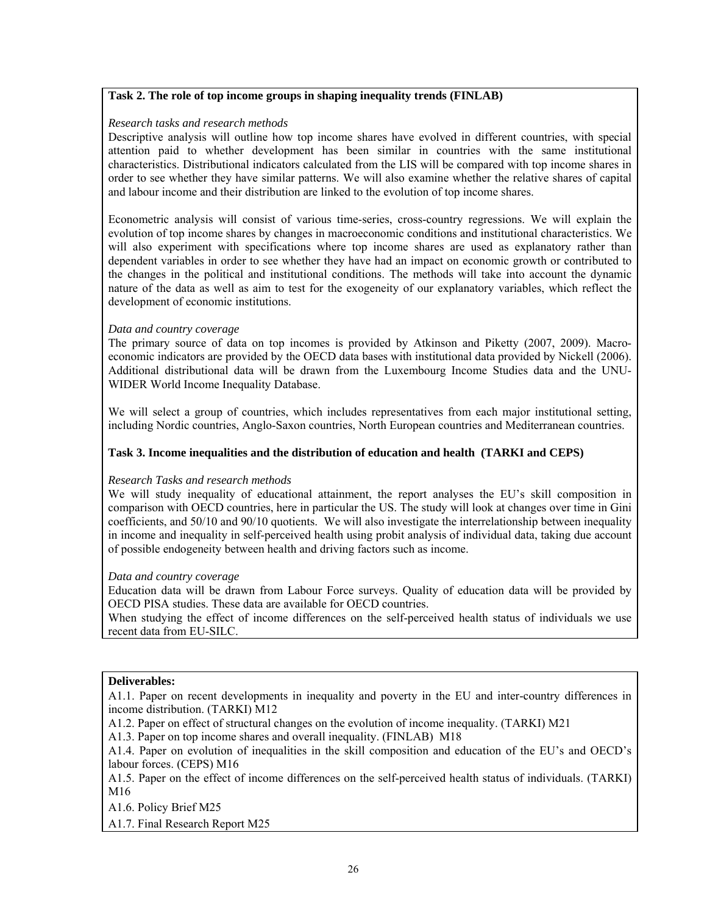# **Task 2. The role of top income groups in shaping inequality trends (FINLAB)**

#### *Research tasks and research methods*

Descriptive analysis will outline how top income shares have evolved in different countries, with special attention paid to whether development has been similar in countries with the same institutional characteristics. Distributional indicators calculated from the LIS will be compared with top income shares in order to see whether they have similar patterns. We will also examine whether the relative shares of capital and labour income and their distribution are linked to the evolution of top income shares.

Econometric analysis will consist of various time-series, cross-country regressions. We will explain the evolution of top income shares by changes in macroeconomic conditions and institutional characteristics. We will also experiment with specifications where top income shares are used as explanatory rather than dependent variables in order to see whether they have had an impact on economic growth or contributed to the changes in the political and institutional conditions. The methods will take into account the dynamic nature of the data as well as aim to test for the exogeneity of our explanatory variables, which reflect the development of economic institutions.

#### *Data and country coverage*

The primary source of data on top incomes is provided by Atkinson and Piketty (2007, 2009). Macroeconomic indicators are provided by the OECD data bases with institutional data provided by Nickell (2006). Additional distributional data will be drawn from the Luxembourg Income Studies data and the UNU-WIDER World Income Inequality Database.

We will select a group of countries, which includes representatives from each major institutional setting, including Nordic countries, Anglo-Saxon countries, North European countries and Mediterranean countries.

## **Task 3. Income inequalities and the distribution of education and health (TARKI and CEPS)**

#### *Research Tasks and research methods*

We will study inequality of educational attainment, the report analyses the EU's skill composition in comparison with OECD countries, here in particular the US. The study will look at changes over time in Gini coefficients, and 50/10 and 90/10 quotients. We will also investigate the interrelationship between inequality in income and inequality in self-perceived health using probit analysis of individual data, taking due account of possible endogeneity between health and driving factors such as income.

#### *Data and country coverage*

Education data will be drawn from Labour Force surveys. Quality of education data will be provided by OECD PISA studies. These data are available for OECD countries.

When studying the effect of income differences on the self-perceived health status of individuals we use recent data from EU-SILC.

#### **Deliverables:**

A1.1. Paper on recent developments in inequality and poverty in the EU and inter-country differences in income distribution. (TARKI) M12

A1.2. Paper on effect of structural changes on the evolution of income inequality. (TARKI) M21

A1.3. Paper on top income shares and overall inequality. (FINLAB) M18

A1.4. Paper on evolution of inequalities in the skill composition and education of the EU's and OECD's labour forces. (CEPS) M16

A1.5. Paper on the effect of income differences on the self-perceived health status of individuals. (TARKI) M16

A1.6. Policy Brief M25

A1.7. Final Research Report M25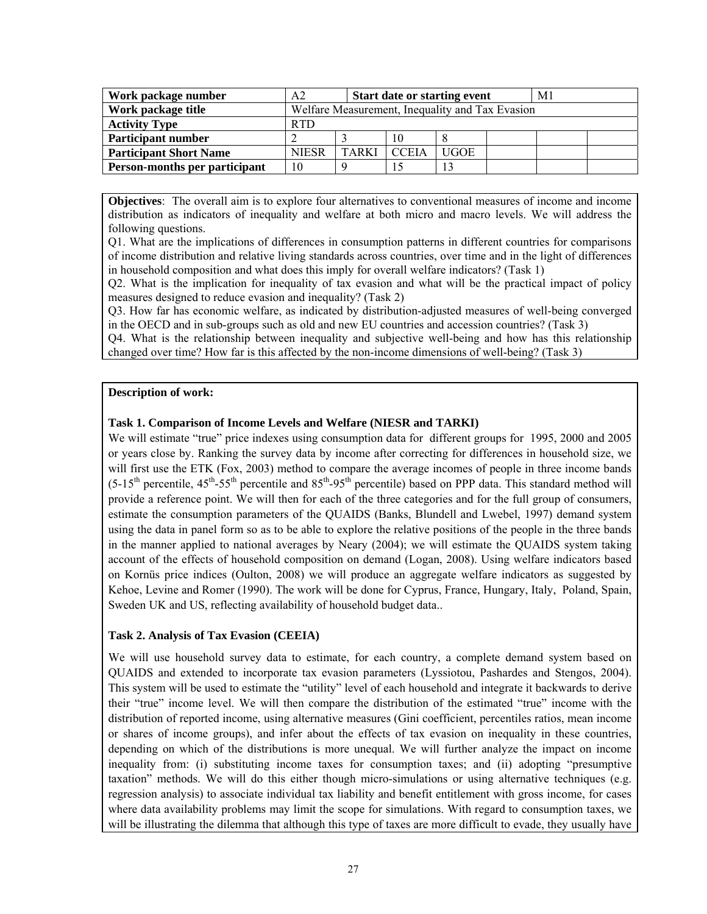| Work package number           | <b>Start date or starting event</b><br>A2       |              |              |             | M1 |  |  |
|-------------------------------|-------------------------------------------------|--------------|--------------|-------------|----|--|--|
| Work package title            | Welfare Measurement, Inequality and Tax Evasion |              |              |             |    |  |  |
| <b>Activity Type</b>          | <b>RTD</b>                                      |              |              |             |    |  |  |
| <b>Participant number</b>     |                                                 |              | 10           |             |    |  |  |
| <b>Participant Short Name</b> | <b>NIESR</b>                                    | <b>TARKI</b> | <b>CCEIA</b> | <b>UGOE</b> |    |  |  |
| Person-months per participant | 10                                              |              |              | 13          |    |  |  |

**Objectives**: The overall aim is to explore four alternatives to conventional measures of income and income distribution as indicators of inequality and welfare at both micro and macro levels. We will address the following questions.

Q1. What are the implications of differences in consumption patterns in different countries for comparisons of income distribution and relative living standards across countries, over time and in the light of differences in household composition and what does this imply for overall welfare indicators? (Task 1)

Q2. What is the implication for inequality of tax evasion and what will be the practical impact of policy measures designed to reduce evasion and inequality? (Task 2)

Q3. How far has economic welfare, as indicated by distribution-adjusted measures of well-being converged in the OECD and in sub-groups such as old and new EU countries and accession countries? (Task 3)

Q4. What is the relationship between inequality and subjective well-being and how has this relationship changed over time? How far is this affected by the non-income dimensions of well-being? (Task 3)

#### **Description of work:**

# **Task 1. Comparison of Income Levels and Welfare (NIESR and TARKI)**

We will estimate "true" price indexes using consumption data for different groups for 1995, 2000 and 2005 or years close by. Ranking the survey data by income after correcting for differences in household size, we will first use the ETK (Fox, 2003) method to compare the average incomes of people in three income bands  $(5-15<sup>th</sup>$  percentile,  $45<sup>th</sup>-55<sup>th</sup>$  percentile and  $85<sup>th</sup>-95<sup>th</sup>$  percentile) based on PPP data. This standard method will provide a reference point. We will then for each of the three categories and for the full group of consumers, estimate the consumption parameters of the QUAIDS (Banks, Blundell and Lwebel, 1997) demand system using the data in panel form so as to be able to explore the relative positions of the people in the three bands in the manner applied to national averages by Neary (2004); we will estimate the QUAIDS system taking account of the effects of household composition on demand (Logan, 2008). Using welfare indicators based on Kornüs price indices (Oulton, 2008) we will produce an aggregate welfare indicators as suggested by Kehoe, Levine and Romer (1990). The work will be done for Cyprus, France, Hungary, Italy, Poland, Spain, Sweden UK and US, reflecting availability of household budget data..

#### **Task 2. Analysis of Tax Evasion (CEEIA)**

We will use household survey data to estimate, for each country, a complete demand system based on QUAIDS and extended to incorporate tax evasion parameters (Lyssiotou, Pashardes and Stengos, 2004). This system will be used to estimate the "utility" level of each household and integrate it backwards to derive their "true" income level. We will then compare the distribution of the estimated "true" income with the distribution of reported income, using alternative measures (Gini coefficient, percentiles ratios, mean income or shares of income groups), and infer about the effects of tax evasion on inequality in these countries, depending on which of the distributions is more unequal. We will further analyze the impact on income inequality from: (i) substituting income taxes for consumption taxes; and (ii) adopting "presumptive taxation" methods. We will do this either though micro-simulations or using alternative techniques (e.g. regression analysis) to associate individual tax liability and benefit entitlement with gross income, for cases where data availability problems may limit the scope for simulations. With regard to consumption taxes, we will be illustrating the dilemma that although this type of taxes are more difficult to evade, they usually have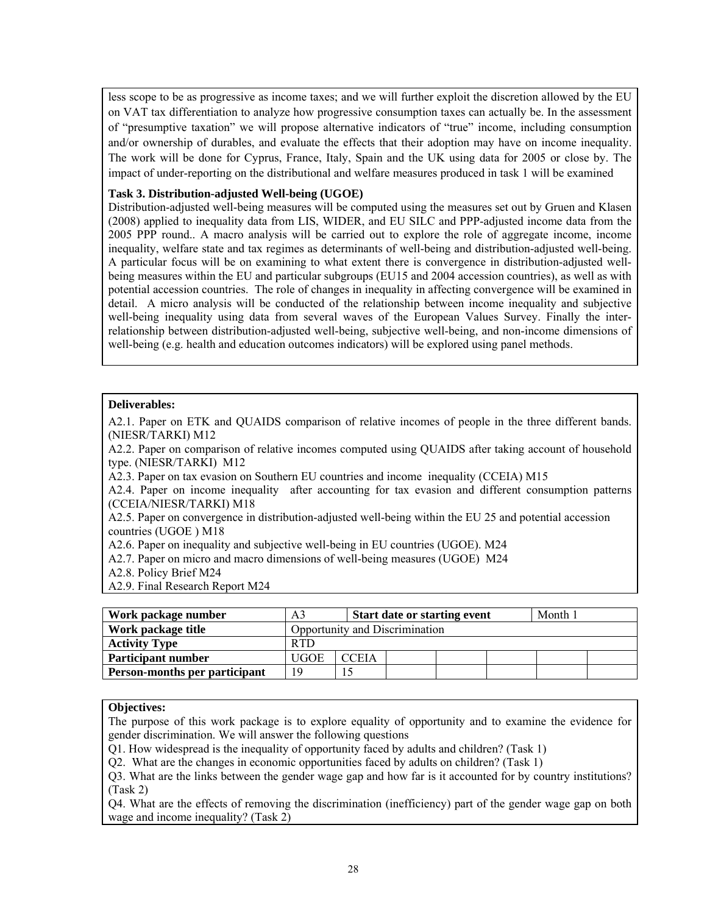less scope to be as progressive as income taxes; and we will further exploit the discretion allowed by the EU on VAT tax differentiation to analyze how progressive consumption taxes can actually be. In the assessment of "presumptive taxation" we will propose alternative indicators of "true" income, including consumption and/or ownership of durables, and evaluate the effects that their adoption may have on income inequality. The work will be done for Cyprus, France, Italy, Spain and the UK using data for 2005 or close by. The impact of under-reporting on the distributional and welfare measures produced in task 1 will be examined

## **Task 3. Distribution-adjusted Well-being (UGOE)**

Distribution-adjusted well-being measures will be computed using the measures set out by Gruen and Klasen (2008) applied to inequality data from LIS, WIDER, and EU SILC and PPP-adjusted income data from the 2005 PPP round.. A macro analysis will be carried out to explore the role of aggregate income, income inequality, welfare state and tax regimes as determinants of well-being and distribution-adjusted well-being. A particular focus will be on examining to what extent there is convergence in distribution-adjusted wellbeing measures within the EU and particular subgroups (EU15 and 2004 accession countries), as well as with potential accession countries. The role of changes in inequality in affecting convergence will be examined in detail. A micro analysis will be conducted of the relationship between income inequality and subjective well-being inequality using data from several waves of the European Values Survey. Finally the interrelationship between distribution-adjusted well-being, subjective well-being, and non-income dimensions of well-being (e.g. health and education outcomes indicators) will be explored using panel methods.

#### **Deliverables:**

A2.1. Paper on ETK and QUAIDS comparison of relative incomes of people in the three different bands. (NIESR/TARKI) M12

A2.2. Paper on comparison of relative incomes computed using QUAIDS after taking account of household type. (NIESR/TARKI) M12

A2.3. Paper on tax evasion on Southern EU countries and income inequality (CCEIA) M15

A2.4. Paper on income inequality after accounting for tax evasion and different consumption patterns (CCEIA/NIESR/TARKI) M18

A2.5. Paper on convergence in distribution-adjusted well-being within the EU 25 and potential accession countries (UGOE ) M18

A2.6. Paper on inequality and subjective well-being in EU countries (UGOE). M24

A2.7. Paper on micro and macro dimensions of well-being measures (UGOE) M24

A2.8. Policy Brief M24

A2.9. Final Research Report M24

| Work package number           | A3                             | <b>Start date or starting event</b> |  |  |  | Month 1 |  |  |  |
|-------------------------------|--------------------------------|-------------------------------------|--|--|--|---------|--|--|--|
| Work package title            | Opportunity and Discrimination |                                     |  |  |  |         |  |  |  |
| <b>Activity Type</b>          | <b>RTD</b>                     |                                     |  |  |  |         |  |  |  |
| <b>Participant number</b>     | UGOE                           | <b>CCEIA</b>                        |  |  |  |         |  |  |  |
| Person-months per participant | 1 Q                            |                                     |  |  |  |         |  |  |  |

#### **Objectives:**

The purpose of this work package is to explore equality of opportunity and to examine the evidence for gender discrimination. We will answer the following questions

Q1. How widespread is the inequality of opportunity faced by adults and children? (Task 1)

Q2. What are the changes in economic opportunities faced by adults on children? (Task 1)

Q3. What are the links between the gender wage gap and how far is it accounted for by country institutions? (Task 2)

Q4. What are the effects of removing the discrimination (inefficiency) part of the gender wage gap on both wage and income inequality? (Task 2)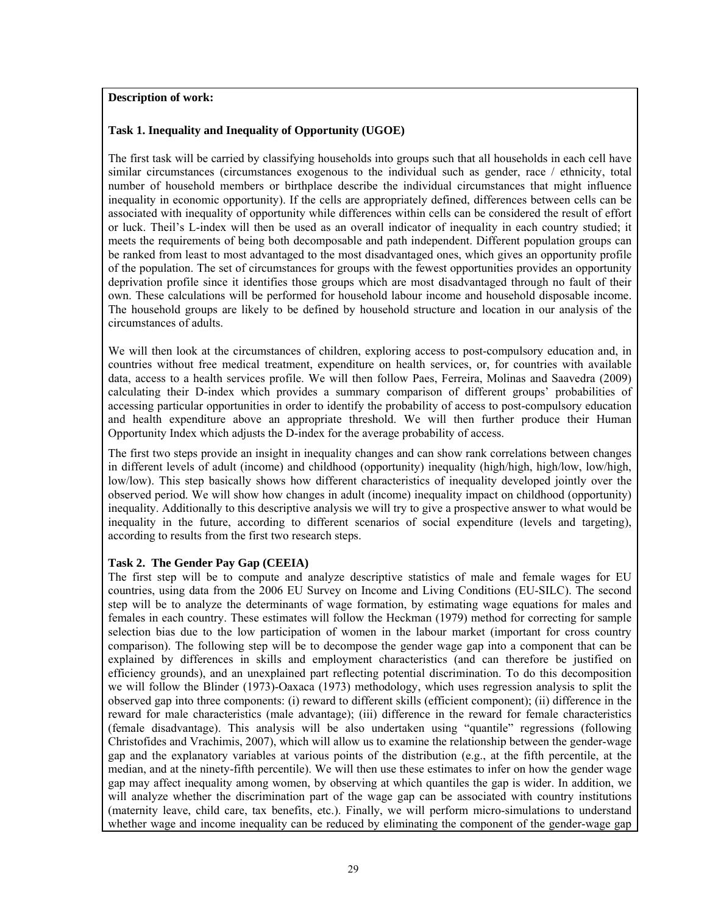# **Description of work:**

# **Task 1. Inequality and Inequality of Opportunity (UGOE)**

The first task will be carried by classifying households into groups such that all households in each cell have similar circumstances (circumstances exogenous to the individual such as gender, race / ethnicity, total number of household members or birthplace describe the individual circumstances that might influence inequality in economic opportunity). If the cells are appropriately defined, differences between cells can be associated with inequality of opportunity while differences within cells can be considered the result of effort or luck. Theil's L-index will then be used as an overall indicator of inequality in each country studied; it meets the requirements of being both decomposable and path independent. Different population groups can be ranked from least to most advantaged to the most disadvantaged ones, which gives an opportunity profile of the population. The set of circumstances for groups with the fewest opportunities provides an opportunity deprivation profile since it identifies those groups which are most disadvantaged through no fault of their own. These calculations will be performed for household labour income and household disposable income. The household groups are likely to be defined by household structure and location in our analysis of the circumstances of adults.

We will then look at the circumstances of children, exploring access to post-compulsory education and, in countries without free medical treatment, expenditure on health services, or, for countries with available data, access to a health services profile. We will then follow Paes, Ferreira, Molinas and Saavedra (2009) calculating their D-index which provides a summary comparison of different groups' probabilities of accessing particular opportunities in order to identify the probability of access to post-compulsory education and health expenditure above an appropriate threshold. We will then further produce their Human Opportunity Index which adjusts the D-index for the average probability of access.

The first two steps provide an insight in inequality changes and can show rank correlations between changes in different levels of adult (income) and childhood (opportunity) inequality (high/high, high/low, low/high, low/low). This step basically shows how different characteristics of inequality developed jointly over the observed period. We will show how changes in adult (income) inequality impact on childhood (opportunity) inequality. Additionally to this descriptive analysis we will try to give a prospective answer to what would be inequality in the future, according to different scenarios of social expenditure (levels and targeting), according to results from the first two research steps.

# **Task 2. The Gender Pay Gap (CEEIA)**

The first step will be to compute and analyze descriptive statistics of male and female wages for EU countries, using data from the 2006 EU Survey on Income and Living Conditions (EU-SILC). The second step will be to analyze the determinants of wage formation, by estimating wage equations for males and females in each country. These estimates will follow the Heckman (1979) method for correcting for sample selection bias due to the low participation of women in the labour market (important for cross country comparison). The following step will be to decompose the gender wage gap into a component that can be explained by differences in skills and employment characteristics (and can therefore be justified on efficiency grounds), and an unexplained part reflecting potential discrimination. To do this decomposition we will follow the Blinder (1973)-Oaxaca (1973) methodology, which uses regression analysis to split the observed gap into three components: (i) reward to different skills (efficient component); (ii) difference in the reward for male characteristics (male advantage); (iii) difference in the reward for female characteristics (female disadvantage). This analysis will be also undertaken using "quantile" regressions (following Christofides and Vrachimis, 2007), which will allow us to examine the relationship between the gender-wage gap and the explanatory variables at various points of the distribution (e.g., at the fifth percentile, at the median, and at the ninety-fifth percentile). We will then use these estimates to infer on how the gender wage gap may affect inequality among women, by observing at which quantiles the gap is wider. In addition, we will analyze whether the discrimination part of the wage gap can be associated with country institutions (maternity leave, child care, tax benefits, etc.). Finally, we will perform micro-simulations to understand whether wage and income inequality can be reduced by eliminating the component of the gender-wage gap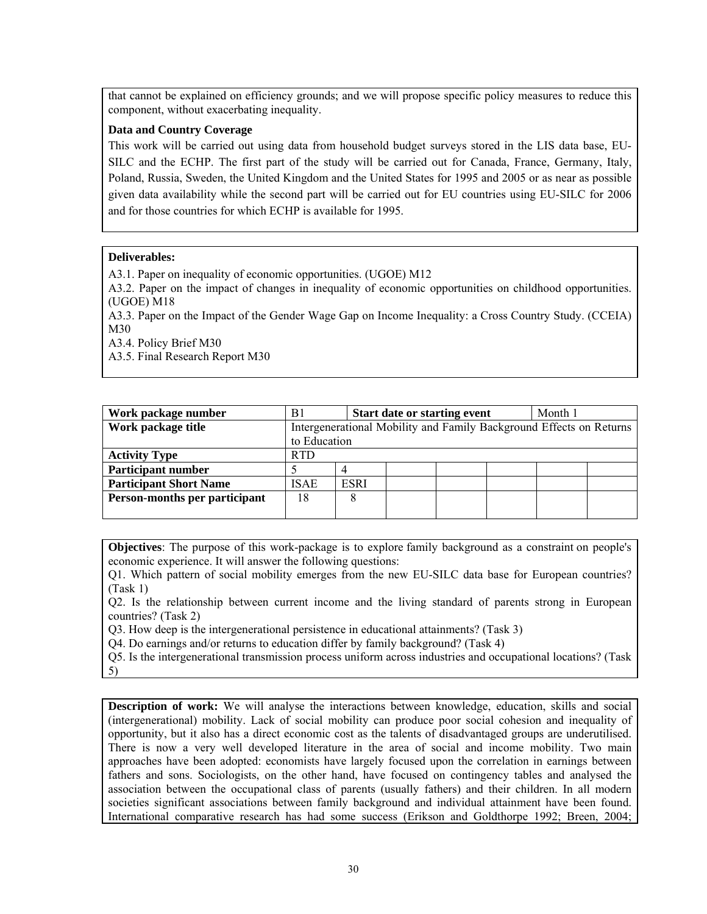that cannot be explained on efficiency grounds; and we will propose specific policy measures to reduce this component, without exacerbating inequality.

# **Data and Country Coverage**

This work will be carried out using data from household budget surveys stored in the LIS data base, EU-SILC and the ECHP. The first part of the study will be carried out for Canada, France, Germany, Italy, Poland, Russia, Sweden, the United Kingdom and the United States for 1995 and 2005 or as near as possible given data availability while the second part will be carried out for EU countries using EU-SILC for 2006 and for those countries for which ECHP is available for 1995.

# **Deliverables:**

A3.1. Paper on inequality of economic opportunities. (UGOE) M12

A3.2. Paper on the impact of changes in inequality of economic opportunities on childhood opportunities. (UGOE) M18

A3.3. Paper on the Impact of the Gender Wage Gap on Income Inequality: a Cross Country Study. (CCEIA) M30

A3.4. Policy Brief M30

A3.5. Final Research Report M30

| Work package number           | B <sub>1</sub>                                                      |             | <b>Start date or starting event</b> |  |  |  | Month 1 |  |
|-------------------------------|---------------------------------------------------------------------|-------------|-------------------------------------|--|--|--|---------|--|
| Work package title            | Intergenerational Mobility and Family Background Effects on Returns |             |                                     |  |  |  |         |  |
|                               | to Education                                                        |             |                                     |  |  |  |         |  |
| <b>Activity Type</b>          | <b>RTD</b>                                                          |             |                                     |  |  |  |         |  |
| <b>Participant number</b>     |                                                                     |             |                                     |  |  |  |         |  |
| <b>Participant Short Name</b> | <b>ISAE</b>                                                         | <b>ESRI</b> |                                     |  |  |  |         |  |
| Person-months per participant | 18                                                                  |             |                                     |  |  |  |         |  |
|                               |                                                                     |             |                                     |  |  |  |         |  |

**Objectives**: The purpose of this work-package is to explore family background as a constraint on people's economic experience. It will answer the following questions:

Q1. Which pattern of social mobility emerges from the new EU-SILC data base for European countries? (Task 1)

Q2. Is the relationship between current income and the living standard of parents strong in European countries? (Task 2)

Q3. How deep is the intergenerational persistence in educational attainments? (Task 3)

Q4. Do earnings and/or returns to education differ by family background? (Task 4)

Q5. Is the intergenerational transmission process uniform across industries and occupational locations? (Task 5)

**Description of work:** We will analyse the interactions between knowledge, education, skills and social (intergenerational) mobility. Lack of social mobility can produce poor social cohesion and inequality of opportunity, but it also has a direct economic cost as the talents of disadvantaged groups are underutilised. There is now a very well developed literature in the area of social and income mobility. Two main approaches have been adopted: economists have largely focused upon the correlation in earnings between fathers and sons. Sociologists, on the other hand, have focused on contingency tables and analysed the association between the occupational class of parents (usually fathers) and their children. In all modern societies significant associations between family background and individual attainment have been found. International comparative research has had some success (Erikson and Goldthorpe 1992; Breen, 2004;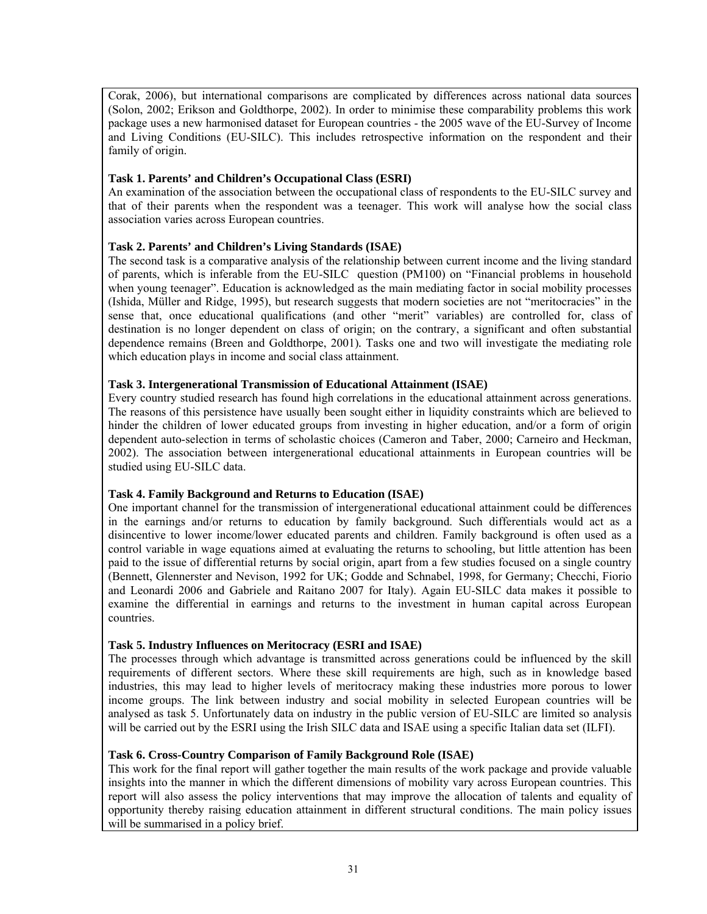Corak, 2006), but international comparisons are complicated by differences across national data sources (Solon, 2002; Erikson and Goldthorpe, 2002). In order to minimise these comparability problems this work package uses a new harmonised dataset for European countries - the 2005 wave of the EU-Survey of Income and Living Conditions (EU-SILC). This includes retrospective information on the respondent and their family of origin.

## **Task 1. Parents' and Children's Occupational Class (ESRI)**

An examination of the association between the occupational class of respondents to the EU-SILC survey and that of their parents when the respondent was a teenager. This work will analyse how the social class association varies across European countries.

# **Task 2. Parents' and Children's Living Standards (ISAE)**

The second task is a comparative analysis of the relationship between current income and the living standard of parents, which is inferable from the EU-SILC question (PM100) on "Financial problems in household when young teenager". Education is acknowledged as the main mediating factor in social mobility processes (Ishida, Müller and Ridge, 1995), but research suggests that modern societies are not "meritocracies" in the sense that, once educational qualifications (and other "merit" variables) are controlled for, class of destination is no longer dependent on class of origin; on the contrary, a significant and often substantial dependence remains (Breen and Goldthorpe, 2001)*.* Tasks one and two will investigate the mediating role which education plays in income and social class attainment.

# **Task 3. Intergenerational Transmission of Educational Attainment (ISAE)**

Every country studied research has found high correlations in the educational attainment across generations. The reasons of this persistence have usually been sought either in liquidity constraints which are believed to hinder the children of lower educated groups from investing in higher education, and/or a form of origin dependent auto-selection in terms of scholastic choices (Cameron and Taber, 2000; Carneiro and Heckman, 2002). The association between intergenerational educational attainments in European countries will be studied using EU-SILC data.

# **Task 4. Family Background and Returns to Education (ISAE)**

One important channel for the transmission of intergenerational educational attainment could be differences in the earnings and/or returns to education by family background. Such differentials would act as a disincentive to lower income/lower educated parents and children. Family background is often used as a control variable in wage equations aimed at evaluating the returns to schooling, but little attention has been paid to the issue of differential returns by social origin, apart from a few studies focused on a single country (Bennett, Glennerster and Nevison, 1992 for UK; Godde and Schnabel, 1998, for Germany; Checchi, Fiorio and Leonardi 2006 and Gabriele and Raitano 2007 for Italy). Again EU-SILC data makes it possible to examine the differential in earnings and returns to the investment in human capital across European countries.

# **Task 5. Industry Influences on Meritocracy (ESRI and ISAE)**

The processes through which advantage is transmitted across generations could be influenced by the skill requirements of different sectors. Where these skill requirements are high, such as in knowledge based industries, this may lead to higher levels of meritocracy making these industries more porous to lower income groups. The link between industry and social mobility in selected European countries will be analysed as task 5. Unfortunately data on industry in the public version of EU-SILC are limited so analysis will be carried out by the ESRI using the Irish SILC data and ISAE using a specific Italian data set (ILFI).

#### **Task 6. Cross-Country Comparison of Family Background Role (ISAE)**

This work for the final report will gather together the main results of the work package and provide valuable insights into the manner in which the different dimensions of mobility vary across European countries. This report will also assess the policy interventions that may improve the allocation of talents and equality of opportunity thereby raising education attainment in different structural conditions. The main policy issues will be summarised in a policy brief.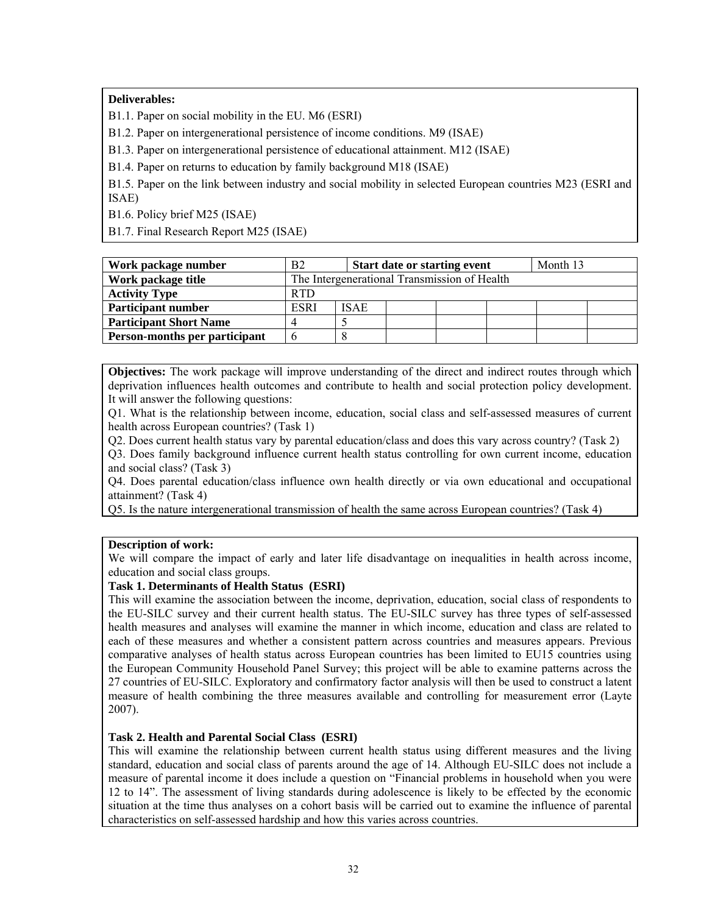# **Deliverables:**

B1.1. Paper on social mobility in the EU. M6 (ESRI)

B1.2. Paper on intergenerational persistence of income conditions. M9 (ISAE)

B1.3. Paper on intergenerational persistence of educational attainment. M12 (ISAE)

B1.4. Paper on returns to education by family background M18 (ISAE)

B1.5. Paper on the link between industry and social mobility in selected European countries M23 (ESRI and ISAE)

B1.6. Policy brief M25 (ISAE)

B1.7. Final Research Report M25 (ISAE)

| Work package number           | B <sub>2</sub>                               |             | <b>Start date or starting event</b> |  |  |  | Month 13 |  |  |
|-------------------------------|----------------------------------------------|-------------|-------------------------------------|--|--|--|----------|--|--|
| Work package title            | The Intergenerational Transmission of Health |             |                                     |  |  |  |          |  |  |
| <b>Activity Type</b>          | <b>RTD</b>                                   |             |                                     |  |  |  |          |  |  |
| <b>Participant number</b>     | <b>ESRI</b>                                  | <b>ISAE</b> |                                     |  |  |  |          |  |  |
| <b>Participant Short Name</b> | Δ                                            |             |                                     |  |  |  |          |  |  |
| Person-months per participant | n                                            |             |                                     |  |  |  |          |  |  |

**Objectives:** The work package will improve understanding of the direct and indirect routes through which deprivation influences health outcomes and contribute to health and social protection policy development. It will answer the following questions:

Q1. What is the relationship between income, education, social class and self-assessed measures of current health across European countries? (Task 1)

Q2. Does current health status vary by parental education/class and does this vary across country? (Task 2)

Q3. Does family background influence current health status controlling for own current income, education and social class? (Task 3)

Q4. Does parental education/class influence own health directly or via own educational and occupational attainment? (Task 4)

Q5. Is the nature intergenerational transmission of health the same across European countries? (Task 4)

#### **Description of work:**

We will compare the impact of early and later life disadvantage on inequalities in health across income, education and social class groups.

# **Task 1. Determinants of Health Status (ESRI)**

This will examine the association between the income, deprivation, education, social class of respondents to the EU-SILC survey and their current health status. The EU-SILC survey has three types of self-assessed health measures and analyses will examine the manner in which income, education and class are related to each of these measures and whether a consistent pattern across countries and measures appears. Previous comparative analyses of health status across European countries has been limited to EU15 countries using the European Community Household Panel Survey; this project will be able to examine patterns across the 27 countries of EU-SILC. Exploratory and confirmatory factor analysis will then be used to construct a latent measure of health combining the three measures available and controlling for measurement error (Layte 2007).

#### **Task 2. Health and Parental Social Class (ESRI)**

This will examine the relationship between current health status using different measures and the living standard, education and social class of parents around the age of 14. Although EU-SILC does not include a measure of parental income it does include a question on "Financial problems in household when you were 12 to 14". The assessment of living standards during adolescence is likely to be effected by the economic situation at the time thus analyses on a cohort basis will be carried out to examine the influence of parental characteristics on self-assessed hardship and how this varies across countries.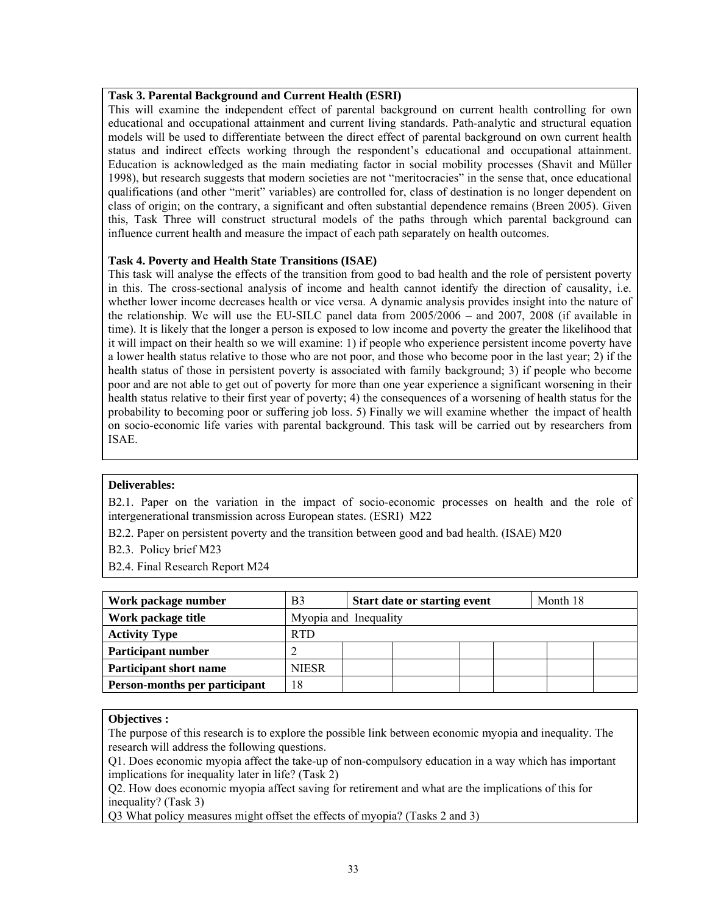# **Task 3. Parental Background and Current Health (ESRI)**

This will examine the independent effect of parental background on current health controlling for own educational and occupational attainment and current living standards. Path-analytic and structural equation models will be used to differentiate between the direct effect of parental background on own current health status and indirect effects working through the respondent's educational and occupational attainment. Education is acknowledged as the main mediating factor in social mobility processes (Shavit and Müller 1998), but research suggests that modern societies are not "meritocracies" in the sense that, once educational qualifications (and other "merit" variables) are controlled for, class of destination is no longer dependent on class of origin; on the contrary, a significant and often substantial dependence remains (Breen 2005). Given this, Task Three will construct structural models of the paths through which parental background can influence current health and measure the impact of each path separately on health outcomes.

#### **Task 4. Poverty and Health State Transitions (ISAE)**

This task will analyse the effects of the transition from good to bad health and the role of persistent poverty in this. The cross-sectional analysis of income and health cannot identify the direction of causality, i.e. whether lower income decreases health or vice versa. A dynamic analysis provides insight into the nature of the relationship. We will use the EU-SILC panel data from 2005/2006 – and 2007, 2008 (if available in time). It is likely that the longer a person is exposed to low income and poverty the greater the likelihood that it will impact on their health so we will examine: 1) if people who experience persistent income poverty have a lower health status relative to those who are not poor, and those who become poor in the last year; 2) if the health status of those in persistent poverty is associated with family background; 3) if people who become poor and are not able to get out of poverty for more than one year experience a significant worsening in their health status relative to their first year of poverty; 4) the consequences of a worsening of health status for the probability to becoming poor or suffering job loss. 5) Finally we will examine whether the impact of health on socio-economic life varies with parental background. This task will be carried out by researchers from ISAE.

#### **Deliverables:**

B2.1. Paper on the variation in the impact of socio-economic processes on health and the role of intergenerational transmission across European states. (ESRI) M22

B2.2. Paper on persistent poverty and the transition between good and bad health. (ISAE) M20

B2.3. Policy brief M23

B2.4. Final Research Report M24

| Work package number           | B <sub>3</sub>        | <b>Start date or starting event</b> |  |  |  | Month 18 |  |  |
|-------------------------------|-----------------------|-------------------------------------|--|--|--|----------|--|--|
| Work package title            | Myopia and Inequality |                                     |  |  |  |          |  |  |
| <b>Activity Type</b>          | <b>RTD</b>            |                                     |  |  |  |          |  |  |
| <b>Participant number</b>     |                       |                                     |  |  |  |          |  |  |
| <b>Participant short name</b> | <b>NIESR</b>          |                                     |  |  |  |          |  |  |
| Person-months per participant | 18                    |                                     |  |  |  |          |  |  |

#### **Objectives :**

The purpose of this research is to explore the possible link between economic myopia and inequality. The research will address the following questions.

Q1. Does economic myopia affect the take-up of non-compulsory education in a way which has important implications for inequality later in life? (Task 2)

Q2. How does economic myopia affect saving for retirement and what are the implications of this for inequality? (Task 3)

Q3 What policy measures might offset the effects of myopia? (Tasks 2 and 3)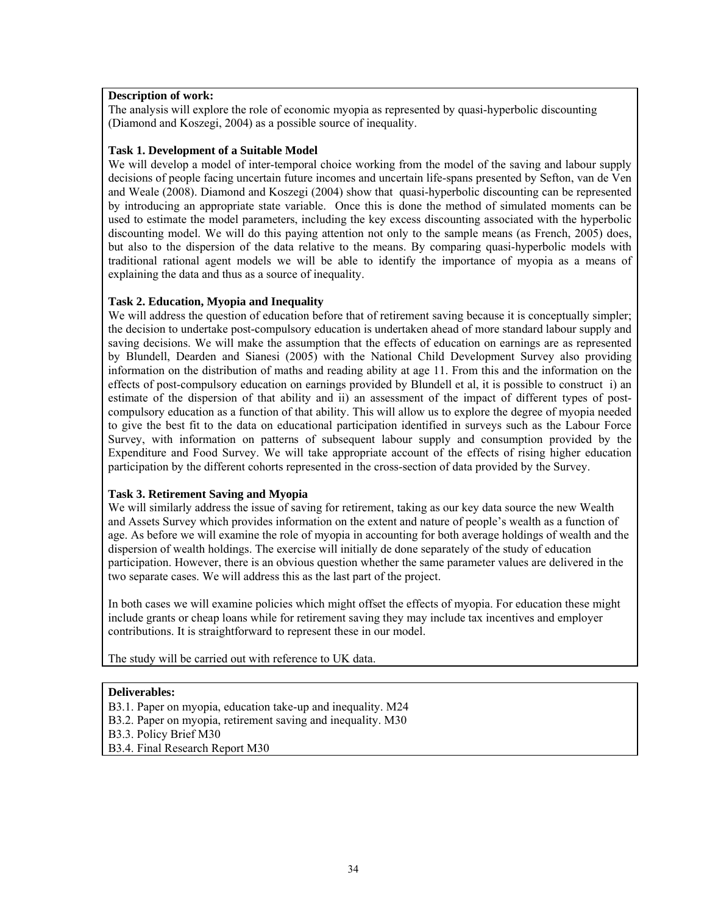### **Description of work:**

The analysis will explore the role of economic myopia as represented by quasi-hyperbolic discounting (Diamond and Koszegi, 2004) as a possible source of inequality.

#### **Task 1. Development of a Suitable Model**

We will develop a model of inter-temporal choice working from the model of the saving and labour supply decisions of people facing uncertain future incomes and uncertain life-spans presented by Sefton, van de Ven and Weale (2008). Diamond and Koszegi (2004) show that quasi-hyperbolic discounting can be represented by introducing an appropriate state variable. Once this is done the method of simulated moments can be used to estimate the model parameters, including the key excess discounting associated with the hyperbolic discounting model. We will do this paying attention not only to the sample means (as French, 2005) does, but also to the dispersion of the data relative to the means. By comparing quasi-hyperbolic models with traditional rational agent models we will be able to identify the importance of myopia as a means of explaining the data and thus as a source of inequality.

## **Task 2. Education, Myopia and Inequality**

We will address the question of education before that of retirement saving because it is conceptually simpler; the decision to undertake post-compulsory education is undertaken ahead of more standard labour supply and saving decisions. We will make the assumption that the effects of education on earnings are as represented by Blundell, Dearden and Sianesi (2005) with the National Child Development Survey also providing information on the distribution of maths and reading ability at age 11. From this and the information on the effects of post-compulsory education on earnings provided by Blundell et al, it is possible to construct i) an estimate of the dispersion of that ability and ii) an assessment of the impact of different types of postcompulsory education as a function of that ability. This will allow us to explore the degree of myopia needed to give the best fit to the data on educational participation identified in surveys such as the Labour Force Survey, with information on patterns of subsequent labour supply and consumption provided by the Expenditure and Food Survey. We will take appropriate account of the effects of rising higher education participation by the different cohorts represented in the cross-section of data provided by the Survey.

## **Task 3. Retirement Saving and Myopia**

We will similarly address the issue of saving for retirement, taking as our key data source the new Wealth and Assets Survey which provides information on the extent and nature of people's wealth as a function of age. As before we will examine the role of myopia in accounting for both average holdings of wealth and the dispersion of wealth holdings. The exercise will initially de done separately of the study of education participation. However, there is an obvious question whether the same parameter values are delivered in the two separate cases. We will address this as the last part of the project.

In both cases we will examine policies which might offset the effects of myopia. For education these might include grants or cheap loans while for retirement saving they may include tax incentives and employer contributions. It is straightforward to represent these in our model.

The study will be carried out with reference to UK data.

#### **Deliverables:**

B3.1. Paper on myopia, education take-up and inequality. M24 B3.2. Paper on myopia, retirement saving and inequality. M30 B3.3. Policy Brief M30 B3.4. Final Research Report M30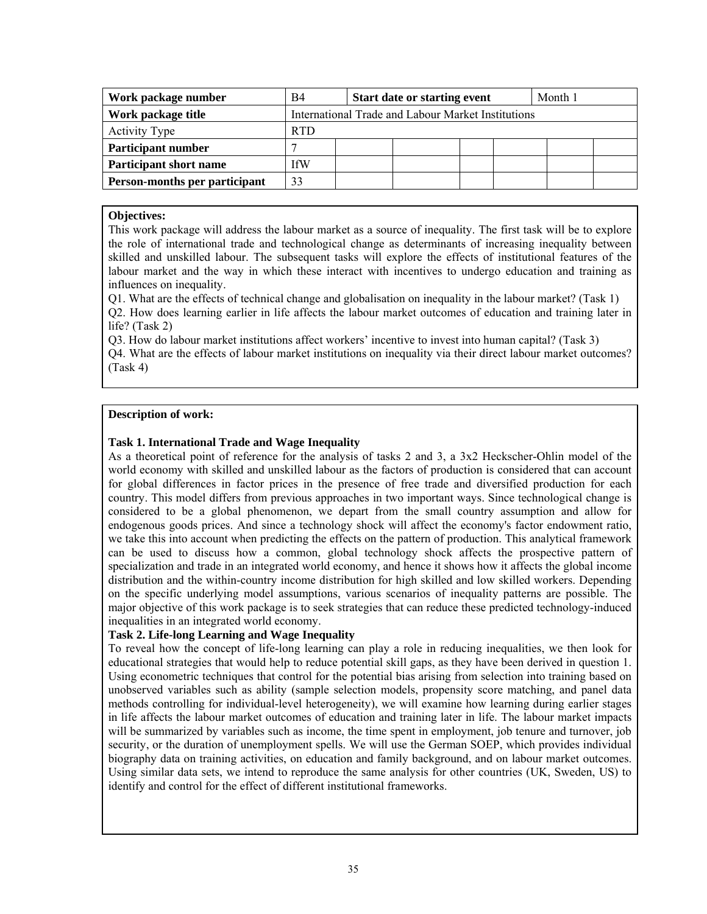| Work package number           | B4         | <b>Start date or starting event</b><br>Month 1     |  |  |  |  |  |
|-------------------------------|------------|----------------------------------------------------|--|--|--|--|--|
| Work package title            |            | International Trade and Labour Market Institutions |  |  |  |  |  |
| <b>Activity Type</b>          | <b>RTD</b> |                                                    |  |  |  |  |  |
| <b>Participant number</b>     |            |                                                    |  |  |  |  |  |
| <b>Participant short name</b> | fW         |                                                    |  |  |  |  |  |
| Person-months per participant | 33         |                                                    |  |  |  |  |  |

#### **Objectives:**

This work package will address the labour market as a source of inequality. The first task will be to explore the role of international trade and technological change as determinants of increasing inequality between skilled and unskilled labour. The subsequent tasks will explore the effects of institutional features of the labour market and the way in which these interact with incentives to undergo education and training as influences on inequality.

Q1. What are the effects of technical change and globalisation on inequality in the labour market? (Task 1) Q2. How does learning earlier in life affects the labour market outcomes of education and training later in life? (Task 2)

Q3. How do labour market institutions affect workers' incentive to invest into human capital? (Task 3) Q4. What are the effects of labour market institutions on inequality via their direct labour market outcomes? (Task 4)

#### **Description of work:**

#### **Task 1. International Trade and Wage Inequality**

As a theoretical point of reference for the analysis of tasks 2 and 3, a 3x2 Heckscher-Ohlin model of the world economy with skilled and unskilled labour as the factors of production is considered that can account for global differences in factor prices in the presence of free trade and diversified production for each country. This model differs from previous approaches in two important ways. Since technological change is considered to be a global phenomenon, we depart from the small country assumption and allow for endogenous goods prices. And since a technology shock will affect the economy's factor endowment ratio, we take this into account when predicting the effects on the pattern of production. This analytical framework can be used to discuss how a common, global technology shock affects the prospective pattern of specialization and trade in an integrated world economy, and hence it shows how it affects the global income distribution and the within-country income distribution for high skilled and low skilled workers. Depending on the specific underlying model assumptions, various scenarios of inequality patterns are possible. The major objective of this work package is to seek strategies that can reduce these predicted technology-induced inequalities in an integrated world economy.

#### **Task 2. Life-long Learning and Wage Inequality**

To reveal how the concept of life-long learning can play a role in reducing inequalities, we then look for educational strategies that would help to reduce potential skill gaps, as they have been derived in question 1. Using econometric techniques that control for the potential bias arising from selection into training based on unobserved variables such as ability (sample selection models, propensity score matching, and panel data methods controlling for individual-level heterogeneity), we will examine how learning during earlier stages in life affects the labour market outcomes of education and training later in life. The labour market impacts will be summarized by variables such as income, the time spent in employment, job tenure and turnover, job security, or the duration of unemployment spells. We will use the German SOEP, which provides individual biography data on training activities, on education and family background, and on labour market outcomes. Using similar data sets, we intend to reproduce the same analysis for other countries (UK, Sweden, US) to identify and control for the effect of different institutional frameworks.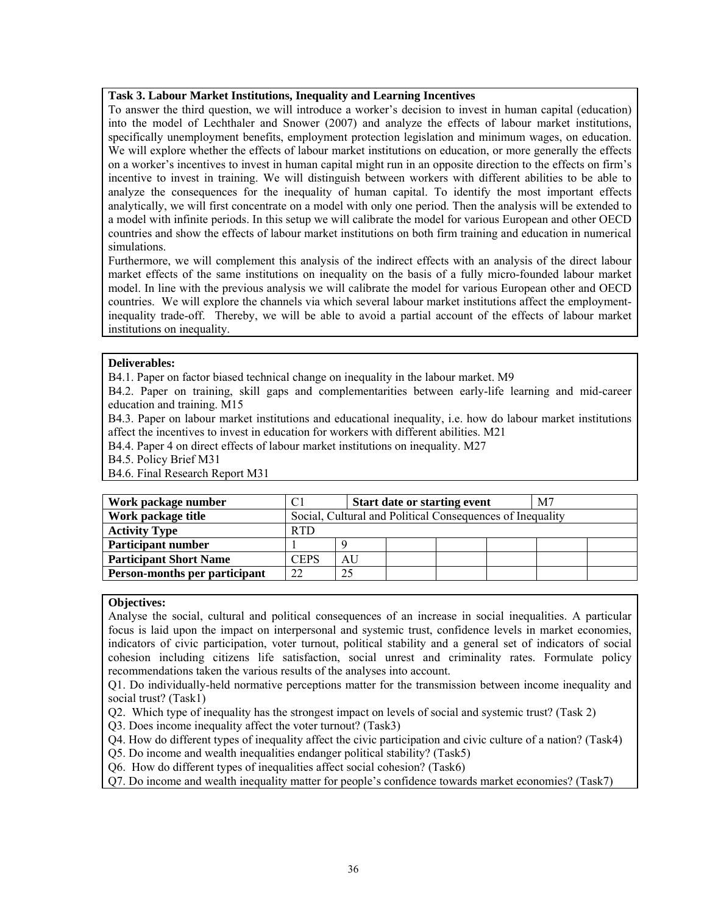#### **Task 3. Labour Market Institutions, Inequality and Learning Incentives**

To answer the third question, we will introduce a worker's decision to invest in human capital (education) into the model of Lechthaler and Snower (2007) and analyze the effects of labour market institutions, specifically unemployment benefits, employment protection legislation and minimum wages, on education. We will explore whether the effects of labour market institutions on education, or more generally the effects on a worker's incentives to invest in human capital might run in an opposite direction to the effects on firm's incentive to invest in training. We will distinguish between workers with different abilities to be able to analyze the consequences for the inequality of human capital. To identify the most important effects analytically, we will first concentrate on a model with only one period. Then the analysis will be extended to a model with infinite periods. In this setup we will calibrate the model for various European and other OECD countries and show the effects of labour market institutions on both firm training and education in numerical simulations.

Furthermore, we will complement this analysis of the indirect effects with an analysis of the direct labour market effects of the same institutions on inequality on the basis of a fully micro-founded labour market model. In line with the previous analysis we will calibrate the model for various European other and OECD countries. We will explore the channels via which several labour market institutions affect the employmentinequality trade-off. Thereby, we will be able to avoid a partial account of the effects of labour market institutions on inequality.

#### **Deliverables:**

B4.1. Paper on factor biased technical change on inequality in the labour market. M9

B4.2. Paper on training, skill gaps and complementarities between early-life learning and mid-career education and training. M15

B4.3. Paper on labour market institutions and educational inequality, i.e. how do labour market institutions affect the incentives to invest in education for workers with different abilities. M21

B4.4. Paper 4 on direct effects of labour market institutions on inequality. M27

B4.5. Policy Brief M31

B4.6. Final Research Report M31

| Work package number           |             |                                                           | <b>Start date or starting event</b> |  |  | M7 |  |
|-------------------------------|-------------|-----------------------------------------------------------|-------------------------------------|--|--|----|--|
| Work package title            |             | Social, Cultural and Political Consequences of Inequality |                                     |  |  |    |  |
| <b>Activity Type</b>          | <b>RTD</b>  |                                                           |                                     |  |  |    |  |
| <b>Participant number</b>     |             |                                                           |                                     |  |  |    |  |
| <b>Participant Short Name</b> | <b>CEPS</b> | AU                                                        |                                     |  |  |    |  |
| Person-months per participant | 22          | 25                                                        |                                     |  |  |    |  |

#### **Objectives:**

Analyse the social, cultural and political consequences of an increase in social inequalities. A particular focus is laid upon the impact on interpersonal and systemic trust, confidence levels in market economies, indicators of civic participation, voter turnout, political stability and a general set of indicators of social cohesion including citizens life satisfaction, social unrest and criminality rates. Formulate policy recommendations taken the various results of the analyses into account.

Q1. Do individually-held normative perceptions matter for the transmission between income inequality and social trust? (Task1)

Q2. Which type of inequality has the strongest impact on levels of social and systemic trust? (Task 2)

Q3. Does income inequality affect the voter turnout? (Task3)

Q4. How do different types of inequality affect the civic participation and civic culture of a nation? (Task4)

Q5. Do income and wealth inequalities endanger political stability? (Task5)

Q6. How do different types of inequalities affect social cohesion? (Task6)

Q7. Do income and wealth inequality matter for people's confidence towards market economies? (Task7)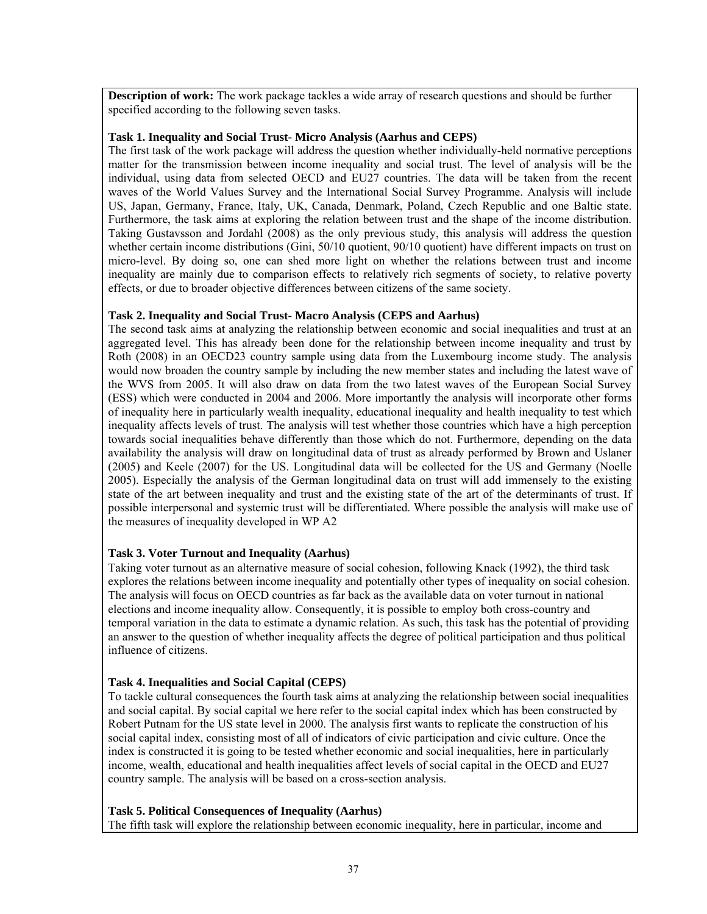**Description of work:** The work package tackles a wide array of research questions and should be further specified according to the following seven tasks.

#### **Task 1. Inequality and Social Trust- Micro Analysis (Aarhus and CEPS)**

The first task of the work package will address the question whether individually-held normative perceptions matter for the transmission between income inequality and social trust. The level of analysis will be the individual, using data from selected OECD and EU27 countries. The data will be taken from the recent waves of the World Values Survey and the International Social Survey Programme. Analysis will include US, Japan, Germany, France, Italy, UK, Canada, Denmark, Poland, Czech Republic and one Baltic state. Furthermore, the task aims at exploring the relation between trust and the shape of the income distribution. Taking Gustavsson and Jordahl (2008) as the only previous study, this analysis will address the question whether certain income distributions (Gini, 50/10 quotient, 90/10 quotient) have different impacts on trust on micro-level. By doing so, one can shed more light on whether the relations between trust and income inequality are mainly due to comparison effects to relatively rich segments of society, to relative poverty effects, or due to broader objective differences between citizens of the same society.

#### **Task 2. Inequality and Social Trust- Macro Analysis (CEPS and Aarhus)**

The second task aims at analyzing the relationship between economic and social inequalities and trust at an aggregated level. This has already been done for the relationship between income inequality and trust by Roth (2008) in an OECD23 country sample using data from the Luxembourg income study. The analysis would now broaden the country sample by including the new member states and including the latest wave of the WVS from 2005. It will also draw on data from the two latest waves of the European Social Survey (ESS) which were conducted in 2004 and 2006. More importantly the analysis will incorporate other forms of inequality here in particularly wealth inequality, educational inequality and health inequality to test which inequality affects levels of trust. The analysis will test whether those countries which have a high perception towards social inequalities behave differently than those which do not. Furthermore, depending on the data availability the analysis will draw on longitudinal data of trust as already performed by Brown and Uslaner (2005) and Keele (2007) for the US. Longitudinal data will be collected for the US and Germany (Noelle 2005). Especially the analysis of the German longitudinal data on trust will add immensely to the existing state of the art between inequality and trust and the existing state of the art of the determinants of trust. If possible interpersonal and systemic trust will be differentiated. Where possible the analysis will make use of the measures of inequality developed in WP A2

# **Task 3. Voter Turnout and Inequality (Aarhus)**

Taking voter turnout as an alternative measure of social cohesion, following Knack (1992), the third task explores the relations between income inequality and potentially other types of inequality on social cohesion. The analysis will focus on OECD countries as far back as the available data on voter turnout in national elections and income inequality allow. Consequently, it is possible to employ both cross-country and temporal variation in the data to estimate a dynamic relation. As such, this task has the potential of providing an answer to the question of whether inequality affects the degree of political participation and thus political influence of citizens.

#### **Task 4. Inequalities and Social Capital (CEPS)**

To tackle cultural consequences the fourth task aims at analyzing the relationship between social inequalities and social capital. By social capital we here refer to the social capital index which has been constructed by Robert Putnam for the US state level in 2000. The analysis first wants to replicate the construction of his social capital index, consisting most of all of indicators of civic participation and civic culture. Once the index is constructed it is going to be tested whether economic and social inequalities, here in particularly income, wealth, educational and health inequalities affect levels of social capital in the OECD and EU27 country sample. The analysis will be based on a cross-section analysis.

#### **Task 5. Political Consequences of Inequality (Aarhus)**

The fifth task will explore the relationship between economic inequality, here in particular, income and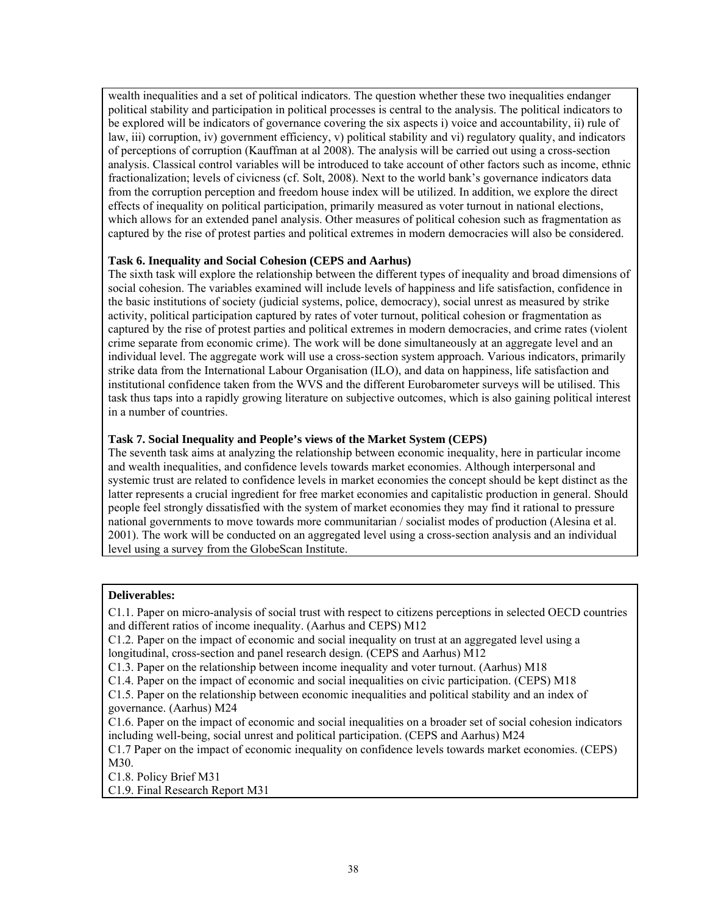wealth inequalities and a set of political indicators. The question whether these two inequalities endanger political stability and participation in political processes is central to the analysis. The political indicators to be explored will be indicators of governance covering the six aspects i) voice and accountability, ii) rule of law, iii) corruption, iv) government efficiency, v) political stability and vi) regulatory quality, and indicators of perceptions of corruption (Kauffman at al 2008). The analysis will be carried out using a cross-section analysis. Classical control variables will be introduced to take account of other factors such as income, ethnic fractionalization; levels of civicness (cf. Solt, 2008). Next to the world bank's governance indicators data from the corruption perception and freedom house index will be utilized. In addition, we explore the direct effects of inequality on political participation, primarily measured as voter turnout in national elections, which allows for an extended panel analysis. Other measures of political cohesion such as fragmentation as captured by the rise of protest parties and political extremes in modern democracies will also be considered.

## **Task 6. Inequality and Social Cohesion (CEPS and Aarhus)**

The sixth task will explore the relationship between the different types of inequality and broad dimensions of social cohesion. The variables examined will include levels of happiness and life satisfaction, confidence in the basic institutions of society (judicial systems, police, democracy), social unrest as measured by strike activity, political participation captured by rates of voter turnout, political cohesion or fragmentation as captured by the rise of protest parties and political extremes in modern democracies, and crime rates (violent crime separate from economic crime). The work will be done simultaneously at an aggregate level and an individual level. The aggregate work will use a cross-section system approach. Various indicators, primarily strike data from the International Labour Organisation (ILO), and data on happiness, life satisfaction and institutional confidence taken from the WVS and the different Eurobarometer surveys will be utilised. This task thus taps into a rapidly growing literature on subjective outcomes, which is also gaining political interest in a number of countries.

## **Task 7. Social Inequality and People's views of the Market System (CEPS)**

The seventh task aims at analyzing the relationship between economic inequality, here in particular income and wealth inequalities, and confidence levels towards market economies. Although interpersonal and systemic trust are related to confidence levels in market economies the concept should be kept distinct as the latter represents a crucial ingredient for free market economies and capitalistic production in general. Should people feel strongly dissatisfied with the system of market economies they may find it rational to pressure national governments to move towards more communitarian / socialist modes of production (Alesina et al. 2001). The work will be conducted on an aggregated level using a cross-section analysis and an individual level using a survey from the GlobeScan Institute.

#### **Deliverables:**

C1.1. Paper on micro-analysis of social trust with respect to citizens perceptions in selected OECD countries and different ratios of income inequality. (Aarhus and CEPS) M12

C1.2. Paper on the impact of economic and social inequality on trust at an aggregated level using a longitudinal, cross-section and panel research design. (CEPS and Aarhus) M12

C1.3. Paper on the relationship between income inequality and voter turnout. (Aarhus) M18

C1.4. Paper on the impact of economic and social inequalities on civic participation. (CEPS) M18

C1.5. Paper on the relationship between economic inequalities and political stability and an index of governance. (Aarhus) M24

C1.6. Paper on the impact of economic and social inequalities on a broader set of social cohesion indicators including well-being, social unrest and political participation. (CEPS and Aarhus) M24

C1.7 Paper on the impact of economic inequality on confidence levels towards market economies. (CEPS) M30.

C1.8. Policy Brief M31

C1.9. Final Research Report M31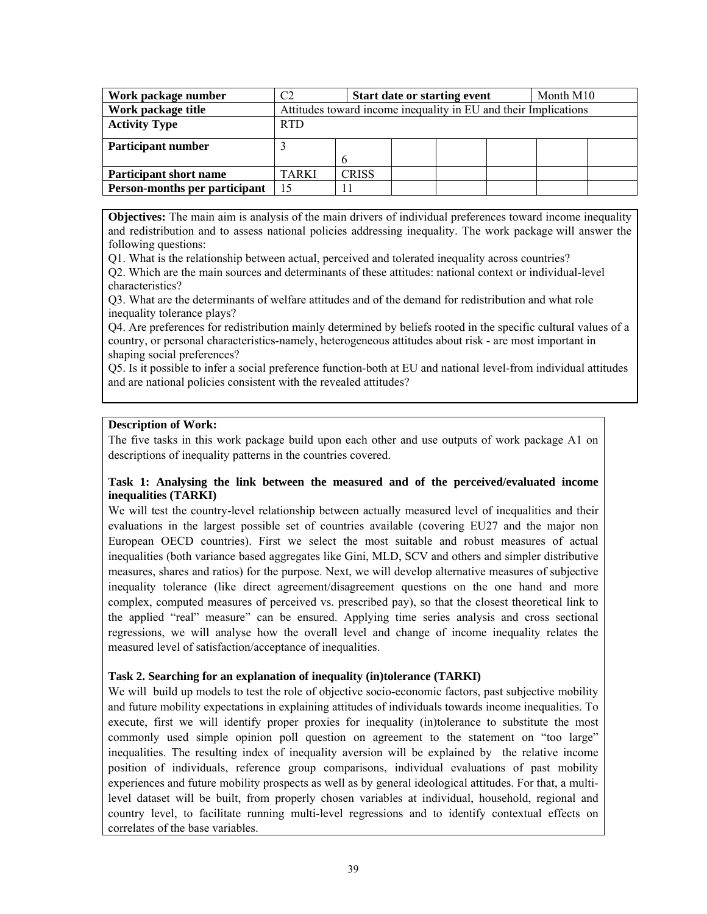| Work package number           |              |                                                                 |  | <b>Start date or starting event</b> |  | Month M10 |  |
|-------------------------------|--------------|-----------------------------------------------------------------|--|-------------------------------------|--|-----------|--|
| Work package title            |              | Attitudes toward income inequality in EU and their Implications |  |                                     |  |           |  |
| <b>Activity Type</b>          | <b>RTD</b>   |                                                                 |  |                                     |  |           |  |
| <b>Participant number</b>     |              |                                                                 |  |                                     |  |           |  |
|                               |              | h                                                               |  |                                     |  |           |  |
| <b>Participant short name</b> | <b>TARKI</b> | <b>CRISS</b>                                                    |  |                                     |  |           |  |
| Person-months per participant | 15           |                                                                 |  |                                     |  |           |  |

**Objectives:** The main aim is analysis of the main drivers of individual preferences toward income inequality and redistribution and to assess national policies addressing inequality. The work package will answer the following questions:

Q1. What is the relationship between actual, perceived and tolerated inequality across countries?

Q2. Which are the main sources and determinants of these attitudes: national context or individual-level characteristics?

Q3. What are the determinants of welfare attitudes and of the demand for redistribution and what role inequality tolerance plays?

Q4. Are preferences for redistribution mainly determined by beliefs rooted in the specific cultural values of a country, or personal characteristics-namely, heterogeneous attitudes about risk - are most important in shaping social preferences?

Q5. Is it possible to infer a social preference function-both at EU and national level-from individual attitudes and are national policies consistent with the revealed attitudes?

## **Description of Work:**

The five tasks in this work package build upon each other and use outputs of work package A1 on descriptions of inequality patterns in the countries covered.

# **Task 1: Analysing the link between the measured and of the perceived/evaluated income inequalities (TARKI)**

We will test the country-level relationship between actually measured level of inequalities and their evaluations in the largest possible set of countries available (covering EU27 and the major non European OECD countries). First we select the most suitable and robust measures of actual inequalities (both variance based aggregates like Gini, MLD, SCV and others and simpler distributive measures, shares and ratios) for the purpose. Next, we will develop alternative measures of subjective inequality tolerance (like direct agreement/disagreement questions on the one hand and more complex, computed measures of perceived vs. prescribed pay), so that the closest theoretical link to the applied "real" measure" can be ensured. Applying time series analysis and cross sectional regressions, we will analyse how the overall level and change of income inequality relates the measured level of satisfaction/acceptance of inequalities.

#### **Task 2. Searching for an explanation of inequality (in)tolerance (TARKI)**

We will build up models to test the role of objective socio-economic factors, past subjective mobility and future mobility expectations in explaining attitudes of individuals towards income inequalities. To execute, first we will identify proper proxies for inequality (in)tolerance to substitute the most commonly used simple opinion poll question on agreement to the statement on "too large" inequalities. The resulting index of inequality aversion will be explained by the relative income position of individuals, reference group comparisons, individual evaluations of past mobility experiences and future mobility prospects as well as by general ideological attitudes. For that, a multilevel dataset will be built, from properly chosen variables at individual, household, regional and country level, to facilitate running multi-level regressions and to identify contextual effects on correlates of the base variables.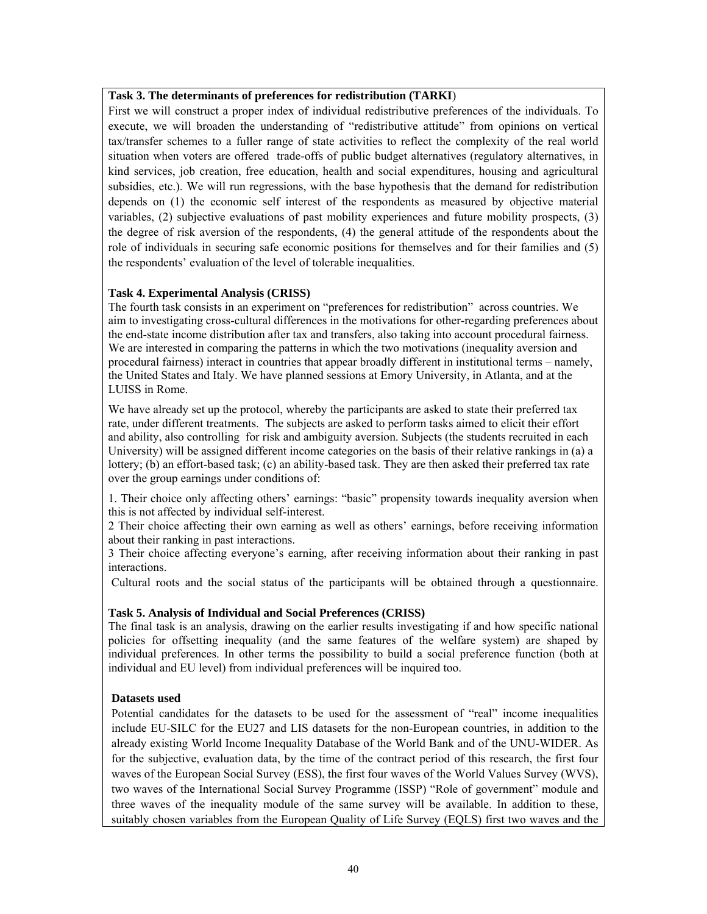## **Task 3. The determinants of preferences for redistribution (TARKI**)

First we will construct a proper index of individual redistributive preferences of the individuals. To execute, we will broaden the understanding of "redistributive attitude" from opinions on vertical tax/transfer schemes to a fuller range of state activities to reflect the complexity of the real world situation when voters are offered trade-offs of public budget alternatives (regulatory alternatives, in kind services, job creation, free education, health and social expenditures, housing and agricultural subsidies, etc.). We will run regressions, with the base hypothesis that the demand for redistribution depends on (1) the economic self interest of the respondents as measured by objective material variables, (2) subjective evaluations of past mobility experiences and future mobility prospects, (3) the degree of risk aversion of the respondents, (4) the general attitude of the respondents about the role of individuals in securing safe economic positions for themselves and for their families and (5) the respondents' evaluation of the level of tolerable inequalities.

## **Task 4. Experimental Analysis (CRISS)**

The fourth task consists in an experiment on "preferences for redistribution" across countries. We aim to investigating cross-cultural differences in the motivations for other-regarding preferences about the end-state income distribution after tax and transfers, also taking into account procedural fairness. We are interested in comparing the patterns in which the two motivations (inequality aversion and procedural fairness) interact in countries that appear broadly different in institutional terms – namely, the United States and Italy. We have planned sessions at Emory University, in Atlanta, and at the LUISS in Rome.

We have already set up the protocol, whereby the participants are asked to state their preferred tax rate, under different treatments. The subjects are asked to perform tasks aimed to elicit their effort and ability, also controlling for risk and ambiguity aversion. Subjects (the students recruited in each University) will be assigned different income categories on the basis of their relative rankings in (a) a lottery; (b) an effort-based task; (c) an ability-based task. They are then asked their preferred tax rate over the group earnings under conditions of:

1. Their choice only affecting others' earnings: "basic" propensity towards inequality aversion when this is not affected by individual self-interest.

2 Their choice affecting their own earning as well as others' earnings, before receiving information about their ranking in past interactions.

3 Their choice affecting everyone's earning, after receiving information about their ranking in past interactions.

Cultural roots and the social status of the participants will be obtained through a questionnaire.

#### **Task 5. Analysis of Individual and Social Preferences (CRISS)**

The final task is an analysis, drawing on the earlier results investigating if and how specific national policies for offsetting inequality (and the same features of the welfare system) are shaped by individual preferences. In other terms the possibility to build a social preference function (both at individual and EU level) from individual preferences will be inquired too.

#### **Datasets used**

Potential candidates for the datasets to be used for the assessment of "real" income inequalities include EU-SILC for the EU27 and LIS datasets for the non-European countries, in addition to the already existing World Income Inequality Database of the World Bank and of the UNU-WIDER. As for the subjective, evaluation data, by the time of the contract period of this research, the first four waves of the European Social Survey (ESS), the first four waves of the World Values Survey (WVS), two waves of the International Social Survey Programme (ISSP) "Role of government" module and three waves of the inequality module of the same survey will be available. In addition to these, suitably chosen variables from the European Quality of Life Survey (EQLS) first two waves and the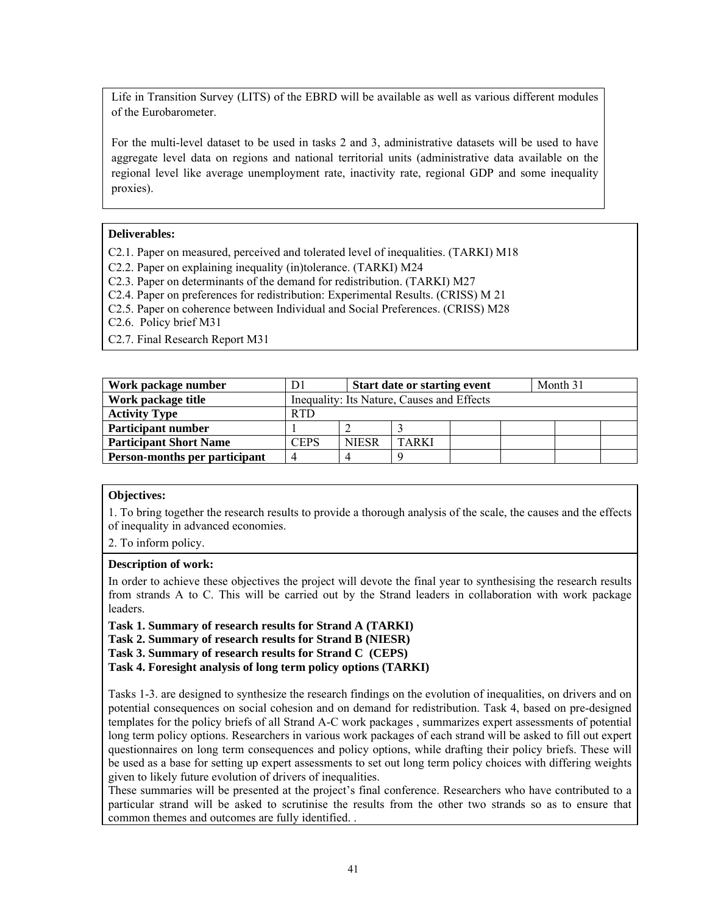Life in Transition Survey (LITS) of the EBRD will be available as well as various different modules of the Eurobarometer.

For the multi-level dataset to be used in tasks 2 and 3, administrative datasets will be used to have aggregate level data on regions and national territorial units (administrative data available on the regional level like average unemployment rate, inactivity rate, regional GDP and some inequality proxies).

#### **Deliverables:**

C2.1. Paper on measured, perceived and tolerated level of inequalities. (TARKI) M18

C2.2. Paper on explaining inequality (in)tolerance. (TARKI) M24

C2.3. Paper on determinants of the demand for redistribution. (TARKI) M27

C2.4. Paper on preferences for redistribution: Experimental Results. (CRISS) M 21

C2.5. Paper on coherence between Individual and Social Preferences. (CRISS) M28

C2.6. Policy brief M31

C2.7. Final Research Report M31

| Work package number           |            |                                            | <b>Start date or starting event</b> |  |  | Month 31 |  |
|-------------------------------|------------|--------------------------------------------|-------------------------------------|--|--|----------|--|
| Work package title            |            | Inequality: Its Nature, Causes and Effects |                                     |  |  |          |  |
| <b>Activity Type</b>          | <b>RTD</b> |                                            |                                     |  |  |          |  |
| <b>Participant number</b>     |            |                                            |                                     |  |  |          |  |
| <b>Participant Short Name</b> | CEPS       | <b>NIESR</b>                               | <b>TARKI</b>                        |  |  |          |  |
| Person-months per participant |            |                                            |                                     |  |  |          |  |

#### **Objectives:**

1. To bring together the research results to provide a thorough analysis of the scale, the causes and the effects of inequality in advanced economies.

2. To inform policy.

#### **Description of work:**

In order to achieve these objectives the project will devote the final year to synthesising the research results from strands A to C. This will be carried out by the Strand leaders in collaboration with work package leaders.

**Task 1. Summary of research results for Strand A (TARKI)** 

**Task 2. Summary of research results for Strand B (NIESR)** 

**Task 3. Summary of research results for Strand C (CEPS)** 

**Task 4. Foresight analysis of long term policy options (TARKI)** 

Tasks 1-3. are designed to synthesize the research findings on the evolution of inequalities, on drivers and on potential consequences on social cohesion and on demand for redistribution. Task 4, based on pre-designed templates for the policy briefs of all Strand A-C work packages , summarizes expert assessments of potential long term policy options. Researchers in various work packages of each strand will be asked to fill out expert questionnaires on long term consequences and policy options, while drafting their policy briefs. These will be used as a base for setting up expert assessments to set out long term policy choices with differing weights given to likely future evolution of drivers of inequalities.

These summaries will be presented at the project's final conference. Researchers who have contributed to a particular strand will be asked to scrutinise the results from the other two strands so as to ensure that common themes and outcomes are fully identified. .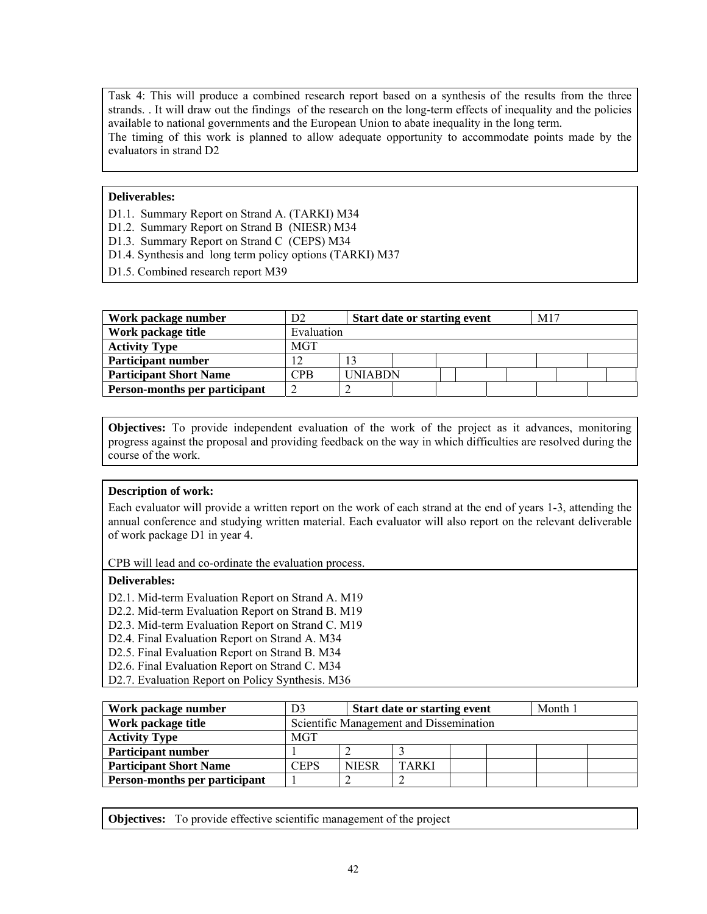Task 4: This will produce a combined research report based on a synthesis of the results from the three strands. . It will draw out the findings of the research on the long-term effects of inequality and the policies available to national governments and the European Union to abate inequality in the long term. The timing of this work is planned to allow adequate opportunity to accommodate points made by the evaluators in strand D2

## **Deliverables:**

- D1.1. Summary Report on Strand A. (TARKI) M34
- D1.2. Summary Report on Strand B (NIESR) M34
- D1.3. Summary Report on Strand C (CEPS) M34
- D1.4. Synthesis and long term policy options (TARKI) M37
- D1.5. Combined research report M39

| Work package number           | D <sub>2</sub> | <b>Start date or starting event</b> |  |  | M17 |  |  |
|-------------------------------|----------------|-------------------------------------|--|--|-----|--|--|
| Work package title            | Evaluation     |                                     |  |  |     |  |  |
| <b>Activity Type</b>          | <b>MGT</b>     |                                     |  |  |     |  |  |
| <b>Participant number</b>     |                |                                     |  |  |     |  |  |
| <b>Participant Short Name</b> | $\mathrm{CPB}$ | <b>INIABDN</b>                      |  |  |     |  |  |
| Person-months per participant | ∠              |                                     |  |  |     |  |  |

**Objectives:** To provide independent evaluation of the work of the project as it advances, monitoring progress against the proposal and providing feedback on the way in which difficulties are resolved during the course of the work.

# **Description of work:**

Each evaluator will provide a written report on the work of each strand at the end of years 1-3, attending the annual conference and studying written material. Each evaluator will also report on the relevant deliverable of work package D1 in year 4.

CPB will lead and co-ordinate the evaluation process.

## **Deliverables:**

- D2.1. Mid-term Evaluation Report on Strand A. M19
- D2.2. Mid-term Evaluation Report on Strand B. M19
- D2.3. Mid-term Evaluation Report on Strand C. M19
- D2.4. Final Evaluation Report on Strand A. M34
- D2.5. Final Evaluation Report on Strand B. M34
- D2.6. Final Evaluation Report on Strand C. M34
- D2.7. Evaluation Report on Policy Synthesis. M36

| Work package number           | D3         |                                         | <b>Start date or starting event</b> |  |  | Month 1 |  |
|-------------------------------|------------|-----------------------------------------|-------------------------------------|--|--|---------|--|
| Work package title            |            | Scientific Management and Dissemination |                                     |  |  |         |  |
| <b>Activity Type</b>          | <b>MGT</b> |                                         |                                     |  |  |         |  |
| <b>Participant number</b>     |            |                                         |                                     |  |  |         |  |
| <b>Participant Short Name</b> | CEPS       | <b>NIESR</b>                            | <b>TARKI</b>                        |  |  |         |  |
| Person-months per participant |            |                                         |                                     |  |  |         |  |

**Objectives:** To provide effective scientific management of the project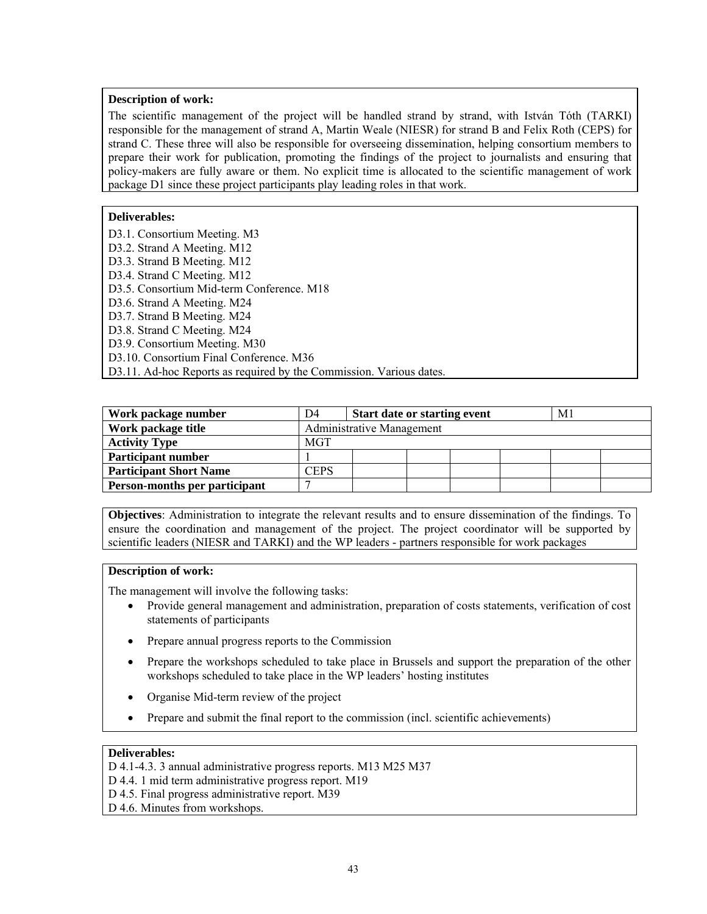#### **Description of work:**

The scientific management of the project will be handled strand by strand, with István Tóth (TARKI) responsible for the management of strand A, Martin Weale (NIESR) for strand B and Felix Roth (CEPS) for strand C. These three will also be responsible for overseeing dissemination, helping consortium members to prepare their work for publication, promoting the findings of the project to journalists and ensuring that policy-makers are fully aware or them. No explicit time is allocated to the scientific management of work package D1 since these project participants play leading roles in that work.

## **Deliverables:**

D3.1. Consortium Meeting. M3 D3.2. Strand A Meeting. M12 D3.3. Strand B Meeting. M12 D3.4. Strand C Meeting. M12 D3.5. Consortium Mid-term Conference. M18 D3.6. Strand A Meeting. M24 D3.7. Strand B Meeting. M24 D3.8. Strand C Meeting. M24 D3.9. Consortium Meeting. M30 D3.10. Consortium Final Conference. M36 D3.11. Ad-hoc Reports as required by the Commission. Various dates.

| Work package number           | D4                     | <b>Start date or starting event</b> |  | M1 |  |  |  |
|-------------------------------|------------------------|-------------------------------------|--|----|--|--|--|
| Work package title            |                        | <b>Administrative Management</b>    |  |    |  |  |  |
| <b>Activity Type</b>          | MGT                    |                                     |  |    |  |  |  |
| Participant number            |                        |                                     |  |    |  |  |  |
| <b>Participant Short Name</b> | $\mathbb{C}\text{EPS}$ |                                     |  |    |  |  |  |
| Person-months per participant |                        |                                     |  |    |  |  |  |

**Objectives**: Administration to integrate the relevant results and to ensure dissemination of the findings. To ensure the coordination and management of the project. The project coordinator will be supported by scientific leaders (NIESR and TARKI) and the WP leaders - partners responsible for work packages

# **Description of work:**

The management will involve the following tasks:

- Provide general management and administration, preparation of costs statements, verification of cost statements of participants
- Prepare annual progress reports to the Commission
- Prepare the workshops scheduled to take place in Brussels and support the preparation of the other workshops scheduled to take place in the WP leaders' hosting institutes
- Organise Mid-term review of the project
- Prepare and submit the final report to the commission (incl. scientific achievements)

#### **Deliverables:**

D 4.1-4.3. 3 annual administrative progress reports. M13 M25 M37

- D 4.4. 1 mid term administrative progress report. M19
- D 4.5. Final progress administrative report. M39
- D 4.6. Minutes from workshops.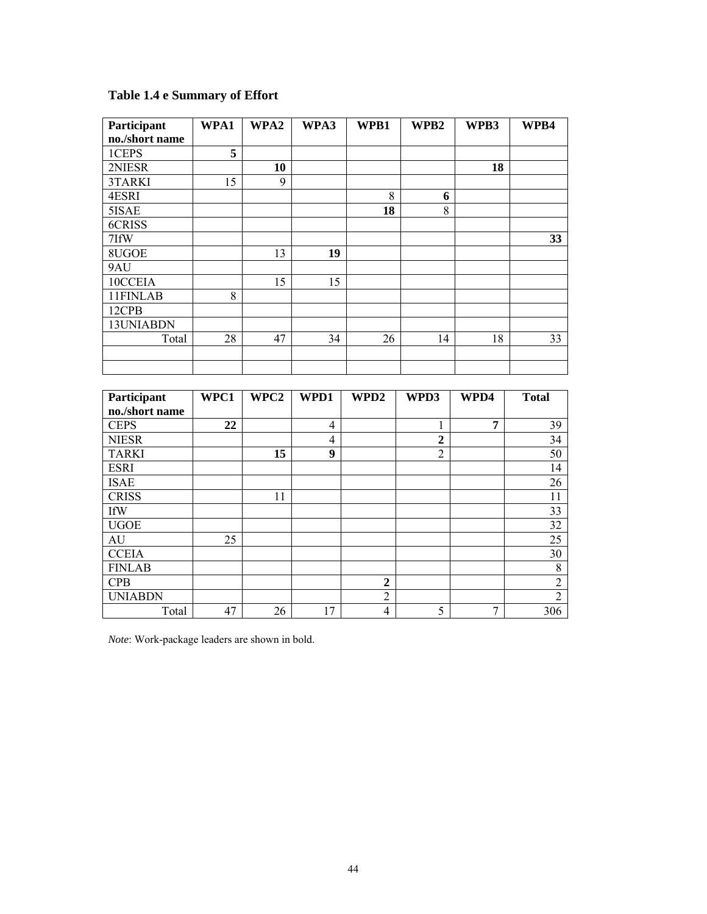# **Table 1.4 e Summary of Effort**

| Participant    | WPA1            | WPA2 | WPA3           | WPB1                             | WPB2           | WPB3           | WPB4                  |
|----------------|-----------------|------|----------------|----------------------------------|----------------|----------------|-----------------------|
| no./short name |                 |      |                |                                  |                |                |                       |
| 1CEPS          | $\overline{5}$  |      |                |                                  |                |                |                       |
| 2NIESR         |                 | 10   |                |                                  |                | 18             |                       |
| 3TARKI         | 15              | 9    |                |                                  |                |                |                       |
| 4ESRI          |                 |      |                | 8                                | 6              |                |                       |
| 5ISAE          |                 |      |                | 18                               | 8              |                |                       |
| 6CRISS         |                 |      |                |                                  |                |                |                       |
| 7IfW           |                 |      |                |                                  |                |                | 33                    |
| 8UGOE          |                 | 13   | 19             |                                  |                |                |                       |
| 9AU            |                 |      |                |                                  |                |                |                       |
| 10CCEIA        |                 | 15   | 15             |                                  |                |                |                       |
| 11FINLAB       | 8               |      |                |                                  |                |                |                       |
| 12CPB          |                 |      |                |                                  |                |                |                       |
| 13UNIABDN      |                 |      |                |                                  |                |                |                       |
| Total          | 28              | 47   | 34             | 26                               | 14             | 18             | 33                    |
|                |                 |      |                |                                  |                |                |                       |
|                |                 |      |                |                                  |                |                |                       |
|                |                 |      |                |                                  |                |                |                       |
| Participant    | WPC1            | WPC2 | WPD1           | WPD2                             | WPD3           | WPD4           | <b>Total</b>          |
| no./short name |                 |      |                |                                  |                |                |                       |
| <b>CEPS</b>    | $\overline{22}$ |      | $\overline{4}$ |                                  | 1              | $\overline{7}$ | 39                    |
| <b>NIESR</b>   |                 |      | $\overline{4}$ |                                  | $\overline{2}$ |                | 34                    |
| <b>TARKI</b>   |                 | 15   | $\overline{9}$ |                                  | $\overline{2}$ |                | 50                    |
| <b>ESRI</b>    |                 |      |                |                                  |                |                | 14                    |
| <b>ISAE</b>    |                 |      |                |                                  |                |                | $\overline{26}$       |
| <b>CRISS</b>   |                 | 11   |                |                                  |                |                | $\overline{11}$       |
| <b>IfW</b>     |                 |      |                |                                  |                |                |                       |
|                |                 |      |                |                                  |                |                | $\overline{33}$       |
| <b>UGOE</b>    |                 |      |                |                                  |                |                | $\overline{32}$       |
| <b>AU</b>      | 25              |      |                |                                  |                |                | 25                    |
| <b>CCEIA</b>   |                 |      |                |                                  |                |                | $\overline{30}$       |
| <b>FINLAB</b>  |                 |      |                |                                  |                |                | $\overline{\bf 8}$    |
| <b>CPB</b>     |                 |      |                | $\boldsymbol{2}$                 |                |                | $\overline{2}$        |
| <b>UNIABDN</b> |                 |      |                | $\overline{2}$<br>$\overline{4}$ |                | $\overline{7}$ | $\overline{2}$<br>306 |

*Note*: Work-package leaders are shown in bold.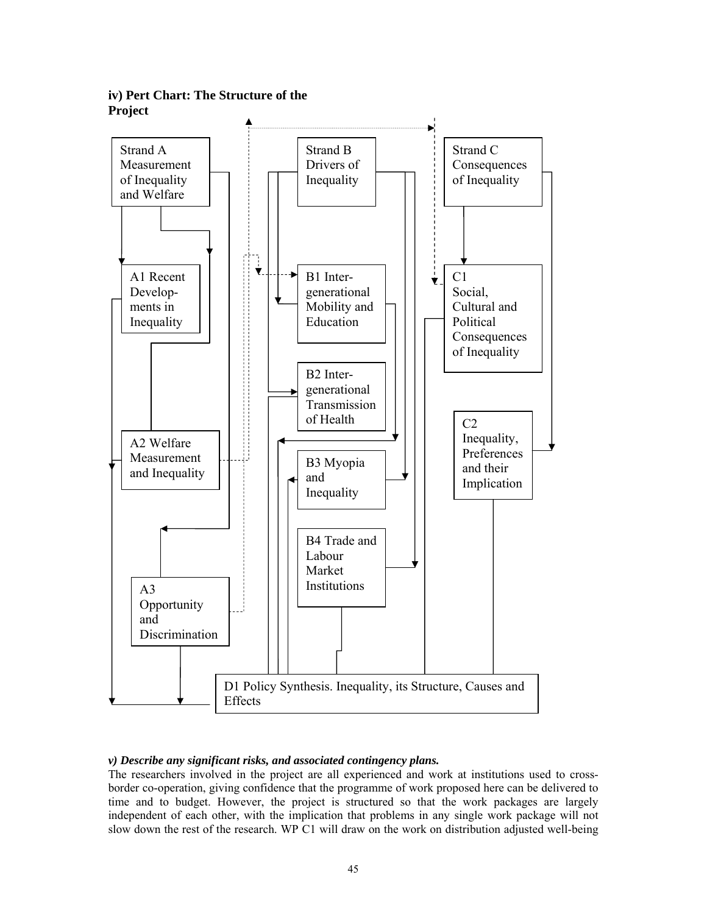

**iv) Pert Chart: The Structure of the Project**

# *v) Describe any significant risks, and associated contingency plans.*

The researchers involved in the project are all experienced and work at institutions used to crossborder co-operation, giving confidence that the programme of work proposed here can be delivered to time and to budget. However, the project is structured so that the work packages are largely independent of each other, with the implication that problems in any single work package will not slow down the rest of the research. WP C1 will draw on the work on distribution adjusted well-being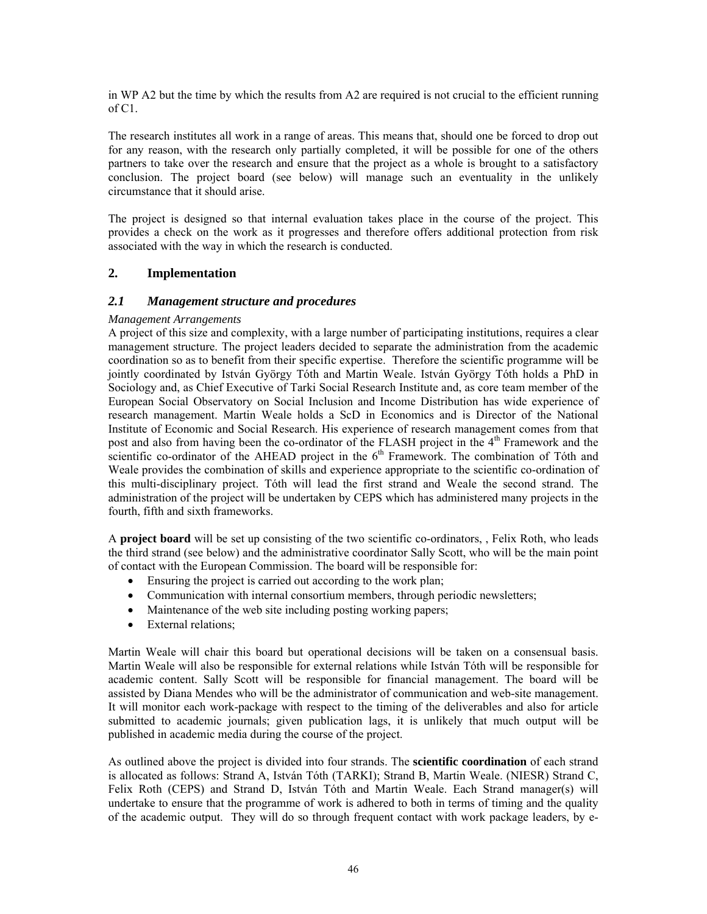in WP A2 but the time by which the results from A2 are required is not crucial to the efficient running of C1.

The research institutes all work in a range of areas. This means that, should one be forced to drop out for any reason, with the research only partially completed, it will be possible for one of the others partners to take over the research and ensure that the project as a whole is brought to a satisfactory conclusion. The project board (see below) will manage such an eventuality in the unlikely circumstance that it should arise.

The project is designed so that internal evaluation takes place in the course of the project. This provides a check on the work as it progresses and therefore offers additional protection from risk associated with the way in which the research is conducted.

## **2. Implementation**

#### *2.1 Management structure and procedures*

#### *Management Arrangements*

A project of this size and complexity, with a large number of participating institutions, requires a clear management structure. The project leaders decided to separate the administration from the academic coordination so as to benefit from their specific expertise. Therefore the scientific programme will be jointly coordinated by István György Tóth and Martin Weale. István György Tóth holds a PhD in Sociology and, as Chief Executive of Tarki Social Research Institute and, as core team member of the European Social Observatory on Social Inclusion and Income Distribution has wide experience of research management. Martin Weale holds a ScD in Economics and is Director of the National Institute of Economic and Social Research. His experience of research management comes from that post and also from having been the co-ordinator of the FLASH project in the 4<sup>th</sup> Framework and the scientific co-ordinator of the AHEAD project in the  $6<sup>th</sup>$  Framework. The combination of Tóth and Weale provides the combination of skills and experience appropriate to the scientific co-ordination of this multi-disciplinary project. Tóth will lead the first strand and Weale the second strand. The administration of the project will be undertaken by CEPS which has administered many projects in the fourth, fifth and sixth frameworks.

A **project board** will be set up consisting of the two scientific co-ordinators, , Felix Roth, who leads the third strand (see below) and the administrative coordinator Sally Scott, who will be the main point of contact with the European Commission. The board will be responsible for:

- Ensuring the project is carried out according to the work plan;
- Communication with internal consortium members, through periodic newsletters;
- Maintenance of the web site including posting working papers;
- External relations:

Martin Weale will chair this board but operational decisions will be taken on a consensual basis. Martin Weale will also be responsible for external relations while István Tóth will be responsible for academic content. Sally Scott will be responsible for financial management. The board will be assisted by Diana Mendes who will be the administrator of communication and web-site management. It will monitor each work-package with respect to the timing of the deliverables and also for article submitted to academic journals; given publication lags, it is unlikely that much output will be published in academic media during the course of the project.

As outlined above the project is divided into four strands. The **scientific coordination** of each strand is allocated as follows: Strand A, István Tóth (TARKI); Strand B, Martin Weale. (NIESR) Strand C, Felix Roth (CEPS) and Strand D, István Tóth and Martin Weale. Each Strand manager(s) will undertake to ensure that the programme of work is adhered to both in terms of timing and the quality of the academic output. They will do so through frequent contact with work package leaders, by e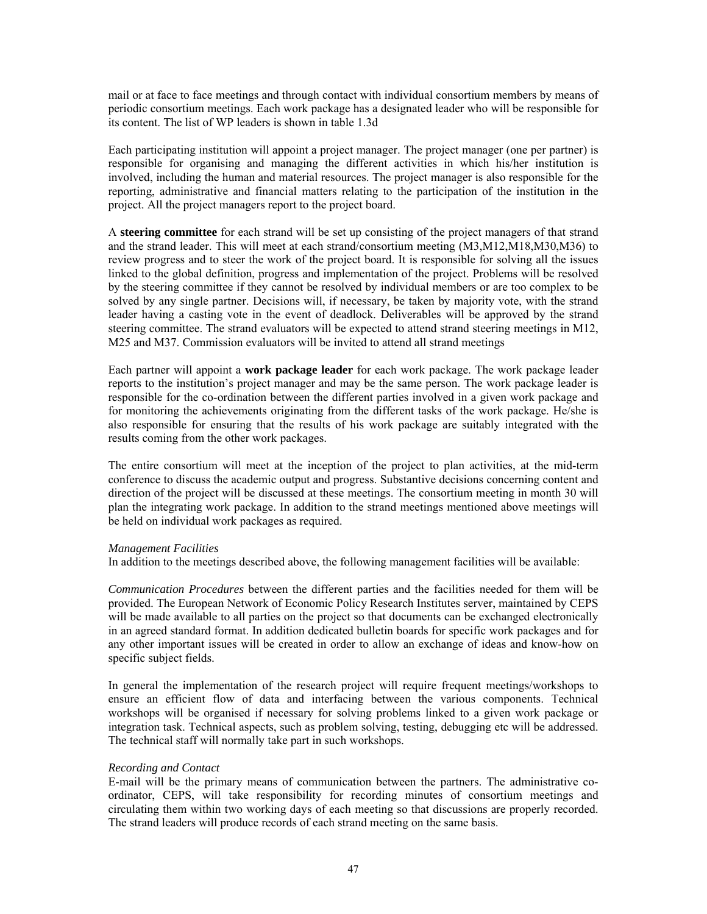mail or at face to face meetings and through contact with individual consortium members by means of periodic consortium meetings. Each work package has a designated leader who will be responsible for its content. The list of WP leaders is shown in table 1.3d

Each participating institution will appoint a project manager. The project manager (one per partner) is responsible for organising and managing the different activities in which his/her institution is involved, including the human and material resources. The project manager is also responsible for the reporting, administrative and financial matters relating to the participation of the institution in the project. All the project managers report to the project board.

A **steering committee** for each strand will be set up consisting of the project managers of that strand and the strand leader. This will meet at each strand/consortium meeting (M3,M12,M18,M30,M36) to review progress and to steer the work of the project board. It is responsible for solving all the issues linked to the global definition, progress and implementation of the project. Problems will be resolved by the steering committee if they cannot be resolved by individual members or are too complex to be solved by any single partner. Decisions will, if necessary, be taken by majority vote, with the strand leader having a casting vote in the event of deadlock. Deliverables will be approved by the strand steering committee. The strand evaluators will be expected to attend strand steering meetings in M12, M25 and M37. Commission evaluators will be invited to attend all strand meetings

Each partner will appoint a **work package leader** for each work package. The work package leader reports to the institution's project manager and may be the same person. The work package leader is responsible for the co-ordination between the different parties involved in a given work package and for monitoring the achievements originating from the different tasks of the work package. He/she is also responsible for ensuring that the results of his work package are suitably integrated with the results coming from the other work packages.

The entire consortium will meet at the inception of the project to plan activities, at the mid-term conference to discuss the academic output and progress. Substantive decisions concerning content and direction of the project will be discussed at these meetings. The consortium meeting in month 30 will plan the integrating work package. In addition to the strand meetings mentioned above meetings will be held on individual work packages as required.

#### *Management Facilities*

In addition to the meetings described above, the following management facilities will be available:

*Communication Procedures* between the different parties and the facilities needed for them will be provided. The European Network of Economic Policy Research Institutes server, maintained by CEPS will be made available to all parties on the project so that documents can be exchanged electronically in an agreed standard format. In addition dedicated bulletin boards for specific work packages and for any other important issues will be created in order to allow an exchange of ideas and know-how on specific subject fields.

In general the implementation of the research project will require frequent meetings/workshops to ensure an efficient flow of data and interfacing between the various components. Technical workshops will be organised if necessary for solving problems linked to a given work package or integration task. Technical aspects, such as problem solving, testing, debugging etc will be addressed. The technical staff will normally take part in such workshops.

#### *Recording and Contact*

E-mail will be the primary means of communication between the partners. The administrative coordinator, CEPS, will take responsibility for recording minutes of consortium meetings and circulating them within two working days of each meeting so that discussions are properly recorded. The strand leaders will produce records of each strand meeting on the same basis.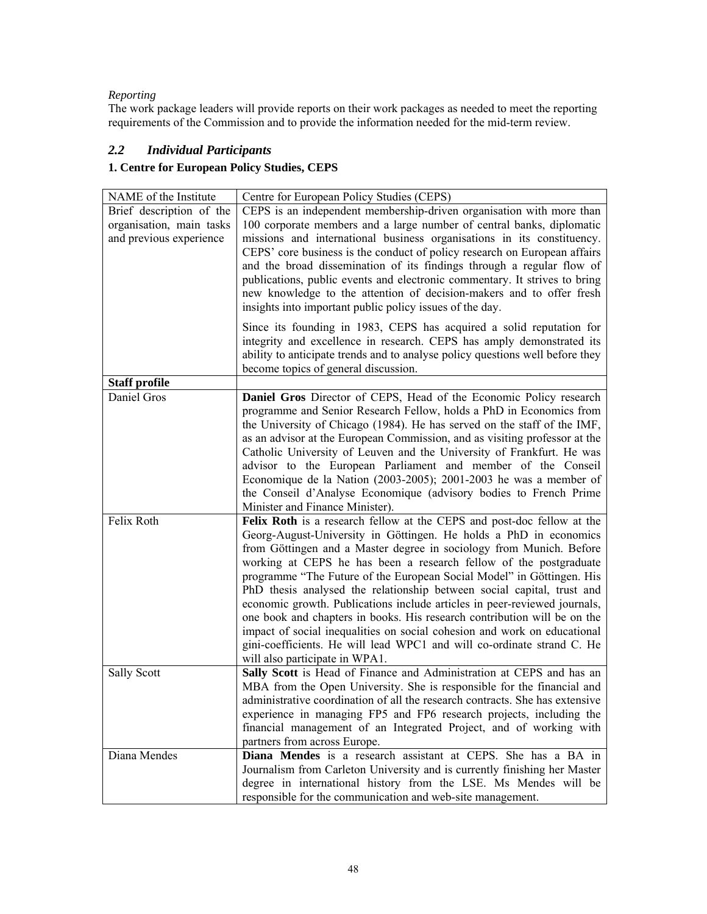# *Reporting*

The work package leaders will provide reports on their work packages as needed to meet the reporting requirements of the Commission and to provide the information needed for the mid-term review.

# *2.2 Individual Participants*

# **1. Centre for European Policy Studies, CEPS**

| NAME of the Institute    | Centre for European Policy Studies (CEPS)                                                                                                                                                                                                                                                                                                                                                                                                                                                                                                                                                                                                                                                                         |
|--------------------------|-------------------------------------------------------------------------------------------------------------------------------------------------------------------------------------------------------------------------------------------------------------------------------------------------------------------------------------------------------------------------------------------------------------------------------------------------------------------------------------------------------------------------------------------------------------------------------------------------------------------------------------------------------------------------------------------------------------------|
| Brief description of the | CEPS is an independent membership-driven organisation with more than                                                                                                                                                                                                                                                                                                                                                                                                                                                                                                                                                                                                                                              |
| organisation, main tasks | 100 corporate members and a large number of central banks, diplomatic                                                                                                                                                                                                                                                                                                                                                                                                                                                                                                                                                                                                                                             |
| and previous experience  | missions and international business organisations in its constituency.<br>CEPS' core business is the conduct of policy research on European affairs<br>and the broad dissemination of its findings through a regular flow of<br>publications, public events and electronic commentary. It strives to bring<br>new knowledge to the attention of decision-makers and to offer fresh<br>insights into important public policy issues of the day.                                                                                                                                                                                                                                                                    |
|                          | Since its founding in 1983, CEPS has acquired a solid reputation for<br>integrity and excellence in research. CEPS has amply demonstrated its<br>ability to anticipate trends and to analyse policy questions well before they<br>become topics of general discussion.                                                                                                                                                                                                                                                                                                                                                                                                                                            |
| <b>Staff profile</b>     |                                                                                                                                                                                                                                                                                                                                                                                                                                                                                                                                                                                                                                                                                                                   |
| Daniel Gros              | Daniel Gros Director of CEPS, Head of the Economic Policy research<br>programme and Senior Research Fellow, holds a PhD in Economics from<br>the University of Chicago (1984). He has served on the staff of the IMF,<br>as an advisor at the European Commission, and as visiting professor at the<br>Catholic University of Leuven and the University of Frankfurt. He was<br>advisor to the European Parliament and member of the Conseil<br>Economique de la Nation (2003-2005); 2001-2003 he was a member of<br>the Conseil d'Analyse Economique (advisory bodies to French Prime<br>Minister and Finance Minister).                                                                                         |
| Felix Roth               | Felix Roth is a research fellow at the CEPS and post-doc fellow at the                                                                                                                                                                                                                                                                                                                                                                                                                                                                                                                                                                                                                                            |
|                          | Georg-August-University in Göttingen. He holds a PhD in economics<br>from Göttingen and a Master degree in sociology from Munich. Before<br>working at CEPS he has been a research fellow of the postgraduate<br>programme "The Future of the European Social Model" in Göttingen. His<br>PhD thesis analysed the relationship between social capital, trust and<br>economic growth. Publications include articles in peer-reviewed journals,<br>one book and chapters in books. His research contribution will be on the<br>impact of social inequalities on social cohesion and work on educational<br>gini-coefficients. He will lead WPC1 and will co-ordinate strand C. He<br>will also participate in WPA1. |
| Sally Scott              | Sally Scott is Head of Finance and Administration at CEPS and has an                                                                                                                                                                                                                                                                                                                                                                                                                                                                                                                                                                                                                                              |
|                          | MBA from the Open University. She is responsible for the financial and<br>administrative coordination of all the research contracts. She has extensive<br>experience in managing FP5 and FP6 research projects, including the<br>financial management of an Integrated Project, and of working with<br>partners from across Europe.                                                                                                                                                                                                                                                                                                                                                                               |
| Diana Mendes             | Diana Mendes is a research assistant at CEPS. She has a BA in                                                                                                                                                                                                                                                                                                                                                                                                                                                                                                                                                                                                                                                     |
|                          | Journalism from Carleton University and is currently finishing her Master<br>degree in international history from the LSE. Ms Mendes will be<br>responsible for the communication and web-site management.                                                                                                                                                                                                                                                                                                                                                                                                                                                                                                        |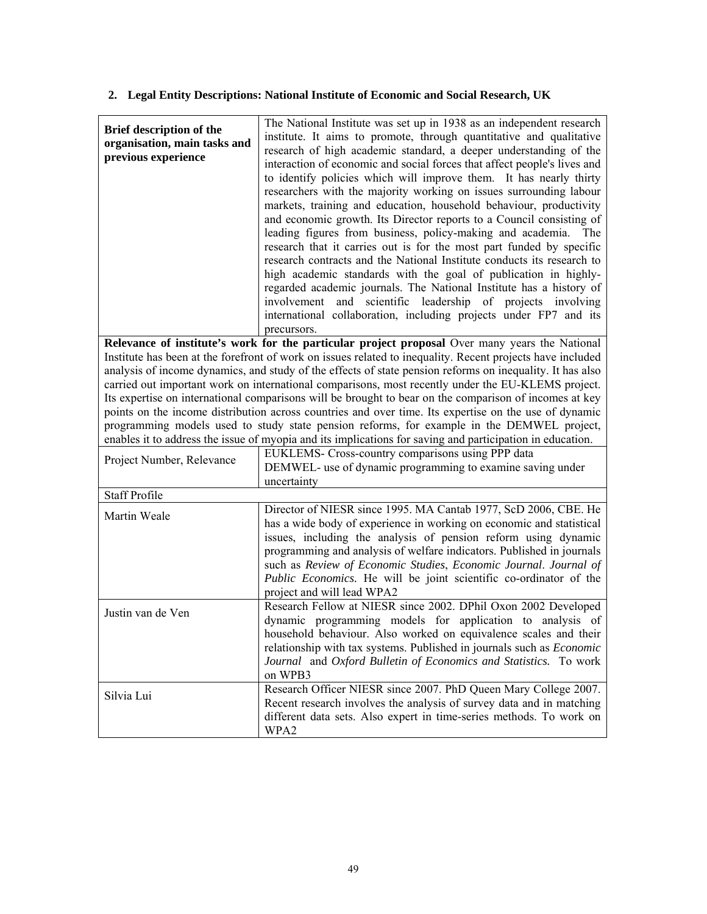# **2. Legal Entity Descriptions: National Institute of Economic and Social Research, UK**

| Brief description of the<br>organisation, main tasks and<br>previous experience | The National Institute was set up in 1938 as an independent research<br>institute. It aims to promote, through quantitative and qualitative<br>research of high academic standard, a deeper understanding of the<br>interaction of economic and social forces that affect people's lives and<br>to identify policies which will improve them. It has nearly thirty<br>researchers with the majority working on issues surrounding labour<br>markets, training and education, household behaviour, productivity<br>and economic growth. Its Director reports to a Council consisting of<br>leading figures from business, policy-making and academia. The<br>research that it carries out is for the most part funded by specific<br>research contracts and the National Institute conducts its research to<br>high academic standards with the goal of publication in highly-<br>regarded academic journals. The National Institute has a history of<br>involvement and scientific leadership of projects involving<br>international collaboration, including projects under FP7 and its<br>precursors. |
|---------------------------------------------------------------------------------|---------------------------------------------------------------------------------------------------------------------------------------------------------------------------------------------------------------------------------------------------------------------------------------------------------------------------------------------------------------------------------------------------------------------------------------------------------------------------------------------------------------------------------------------------------------------------------------------------------------------------------------------------------------------------------------------------------------------------------------------------------------------------------------------------------------------------------------------------------------------------------------------------------------------------------------------------------------------------------------------------------------------------------------------------------------------------------------------------------|
|                                                                                 | Relevance of institute's work for the particular project proposal Over many years the National                                                                                                                                                                                                                                                                                                                                                                                                                                                                                                                                                                                                                                                                                                                                                                                                                                                                                                                                                                                                          |
|                                                                                 | Institute has been at the forefront of work on issues related to inequality. Recent projects have included<br>analysis of income dynamics, and study of the effects of state pension reforms on inequality. It has also<br>carried out important work on international comparisons, most recently under the EU-KLEMS project.<br>Its expertise on international comparisons will be brought to bear on the comparison of incomes at key<br>points on the income distribution across countries and over time. Its expertise on the use of dynamic<br>programming models used to study state pension reforms, for example in the DEMWEL project,<br>enables it to address the issue of myopia and its implications for saving and participation in education.                                                                                                                                                                                                                                                                                                                                             |
| Project Number, Relevance                                                       | EUKLEMS- Cross-country comparisons using PPP data<br>DEMWEL- use of dynamic programming to examine saving under<br>uncertainty                                                                                                                                                                                                                                                                                                                                                                                                                                                                                                                                                                                                                                                                                                                                                                                                                                                                                                                                                                          |
| <b>Staff Profile</b>                                                            |                                                                                                                                                                                                                                                                                                                                                                                                                                                                                                                                                                                                                                                                                                                                                                                                                                                                                                                                                                                                                                                                                                         |
| Martin Weale                                                                    | Director of NIESR since 1995. MA Cantab 1977, ScD 2006, CBE. He<br>has a wide body of experience in working on economic and statistical<br>issues, including the analysis of pension reform using dynamic<br>programming and analysis of welfare indicators. Published in journals<br>such as Review of Economic Studies, Economic Journal. Journal of<br>Public Economics. He will be joint scientific co-ordinator of the<br>project and will lead WPA2                                                                                                                                                                                                                                                                                                                                                                                                                                                                                                                                                                                                                                               |
| Justin van de Ven                                                               | Research Fellow at NIESR since 2002. DPhil Oxon 2002 Developed<br>dynamic programming models for application to analysis of<br>household behaviour. Also worked on equivalence scales and their<br>relationship with tax systems. Published in journals such as <i>Economic</i><br>Journal and Oxford Bulletin of Economics and Statistics. To work<br>on WPB3                                                                                                                                                                                                                                                                                                                                                                                                                                                                                                                                                                                                                                                                                                                                          |
| Silvia Lui                                                                      | Research Officer NIESR since 2007. PhD Queen Mary College 2007.<br>Recent research involves the analysis of survey data and in matching<br>different data sets. Also expert in time-series methods. To work on<br>WPA2                                                                                                                                                                                                                                                                                                                                                                                                                                                                                                                                                                                                                                                                                                                                                                                                                                                                                  |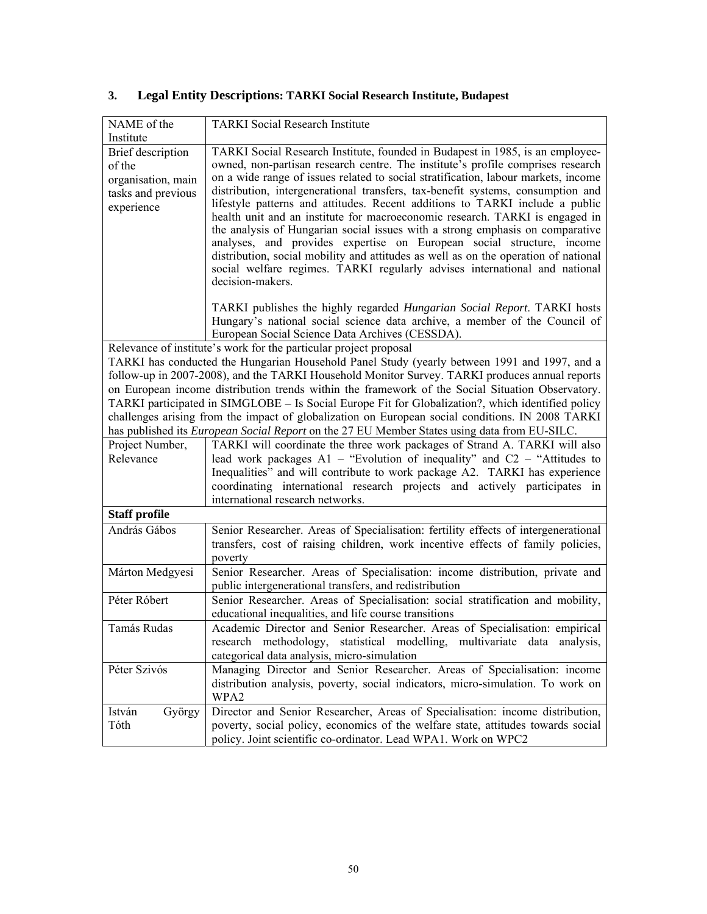| NAME of the<br>Institute                                                              | <b>TARKI</b> Social Research Institute                                                                                                                                                                                                                                                                                                                                                                                                                                                                                                                                                                                                                                                                                                                                                                                                                       |
|---------------------------------------------------------------------------------------|--------------------------------------------------------------------------------------------------------------------------------------------------------------------------------------------------------------------------------------------------------------------------------------------------------------------------------------------------------------------------------------------------------------------------------------------------------------------------------------------------------------------------------------------------------------------------------------------------------------------------------------------------------------------------------------------------------------------------------------------------------------------------------------------------------------------------------------------------------------|
| Brief description<br>of the<br>organisation, main<br>tasks and previous<br>experience | TARKI Social Research Institute, founded in Budapest in 1985, is an employee-<br>owned, non-partisan research centre. The institute's profile comprises research<br>on a wide range of issues related to social stratification, labour markets, income<br>distribution, intergenerational transfers, tax-benefit systems, consumption and<br>lifestyle patterns and attitudes. Recent additions to TARKI include a public<br>health unit and an institute for macroeconomic research. TARKI is engaged in<br>the analysis of Hungarian social issues with a strong emphasis on comparative<br>analyses, and provides expertise on European social structure, income<br>distribution, social mobility and attitudes as well as on the operation of national<br>social welfare regimes. TARKI regularly advises international and national<br>decision-makers. |
|                                                                                       | TARKI publishes the highly regarded Hungarian Social Report. TARKI hosts<br>Hungary's national social science data archive, a member of the Council of<br>European Social Science Data Archives (CESSDA).                                                                                                                                                                                                                                                                                                                                                                                                                                                                                                                                                                                                                                                    |
|                                                                                       | Relevance of institute's work for the particular project proposal<br>TARKI has conducted the Hungarian Household Panel Study (yearly between 1991 and 1997, and a<br>follow-up in 2007-2008), and the TARKI Household Monitor Survey. TARKI produces annual reports<br>on European income distribution trends within the framework of the Social Situation Observatory.<br>TARKI participated in SIMGLOBE – Is Social Europe Fit for Globalization?, which identified policy<br>challenges arising from the impact of globalization on European social conditions. IN 2008 TARKI<br>has published its European Social Report on the 27 EU Member States using data from EU-SILC.                                                                                                                                                                             |
| Project Number,<br>Relevance                                                          | TARKI will coordinate the three work packages of Strand A. TARKI will also<br>lead work packages $A1 -$ "Evolution of inequality" and $C2 -$ "Attitudes to<br>Inequalities" and will contribute to work package A2. TARKI has experience<br>coordinating international research projects and actively participates in<br>international research networks.                                                                                                                                                                                                                                                                                                                                                                                                                                                                                                    |
| <b>Staff profile</b>                                                                  |                                                                                                                                                                                                                                                                                                                                                                                                                                                                                                                                                                                                                                                                                                                                                                                                                                                              |
| András Gábos                                                                          | Senior Researcher. Areas of Specialisation: fertility effects of intergenerational<br>transfers, cost of raising children, work incentive effects of family policies,<br>poverty                                                                                                                                                                                                                                                                                                                                                                                                                                                                                                                                                                                                                                                                             |
| Márton Medgyesi                                                                       | Senior Researcher. Areas of Specialisation: income distribution, private and<br>public intergenerational transfers, and redistribution                                                                                                                                                                                                                                                                                                                                                                                                                                                                                                                                                                                                                                                                                                                       |
| Péter Róbert                                                                          | Senior Researcher. Areas of Specialisation: social stratification and mobility,<br>educational inequalities, and life course transitions                                                                                                                                                                                                                                                                                                                                                                                                                                                                                                                                                                                                                                                                                                                     |
| Tamás Rudas                                                                           | Academic Director and Senior Researcher. Areas of Specialisation: empirical<br>research methodology, statistical modelling, multivariate data analysis,<br>categorical data analysis, micro-simulation                                                                                                                                                                                                                                                                                                                                                                                                                                                                                                                                                                                                                                                       |
| Péter Szivós                                                                          | Managing Director and Senior Researcher. Areas of Specialisation: income<br>distribution analysis, poverty, social indicators, micro-simulation. To work on<br>WPA2                                                                                                                                                                                                                                                                                                                                                                                                                                                                                                                                                                                                                                                                                          |
| István<br>György<br>Tóth                                                              | Director and Senior Researcher, Areas of Specialisation: income distribution,<br>poverty, social policy, economics of the welfare state, attitudes towards social<br>policy. Joint scientific co-ordinator. Lead WPA1. Work on WPC2                                                                                                                                                                                                                                                                                                                                                                                                                                                                                                                                                                                                                          |

# **3. Legal Entity Descriptions: TARKI Social Research Institute, Budapest**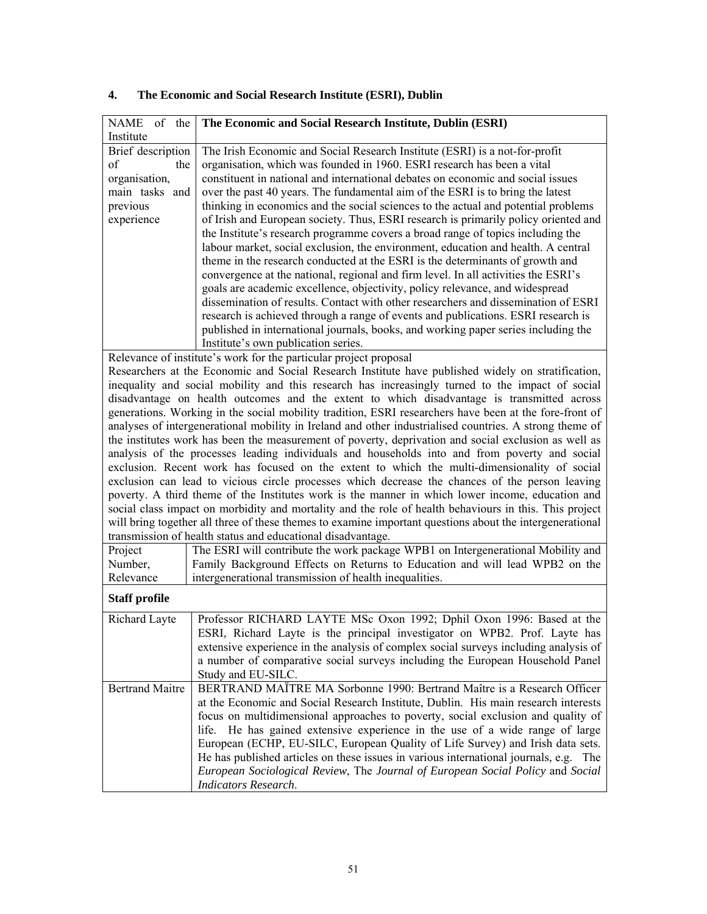| NAME of the<br>Institute | The Economic and Social Research Institute, Dublin (ESRI)                                                                                                               |
|--------------------------|-------------------------------------------------------------------------------------------------------------------------------------------------------------------------|
| <b>Brief</b> description | The Irish Economic and Social Research Institute (ESRI) is a not-for-profit                                                                                             |
| of<br>the                | organisation, which was founded in 1960. ESRI research has been a vital                                                                                                 |
| organisation,            | constituent in national and international debates on economic and social issues                                                                                         |
|                          |                                                                                                                                                                         |
| main tasks and           | over the past 40 years. The fundamental aim of the ESRI is to bring the latest                                                                                          |
| previous                 | thinking in economics and the social sciences to the actual and potential problems                                                                                      |
| experience               | of Irish and European society. Thus, ESRI research is primarily policy oriented and                                                                                     |
|                          | the Institute's research programme covers a broad range of topics including the                                                                                         |
|                          | labour market, social exclusion, the environment, education and health. A central                                                                                       |
|                          | theme in the research conducted at the ESRI is the determinants of growth and                                                                                           |
|                          | convergence at the national, regional and firm level. In all activities the ESRI's                                                                                      |
|                          | goals are academic excellence, objectivity, policy relevance, and widespread                                                                                            |
|                          | dissemination of results. Contact with other researchers and dissemination of ESRI                                                                                      |
|                          | research is achieved through a range of events and publications. ESRI research is                                                                                       |
|                          | published in international journals, books, and working paper series including the                                                                                      |
|                          | Institute's own publication series.                                                                                                                                     |
|                          | Relevance of institute's work for the particular project proposal                                                                                                       |
|                          | Researchers at the Economic and Social Research Institute have published widely on stratification,                                                                      |
|                          | inequality and social mobility and this research has increasingly turned to the impact of social                                                                        |
|                          | disadvantage on health outcomes and the extent to which disadvantage is transmitted across                                                                              |
|                          | generations. Working in the social mobility tradition, ESRI researchers have been at the fore-front of                                                                  |
|                          | analyses of intergenerational mobility in Ireland and other industrialised countries. A strong theme of                                                                 |
|                          | the institutes work has been the measurement of poverty, deprivation and social exclusion as well as                                                                    |
|                          | analysis of the processes leading individuals and households into and from poverty and social                                                                           |
|                          | exclusion. Recent work has focused on the extent to which the multi-dimensionality of social                                                                            |
|                          | exclusion can lead to vicious circle processes which decrease the chances of the person leaving                                                                         |
|                          | poverty. A third theme of the Institutes work is the manner in which lower income, education and                                                                        |
|                          | social class impact on morbidity and mortality and the role of health behaviours in this. This project                                                                  |
|                          | will bring together all three of these themes to examine important questions about the intergenerational<br>transmission of health status and educational disadvantage. |
| Project                  | The ESRI will contribute the work package WPB1 on Intergenerational Mobility and                                                                                        |
| Number,                  | Family Background Effects on Returns to Education and will lead WPB2 on the                                                                                             |
| Relevance                | intergenerational transmission of health inequalities.                                                                                                                  |
|                          |                                                                                                                                                                         |
| <b>Staff profile</b>     |                                                                                                                                                                         |
| Richard Layte            | Professor RICHARD LAYTE MSc Oxon 1992; Dphil Oxon 1996: Based at the                                                                                                    |
|                          | ESRI, Richard Layte is the principal investigator on WPB2. Prof. Layte has                                                                                              |
|                          | extensive experience in the analysis of complex social surveys including analysis of                                                                                    |
|                          | a number of comparative social surveys including the European Household Panel                                                                                           |
|                          | Study and EU-SILC.                                                                                                                                                      |
| <b>Bertrand Maitre</b>   | BERTRAND MAÏTRE MA Sorbonne 1990: Bertrand Maître is a Research Officer                                                                                                 |
|                          | at the Economic and Social Research Institute, Dublin. His main research interests                                                                                      |
|                          | focus on multidimensional approaches to poverty, social exclusion and quality of                                                                                        |
|                          | He has gained extensive experience in the use of a wide range of large<br>life.                                                                                         |
|                          | European (ECHP, EU-SILC, European Quality of Life Survey) and Irish data sets.                                                                                          |
|                          | He has published articles on these issues in various international journals, e.g. The                                                                                   |
|                          | European Sociological Review, The Journal of European Social Policy and Social                                                                                          |
|                          | <b>Indicators Research.</b>                                                                                                                                             |

# **4. The Economic and Social Research Institute (ESRI), Dublin**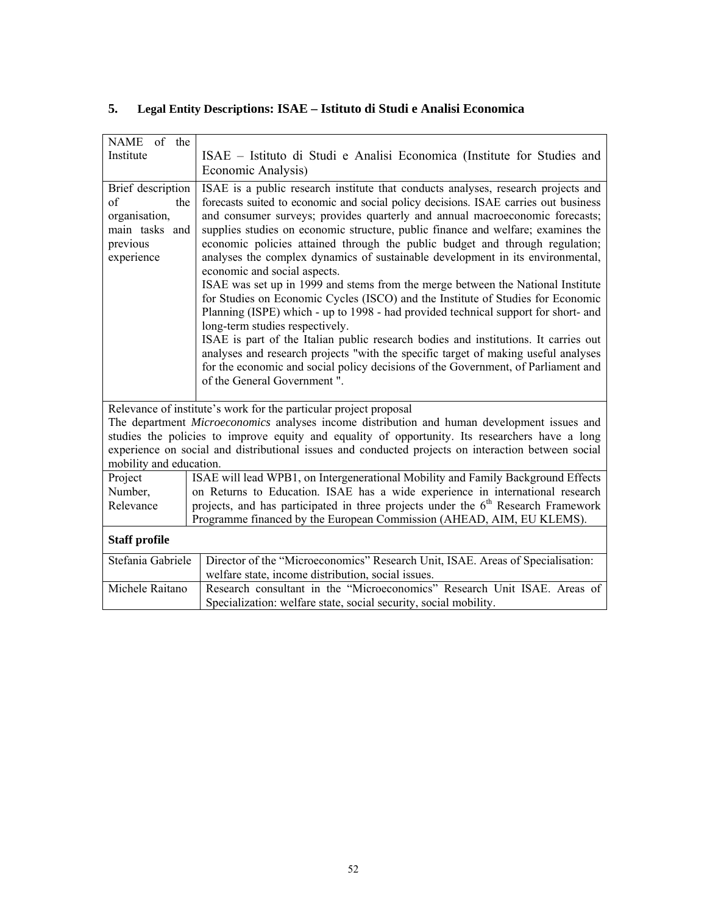| NAME of the<br>Institute                                                                    | ISAE – Istituto di Studi e Analisi Economica (Institute for Studies and<br>Economic Analysis)                                                                                                                                                                                                                                                                                                                                                                                                                                                                                                                                                                                                                                                                                                                                                                                                                                                                                                                                                                                                                                                  |  |
|---------------------------------------------------------------------------------------------|------------------------------------------------------------------------------------------------------------------------------------------------------------------------------------------------------------------------------------------------------------------------------------------------------------------------------------------------------------------------------------------------------------------------------------------------------------------------------------------------------------------------------------------------------------------------------------------------------------------------------------------------------------------------------------------------------------------------------------------------------------------------------------------------------------------------------------------------------------------------------------------------------------------------------------------------------------------------------------------------------------------------------------------------------------------------------------------------------------------------------------------------|--|
| Brief description<br>of<br>the<br>organisation,<br>main tasks and<br>previous<br>experience | ISAE is a public research institute that conducts analyses, research projects and<br>forecasts suited to economic and social policy decisions. ISAE carries out business<br>and consumer surveys; provides quarterly and annual macroeconomic forecasts;<br>supplies studies on economic structure, public finance and welfare; examines the<br>economic policies attained through the public budget and through regulation;<br>analyses the complex dynamics of sustainable development in its environmental,<br>economic and social aspects.<br>ISAE was set up in 1999 and stems from the merge between the National Institute<br>for Studies on Economic Cycles (ISCO) and the Institute of Studies for Economic<br>Planning (ISPE) which - up to 1998 - had provided technical support for short- and<br>long-term studies respectively.<br>ISAE is part of the Italian public research bodies and institutions. It carries out<br>analyses and research projects "with the specific target of making useful analyses<br>for the economic and social policy decisions of the Government, of Parliament and<br>of the General Government". |  |
| mobility and education.                                                                     | Relevance of institute's work for the particular project proposal<br>The department Microeconomics analyses income distribution and human development issues and<br>studies the policies to improve equity and equality of opportunity. Its researchers have a long<br>experience on social and distributional issues and conducted projects on interaction between social                                                                                                                                                                                                                                                                                                                                                                                                                                                                                                                                                                                                                                                                                                                                                                     |  |
| Project                                                                                     | ISAE will lead WPB1, on Intergenerational Mobility and Family Background Effects                                                                                                                                                                                                                                                                                                                                                                                                                                                                                                                                                                                                                                                                                                                                                                                                                                                                                                                                                                                                                                                               |  |
| Number,                                                                                     | on Returns to Education. ISAE has a wide experience in international research                                                                                                                                                                                                                                                                                                                                                                                                                                                                                                                                                                                                                                                                                                                                                                                                                                                                                                                                                                                                                                                                  |  |
| Relevance                                                                                   | projects, and has participated in three projects under the 6 <sup>th</sup> Research Framework<br>Programme financed by the European Commission (AHEAD, AIM, EU KLEMS).                                                                                                                                                                                                                                                                                                                                                                                                                                                                                                                                                                                                                                                                                                                                                                                                                                                                                                                                                                         |  |
| <b>Staff profile</b>                                                                        |                                                                                                                                                                                                                                                                                                                                                                                                                                                                                                                                                                                                                                                                                                                                                                                                                                                                                                                                                                                                                                                                                                                                                |  |
| Stefania Gabriele                                                                           | Director of the "Microeconomics" Research Unit, ISAE. Areas of Specialisation:<br>welfare state, income distribution, social issues.                                                                                                                                                                                                                                                                                                                                                                                                                                                                                                                                                                                                                                                                                                                                                                                                                                                                                                                                                                                                           |  |
| Michele Raitano                                                                             | Research consultant in the "Microeconomics" Research Unit ISAE. Areas of<br>Specialization: welfare state, social security, social mobility.                                                                                                                                                                                                                                                                                                                                                                                                                                                                                                                                                                                                                                                                                                                                                                                                                                                                                                                                                                                                   |  |

# **5. Legal Entity Descriptions: ISAE – Istituto di Studi e Analisi Economica**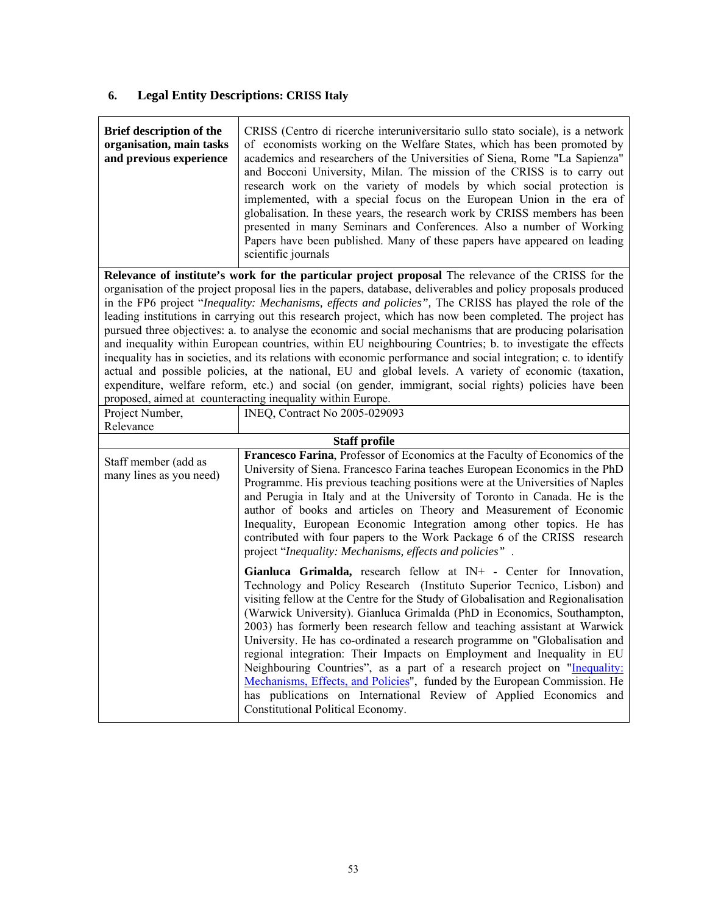# **6. Legal Entity Descriptions: CRISS Italy**

| Brief description of the<br>organisation, main tasks<br>and previous experience | CRISS (Centro di ricerche interuniversitario sullo stato sociale), is a network<br>of economists working on the Welfare States, which has been promoted by<br>academics and researchers of the Universities of Siena, Rome "La Sapienza"<br>and Bocconi University, Milan. The mission of the CRISS is to carry out<br>research work on the variety of models by which social protection is<br>implemented, with a special focus on the European Union in the era of<br>globalisation. In these years, the research work by CRISS members has been<br>presented in many Seminars and Conferences. Also a number of Working<br>Papers have been published. Many of these papers have appeared on leading<br>scientific journals                                                                                                                                                                                                                                                                                                                                               |
|---------------------------------------------------------------------------------|------------------------------------------------------------------------------------------------------------------------------------------------------------------------------------------------------------------------------------------------------------------------------------------------------------------------------------------------------------------------------------------------------------------------------------------------------------------------------------------------------------------------------------------------------------------------------------------------------------------------------------------------------------------------------------------------------------------------------------------------------------------------------------------------------------------------------------------------------------------------------------------------------------------------------------------------------------------------------------------------------------------------------------------------------------------------------|
|                                                                                 | Relevance of institute's work for the particular project proposal The relevance of the CRISS for the<br>organisation of the project proposal lies in the papers, database, deliverables and policy proposals produced<br>in the FP6 project "Inequality: Mechanisms, effects and policies", The CRISS has played the role of the<br>leading institutions in carrying out this research project, which has now been completed. The project has<br>pursued three objectives: a. to analyse the economic and social mechanisms that are producing polarisation<br>and inequality within European countries, within EU neighbouring Countries; b. to investigate the effects<br>inequality has in societies, and its relations with economic performance and social integration; c. to identify<br>actual and possible policies, at the national, EU and global levels. A variety of economic (taxation,<br>expenditure, welfare reform, etc.) and social (on gender, immigrant, social rights) policies have been<br>proposed, aimed at counteracting inequality within Europe. |
| Project Number,<br>Relevance                                                    | INEQ, Contract No 2005-029093                                                                                                                                                                                                                                                                                                                                                                                                                                                                                                                                                                                                                                                                                                                                                                                                                                                                                                                                                                                                                                                |
|                                                                                 | <b>Staff profile</b>                                                                                                                                                                                                                                                                                                                                                                                                                                                                                                                                                                                                                                                                                                                                                                                                                                                                                                                                                                                                                                                         |
| Staff member (add as<br>many lines as you need)                                 | Francesco Farina, Professor of Economics at the Faculty of Economics of the<br>University of Siena. Francesco Farina teaches European Economics in the PhD<br>Programme. His previous teaching positions were at the Universities of Naples<br>and Perugia in Italy and at the University of Toronto in Canada. He is the<br>author of books and articles on Theory and Measurement of Economic<br>Inequality, European Economic Integration among other topics. He has<br>contributed with four papers to the Work Package 6 of the CRISS research<br>project "Inequality: Mechanisms, effects and policies".                                                                                                                                                                                                                                                                                                                                                                                                                                                               |
|                                                                                 | Gianluca Grimalda, research fellow at IN+ - Center for Innovation,<br>Technology and Policy Research (Instituto Superior Tecnico, Lisbon) and<br>visiting fellow at the Centre for the Study of Globalisation and Regionalisation<br>(Warwick University). Gianluca Grimalda (PhD in Economics, Southampton,<br>2003) has formerly been research fellow and teaching assistant at Warwick<br>University. He has co-ordinated a research programme on "Globalisation and<br>regional integration: Their Impacts on Employment and Inequality in EU<br>Neighbouring Countries", as a part of a research project on "Inequality:<br>Mechanisms, Effects, and Policies", funded by the European Commission. He<br>has publications on International Review of Applied Economics and<br>Constitutional Political Economy.                                                                                                                                                                                                                                                         |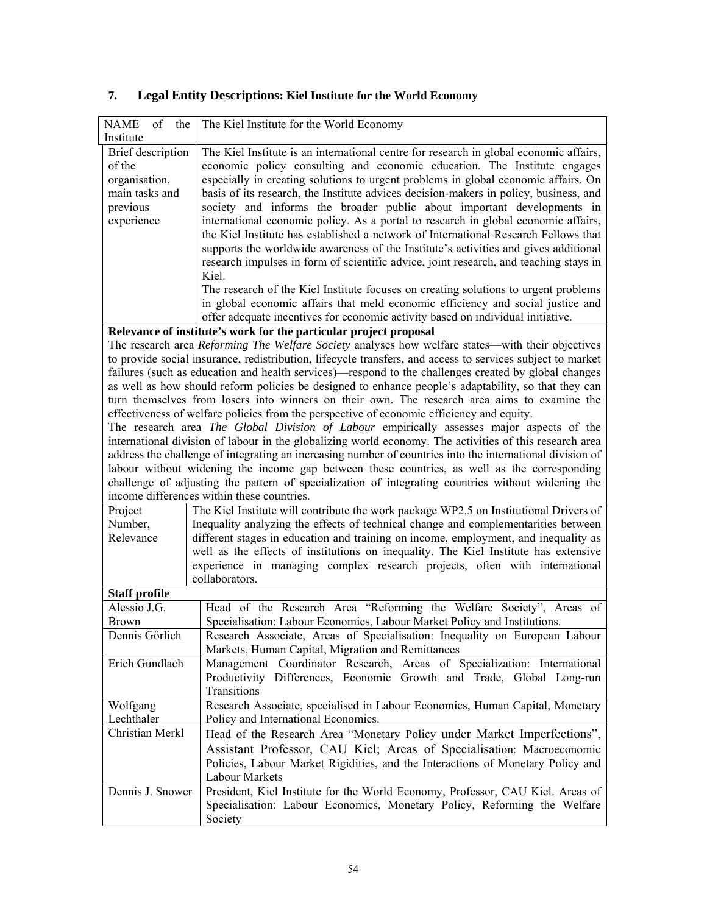| of<br><b>NAME</b><br>the                                                                                                                                                                                                                                                                                                                                                                                                                               | The Kiel Institute for the World Economy                                                                                                                                                                                                                                                                                                                                                                                                                                                                                                                                                                                                                                                                                                                                                                                                                                                                  |  |
|--------------------------------------------------------------------------------------------------------------------------------------------------------------------------------------------------------------------------------------------------------------------------------------------------------------------------------------------------------------------------------------------------------------------------------------------------------|-----------------------------------------------------------------------------------------------------------------------------------------------------------------------------------------------------------------------------------------------------------------------------------------------------------------------------------------------------------------------------------------------------------------------------------------------------------------------------------------------------------------------------------------------------------------------------------------------------------------------------------------------------------------------------------------------------------------------------------------------------------------------------------------------------------------------------------------------------------------------------------------------------------|--|
| Institute                                                                                                                                                                                                                                                                                                                                                                                                                                              |                                                                                                                                                                                                                                                                                                                                                                                                                                                                                                                                                                                                                                                                                                                                                                                                                                                                                                           |  |
| Brief description<br>of the<br>organisation,<br>main tasks and<br>previous<br>experience                                                                                                                                                                                                                                                                                                                                                               | The Kiel Institute is an international centre for research in global economic affairs,<br>economic policy consulting and economic education. The Institute engages<br>especially in creating solutions to urgent problems in global economic affairs. On<br>basis of its research, the Institute advices decision-makers in policy, business, and<br>society and informs the broader public about important developments in<br>international economic policy. As a portal to research in global economic affairs,                                                                                                                                                                                                                                                                                                                                                                                         |  |
| the Kiel Institute has established a network of International Research Fellows that<br>supports the worldwide awareness of the Institute's activities and gives additional<br>research impulses in form of scientific advice, joint research, and teaching stays in<br>Kiel.<br>The research of the Kiel Institute focuses on creating solutions to urgent problems<br>in global economic affairs that meld economic efficiency and social justice and |                                                                                                                                                                                                                                                                                                                                                                                                                                                                                                                                                                                                                                                                                                                                                                                                                                                                                                           |  |
|                                                                                                                                                                                                                                                                                                                                                                                                                                                        | offer adequate incentives for economic activity based on individual initiative.                                                                                                                                                                                                                                                                                                                                                                                                                                                                                                                                                                                                                                                                                                                                                                                                                           |  |
|                                                                                                                                                                                                                                                                                                                                                                                                                                                        | Relevance of institute's work for the particular project proposal<br>The research area Reforming The Welfare Society analyses how welfare states—with their objectives<br>to provide social insurance, redistribution, lifecycle transfers, and access to services subject to market<br>failures (such as education and health services)—respond to the challenges created by global changes<br>as well as how should reform policies be designed to enhance people's adaptability, so that they can<br>turn themselves from losers into winners on their own. The research area aims to examine the<br>effectiveness of welfare policies from the perspective of economic efficiency and equity.<br>The research area The Global Division of Labour empirically assesses major aspects of the<br>international division of labour in the globalizing world economy. The activities of this research area |  |
|                                                                                                                                                                                                                                                                                                                                                                                                                                                        | address the challenge of integrating an increasing number of countries into the international division of<br>labour without widening the income gap between these countries, as well as the corresponding<br>challenge of adjusting the pattern of specialization of integrating countries without widening the<br>income differences within these countries.                                                                                                                                                                                                                                                                                                                                                                                                                                                                                                                                             |  |
| Project<br>Number,<br>Relevance                                                                                                                                                                                                                                                                                                                                                                                                                        | The Kiel Institute will contribute the work package WP2.5 on Institutional Drivers of<br>Inequality analyzing the effects of technical change and complementarities between<br>different stages in education and training on income, employment, and inequality as<br>well as the effects of institutions on inequality. The Kiel Institute has extensive<br>experience in managing complex research projects, often with international<br>collaborators.                                                                                                                                                                                                                                                                                                                                                                                                                                                 |  |
| <b>Staff profile</b>                                                                                                                                                                                                                                                                                                                                                                                                                                   |                                                                                                                                                                                                                                                                                                                                                                                                                                                                                                                                                                                                                                                                                                                                                                                                                                                                                                           |  |
| Alessio J.G.<br><b>Brown</b>                                                                                                                                                                                                                                                                                                                                                                                                                           | Head of the Research Area "Reforming the Welfare Society", Areas of<br>Specialisation: Labour Economics, Labour Market Policy and Institutions.                                                                                                                                                                                                                                                                                                                                                                                                                                                                                                                                                                                                                                                                                                                                                           |  |
| Dennis Görlich                                                                                                                                                                                                                                                                                                                                                                                                                                         | Research Associate, Areas of Specialisation: Inequality on European Labour<br>Markets, Human Capital, Migration and Remittances                                                                                                                                                                                                                                                                                                                                                                                                                                                                                                                                                                                                                                                                                                                                                                           |  |
| Erich Gundlach                                                                                                                                                                                                                                                                                                                                                                                                                                         | Management Coordinator Research, Areas of Specialization: International<br>Productivity Differences, Economic Growth and Trade, Global Long-run<br>Transitions                                                                                                                                                                                                                                                                                                                                                                                                                                                                                                                                                                                                                                                                                                                                            |  |
| Wolfgang<br>Lechthaler                                                                                                                                                                                                                                                                                                                                                                                                                                 | Research Associate, specialised in Labour Economics, Human Capital, Monetary<br>Policy and International Economics.                                                                                                                                                                                                                                                                                                                                                                                                                                                                                                                                                                                                                                                                                                                                                                                       |  |
| Christian Merkl                                                                                                                                                                                                                                                                                                                                                                                                                                        | Head of the Research Area "Monetary Policy under Market Imperfections",<br>Assistant Professor, CAU Kiel; Areas of Specialisation: Macroeconomic<br>Policies, Labour Market Rigidities, and the Interactions of Monetary Policy and<br>Labour Markets                                                                                                                                                                                                                                                                                                                                                                                                                                                                                                                                                                                                                                                     |  |
| Dennis J. Snower                                                                                                                                                                                                                                                                                                                                                                                                                                       | President, Kiel Institute for the World Economy, Professor, CAU Kiel. Areas of<br>Specialisation: Labour Economics, Monetary Policy, Reforming the Welfare<br>Society                                                                                                                                                                                                                                                                                                                                                                                                                                                                                                                                                                                                                                                                                                                                     |  |

# **7. Legal Entity Descriptions: Kiel Institute for the World Economy**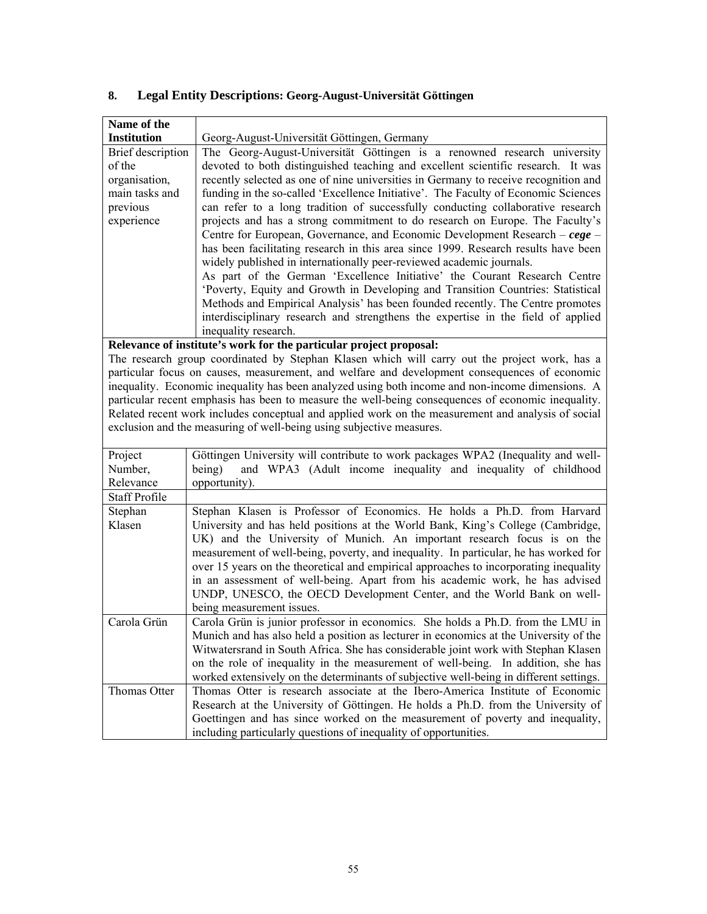| Name of the               |                                                                                                    |  |  |
|---------------------------|----------------------------------------------------------------------------------------------------|--|--|
| <b>Institution</b>        | Georg-August-Universität Göttingen, Germany                                                        |  |  |
| Brief description         | The Georg-August-Universität Göttingen is a renowned research university                           |  |  |
| of the                    | devoted to both distinguished teaching and excellent scientific research. It was                   |  |  |
| organisation,             | recently selected as one of nine universities in Germany to receive recognition and                |  |  |
| main tasks and            | funding in the so-called 'Excellence Initiative'. The Faculty of Economic Sciences                 |  |  |
| previous                  | can refer to a long tradition of successfully conducting collaborative research                    |  |  |
| experience                | projects and has a strong commitment to do research on Europe. The Faculty's                       |  |  |
|                           | Centre for European, Governance, and Economic Development Research – $cege$ –                      |  |  |
|                           | has been facilitating research in this area since 1999. Research results have been                 |  |  |
|                           | widely published in internationally peer-reviewed academic journals.                               |  |  |
|                           | As part of the German 'Excellence Initiative' the Courant Research Centre                          |  |  |
|                           | 'Poverty, Equity and Growth in Developing and Transition Countries: Statistical                    |  |  |
|                           | Methods and Empirical Analysis' has been founded recently. The Centre promotes                     |  |  |
|                           | interdisciplinary research and strengthens the expertise in the field of applied                   |  |  |
|                           | inequality research.                                                                               |  |  |
|                           | Relevance of institute's work for the particular project proposal:                                 |  |  |
|                           | The research group coordinated by Stephan Klasen which will carry out the project work, has a      |  |  |
|                           | particular focus on causes, measurement, and welfare and development consequences of economic      |  |  |
|                           | inequality. Economic inequality has been analyzed using both income and non-income dimensions. A   |  |  |
|                           | particular recent emphasis has been to measure the well-being consequences of economic inequality. |  |  |
|                           | Related recent work includes conceptual and applied work on the measurement and analysis of social |  |  |
|                           | exclusion and the measuring of well-being using subjective measures.                               |  |  |
|                           |                                                                                                    |  |  |
| Project                   | Göttingen University will contribute to work packages WPA2 (Inequality and well-                   |  |  |
| Number,                   | and WPA3 (Adult income inequality and inequality of childhood<br>being)                            |  |  |
| Relevance                 | opportunity).                                                                                      |  |  |
| <b>Staff Profile</b>      |                                                                                                    |  |  |
| Stephan                   | Stephan Klasen is Professor of Economics. He holds a Ph.D. from Harvard                            |  |  |
| Klasen                    | University and has held positions at the World Bank, King's College (Cambridge,                    |  |  |
|                           | UK) and the University of Munich. An important research focus is on the                            |  |  |
|                           | measurement of well-being, poverty, and inequality. In particular, he has worked for               |  |  |
|                           | over 15 years on the theoretical and empirical approaches to incorporating inequality              |  |  |
|                           | in an assessment of well-being. Apart from his academic work, he has advised                       |  |  |
|                           | UNDP, UNESCO, the OECD Development Center, and the World Bank on well-                             |  |  |
| being measurement issues. |                                                                                                    |  |  |
| Carola Grün               | Carola Grün is junior professor in economics. She holds a Ph.D. from the LMU in                    |  |  |
|                           | Munich and has also held a position as lecturer in economics at the University of the              |  |  |
|                           | Witwatersrand in South Africa. She has considerable joint work with Stephan Klasen                 |  |  |
|                           | on the role of inequality in the measurement of well-being. In addition, she has                   |  |  |
|                           | worked extensively on the determinants of subjective well-being in different settings.             |  |  |
| Thomas Otter              | Thomas Otter is research associate at the Ibero-America Institute of Economic                      |  |  |
|                           | Research at the University of Göttingen. He holds a Ph.D. from the University of                   |  |  |
|                           | Goettingen and has since worked on the measurement of poverty and inequality,                      |  |  |
|                           | including particularly questions of inequality of opportunities.                                   |  |  |

# **8. Legal Entity Descriptions: Georg-August-Universität Göttingen**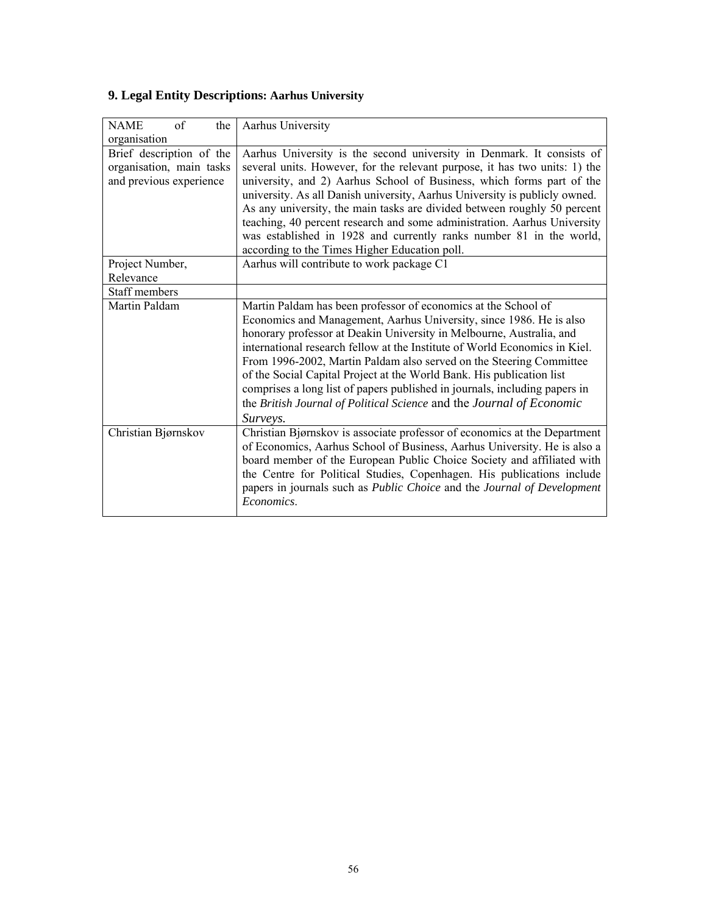| of<br><b>NAME</b><br>the | Aarhus University                                                          |
|--------------------------|----------------------------------------------------------------------------|
| organisation             |                                                                            |
| Brief description of the | Aarhus University is the second university in Denmark. It consists of      |
| organisation, main tasks | several units. However, for the relevant purpose, it has two units: 1) the |
| and previous experience  | university, and 2) Aarhus School of Business, which forms part of the      |
|                          | university. As all Danish university, Aarhus University is publicly owned. |
|                          | As any university, the main tasks are divided between roughly 50 percent   |
|                          | teaching, 40 percent research and some administration. Aarhus University   |
|                          | was established in 1928 and currently ranks number 81 in the world,        |
|                          | according to the Times Higher Education poll.                              |
| Project Number,          | Aarhus will contribute to work package C1                                  |
| Relevance                |                                                                            |
| Staff members            |                                                                            |
| Martin Paldam            | Martin Paldam has been professor of economics at the School of             |
|                          | Economics and Management, Aarhus University, since 1986. He is also        |
|                          | honorary professor at Deakin University in Melbourne, Australia, and       |
|                          | international research fellow at the Institute of World Economics in Kiel. |
|                          | From 1996-2002, Martin Paldam also served on the Steering Committee        |
|                          | of the Social Capital Project at the World Bank. His publication list      |
|                          | comprises a long list of papers published in journals, including papers in |
|                          | the British Journal of Political Science and the Journal of Economic       |
|                          | Surveys.                                                                   |
| Christian Bjørnskov      | Christian Bjørnskov is associate professor of economics at the Department  |
|                          | of Economics, Aarhus School of Business, Aarhus University. He is also a   |
|                          | board member of the European Public Choice Society and affiliated with     |
|                          | the Centre for Political Studies, Copenhagen. His publications include     |
|                          | papers in journals such as Public Choice and the Journal of Development    |
|                          | Economics.                                                                 |
|                          |                                                                            |

# **9. Legal Entity Descriptions: Aarhus University**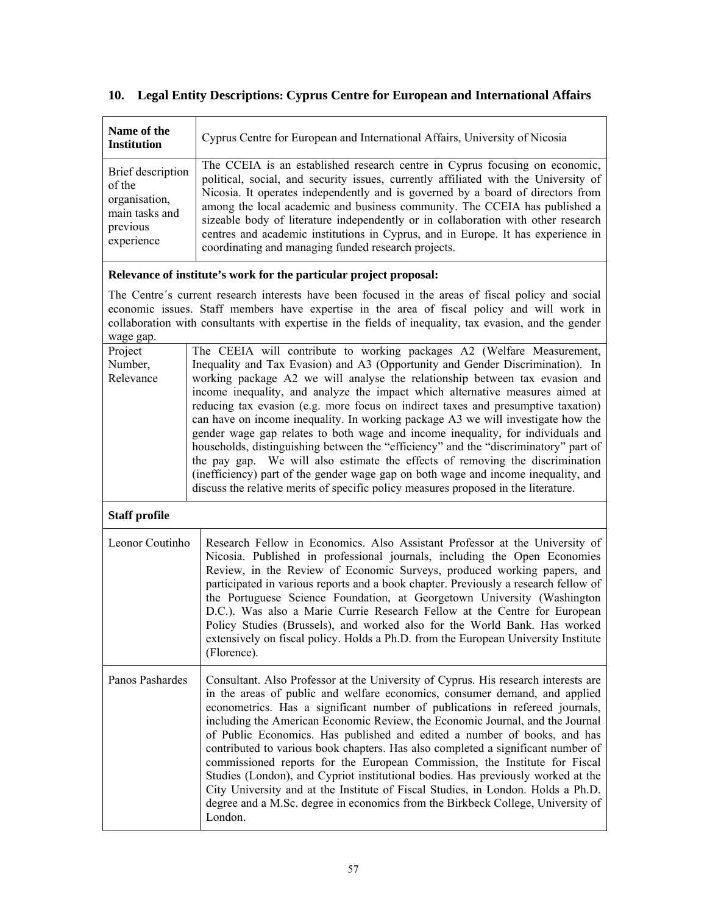#### **Name of the Institution** Cyprus Centre for European and International Affairs, University of Nicosia Brief description of the organisation, main tasks and previous experience The CCEIA is an established research centre in Cyprus focusing on economic, political, social, and security issues, currently affiliated with the University of Nicosia. It operates independently and is governed by a board of directors from among the local academic and business community. The CCEIA has published a sizeable body of literature independently or in collaboration with other research centres and academic institutions in Cyprus, and in Europe. It has experience in coordinating and managing funded research projects. **Relevance of institute's work for the particular project proposal:**  The Centre´s current research interests have been focused in the areas of fiscal policy and social economic issues. Staff members have expertise in the area of fiscal policy and will work in collaboration with consultants with expertise in the fields of inequality, tax evasion, and the gender wage gap. Project Number, Relevance The CEEIA will contribute to working packages A2 (Welfare Measurement, Inequality and Tax Evasion) and A3 (Opportunity and Gender Discrimination). In working package A2 we will analyse the relationship between tax evasion and income inequality, and analyze the impact which alternative measures aimed at reducing tax evasion (e.g. more focus on indirect taxes and presumptive taxation) can have on income inequality. In working package A3 we will investigate how the gender wage gap relates to both wage and income inequality, for individuals and households, distinguishing between the "efficiency" and the "discriminatory" part of the pay gap. We will also estimate the effects of removing the discrimination (inefficiency) part of the gender wage gap on both wage and income inequality, and discuss the relative merits of specific policy measures proposed in the literature. **Staff profile**  Leonor Coutinho Research Fellow in Economics. Also Assistant Professor at the University of Nicosia. Published in professional journals, including the Open Economies Review, in the Review of Economic Surveys, produced working papers, and participated in various reports and a book chapter. Previously a research fellow of the Portuguese Science Foundation, at Georgetown University (Washington D.C.). Was also a Marie Currie Research Fellow at the Centre for European Policy Studies (Brussels), and worked also for the World Bank. Has worked extensively on fiscal policy. Holds a Ph.D. from the European University Institute (Florence). Panos Pashardes Consultant. Also Professor at the University of Cyprus. His research interests are in the areas of public and welfare economics, consumer demand, and applied econometrics. Has a significant number of publications in refereed journals, including the American Economic Review, the Economic Journal, and the Journal of Public Economics. Has published and edited a number of books, and has contributed to various book chapters. Has also completed a significant number of commissioned reports for the European Commission, the Institute for Fiscal Studies (London), and Cypriot institutional bodies. Has previously worked at the City University and at the Institute of Fiscal Studies, in London. Holds a Ph.D. degree and a M.Sc. degree in economics from the Birkbeck College, University of London.

# **10. Legal Entity Descriptions: Cyprus Centre for European and International Affairs**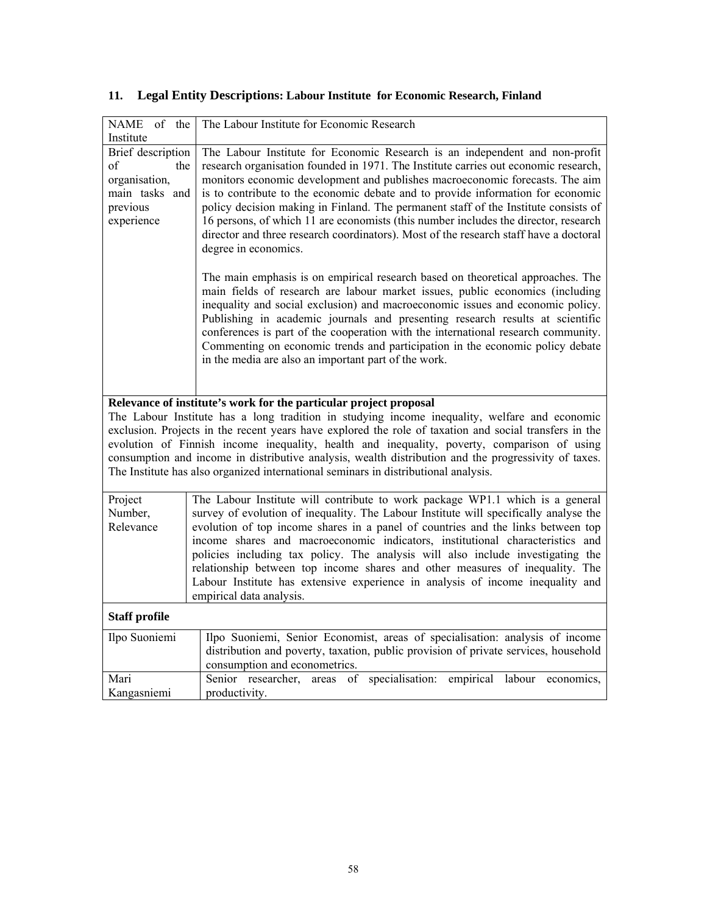| NAME of<br>the                                                                                             | The Labour Institute for Economic Research                                                                                                                                                                                                                                                                                                                                                                                                                                                                                                                                                                                           |  |  |
|------------------------------------------------------------------------------------------------------------|--------------------------------------------------------------------------------------------------------------------------------------------------------------------------------------------------------------------------------------------------------------------------------------------------------------------------------------------------------------------------------------------------------------------------------------------------------------------------------------------------------------------------------------------------------------------------------------------------------------------------------------|--|--|
| Institute<br>Brief description<br>of<br>the<br>organisation,<br>main tasks and<br>previous<br>experience   | The Labour Institute for Economic Research is an independent and non-profit<br>research organisation founded in 1971. The Institute carries out economic research,<br>monitors economic development and publishes macroeconomic forecasts. The aim<br>is to contribute to the economic debate and to provide information for economic<br>policy decision making in Finland. The permanent staff of the Institute consists of<br>16 persons, of which 11 are economists (this number includes the director, research<br>director and three research coordinators). Most of the research staff have a doctoral<br>degree in economics. |  |  |
|                                                                                                            | The main emphasis is on empirical research based on theoretical approaches. The<br>main fields of research are labour market issues, public economics (including<br>inequality and social exclusion) and macroeconomic issues and economic policy.<br>Publishing in academic journals and presenting research results at scientific<br>conferences is part of the cooperation with the international research community.<br>Commenting on economic trends and participation in the economic policy debate<br>in the media are also an important part of the work.                                                                    |  |  |
|                                                                                                            | Relevance of institute's work for the particular project proposal                                                                                                                                                                                                                                                                                                                                                                                                                                                                                                                                                                    |  |  |
|                                                                                                            | The Labour Institute has a long tradition in studying income inequality, welfare and economic<br>exclusion. Projects in the recent years have explored the role of taxation and social transfers in the<br>evolution of Finnish income inequality, health and inequality, poverty, comparison of using<br>consumption and income in distributive analysis, wealth distribution and the progressivity of taxes.<br>The Institute has also organized international seminars in distributional analysis.                                                                                                                                |  |  |
| Project                                                                                                    | The Labour Institute will contribute to work package WP1.1 which is a general                                                                                                                                                                                                                                                                                                                                                                                                                                                                                                                                                        |  |  |
| Number.<br>Relevance                                                                                       | survey of evolution of inequality. The Labour Institute will specifically analyse the<br>evolution of top income shares in a panel of countries and the links between top                                                                                                                                                                                                                                                                                                                                                                                                                                                            |  |  |
|                                                                                                            | income shares and macroeconomic indicators, institutional characteristics and                                                                                                                                                                                                                                                                                                                                                                                                                                                                                                                                                        |  |  |
|                                                                                                            | policies including tax policy. The analysis will also include investigating the<br>relationship between top income shares and other measures of inequality. The                                                                                                                                                                                                                                                                                                                                                                                                                                                                      |  |  |
| Labour Institute has extensive experience in analysis of income inequality and<br>empirical data analysis. |                                                                                                                                                                                                                                                                                                                                                                                                                                                                                                                                                                                                                                      |  |  |
| <b>Staff profile</b>                                                                                       |                                                                                                                                                                                                                                                                                                                                                                                                                                                                                                                                                                                                                                      |  |  |
| Ilpo Suoniemi                                                                                              | Ilpo Suoniemi, Senior Economist, areas of specialisation: analysis of income<br>distribution and poverty, taxation, public provision of private services, household<br>consumption and econometrics.                                                                                                                                                                                                                                                                                                                                                                                                                                 |  |  |
| Mari                                                                                                       | Senior researcher, areas of specialisation:<br>empirical labour<br>economics,<br>productivity.                                                                                                                                                                                                                                                                                                                                                                                                                                                                                                                                       |  |  |
| Kangasniemi                                                                                                |                                                                                                                                                                                                                                                                                                                                                                                                                                                                                                                                                                                                                                      |  |  |

# **11. Legal Entity Descriptions: Labour Institute for Economic Research, Finland**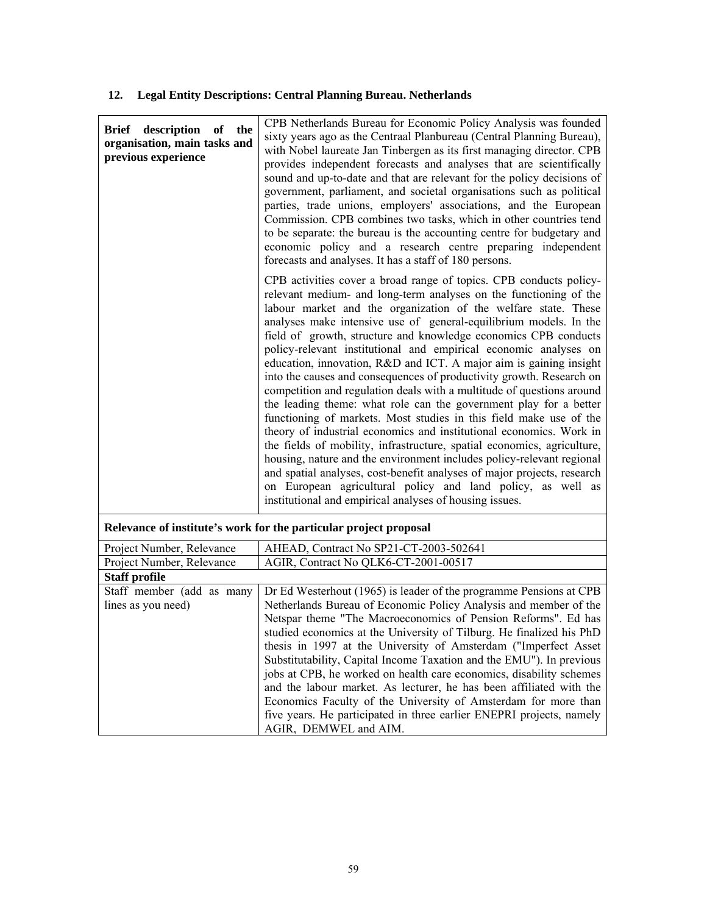# **12. Legal Entity Descriptions: Central Planning Bureau. Netherlands**

| description<br>of<br>the<br>Brief<br>organisation, main tasks and<br>previous experience | CPB Netherlands Bureau for Economic Policy Analysis was founded<br>sixty years ago as the Centraal Planbureau (Central Planning Bureau),<br>with Nobel laureate Jan Tinbergen as its first managing director. CPB<br>provides independent forecasts and analyses that are scientifically<br>sound and up-to-date and that are relevant for the policy decisions of<br>government, parliament, and societal organisations such as political<br>parties, trade unions, employers' associations, and the European<br>Commission. CPB combines two tasks, which in other countries tend<br>to be separate: the bureau is the accounting centre for budgetary and<br>economic policy and a research centre preparing independent<br>forecasts and analyses. It has a staff of 180 persons.                                                                                                                                                                                                                                                                                                                                                                                                                                   |
|------------------------------------------------------------------------------------------|-------------------------------------------------------------------------------------------------------------------------------------------------------------------------------------------------------------------------------------------------------------------------------------------------------------------------------------------------------------------------------------------------------------------------------------------------------------------------------------------------------------------------------------------------------------------------------------------------------------------------------------------------------------------------------------------------------------------------------------------------------------------------------------------------------------------------------------------------------------------------------------------------------------------------------------------------------------------------------------------------------------------------------------------------------------------------------------------------------------------------------------------------------------------------------------------------------------------------|
|                                                                                          | CPB activities cover a broad range of topics. CPB conducts policy-<br>relevant medium- and long-term analyses on the functioning of the<br>labour market and the organization of the welfare state. These<br>analyses make intensive use of general-equilibrium models. In the<br>field of growth, structure and knowledge economics CPB conducts<br>policy-relevant institutional and empirical economic analyses on<br>education, innovation, R&D and ICT. A major aim is gaining insight<br>into the causes and consequences of productivity growth. Research on<br>competition and regulation deals with a multitude of questions around<br>the leading theme: what role can the government play for a better<br>functioning of markets. Most studies in this field make use of the<br>theory of industrial economics and institutional economics. Work in<br>the fields of mobility, infrastructure, spatial economics, agriculture,<br>housing, nature and the environment includes policy-relevant regional<br>and spatial analyses, cost-benefit analyses of major projects, research<br>on European agricultural policy and land policy, as well as<br>institutional and empirical analyses of housing issues. |
|                                                                                          | Relevance of institute's work for the particular project proposal                                                                                                                                                                                                                                                                                                                                                                                                                                                                                                                                                                                                                                                                                                                                                                                                                                                                                                                                                                                                                                                                                                                                                       |
| Project Number, Relevance                                                                | AHEAD, Contract No SP21-CT-2003-502641                                                                                                                                                                                                                                                                                                                                                                                                                                                                                                                                                                                                                                                                                                                                                                                                                                                                                                                                                                                                                                                                                                                                                                                  |
| Project Number, Relevance                                                                | AGIR, Contract No QLK6-CT-2001-00517                                                                                                                                                                                                                                                                                                                                                                                                                                                                                                                                                                                                                                                                                                                                                                                                                                                                                                                                                                                                                                                                                                                                                                                    |
| <b>Staff profile</b><br>Staff member (add as many                                        | Dr Ed Westerhout (1965) is leader of the programme Pensions at CPB                                                                                                                                                                                                                                                                                                                                                                                                                                                                                                                                                                                                                                                                                                                                                                                                                                                                                                                                                                                                                                                                                                                                                      |
| lines as you need)                                                                       | Netherlands Bureau of Economic Policy Analysis and member of the                                                                                                                                                                                                                                                                                                                                                                                                                                                                                                                                                                                                                                                                                                                                                                                                                                                                                                                                                                                                                                                                                                                                                        |
|                                                                                          | Netspar theme "The Macroeconomics of Pension Reforms". Ed has<br>studied economics at the University of Tilburg. He finalized his PhD<br>thesis in 1997 at the University of Amsterdam ("Imperfect Asset<br>Substitutability, Capital Income Taxation and the EMU"). In previous<br>jobs at CPB, he worked on health care economics, disability schemes<br>and the labour market. As lecturer, he has been affiliated with the<br>Economics Faculty of the University of Amsterdam for more than<br>five years. He participated in three earlier ENEPRI projects, namely                                                                                                                                                                                                                                                                                                                                                                                                                                                                                                                                                                                                                                                |

AGIR, DEMWEL and AIM.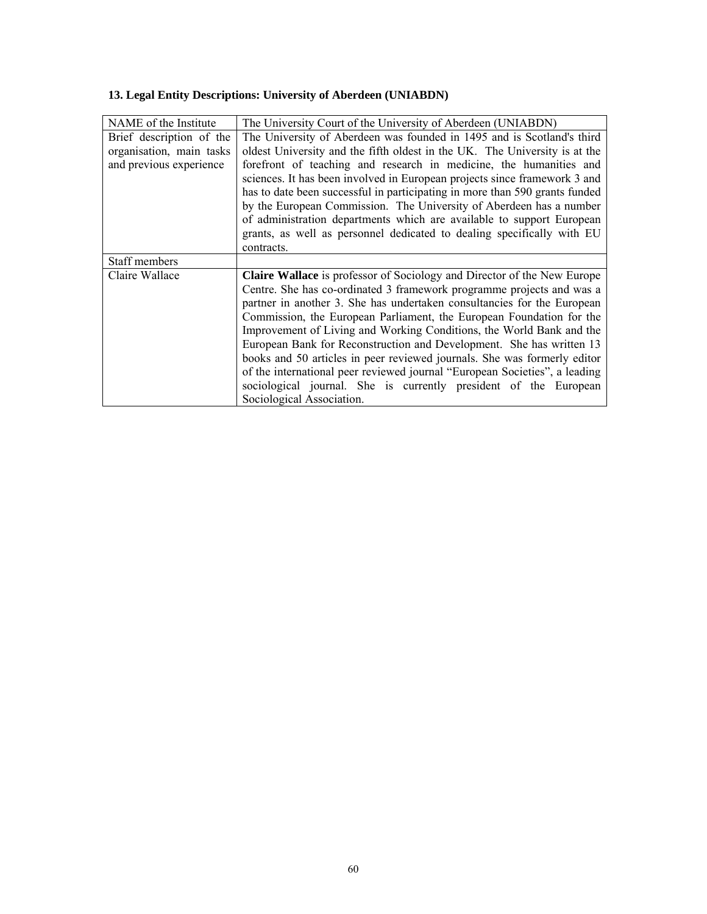| NAME of the Institute    | The University Court of the University of Aberdeen (UNIABDN)                   |
|--------------------------|--------------------------------------------------------------------------------|
| Brief description of the | The University of Aberdeen was founded in 1495 and is Scotland's third         |
| organisation, main tasks | oldest University and the fifth oldest in the UK. The University is at the     |
| and previous experience  | forefront of teaching and research in medicine, the humanities and             |
|                          | sciences. It has been involved in European projects since framework 3 and      |
|                          | has to date been successful in participating in more than 590 grants funded    |
|                          | by the European Commission. The University of Aberdeen has a number            |
|                          | of administration departments which are available to support European          |
|                          | grants, as well as personnel dedicated to dealing specifically with EU         |
|                          | contracts.                                                                     |
| Staff members            |                                                                                |
| Claire Wallace           | <b>Claire Wallace</b> is professor of Sociology and Director of the New Europe |
|                          | Centre. She has co-ordinated 3 framework programme projects and was a          |
|                          | partner in another 3. She has undertaken consultancies for the European        |
|                          | Commission, the European Parliament, the European Foundation for the           |
|                          | Improvement of Living and Working Conditions, the World Bank and the           |
|                          | European Bank for Reconstruction and Development. She has written 13           |
|                          | books and 50 articles in peer reviewed journals. She was formerly editor       |
|                          | of the international peer reviewed journal "European Societies", a leading     |
|                          | sociological journal. She is currently president of the European               |
|                          | Sociological Association.                                                      |

# **13. Legal Entity Descriptions: University of Aberdeen (UNIABDN)**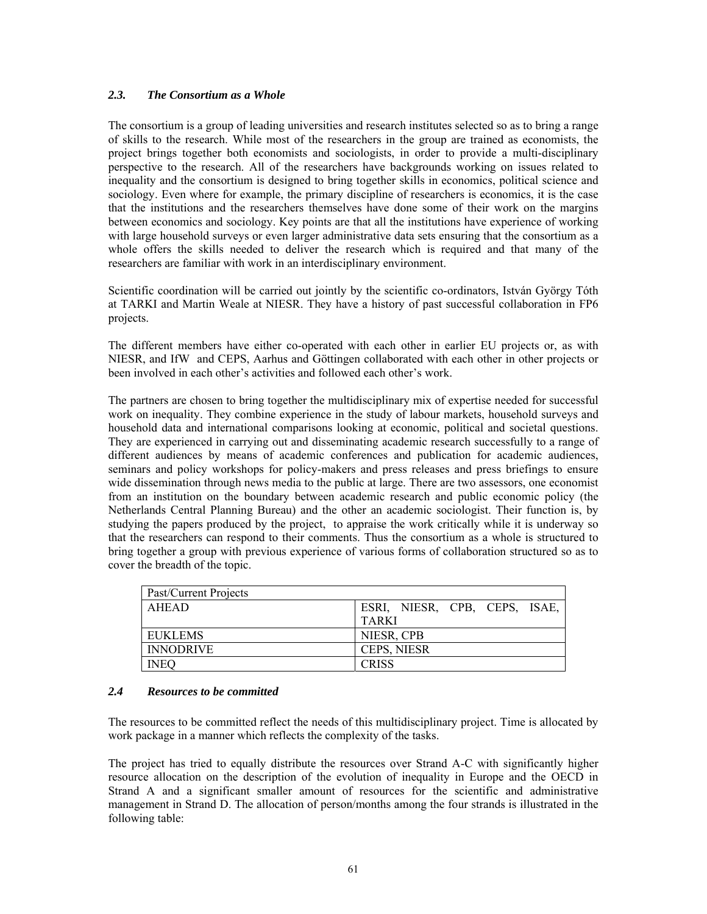### *2.3. The Consortium as a Whole*

The consortium is a group of leading universities and research institutes selected so as to bring a range of skills to the research. While most of the researchers in the group are trained as economists, the project brings together both economists and sociologists, in order to provide a multi-disciplinary perspective to the research. All of the researchers have backgrounds working on issues related to inequality and the consortium is designed to bring together skills in economics, political science and sociology. Even where for example, the primary discipline of researchers is economics, it is the case that the institutions and the researchers themselves have done some of their work on the margins between economics and sociology. Key points are that all the institutions have experience of working with large household surveys or even larger administrative data sets ensuring that the consortium as a whole offers the skills needed to deliver the research which is required and that many of the researchers are familiar with work in an interdisciplinary environment.

Scientific coordination will be carried out jointly by the scientific co-ordinators, István György Tóth at TARKI and Martin Weale at NIESR. They have a history of past successful collaboration in FP6 projects.

The different members have either co-operated with each other in earlier EU projects or, as with NIESR, and IfW and CEPS, Aarhus and Göttingen collaborated with each other in other projects or been involved in each other's activities and followed each other's work.

The partners are chosen to bring together the multidisciplinary mix of expertise needed for successful work on inequality. They combine experience in the study of labour markets, household surveys and household data and international comparisons looking at economic, political and societal questions. They are experienced in carrying out and disseminating academic research successfully to a range of different audiences by means of academic conferences and publication for academic audiences, seminars and policy workshops for policy-makers and press releases and press briefings to ensure wide dissemination through news media to the public at large. There are two assessors, one economist from an institution on the boundary between academic research and public economic policy (the Netherlands Central Planning Bureau) and the other an academic sociologist. Their function is, by studying the papers produced by the project, to appraise the work critically while it is underway so that the researchers can respond to their comments. Thus the consortium as a whole is structured to bring together a group with previous experience of various forms of collaboration structured so as to cover the breadth of the topic.

| Past/Current Projects |                               |
|-----------------------|-------------------------------|
| AHEAD                 | ESRI, NIESR, CPB, CEPS, ISAE, |
|                       | <b>TARKI</b>                  |
| EUKLEMS               | NIESR, CPB                    |
| <b>INNODRIVE</b>      | <b>CEPS, NIESR</b>            |
| <b>INEQ</b>           | <b>CRISS</b>                  |

#### *2.4 Resources to be committed*

The resources to be committed reflect the needs of this multidisciplinary project. Time is allocated by work package in a manner which reflects the complexity of the tasks.

The project has tried to equally distribute the resources over Strand A-C with significantly higher resource allocation on the description of the evolution of inequality in Europe and the OECD in Strand A and a significant smaller amount of resources for the scientific and administrative management in Strand D. The allocation of person/months among the four strands is illustrated in the following table: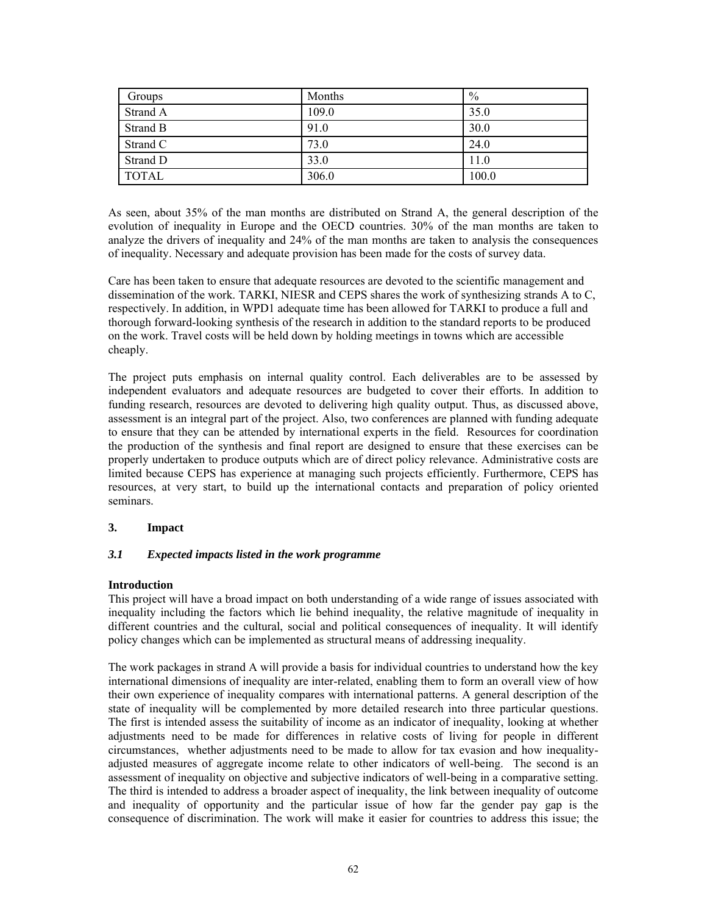| Groups       | Months | $\%$  |
|--------------|--------|-------|
| Strand A     | 109.0  | 35.0  |
| Strand B     | 91.0   | 30.0  |
| Strand C     | 73.0   | 24.0  |
| Strand D     | 33.0   | 11.0  |
| <b>TOTAL</b> | 306.0  | 100.0 |

As seen, about 35% of the man months are distributed on Strand A, the general description of the evolution of inequality in Europe and the OECD countries. 30% of the man months are taken to analyze the drivers of inequality and 24% of the man months are taken to analysis the consequences of inequality. Necessary and adequate provision has been made for the costs of survey data.

Care has been taken to ensure that adequate resources are devoted to the scientific management and dissemination of the work. TARKI, NIESR and CEPS shares the work of synthesizing strands A to C, respectively. In addition, in WPD1 adequate time has been allowed for TARKI to produce a full and thorough forward-looking synthesis of the research in addition to the standard reports to be produced on the work. Travel costs will be held down by holding meetings in towns which are accessible cheaply.

The project puts emphasis on internal quality control. Each deliverables are to be assessed by independent evaluators and adequate resources are budgeted to cover their efforts. In addition to funding research, resources are devoted to delivering high quality output. Thus, as discussed above, assessment is an integral part of the project. Also, two conferences are planned with funding adequate to ensure that they can be attended by international experts in the field. Resources for coordination the production of the synthesis and final report are designed to ensure that these exercises can be properly undertaken to produce outputs which are of direct policy relevance. Administrative costs are limited because CEPS has experience at managing such projects efficiently. Furthermore, CEPS has resources, at very start, to build up the international contacts and preparation of policy oriented seminars.

#### **3. Impact**

#### *3.1 Expected impacts listed in the work programme*

#### **Introduction**

This project will have a broad impact on both understanding of a wide range of issues associated with inequality including the factors which lie behind inequality, the relative magnitude of inequality in different countries and the cultural, social and political consequences of inequality. It will identify policy changes which can be implemented as structural means of addressing inequality.

The work packages in strand A will provide a basis for individual countries to understand how the key international dimensions of inequality are inter-related, enabling them to form an overall view of how their own experience of inequality compares with international patterns. A general description of the state of inequality will be complemented by more detailed research into three particular questions. The first is intended assess the suitability of income as an indicator of inequality, looking at whether adjustments need to be made for differences in relative costs of living for people in different circumstances, whether adjustments need to be made to allow for tax evasion and how inequalityadjusted measures of aggregate income relate to other indicators of well-being. The second is an assessment of inequality on objective and subjective indicators of well-being in a comparative setting. The third is intended to address a broader aspect of inequality, the link between inequality of outcome and inequality of opportunity and the particular issue of how far the gender pay gap is the consequence of discrimination. The work will make it easier for countries to address this issue; the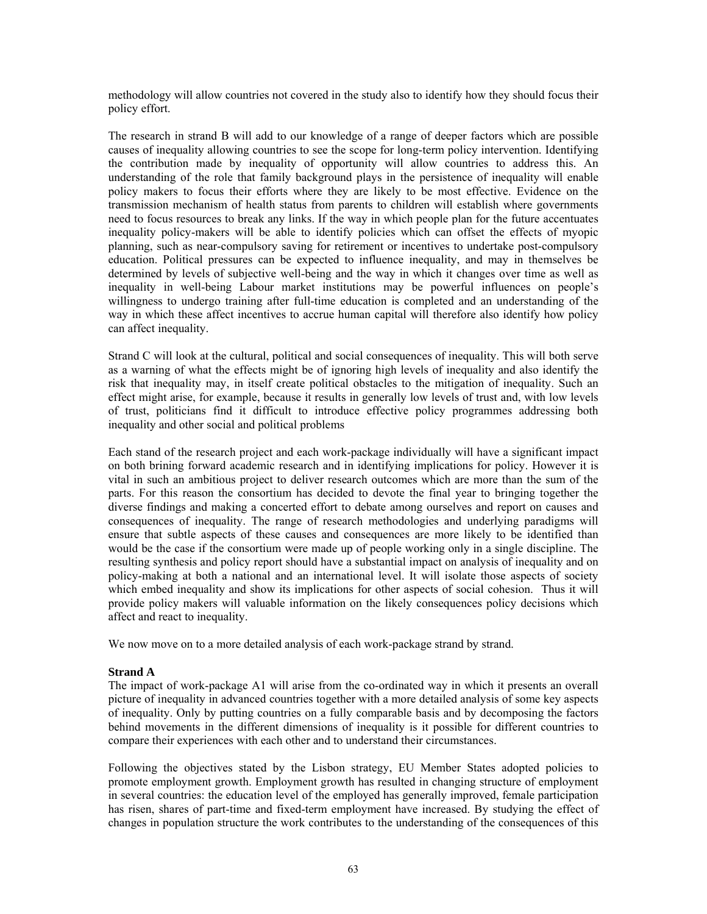methodology will allow countries not covered in the study also to identify how they should focus their policy effort.

The research in strand B will add to our knowledge of a range of deeper factors which are possible causes of inequality allowing countries to see the scope for long-term policy intervention. Identifying the contribution made by inequality of opportunity will allow countries to address this. An understanding of the role that family background plays in the persistence of inequality will enable policy makers to focus their efforts where they are likely to be most effective. Evidence on the transmission mechanism of health status from parents to children will establish where governments need to focus resources to break any links. If the way in which people plan for the future accentuates inequality policy-makers will be able to identify policies which can offset the effects of myopic planning, such as near-compulsory saving for retirement or incentives to undertake post-compulsory education. Political pressures can be expected to influence inequality, and may in themselves be determined by levels of subjective well-being and the way in which it changes over time as well as inequality in well-being Labour market institutions may be powerful influences on people's willingness to undergo training after full-time education is completed and an understanding of the way in which these affect incentives to accrue human capital will therefore also identify how policy can affect inequality.

Strand C will look at the cultural, political and social consequences of inequality. This will both serve as a warning of what the effects might be of ignoring high levels of inequality and also identify the risk that inequality may, in itself create political obstacles to the mitigation of inequality. Such an effect might arise, for example, because it results in generally low levels of trust and, with low levels of trust, politicians find it difficult to introduce effective policy programmes addressing both inequality and other social and political problems

Each stand of the research project and each work-package individually will have a significant impact on both brining forward academic research and in identifying implications for policy. However it is vital in such an ambitious project to deliver research outcomes which are more than the sum of the parts. For this reason the consortium has decided to devote the final year to bringing together the diverse findings and making a concerted effort to debate among ourselves and report on causes and consequences of inequality. The range of research methodologies and underlying paradigms will ensure that subtle aspects of these causes and consequences are more likely to be identified than would be the case if the consortium were made up of people working only in a single discipline. The resulting synthesis and policy report should have a substantial impact on analysis of inequality and on policy-making at both a national and an international level. It will isolate those aspects of society which embed inequality and show its implications for other aspects of social cohesion. Thus it will provide policy makers will valuable information on the likely consequences policy decisions which affect and react to inequality.

We now move on to a more detailed analysis of each work-package strand by strand.

### **Strand A**

The impact of work-package A1 will arise from the co-ordinated way in which it presents an overall picture of inequality in advanced countries together with a more detailed analysis of some key aspects of inequality. Only by putting countries on a fully comparable basis and by decomposing the factors behind movements in the different dimensions of inequality is it possible for different countries to compare their experiences with each other and to understand their circumstances.

Following the objectives stated by the Lisbon strategy, EU Member States adopted policies to promote employment growth. Employment growth has resulted in changing structure of employment in several countries: the education level of the employed has generally improved, female participation has risen, shares of part-time and fixed-term employment have increased. By studying the effect of changes in population structure the work contributes to the understanding of the consequences of this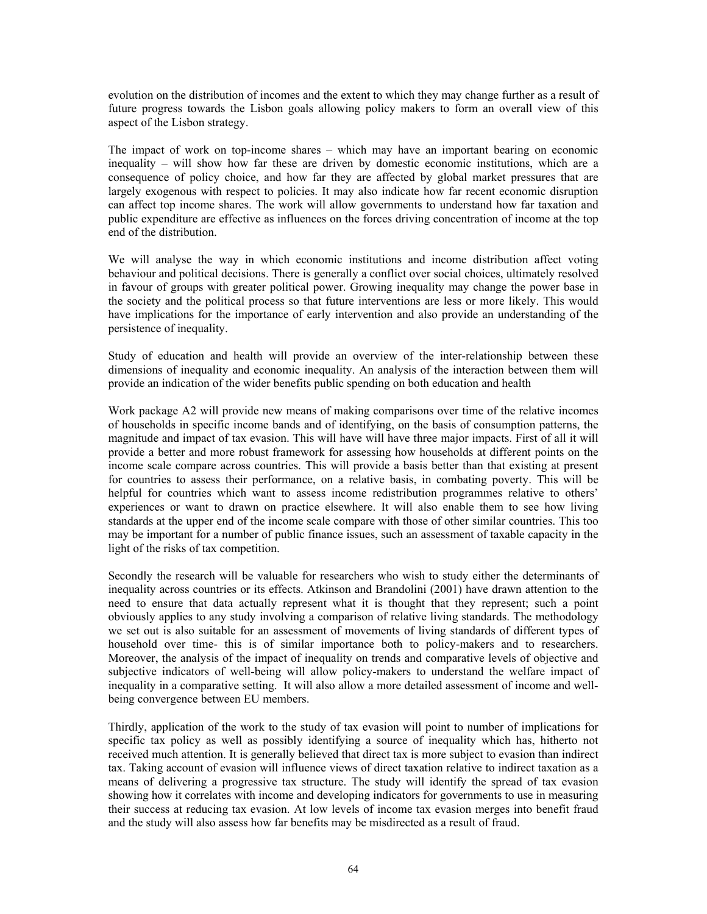evolution on the distribution of incomes and the extent to which they may change further as a result of future progress towards the Lisbon goals allowing policy makers to form an overall view of this aspect of the Lisbon strategy.

The impact of work on top-income shares – which may have an important bearing on economic inequality – will show how far these are driven by domestic economic institutions, which are a consequence of policy choice, and how far they are affected by global market pressures that are largely exogenous with respect to policies. It may also indicate how far recent economic disruption can affect top income shares. The work will allow governments to understand how far taxation and public expenditure are effective as influences on the forces driving concentration of income at the top end of the distribution.

We will analyse the way in which economic institutions and income distribution affect voting behaviour and political decisions. There is generally a conflict over social choices, ultimately resolved in favour of groups with greater political power. Growing inequality may change the power base in the society and the political process so that future interventions are less or more likely. This would have implications for the importance of early intervention and also provide an understanding of the persistence of inequality.

Study of education and health will provide an overview of the inter-relationship between these dimensions of inequality and economic inequality. An analysis of the interaction between them will provide an indication of the wider benefits public spending on both education and health

Work package A2 will provide new means of making comparisons over time of the relative incomes of households in specific income bands and of identifying, on the basis of consumption patterns, the magnitude and impact of tax evasion. This will have will have three major impacts. First of all it will provide a better and more robust framework for assessing how households at different points on the income scale compare across countries. This will provide a basis better than that existing at present for countries to assess their performance, on a relative basis, in combating poverty. This will be helpful for countries which want to assess income redistribution programmes relative to others' experiences or want to drawn on practice elsewhere. It will also enable them to see how living standards at the upper end of the income scale compare with those of other similar countries. This too may be important for a number of public finance issues, such an assessment of taxable capacity in the light of the risks of tax competition.

Secondly the research will be valuable for researchers who wish to study either the determinants of inequality across countries or its effects. Atkinson and Brandolini (2001) have drawn attention to the need to ensure that data actually represent what it is thought that they represent; such a point obviously applies to any study involving a comparison of relative living standards. The methodology we set out is also suitable for an assessment of movements of living standards of different types of household over time- this is of similar importance both to policy-makers and to researchers. Moreover, the analysis of the impact of inequality on trends and comparative levels of objective and subjective indicators of well-being will allow policy-makers to understand the welfare impact of inequality in a comparative setting. It will also allow a more detailed assessment of income and wellbeing convergence between EU members.

Thirdly, application of the work to the study of tax evasion will point to number of implications for specific tax policy as well as possibly identifying a source of inequality which has, hitherto not received much attention. It is generally believed that direct tax is more subject to evasion than indirect tax. Taking account of evasion will influence views of direct taxation relative to indirect taxation as a means of delivering a progressive tax structure. The study will identify the spread of tax evasion showing how it correlates with income and developing indicators for governments to use in measuring their success at reducing tax evasion. At low levels of income tax evasion merges into benefit fraud and the study will also assess how far benefits may be misdirected as a result of fraud.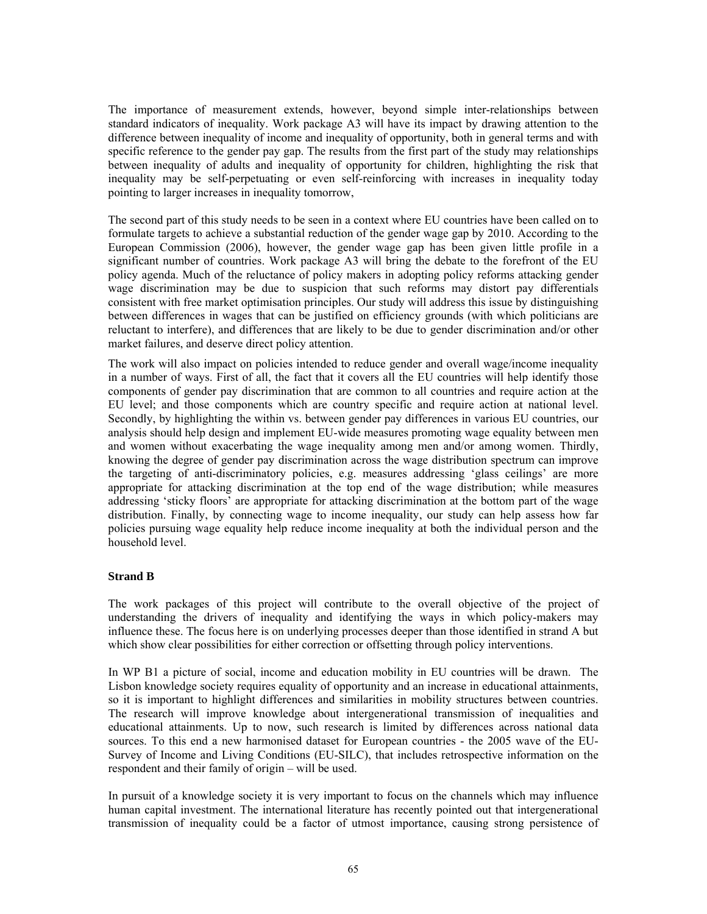The importance of measurement extends, however, beyond simple inter-relationships between standard indicators of inequality. Work package A3 will have its impact by drawing attention to the difference between inequality of income and inequality of opportunity, both in general terms and with specific reference to the gender pay gap. The results from the first part of the study may relationships between inequality of adults and inequality of opportunity for children, highlighting the risk that inequality may be self-perpetuating or even self-reinforcing with increases in inequality today pointing to larger increases in inequality tomorrow,

The second part of this study needs to be seen in a context where EU countries have been called on to formulate targets to achieve a substantial reduction of the gender wage gap by 2010. According to the European Commission (2006), however, the gender wage gap has been given little profile in a significant number of countries. Work package A3 will bring the debate to the forefront of the EU policy agenda. Much of the reluctance of policy makers in adopting policy reforms attacking gender wage discrimination may be due to suspicion that such reforms may distort pay differentials consistent with free market optimisation principles. Our study will address this issue by distinguishing between differences in wages that can be justified on efficiency grounds (with which politicians are reluctant to interfere), and differences that are likely to be due to gender discrimination and/or other market failures, and deserve direct policy attention.

The work will also impact on policies intended to reduce gender and overall wage/income inequality in a number of ways. First of all, the fact that it covers all the EU countries will help identify those components of gender pay discrimination that are common to all countries and require action at the EU level; and those components which are country specific and require action at national level. Secondly, by highlighting the within vs. between gender pay differences in various EU countries, our analysis should help design and implement EU-wide measures promoting wage equality between men and women without exacerbating the wage inequality among men and/or among women. Thirdly, knowing the degree of gender pay discrimination across the wage distribution spectrum can improve the targeting of anti-discriminatory policies, e.g. measures addressing 'glass ceilings' are more appropriate for attacking discrimination at the top end of the wage distribution; while measures addressing 'sticky floors' are appropriate for attacking discrimination at the bottom part of the wage distribution. Finally, by connecting wage to income inequality, our study can help assess how far policies pursuing wage equality help reduce income inequality at both the individual person and the household level.

#### **Strand B**

The work packages of this project will contribute to the overall objective of the project of understanding the drivers of inequality and identifying the ways in which policy-makers may influence these. The focus here is on underlying processes deeper than those identified in strand A but which show clear possibilities for either correction or offsetting through policy interventions.

In WP B1 a picture of social, income and education mobility in EU countries will be drawn. The Lisbon knowledge society requires equality of opportunity and an increase in educational attainments, so it is important to highlight differences and similarities in mobility structures between countries. The research will improve knowledge about intergenerational transmission of inequalities and educational attainments. Up to now, such research is limited by differences across national data sources. To this end a new harmonised dataset for European countries - the 2005 wave of the EU-Survey of Income and Living Conditions (EU-SILC), that includes retrospective information on the respondent and their family of origin – will be used.

In pursuit of a knowledge society it is very important to focus on the channels which may influence human capital investment. The international literature has recently pointed out that intergenerational transmission of inequality could be a factor of utmost importance, causing strong persistence of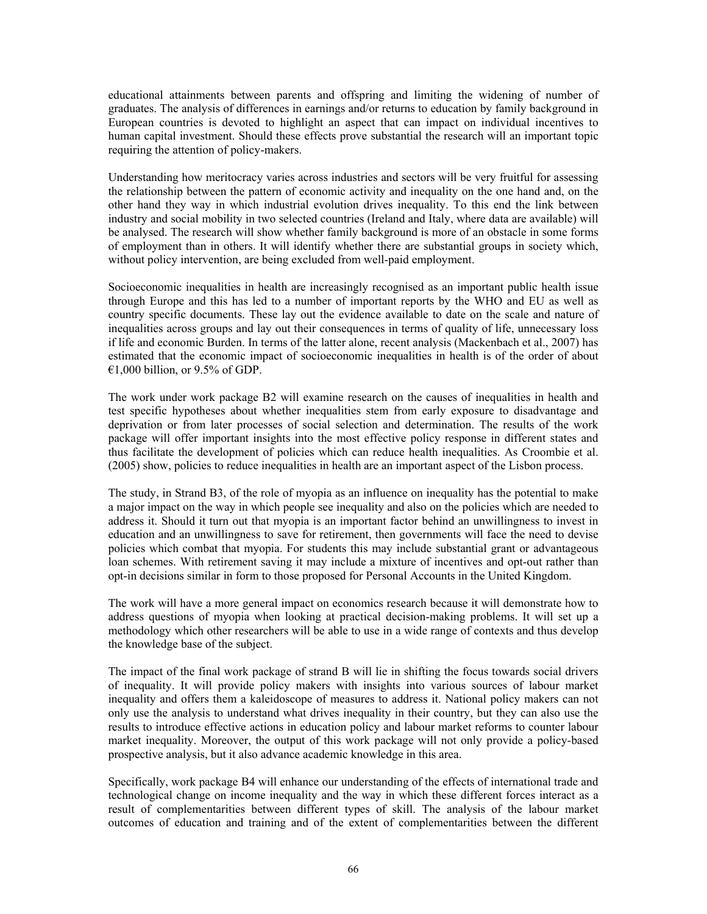educational attainments between parents and offspring and limiting the widening of number of graduates. The analysis of differences in earnings and/or returns to education by family background in European countries is devoted to highlight an aspect that can impact on individual incentives to human capital investment. Should these effects prove substantial the research will an important topic requiring the attention of policy-makers.

Understanding how meritocracy varies across industries and sectors will be very fruitful for assessing the relationship between the pattern of economic activity and inequality on the one hand and, on the other hand they way in which industrial evolution drives inequality. To this end the link between industry and social mobility in two selected countries (Ireland and Italy, where data are available) will be analysed. The research will show whether family background is more of an obstacle in some forms of employment than in others. It will identify whether there are substantial groups in society which, without policy intervention, are being excluded from well-paid employment.

Socioeconomic inequalities in health are increasingly recognised as an important public health issue through Europe and this has led to a number of important reports by the WHO and EU as well as country specific documents. These lay out the evidence available to date on the scale and nature of inequalities across groups and lay out their consequences in terms of quality of life, unnecessary loss if life and economic Burden. In terms of the latter alone, recent analysis (Mackenbach et al., 2007) has estimated that the economic impact of socioeconomic inequalities in health is of the order of about €1,000 billion, or 9.5% of GDP.

The work under work package B2 will examine research on the causes of inequalities in health and test specific hypotheses about whether inequalities stem from early exposure to disadvantage and deprivation or from later processes of social selection and determination. The results of the work package will offer important insights into the most effective policy response in different states and thus facilitate the development of policies which can reduce health inequalities. As Croombie et al. (2005) show, policies to reduce inequalities in health are an important aspect of the Lisbon process.

The study, in Strand B3, of the role of myopia as an influence on inequality has the potential to make a major impact on the way in which people see inequality and also on the policies which are needed to address it. Should it turn out that myopia is an important factor behind an unwillingness to invest in education and an unwillingness to save for retirement, then governments will face the need to devise policies which combat that myopia. For students this may include substantial grant or advantageous loan schemes. With retirement saving it may include a mixture of incentives and opt-out rather than opt-in decisions similar in form to those proposed for Personal Accounts in the United Kingdom.

The work will have a more general impact on economics research because it will demonstrate how to address questions of myopia when looking at practical decision-making problems. It will set up a methodology which other researchers will be able to use in a wide range of contexts and thus develop the knowledge base of the subject.

The impact of the final work package of strand B will lie in shifting the focus towards social drivers of inequality. It will provide policy makers with insights into various sources of labour market inequality and offers them a kaleidoscope of measures to address it. National policy makers can not only use the analysis to understand what drives inequality in their country, but they can also use the results to introduce effective actions in education policy and labour market reforms to counter labour market inequality. Moreover, the output of this work package will not only provide a policy-based prospective analysis, but it also advance academic knowledge in this area.

Specifically, work package B4 will enhance our understanding of the effects of international trade and technological change on income inequality and the way in which these different forces interact as a result of complementarities between different types of skill. The analysis of the labour market outcomes of education and training and of the extent of complementarities between the different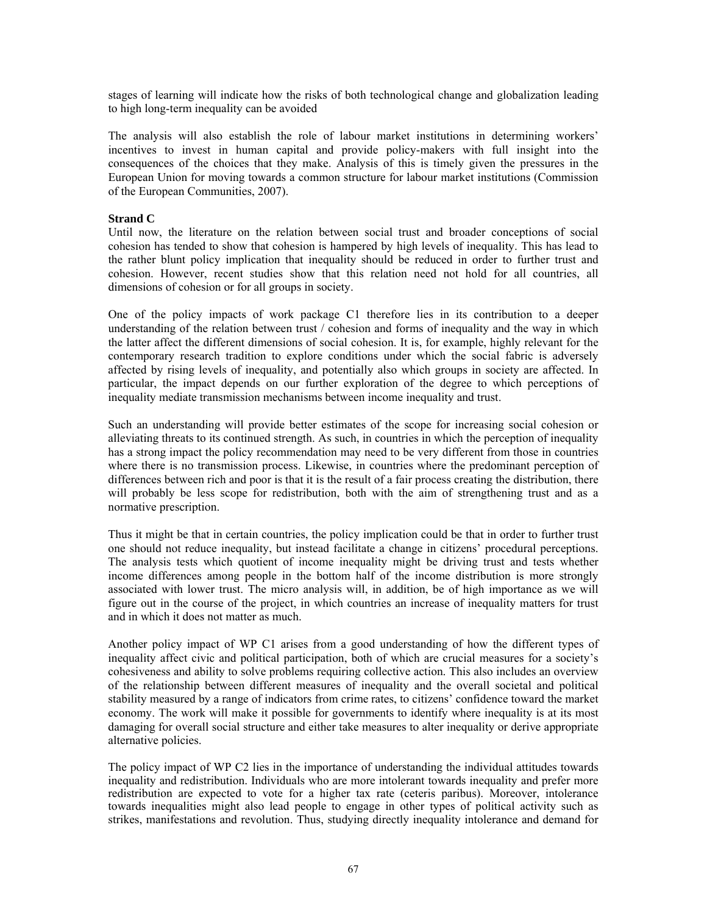stages of learning will indicate how the risks of both technological change and globalization leading to high long-term inequality can be avoided

The analysis will also establish the role of labour market institutions in determining workers' incentives to invest in human capital and provide policy-makers with full insight into the consequences of the choices that they make. Analysis of this is timely given the pressures in the European Union for moving towards a common structure for labour market institutions (Commission of the European Communities, 2007).

#### **Strand C**

Until now, the literature on the relation between social trust and broader conceptions of social cohesion has tended to show that cohesion is hampered by high levels of inequality. This has lead to the rather blunt policy implication that inequality should be reduced in order to further trust and cohesion. However, recent studies show that this relation need not hold for all countries, all dimensions of cohesion or for all groups in society.

One of the policy impacts of work package C1 therefore lies in its contribution to a deeper understanding of the relation between trust / cohesion and forms of inequality and the way in which the latter affect the different dimensions of social cohesion. It is, for example, highly relevant for the contemporary research tradition to explore conditions under which the social fabric is adversely affected by rising levels of inequality, and potentially also which groups in society are affected. In particular, the impact depends on our further exploration of the degree to which perceptions of inequality mediate transmission mechanisms between income inequality and trust.

Such an understanding will provide better estimates of the scope for increasing social cohesion or alleviating threats to its continued strength. As such, in countries in which the perception of inequality has a strong impact the policy recommendation may need to be very different from those in countries where there is no transmission process. Likewise, in countries where the predominant perception of differences between rich and poor is that it is the result of a fair process creating the distribution, there will probably be less scope for redistribution, both with the aim of strengthening trust and as a normative prescription.

Thus it might be that in certain countries, the policy implication could be that in order to further trust one should not reduce inequality, but instead facilitate a change in citizens' procedural perceptions. The analysis tests which quotient of income inequality might be driving trust and tests whether income differences among people in the bottom half of the income distribution is more strongly associated with lower trust. The micro analysis will, in addition, be of high importance as we will figure out in the course of the project, in which countries an increase of inequality matters for trust and in which it does not matter as much.

Another policy impact of WP C1 arises from a good understanding of how the different types of inequality affect civic and political participation, both of which are crucial measures for a society's cohesiveness and ability to solve problems requiring collective action. This also includes an overview of the relationship between different measures of inequality and the overall societal and political stability measured by a range of indicators from crime rates, to citizens' confidence toward the market economy. The work will make it possible for governments to identify where inequality is at its most damaging for overall social structure and either take measures to alter inequality or derive appropriate alternative policies.

The policy impact of WP C2 lies in the importance of understanding the individual attitudes towards inequality and redistribution. Individuals who are more intolerant towards inequality and prefer more redistribution are expected to vote for a higher tax rate (ceteris paribus). Moreover, intolerance towards inequalities might also lead people to engage in other types of political activity such as strikes, manifestations and revolution. Thus, studying directly inequality intolerance and demand for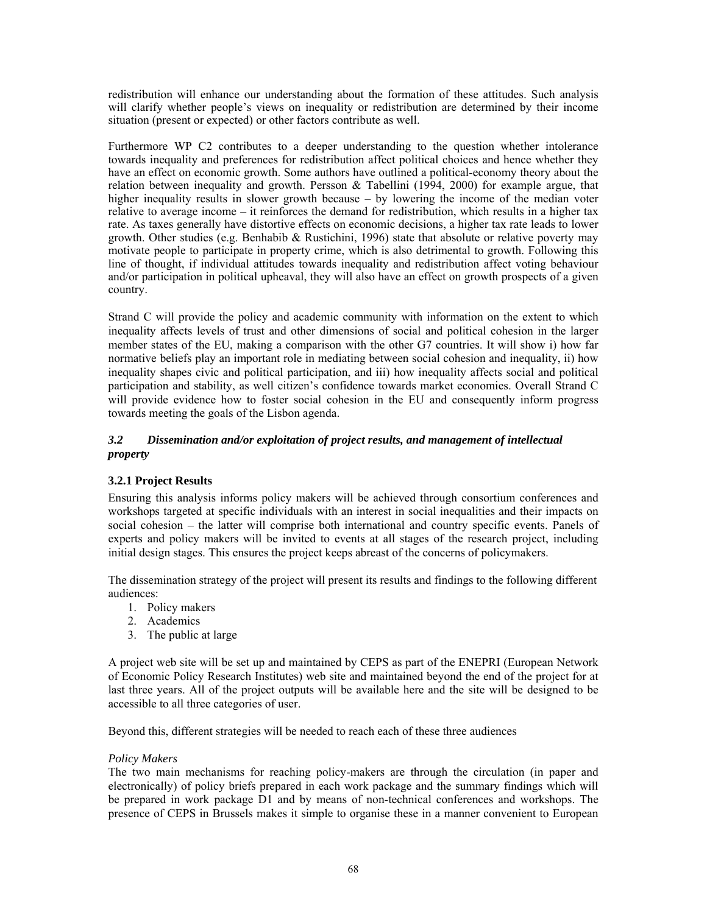redistribution will enhance our understanding about the formation of these attitudes. Such analysis will clarify whether people's views on inequality or redistribution are determined by their income situation (present or expected) or other factors contribute as well.

Furthermore WP C2 contributes to a deeper understanding to the question whether intolerance towards inequality and preferences for redistribution affect political choices and hence whether they have an effect on economic growth. Some authors have outlined a political-economy theory about the relation between inequality and growth. Persson  $\&$  Tabellini (1994, 2000) for example argue, that higher inequality results in slower growth because – by lowering the income of the median voter relative to average income – it reinforces the demand for redistribution, which results in a higher tax rate. As taxes generally have distortive effects on economic decisions, a higher tax rate leads to lower growth. Other studies (e.g. Benhabib & Rustichini, 1996) state that absolute or relative poverty may motivate people to participate in property crime, which is also detrimental to growth. Following this line of thought, if individual attitudes towards inequality and redistribution affect voting behaviour and/or participation in political upheaval, they will also have an effect on growth prospects of a given country.

Strand C will provide the policy and academic community with information on the extent to which inequality affects levels of trust and other dimensions of social and political cohesion in the larger member states of the EU, making a comparison with the other G7 countries. It will show i) how far normative beliefs play an important role in mediating between social cohesion and inequality, ii) how inequality shapes civic and political participation, and iii) how inequality affects social and political participation and stability, as well citizen's confidence towards market economies. Overall Strand C will provide evidence how to foster social cohesion in the EU and consequently inform progress towards meeting the goals of the Lisbon agenda.

## *3.2 Dissemination and/or exploitation of project results, and management of intellectual property*

# **3.2.1 Project Results**

Ensuring this analysis informs policy makers will be achieved through consortium conferences and workshops targeted at specific individuals with an interest in social inequalities and their impacts on social cohesion – the latter will comprise both international and country specific events. Panels of experts and policy makers will be invited to events at all stages of the research project, including initial design stages. This ensures the project keeps abreast of the concerns of policymakers.

The dissemination strategy of the project will present its results and findings to the following different audiences:

- 1. Policy makers
- 2. Academics
- 3. The public at large

A project web site will be set up and maintained by CEPS as part of the ENEPRI (European Network of Economic Policy Research Institutes) web site and maintained beyond the end of the project for at last three years. All of the project outputs will be available here and the site will be designed to be accessible to all three categories of user.

Beyond this, different strategies will be needed to reach each of these three audiences

#### *Policy Makers*

The two main mechanisms for reaching policy-makers are through the circulation (in paper and electronically) of policy briefs prepared in each work package and the summary findings which will be prepared in work package D1 and by means of non-technical conferences and workshops. The presence of CEPS in Brussels makes it simple to organise these in a manner convenient to European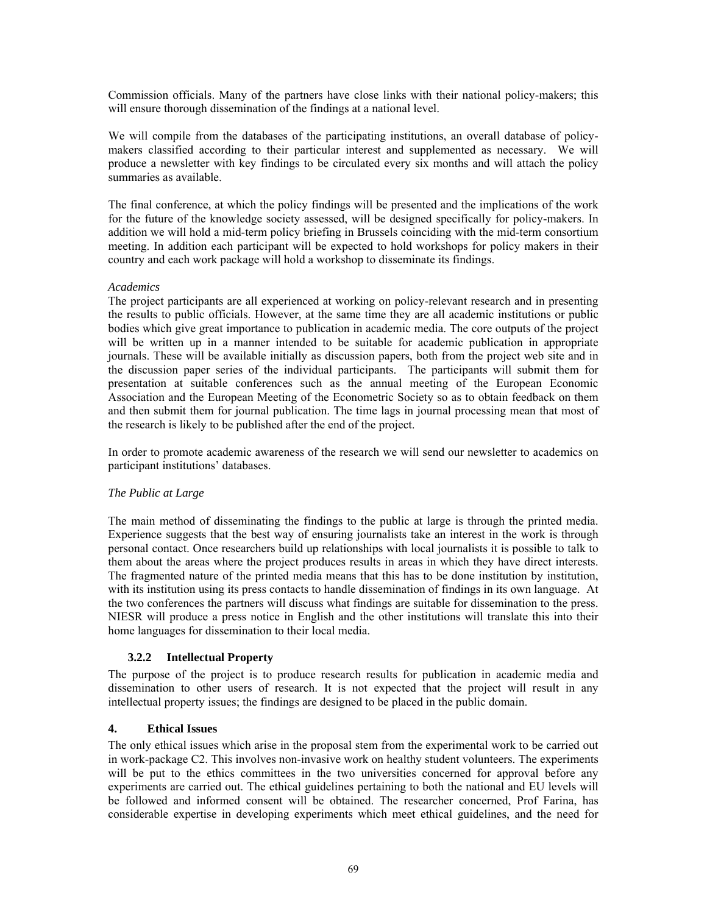Commission officials. Many of the partners have close links with their national policy-makers; this will ensure thorough dissemination of the findings at a national level.

We will compile from the databases of the participating institutions, an overall database of policymakers classified according to their particular interest and supplemented as necessary. We will produce a newsletter with key findings to be circulated every six months and will attach the policy summaries as available.

The final conference, at which the policy findings will be presented and the implications of the work for the future of the knowledge society assessed, will be designed specifically for policy-makers. In addition we will hold a mid-term policy briefing in Brussels coinciding with the mid-term consortium meeting. In addition each participant will be expected to hold workshops for policy makers in their country and each work package will hold a workshop to disseminate its findings.

#### *Academics*

The project participants are all experienced at working on policy-relevant research and in presenting the results to public officials. However, at the same time they are all academic institutions or public bodies which give great importance to publication in academic media. The core outputs of the project will be written up in a manner intended to be suitable for academic publication in appropriate journals. These will be available initially as discussion papers, both from the project web site and in the discussion paper series of the individual participants. The participants will submit them for presentation at suitable conferences such as the annual meeting of the European Economic Association and the European Meeting of the Econometric Society so as to obtain feedback on them and then submit them for journal publication. The time lags in journal processing mean that most of the research is likely to be published after the end of the project.

In order to promote academic awareness of the research we will send our newsletter to academics on participant institutions' databases.

#### *The Public at Large*

The main method of disseminating the findings to the public at large is through the printed media. Experience suggests that the best way of ensuring journalists take an interest in the work is through personal contact. Once researchers build up relationships with local journalists it is possible to talk to them about the areas where the project produces results in areas in which they have direct interests. The fragmented nature of the printed media means that this has to be done institution by institution, with its institution using its press contacts to handle dissemination of findings in its own language. At the two conferences the partners will discuss what findings are suitable for dissemination to the press. NIESR will produce a press notice in English and the other institutions will translate this into their home languages for dissemination to their local media.

#### **3.2.2 Intellectual Property**

The purpose of the project is to produce research results for publication in academic media and dissemination to other users of research. It is not expected that the project will result in any intellectual property issues; the findings are designed to be placed in the public domain.

#### **4. Ethical Issues**

The only ethical issues which arise in the proposal stem from the experimental work to be carried out in work-package C2. This involves non-invasive work on healthy student volunteers. The experiments will be put to the ethics committees in the two universities concerned for approval before any experiments are carried out. The ethical guidelines pertaining to both the national and EU levels will be followed and informed consent will be obtained. The researcher concerned, Prof Farina, has considerable expertise in developing experiments which meet ethical guidelines, and the need for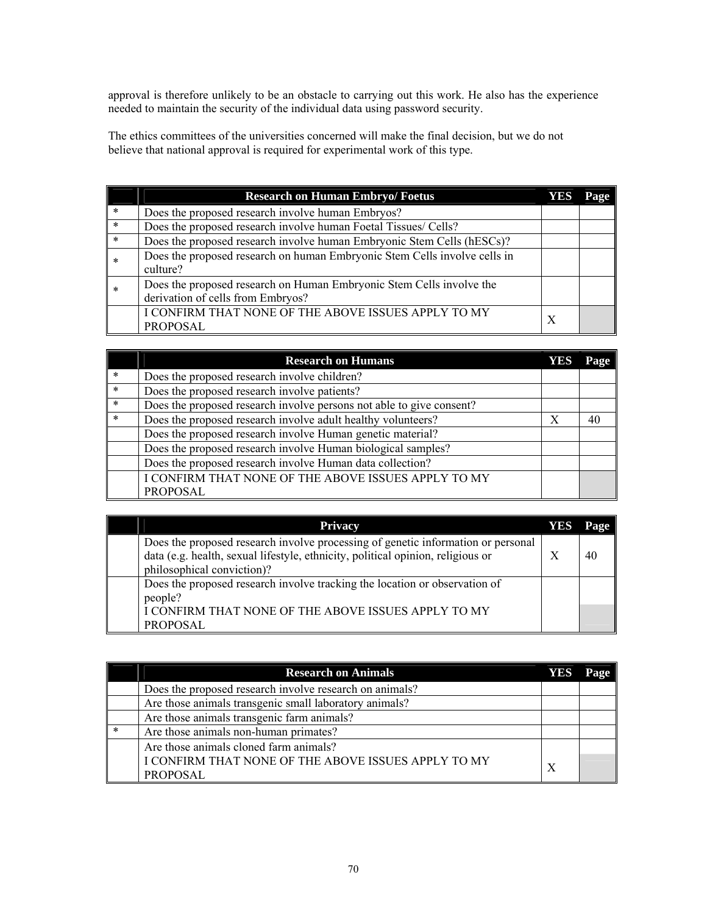approval is therefore unlikely to be an obstacle to carrying out this work. He also has the experience needed to maintain the security of the individual data using password security.

The ethics committees of the universities concerned will make the final decision, but we do not believe that national approval is required for experimental work of this type.

|               | <b>Research on Human Embryo/ Foetus</b>                                                                   | YES | Page |
|---------------|-----------------------------------------------------------------------------------------------------------|-----|------|
| $\ast$        | Does the proposed research involve human Embryos?                                                         |     |      |
| $*$           | Does the proposed research involve human Foetal Tissues/ Cells?                                           |     |      |
| $\parallel *$ | Does the proposed research involve human Embryonic Stem Cells (hESCs)?                                    |     |      |
| *             | Does the proposed research on human Embryonic Stem Cells involve cells in<br>culture?                     |     |      |
| *             | Does the proposed research on Human Embryonic Stem Cells involve the<br>derivation of cells from Embryos? |     |      |
|               | I CONFIRM THAT NONE OF THE ABOVE ISSUES APPLY TO MY<br><b>PROPOSAL</b>                                    | X   |      |

|        | <b>Research on Humans</b>                                            | YES | Page |
|--------|----------------------------------------------------------------------|-----|------|
| $\ast$ | Does the proposed research involve children?                         |     |      |
| $*$    | Does the proposed research involve patients?                         |     |      |
| $\ast$ | Does the proposed research involve persons not able to give consent? |     |      |
| *      | Does the proposed research involve adult healthy volunteers?         | X   | 40   |
|        | Does the proposed research involve Human genetic material?           |     |      |
|        | Does the proposed research involve Human biological samples?         |     |      |
|        | Does the proposed research involve Human data collection?            |     |      |
|        | I CONFIRM THAT NONE OF THE ABOVE ISSUES APPLY TO MY                  |     |      |
|        | <b>PROPOSAL</b>                                                      |     |      |

| <b>Privacy</b>                                                                                                                                                                                    | YES | Page |
|---------------------------------------------------------------------------------------------------------------------------------------------------------------------------------------------------|-----|------|
| Does the proposed research involve processing of genetic information or personal<br>data (e.g. health, sexual lifestyle, ethnicity, political opinion, religious or<br>philosophical conviction)? |     | 40   |
| Does the proposed research involve tracking the location or observation of<br>people?                                                                                                             |     |      |
| I CONFIRM THAT NONE OF THE ABOVE ISSUES APPLY TO MY<br><b>PROPOSAL</b>                                                                                                                            |     |      |

|        | <b>Research on Animals</b>                              | YES | Page |
|--------|---------------------------------------------------------|-----|------|
|        | Does the proposed research involve research on animals? |     |      |
|        | Are those animals transgenic small laboratory animals?  |     |      |
|        | Are those animals transgenic farm animals?              |     |      |
| $\ast$ | Are those animals non-human primates?                   |     |      |
|        | Are those animals cloned farm animals?                  |     |      |
|        | I CONFIRM THAT NONE OF THE ABOVE ISSUES APPLY TO MY     | X   |      |
|        | <b>PROPOSAL</b>                                         |     |      |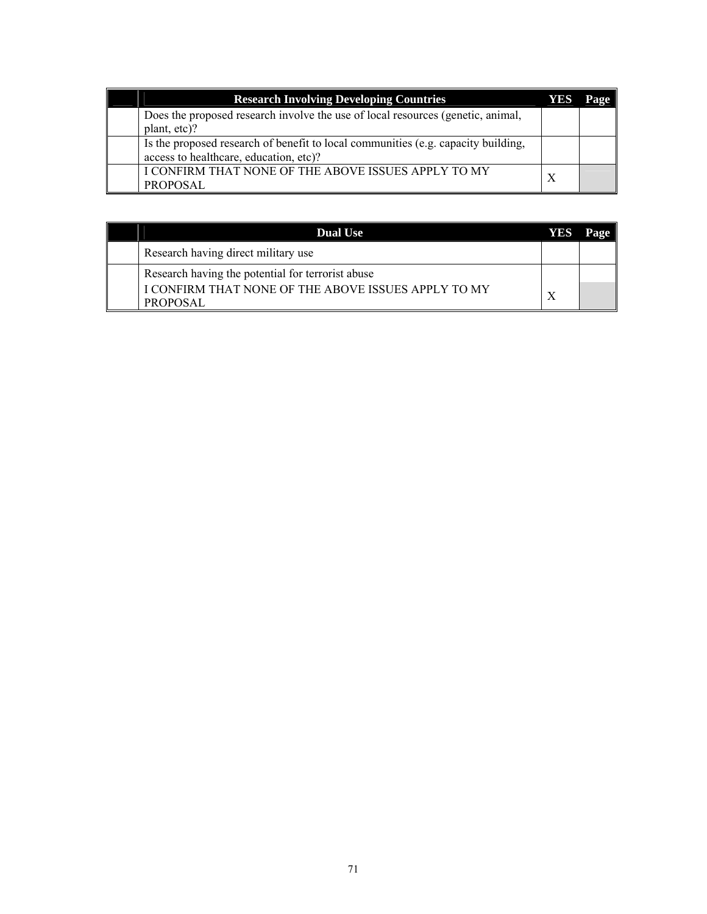| <b>Research Involving Developing Countries</b>                                    | YES | Page |
|-----------------------------------------------------------------------------------|-----|------|
| Does the proposed research involve the use of local resources (genetic, animal,   |     |      |
| plant, etc)?                                                                      |     |      |
| Is the proposed research of benefit to local communities (e.g. capacity building, |     |      |
| access to healthcare, education, etc)?                                            |     |      |
| I CONFIRM THAT NONE OF THE ABOVE ISSUES APPLY TO MY                               |     |      |
| PROPOSAL                                                                          |     |      |

| <b>Dual Use</b>                                                                                                             | YES | Page |
|-----------------------------------------------------------------------------------------------------------------------------|-----|------|
| Research having direct military use                                                                                         |     |      |
| Research having the potential for terrorist abuse<br>I CONFIRM THAT NONE OF THE ABOVE ISSUES APPLY TO MY<br><b>PROPOSAL</b> |     |      |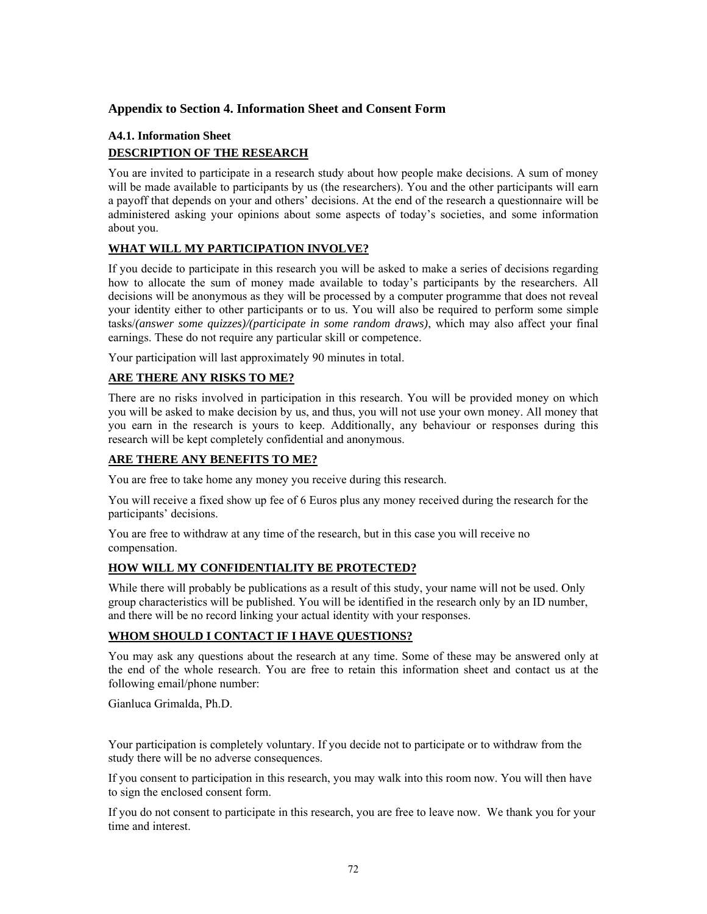# **Appendix to Section 4. Information Sheet and Consent Form**

# **A4.1. Information Sheet DESCRIPTION OF THE RESEARCH**

You are invited to participate in a research study about how people make decisions. A sum of money will be made available to participants by us (the researchers). You and the other participants will earn a payoff that depends on your and others' decisions. At the end of the research a questionnaire will be administered asking your opinions about some aspects of today's societies, and some information about you.

# **WHAT WILL MY PARTICIPATION INVOLVE?**

If you decide to participate in this research you will be asked to make a series of decisions regarding how to allocate the sum of money made available to today's participants by the researchers. All decisions will be anonymous as they will be processed by a computer programme that does not reveal your identity either to other participants or to us. You will also be required to perform some simple tasks/*(answer some quizzes)/(participate in some random draws)*, which may also affect your final earnings. These do not require any particular skill or competence.

Your participation will last approximately 90 minutes in total.

# **ARE THERE ANY RISKS TO ME?**

There are no risks involved in participation in this research. You will be provided money on which you will be asked to make decision by us, and thus, you will not use your own money. All money that you earn in the research is yours to keep. Additionally, any behaviour or responses during this research will be kept completely confidential and anonymous.

### **ARE THERE ANY BENEFITS TO ME?**

You are free to take home any money you receive during this research.

You will receive a fixed show up fee of 6 Euros plus any money received during the research for the participants' decisions.

You are free to withdraw at any time of the research, but in this case you will receive no compensation.

# **HOW WILL MY CONFIDENTIALITY BE PROTECTED?**

While there will probably be publications as a result of this study, your name will not be used. Only group characteristics will be published. You will be identified in the research only by an ID number, and there will be no record linking your actual identity with your responses.

#### **WHOM SHOULD I CONTACT IF I HAVE QUESTIONS?**

You may ask any questions about the research at any time. Some of these may be answered only at the end of the whole research. You are free to retain this information sheet and contact us at the following email/phone number:

Gianluca Grimalda, Ph.D.

Your participation is completely voluntary. If you decide not to participate or to withdraw from the study there will be no adverse consequences.

If you consent to participation in this research, you may walk into this room now. You will then have to sign the enclosed consent form.

If you do not consent to participate in this research, you are free to leave now. We thank you for your time and interest.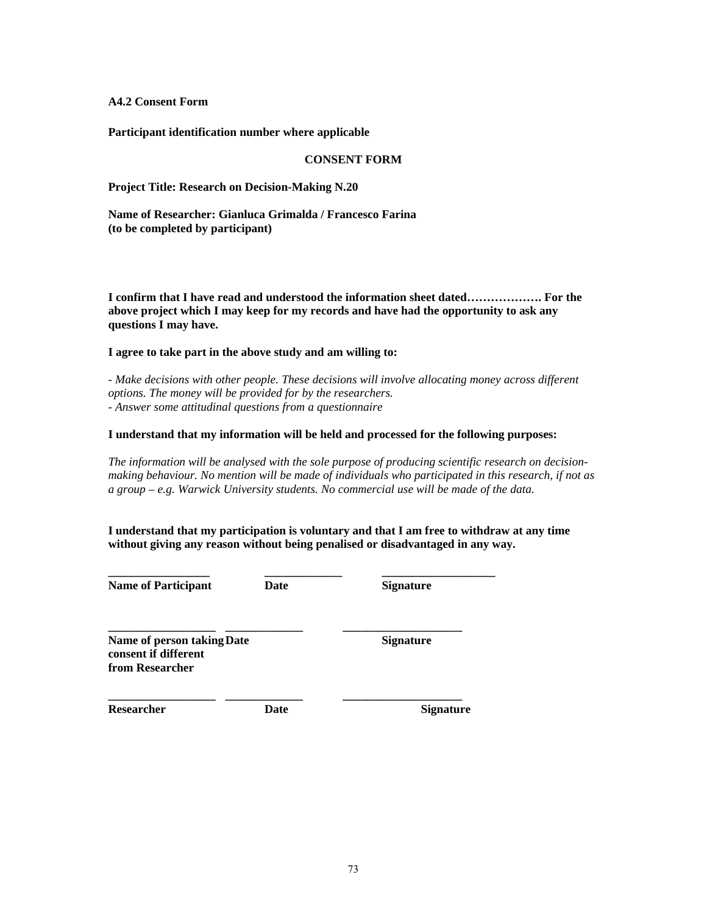**A4.2 Consent Form** 

**Participant identification number where applicable** 

#### **CONSENT FORM**

**Project Title: Research on Decision-Making N.20** 

**Name of Researcher: Gianluca Grimalda / Francesco Farina (to be completed by participant)** 

**I confirm that I have read and understood the information sheet dated………………. For the above project which I may keep for my records and have had the opportunity to ask any questions I may have.** 

#### **I agree to take part in the above study and am willing to:**

*- Make decisions with other people. These decisions will involve allocating money across different options. The money will be provided for by the researchers. - Answer some attitudinal questions from a questionnaire* 

#### **I understand that my information will be held and processed for the following purposes:**

*The information will be analysed with the sole purpose of producing scientific research on decisionmaking behaviour. No mention will be made of individuals who participated in this research, if not as a group – e.g. Warwick University students. No commercial use will be made of the data.* 

**I understand that my participation is voluntary and that I am free to withdraw at any time without giving any reason without being penalised or disadvantaged in any way.** 

**\_\_\_\_\_\_\_\_\_\_\_\_\_\_\_\_\_ \_\_\_\_\_\_\_\_\_\_\_\_\_ \_\_\_\_\_\_\_\_\_\_\_\_\_\_\_\_\_\_\_ Name of Participant Date** Date Signature

**\_\_\_\_\_\_\_\_\_\_\_\_\_\_\_\_\_\_ \_\_\_\_\_\_\_\_\_\_\_\_\_ \_\_\_\_\_\_\_\_\_\_\_\_\_\_\_\_\_\_\_\_** 

**Name of person taking Date** Signature **consent if different from Researcher** 

**Researcher Date Date Signature** 

**\_\_\_\_\_\_\_\_\_\_\_\_\_\_\_\_\_\_ \_\_\_\_\_\_\_\_\_\_\_\_\_ \_\_\_\_\_\_\_\_\_\_\_\_\_\_\_\_\_\_\_\_**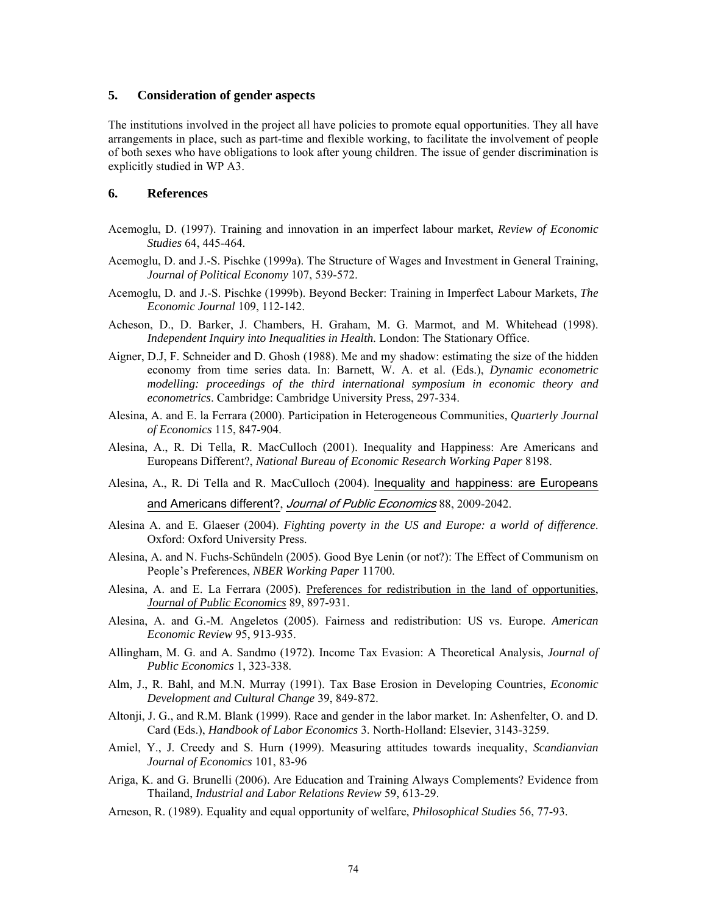### **5. Consideration of gender aspects**

The institutions involved in the project all have policies to promote equal opportunities. They all have arrangements in place, such as part-time and flexible working, to facilitate the involvement of people of both sexes who have obligations to look after young children. The issue of gender discrimination is explicitly studied in WP A3.

#### **6. References**

- Acemoglu, D. (1997). Training and innovation in an imperfect labour market, *Review of Economic Studies* 64, 445-464.
- Acemoglu, D. and J.-S. Pischke (1999a). The Structure of Wages and Investment in General Training, *Journal of Political Economy* 107, 539-572.
- Acemoglu, D. and J.-S. Pischke (1999b). Beyond Becker: Training in Imperfect Labour Markets, *The Economic Journal* 109, 112-142.
- Acheson, D., D. Barker, J. Chambers, H. Graham, M. G. Marmot, and M. Whitehead (1998). *Independent Inquiry into Inequalities in Health*. London: The Stationary Office.
- Aigner, D.J, F. Schneider and D. Ghosh (1988). Me and my shadow: estimating the size of the hidden economy from time series data. In: Barnett, W. A. et al. (Eds.), *Dynamic econometric modelling: proceedings of the third international symposium in economic theory and econometrics*. Cambridge: Cambridge University Press, 297-334.
- Alesina, A. and E. la Ferrara (2000). Participation in Heterogeneous Communities, *Quarterly Journal of Economics* 115, 847-904.
- Alesina, A., R. Di Tella, R. MacCulloch (2001). Inequality and Happiness: Are Americans and Europeans Different?, *National Bureau of Economic Research Working Paper* 8198.
- Alesina, A., R. Di Tella and R. MacCulloch (2004). Inequality and happiness: are Europeans and Americans different?, Journal of Public Economics 88, 2009-2042.
- Alesina A. and E. Glaeser (2004). *Fighting poverty in the US and Europe: a world of difference*. Oxford: Oxford University Press.
- Alesina, A. and N. Fuchs-Schündeln (2005). Good Bye Lenin (or not?): The Effect of Communism on People's Preferences, *NBER Working Paper* 11700.
- Alesina, A. and E. La Ferrara (2005). Preferences for redistribution in the land of opportunities, *Journal of Public Economics* 89, 897-931.
- Alesina, A. and G.-M. Angeletos (2005). Fairness and redistribution: US vs. Europe. *American Economic Review* 95, 913-935.
- Allingham, M. G. and A. Sandmo (1972). Income Tax Evasion: A Theoretical Analysis, *Journal of Public Economics* 1, 323-338.
- Alm, J., R. Bahl, and M.N. Murray (1991). Tax Base Erosion in Developing Countries, *Economic Development and Cultural Change* 39, 849-872.
- Altonji, J. G., and R.M. Blank (1999). Race and gender in the labor market. In: Ashenfelter, O. and D. Card (Eds.), *Handbook of Labor Economics* 3. North-Holland: Elsevier, 3143-3259.
- Amiel, Y., J. Creedy and S. Hurn (1999). Measuring attitudes towards inequality, *Scandianvian Journal of Economics* 101, 83-96
- Ariga, K. and G. Brunelli (2006). Are Education and Training Always Complements? Evidence from Thailand, *Industrial and Labor Relations Review* 59, 613-29.
- Arneson, R. (1989). Equality and equal opportunity of welfare, *Philosophical Studies* 56, 77-93.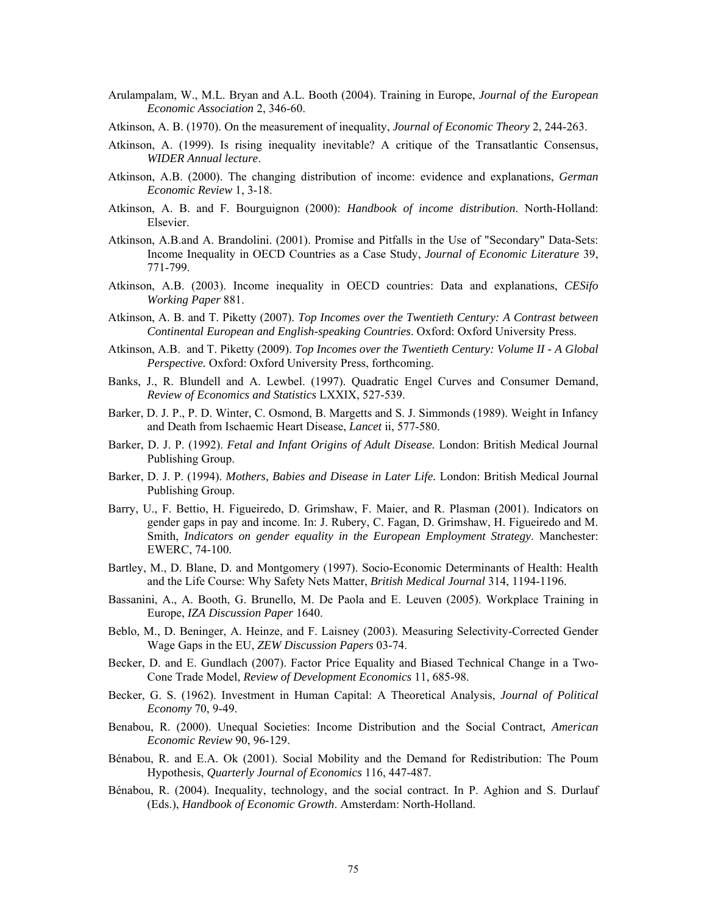- Arulampalam, W., M.L. Bryan and A.L. Booth (2004). Training in Europe, *Journal of the European Economic Association* 2, 346-60.
- Atkinson, A. B. (1970). On the measurement of inequality, *Journal of Economic Theory* 2, 244-263.
- Atkinson, A. (1999). Is rising inequality inevitable? A critique of the Transatlantic Consensus, *WIDER Annual lecture*.
- Atkinson, A.B. (2000). The changing distribution of income: evidence and explanations, *German Economic Review* 1, 3-18.
- Atkinson, A. B. and F. Bourguignon (2000): *Handbook of income distribution*. North-Holland: Elsevier.
- Atkinson, A.B.and A. Brandolini. (2001). Promise and Pitfalls in the Use of "Secondary" Data-Sets: Income Inequality in OECD Countries as a Case Study, *Journal of Economic Literature* 39, 771-799.
- Atkinson, A.B. (2003). Income inequality in OECD countries: Data and explanations, *CESifo Working Paper* 881.
- Atkinson, A. B. and T. Piketty (2007). *Top Incomes over the Twentieth Century: A Contrast between Continental European and English-speaking Countries*. Oxford: Oxford University Press.
- Atkinson, A.B. and T. Piketty (2009). *Top Incomes over the Twentieth Century: Volume II A Global Perspective.* Oxford: Oxford University Press, forthcoming.
- Banks, J., R. Blundell and A. Lewbel. (1997). Quadratic Engel Curves and Consumer Demand, *Review of Economics and Statistics* LXXIX, 527-539.
- Barker, D. J. P., P. D. Winter, C. Osmond, B. Margetts and S. J. Simmonds (1989). Weight in Infancy and Death from Ischaemic Heart Disease, *Lancet* ii, 577-580.
- Barker, D. J. P. (1992). *Fetal and Infant Origins of Adult Disease.* London: British Medical Journal Publishing Group.
- Barker, D. J. P. (1994). *Mothers, Babies and Disease in Later Life.* London: British Medical Journal Publishing Group.
- Barry, U., F. Bettio, H. Figueiredo, D. Grimshaw, F. Maier, and R. Plasman (2001). Indicators on gender gaps in pay and income. In: J. Rubery, C. Fagan, D. Grimshaw, H. Figueiredo and M. Smith, *Indicators on gender equality in the European Employment Strategy*. Manchester: EWERC, 74-100.
- Bartley, M., D. Blane, D. and Montgomery (1997). Socio-Economic Determinants of Health: Health and the Life Course: Why Safety Nets Matter, *British Medical Journal* 314, 1194-1196.
- Bassanini, A., A. Booth, G. Brunello, M. De Paola and E. Leuven (2005). Workplace Training in Europe, *IZA Discussion Paper* 1640.
- Beblo, M., D. Beninger, A. Heinze, and F. Laisney (2003). Measuring Selectivity-Corrected Gender Wage Gaps in the EU, *ZEW Discussion Papers* 03-74.
- Becker, D. and E. Gundlach (2007). Factor Price Equality and Biased Technical Change in a Two-Cone Trade Model, *Review of Development Economics* 11, 685-98.
- Becker, G. S. (1962). Investment in Human Capital: A Theoretical Analysis, *Journal of Political Economy* 70, 9-49.
- Benabou, R. (2000). Unequal Societies: Income Distribution and the Social Contract, *American Economic Review* 90, 96-129.
- Bénabou, R. and E.A. Ok (2001). Social Mobility and the Demand for Redistribution: The Poum Hypothesis, *Quarterly Journal of Economics* 116, 447-487.
- Bénabou, R. (2004). Inequality, technology, and the social contract. In P. Aghion and S. Durlauf (Eds.), *Handbook of Economic Growth*. Amsterdam: North-Holland.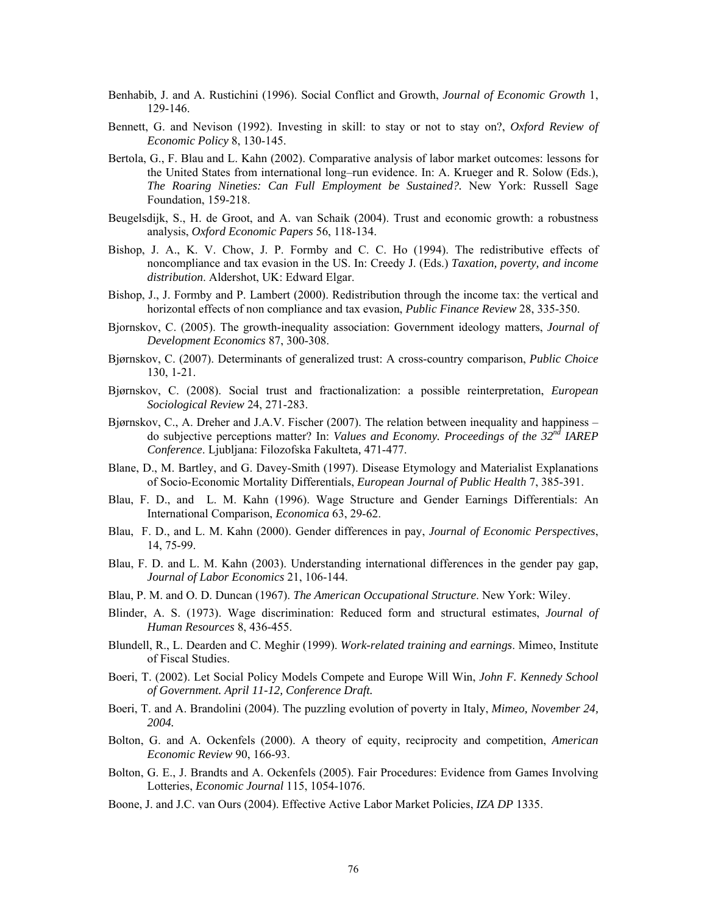- Benhabib, J. and A. Rustichini (1996). Social Conflict and Growth, *Journal of Economic Growth* 1, 129-146.
- Bennett, G. and Nevison (1992). Investing in skill: to stay or not to stay on?, *Oxford Review of Economic Policy* 8, 130-145.
- Bertola, G., F. Blau and L. Kahn (2002). Comparative analysis of labor market outcomes: lessons for the United States from international long–run evidence. In: A. Krueger and R. Solow (Eds.), *The Roaring Nineties: Can Full Employment be Sustained?.* New York: Russell Sage Foundation, 159-218.
- Beugelsdijk, S., H. de Groot, and A. van Schaik (2004). Trust and economic growth: a robustness analysis, *Oxford Economic Papers* 56, 118-134.
- Bishop, J. A., K. V. Chow, J. P. Formby and C. C. Ho (1994). The redistributive effects of noncompliance and tax evasion in the US. In: Creedy J. (Eds.) *Taxation, poverty, and income distribution*. Aldershot, UK: Edward Elgar.
- Bishop, J., J. Formby and P. Lambert (2000). Redistribution through the income tax: the vertical and horizontal effects of non compliance and tax evasion, *Public Finance Review* 28, 335-350.
- Bjornskov, C. (2005). The growth-inequality association: Government ideology matters, *Journal of Development Economics* 87, 300-308.
- Bjørnskov, C. (2007). Determinants of generalized trust: A cross-country comparison, *Public Choice* 130, 1-21.
- Bjørnskov, C. (2008). Social trust and fractionalization: a possible reinterpretation, *European Sociological Review* 24, 271-283.
- Bjørnskov, C., A. Dreher and J.A.V. Fischer (2007). The relation between inequality and happiness do subjective perceptions matter? In: *Values and Economy. Proceedings of the 32nd IAREP Conference*. Ljubljana: Filozofska Fakulteta*,* 471-477.
- Blane, D., M. Bartley, and G. Davey-Smith (1997). Disease Etymology and Materialist Explanations of Socio-Economic Mortality Differentials, *European Journal of Public Health* 7, 385-391.
- Blau, F. D., and L. M. Kahn (1996). Wage Structure and Gender Earnings Differentials: An International Comparison, *Economica* 63, 29-62.
- Blau, F. D., and L. M. Kahn (2000). Gender differences in pay, *Journal of Economic Perspectives*, 14, 75-99.
- Blau, F. D. and L. M. Kahn (2003). Understanding international differences in the gender pay gap, *Journal of Labor Economics* 21, 106-144.
- Blau, P. M. and O. D. Duncan (1967). *The American Occupational Structure*. New York: Wiley.
- Blinder, A. S. (1973). Wage discrimination: Reduced form and structural estimates, *Journal of Human Resources* 8, 436-455.
- Blundell, R., L. Dearden and C. Meghir (1999). *Work-related training and earnings*. Mimeo, Institute of Fiscal Studies.
- Boeri, T. (2002). Let Social Policy Models Compete and Europe Will Win, *John F. Kennedy School of Government. April 11-12, Conference Draft.*
- Boeri, T. and A. Brandolini (2004). The puzzling evolution of poverty in Italy, *Mimeo, November 24, 2004.*
- Bolton, G. and A. Ockenfels (2000). A theory of equity, reciprocity and competition, *American Economic Review* 90, 166-93.
- Bolton, G. E., J. Brandts and A. Ockenfels (2005). Fair Procedures: Evidence from Games Involving Lotteries, *Economic Journal* 115, 1054-1076.
- Boone, J. and J.C. van Ours (2004). Effective Active Labor Market Policies, *IZA DP* 1335.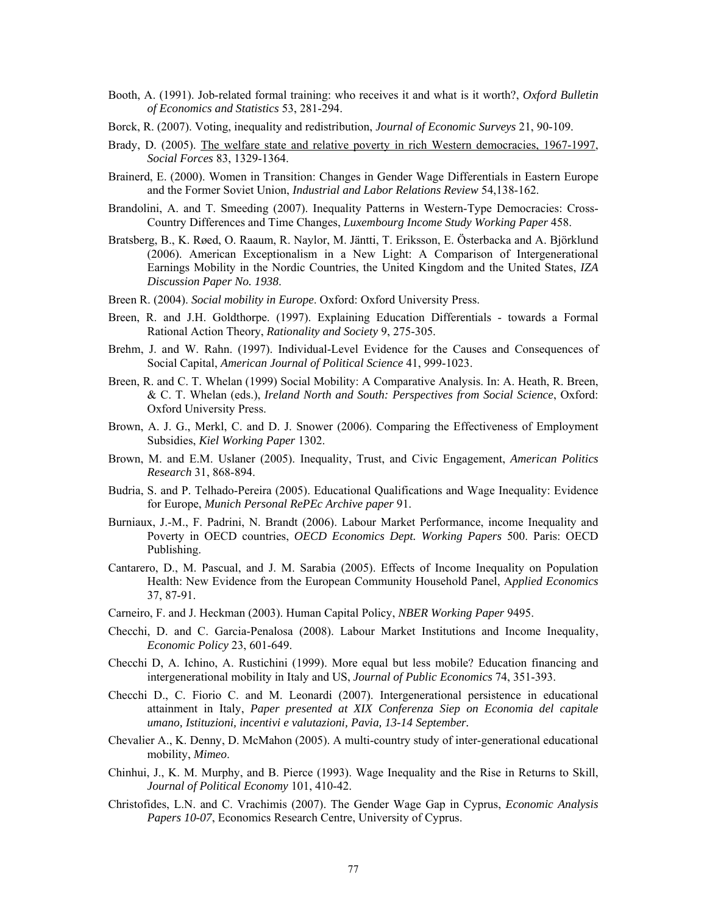- Booth, A. (1991). Job-related formal training: who receives it and what is it worth?, *Oxford Bulletin of Economics and Statistics* 53, 281-294.
- Borck, R. (2007). Voting, inequality and redistribution, *Journal of Economic Surveys* 21, 90-109.
- Brady, D. (2005). The welfare state and relative poverty in rich Western democracies, 1967-1997, *Social Forces* 83, 1329-1364.
- Brainerd, E. (2000). Women in Transition: Changes in Gender Wage Differentials in Eastern Europe and the Former Soviet Union, *Industrial and Labor Relations Review* 54,138-162.
- Brandolini, A. and T. Smeeding (2007). Inequality Patterns in Western-Type Democracies: Cross-Country Differences and Time Changes, *Luxembourg Income Study Working Paper* 458.
- Bratsberg, B., K. Røed, O. Raaum, R. Naylor, M. Jäntti, T. Eriksson, E. Österbacka and A. Björklund (2006). American Exceptionalism in a New Light: A Comparison of Intergenerational Earnings Mobility in the Nordic Countries, the United Kingdom and the United States, *IZA Discussion Paper No. 1938*.
- Breen R. (2004). *Social mobility in Europe*. Oxford: Oxford University Press.
- Breen, R. and J.H. Goldthorpe. (1997). Explaining Education Differentials towards a Formal Rational Action Theory, *Rationality and Society* 9, 275-305.
- Brehm, J. and W. Rahn. (1997). Individual-Level Evidence for the Causes and Consequences of Social Capital, *American Journal of Political Science* 41, 999-1023.
- Breen, R. and C. T. Whelan (1999) Social Mobility: A Comparative Analysis. In: A. Heath, R. Breen, & C. T. Whelan (eds.), *Ireland North and South: Perspectives from Social Science*, Oxford: Oxford University Press.
- Brown, A. J. G., Merkl, C. and D. J. Snower (2006). Comparing the Effectiveness of Employment Subsidies, *Kiel Working Paper* 1302.
- Brown, M. and E.M. Uslaner (2005). Inequality, Trust, and Civic Engagement, *American Politics Research* 31, 868-894.
- Budria, S. and P. Telhado-Pereira (2005). Educational Qualifications and Wage Inequality: Evidence for Europe, *Munich Personal RePEc Archive paper* 91.
- Burniaux, J.-M., F. Padrini, N. Brandt (2006). Labour Market Performance, income Inequality and Poverty in OECD countries, *OECD Economics Dept. Working Papers* 500. Paris: OECD Publishing.
- Cantarero, D., M. Pascual, and J. M. Sarabia (2005). Effects of Income Inequality on Population Health: New Evidence from the European Community Household Panel, A*pplied Economics* 37, 87-91.
- Carneiro, F. and J. Heckman (2003). Human Capital Policy, *NBER Working Paper* 9495.
- Checchi, D. and C. Garcia-Penalosa (2008). Labour Market Institutions and Income Inequality, *Economic Policy* 23, 601-649.
- Checchi D, A. Ichino, A. Rustichini (1999). More equal but less mobile? Education financing and intergenerational mobility in Italy and US, *Journal of Public Economics* 74, 351-393.
- Checchi D., C. Fiorio C. and M. Leonardi (2007). Intergenerational persistence in educational attainment in Italy, *Paper presented at XIX Conferenza Siep on Economia del capitale umano, Istituzioni, incentivi e valutazioni, Pavia, 13-14 September.*
- Chevalier A., K. Denny, D. McMahon (2005). A multi-country study of inter-generational educational mobility, *Mimeo*.
- Chinhui, J., K. M. Murphy, and B. Pierce (1993). Wage Inequality and the Rise in Returns to Skill, *Journal of Political Economy* 101, 410-42.
- Christofides, L.N. and C. Vrachimis (2007). The Gender Wage Gap in Cyprus, *Economic Analysis Papers 10-07*, Economics Research Centre, University of Cyprus.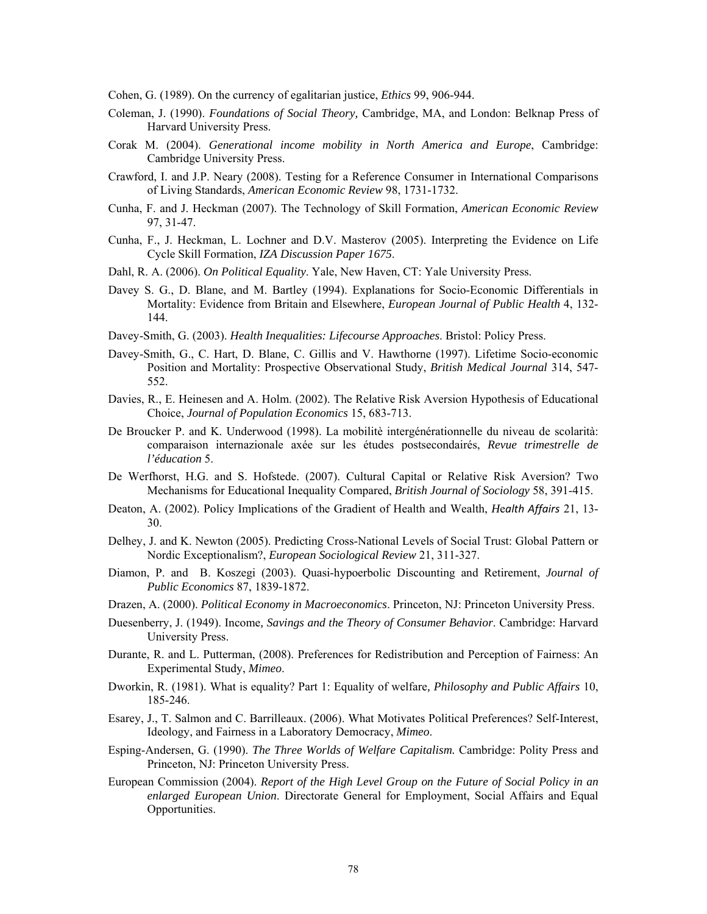Cohen, G. (1989). On the currency of egalitarian justice, *Ethics* 99, 906-944.

- Coleman, J. (1990). *Foundations of Social Theory,* Cambridge, MA, and London: Belknap Press of Harvard University Press.
- Corak M. (2004). *Generational income mobility in North America and Europe*, Cambridge: Cambridge University Press.
- Crawford, I. and J.P. Neary (2008). Testing for a Reference Consumer in International Comparisons of Living Standards, *American Economic Review* 98, 1731-1732.
- Cunha, F. and J. Heckman (2007). The Technology of Skill Formation, *American Economic Review* 97, 31-47.
- Cunha, F., J. Heckman, L. Lochner and D.V. Masterov (2005). Interpreting the Evidence on Life Cycle Skill Formation, *IZA Discussion Paper 1675*.
- Dahl, R. A. (2006). *On Political Equality*. Yale, New Haven, CT: Yale University Press.
- Davey S. G., D. Blane, and M. Bartley (1994). Explanations for Socio-Economic Differentials in Mortality: Evidence from Britain and Elsewhere, *European Journal of Public Health* 4, 132- 144.
- Davey-Smith, G. (2003). *Health Inequalities: Lifecourse Approaches*. Bristol: Policy Press.
- Davey-Smith, G., C. Hart, D. Blane, C. Gillis and V. Hawthorne (1997). Lifetime Socio-economic Position and Mortality: Prospective Observational Study, *British Medical Journal* 314, 547- 552.
- Davies, R., E. Heinesen and A. Holm. (2002). The Relative Risk Aversion Hypothesis of Educational Choice, *Journal of Population Economics* 15, 683-713.
- De Broucker P. and K. Underwood (1998). La mobilitè intergénérationnelle du niveau de scolarità: comparaison internazionale axée sur les études postsecondairés, *Revue trimestrelle de l'éducation* 5.
- De Werfhorst, H.G. and S. Hofstede. (2007). Cultural Capital or Relative Risk Aversion? Two Mechanisms for Educational Inequality Compared, *British Journal of Sociology* 58, 391-415.
- Deaton, A. (2002). Policy Implications of the Gradient of Health and Wealth, *H*e*alth Affairs* 21, 13- 30.
- Delhey, J. and K. Newton (2005). Predicting Cross-National Levels of Social Trust: Global Pattern or Nordic Exceptionalism?, *European Sociological Review* 21, 311-327.
- Diamon, P. and B. Koszegi (2003). Quasi-hypoerbolic Discounting and Retirement, *Journal of Public Economics* 87, 1839-1872.
- Drazen, A. (2000). *Political Economy in Macroeconomics*. Princeton, NJ: Princeton University Press.
- Duesenberry, J. (1949). Income*, Savings and the Theory of Consumer Behavior*. Cambridge: Harvard University Press.
- Durante, R. and L. Putterman, (2008). Preferences for Redistribution and Perception of Fairness: An Experimental Study, *Mimeo*.
- Dworkin, R. (1981). What is equality? Part 1: Equality of welfare*, Philosophy and Public Affairs* 10, 185-246.
- Esarey, J., T. Salmon and C. Barrilleaux. (2006). What Motivates Political Preferences? Self-Interest, Ideology, and Fairness in a Laboratory Democracy, *Mimeo*.
- Esping-Andersen, G. (1990). *The Three Worlds of Welfare Capitalism.* Cambridge: Polity Press and Princeton, NJ: Princeton University Press.
- European Commission (2004). *Report of the High Level Group on the Future of Social Policy in an enlarged European Union*. Directorate General for Employment, Social Affairs and Equal Opportunities.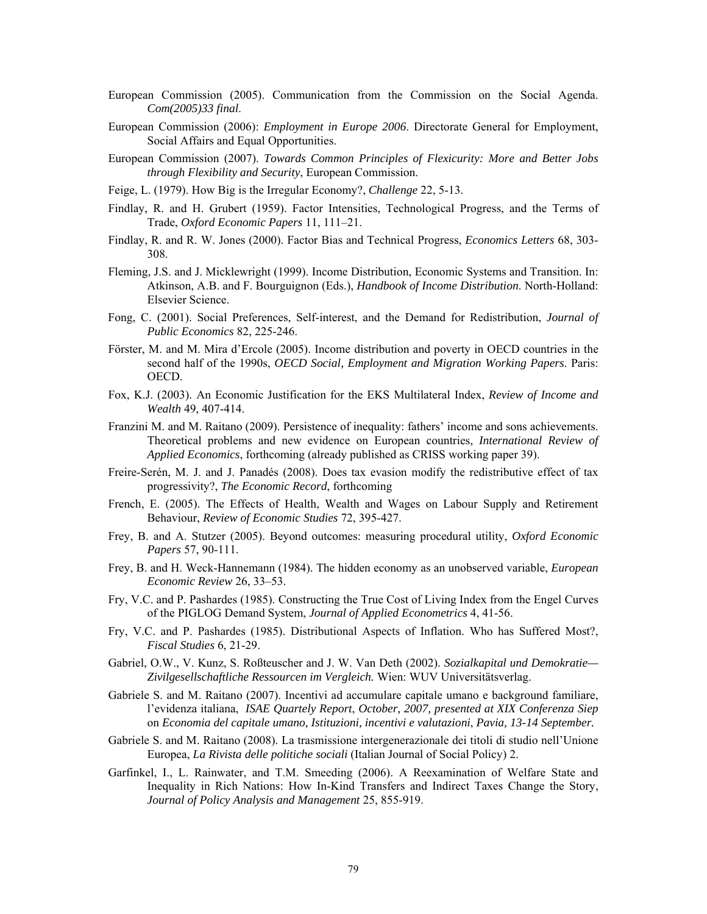- European Commission (2005). Communication from the Commission on the Social Agenda. *Com(2005)33 final*.
- European Commission (2006): *Employment in Europe 2006*. Directorate General for Employment, Social Affairs and Equal Opportunities.
- European Commission (2007). *Towards Common Principles of Flexicurity: More and Better Jobs through Flexibility and Security*, European Commission.
- Feige, L. (1979). How Big is the Irregular Economy?, *Challenge* 22, 5-13.
- Findlay, R. and H. Grubert (1959). Factor Intensities, Technological Progress, and the Terms of Trade, *Oxford Economic Papers* 11, 111–21.
- Findlay, R. and R. W. Jones (2000). Factor Bias and Technical Progress, *Economics Letters* 68, 303- 308.
- Fleming, J.S. and J. Micklewright (1999). Income Distribution, Economic Systems and Transition. In: Atkinson, A.B. and F. Bourguignon (Eds.), *Handbook of Income Distribution*. North-Holland: Elsevier Science.
- Fong, C. (2001). Social Preferences, Self-interest, and the Demand for Redistribution, *Journal of Public Economics* 82, 225-246.
- Förster, M. and M. Mira d'Ercole (2005). Income distribution and poverty in OECD countries in the second half of the 1990s, *OECD Social, Employment and Migration Working Papers*. Paris: OECD.
- Fox, K.J. (2003). An Economic Justification for the EKS Multilateral Index, *Review of Income and Wealth* 49, 407-414.
- Franzini M. and M. Raitano (2009). Persistence of inequality: fathers' income and sons achievements. Theoretical problems and new evidence on European countries, *International Review of Applied Economics*, forthcoming (already published as CRISS working paper 39).
- Freire-Serén, M. J. and J. Panadés (2008). Does tax evasion modify the redistributive effect of tax progressivity?, *The Economic Record*, forthcoming
- French, E. (2005). The Effects of Health, Wealth and Wages on Labour Supply and Retirement Behaviour, *Review of Economic Studies* 72, 395-427.
- Frey, B. and A. Stutzer (2005). Beyond outcomes: measuring procedural utility, *Oxford Economic Papers* 57, 90-111.
- Frey, B. and H. Weck-Hannemann (1984). The hidden economy as an unobserved variable, *European Economic Review* 26, 33–53.
- Fry, V.C. and P. Pashardes (1985). Constructing the True Cost of Living Index from the Engel Curves of the PIGLOG Demand System, *Journal of Applied Econometrics* 4, 41-56.
- Fry, V.C. and P. Pashardes (1985). Distributional Aspects of Inflation. Who has Suffered Most?, *Fiscal Studies* 6, 21-29.
- Gabriel, O.W., V. Kunz, S. Roßteuscher and J. W. Van Deth (2002). *Sozialkapital und Demokratie— Zivilgesellschaftliche Ressourcen im Vergleich.* Wien: WUV Universitätsverlag.
- Gabriele S. and M. Raitano (2007). Incentivi ad accumulare capitale umano e background familiare, l'evidenza italiana, *ISAE Quartely Report*, *October, 2007, presented at XIX Conferenza Siep*  on *Economia del capitale umano, Istituzioni, incentivi e valutazioni*, *Pavia, 13-14 September.*
- Gabriele S. and M. Raitano (2008). La trasmissione intergenerazionale dei titoli di studio nell'Unione Europea, *La Rivista delle politiche sociali* (Italian Journal of Social Policy) 2.
- Garfinkel, I., L. Rainwater, and T.M. Smeeding (2006). A Reexamination of Welfare State and Inequality in Rich Nations: How In-Kind Transfers and Indirect Taxes Change the Story, *Journal of Policy Analysis and Management* 25, 855-919.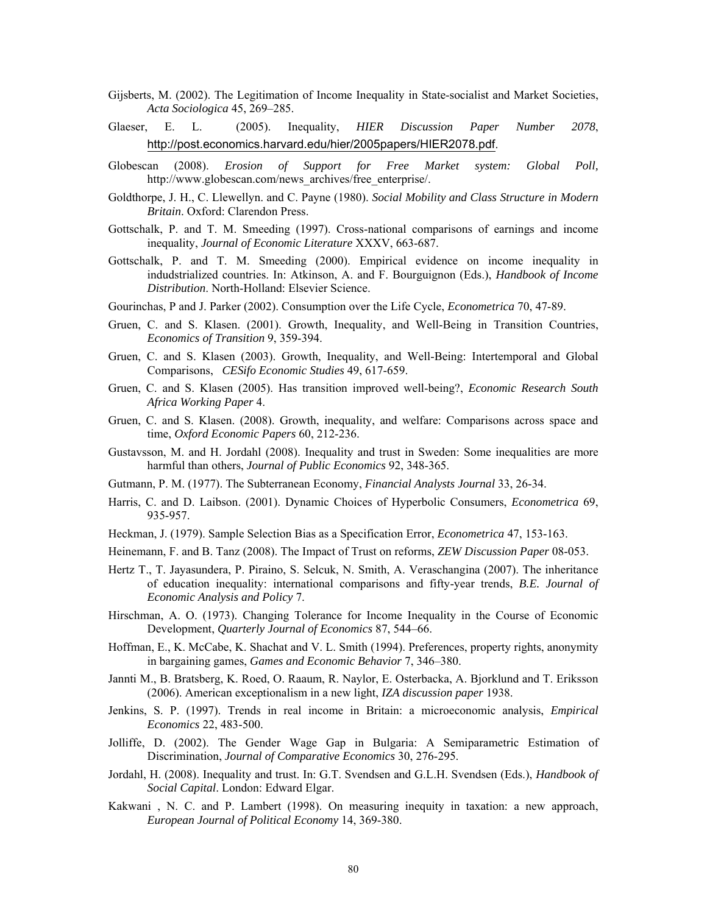- Gijsberts, M. (2002). The Legitimation of Income Inequality in State-socialist and Market Societies, *Acta Sociologica* 45, 269–285.
- Glaeser, E. L. (2005). Inequality, *HIER Discussion Paper Number 2078*, http://post.economics.harvard.edu/hier/2005papers/HIER2078.pdf.
- Globescan (2008). *Erosion of Support for Free Market system: Global Poll,*  http://www.globescan.com/news\_archives/free\_enterprise/.
- Goldthorpe, J. H., C. Llewellyn. and C. Payne (1980). *Social Mobility and Class Structure in Modern Britain*. Oxford: Clarendon Press.
- Gottschalk, P. and T. M. Smeeding (1997). Cross-national comparisons of earnings and income inequality, *Journal of Economic Literature* XXXV, 663-687.
- Gottschalk, P. and T. M. Smeeding (2000). Empirical evidence on income inequality in indudstrialized countries. In: Atkinson, A. and F. Bourguignon (Eds.), *Handbook of Income Distribution*. North-Holland: Elsevier Science.
- Gourinchas, P and J. Parker (2002). Consumption over the Life Cycle, *Econometrica* 70, 47-89.
- Gruen, C. and S. Klasen. (2001). Growth, Inequality, and Well-Being in Transition Countries, *Economics of Transition* 9, 359-394.
- Gruen, C. and S. Klasen (2003). Growth, Inequality, and Well-Being: Intertemporal and Global Comparisons, *CESifo Economic Studies* 49, 617-659.
- Gruen, C. and S. Klasen (2005). Has transition improved well-being?, *Economic Research South Africa Working Paper* 4.
- Gruen, C. and S. Klasen. (2008). Growth, inequality, and welfare: Comparisons across space and time, *Oxford Economic Papers* 60, 212-236.
- Gustavsson, M. and H. Jordahl (2008). Inequality and trust in Sweden: Some inequalities are more harmful than others, *Journal of Public Economics* 92, 348-365.
- Gutmann, P. M. (1977). The Subterranean Economy, *Financial Analysts Journal* 33, 26-34.
- Harris, C. and D. Laibson. (2001). Dynamic Choices of Hyperbolic Consumers, *Econometrica* 69, 935-957.
- Heckman, J. (1979). Sample Selection Bias as a Specification Error, *Econometrica* 47, 153-163.
- Heinemann, F. and B. Tanz (2008). The Impact of Trust on reforms, *ZEW Discussion Paper* 08-053.
- Hertz T., T. Jayasundera, P. Piraino, S. Selcuk, N. Smith, A. Veraschangina (2007). The inheritance of education inequality: international comparisons and fifty-year trends, *B.E. Journal of Economic Analysis and Policy* 7.
- Hirschman, A. O. (1973). Changing Tolerance for Income Inequality in the Course of Economic Development, *Quarterly Journal of Economics* 87, 544–66.
- Hoffman, E., K. McCabe, K. Shachat and V. L. Smith (1994). Preferences, property rights, anonymity in bargaining games, *Games and Economic Behavior* 7, 346–380.
- Jannti M., B. Bratsberg, K. Roed, O. Raaum, R. Naylor, E. Osterbacka, A. Bjorklund and T. Eriksson (2006). American exceptionalism in a new light, *IZA discussion paper* 1938.
- Jenkins, S. P. (1997). Trends in real income in Britain: a microeconomic analysis, *Empirical Economics* 22, 483-500.
- Jolliffe, D. (2002). The Gender Wage Gap in Bulgaria: A Semiparametric Estimation of Discrimination, *Journal of Comparative Economics* 30, 276-295.
- Jordahl, H. (2008). Inequality and trust. In: G.T. Svendsen and G.L.H. Svendsen (Eds.), *Handbook of Social Capital*. London: Edward Elgar.
- Kakwani , N. C. and P. Lambert (1998). On measuring inequity in taxation: a new approach, *European Journal of Political Economy* 14, 369-380.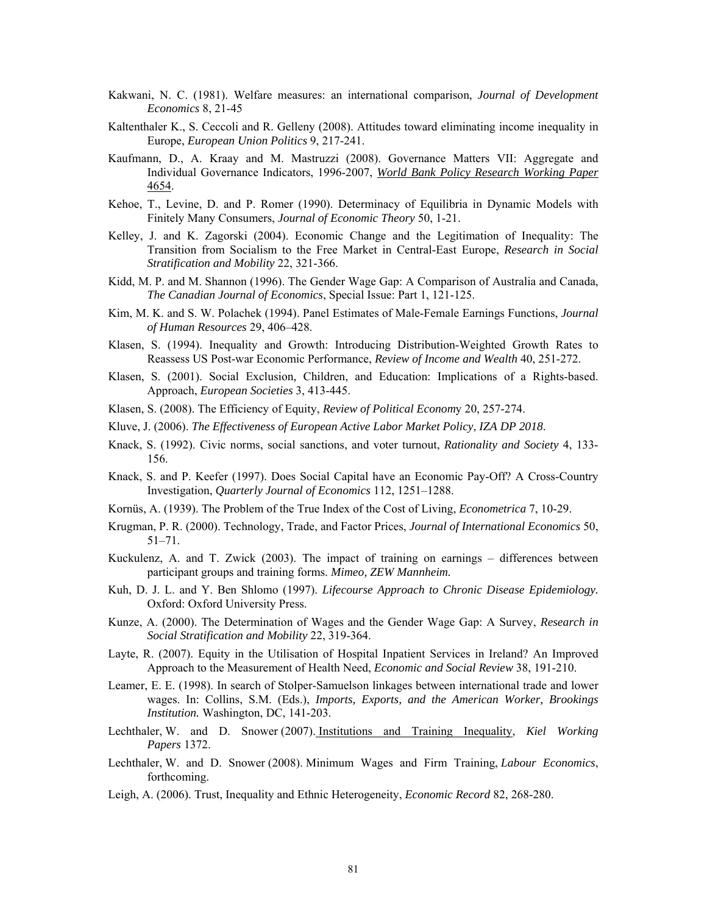- Kakwani, N. C. (1981). Welfare measures: an international comparison, *Journal of Development Economics* 8, 21-45
- Kaltenthaler K., S. Ceccoli and R. Gelleny (2008). Attitudes toward eliminating income inequality in Europe, *European Union Politics* 9, 217-241.
- Kaufmann, D., A. Kraay and M. Mastruzzi (2008). Governance Matters VII: Aggregate and Individual Governance Indicators, 1996-2007, *World Bank Policy Research Working Paper* 4654.
- Kehoe, T., Levine, D. and P. Romer (1990). Determinacy of Equilibria in Dynamic Models with Finitely Many Consumers, *Journal of Economic Theory* 50, 1-21.
- Kelley, J. and K. Zagorski (2004). Economic Change and the Legitimation of Inequality: The Transition from Socialism to the Free Market in Central-East Europe, *Research in Social Stratification and Mobility* 22, 321-366.
- Kidd, M. P. and M. Shannon (1996). The Gender Wage Gap: A Comparison of Australia and Canada, *The Canadian Journal of Economics*, Special Issue: Part 1, 121-125.
- Kim, M. K. and S. W. Polachek (1994). Panel Estimates of Male-Female Earnings Functions, *Journal of Human Resources* 29, 406–428.
- Klasen, S. (1994). Inequality and Growth: Introducing Distribution-Weighted Growth Rates to Reassess US Post-war Economic Performance, *Review of Income and Wealth* 40, 251-272.
- Klasen, S. (2001). Social Exclusion*,* Children, and Education: Implications of a Rights-based. Approach, *European Societies* 3, 413-445.
- Klasen, S. (2008). The Efficiency of Equity, *Review of Political Econom*y 20, 257-274.
- Kluve, J. (2006). *The Effectiveness of European Active Labor Market Policy*, *IZA DP 2018*.
- Knack, S. (1992). Civic norms, social sanctions, and voter turnout, *Rationality and Society* 4, 133- 156.
- Knack, S. and P. Keefer (1997). Does Social Capital have an Economic Pay-Off? A Cross-Country Investigation, *Quarterly Journal of Economics* 112, 1251–1288.
- Kornüs, A. (1939). The Problem of the True Index of the Cost of Living, *Econometrica* 7, 10-29.
- Krugman, P. R. (2000). Technology, Trade, and Factor Prices, *Journal of International Economics* 50, 51–71.
- Kuckulenz, A. and T. Zwick (2003). The impact of training on earnings differences between participant groups and training forms. *Mimeo, ZEW Mannheim.*
- Kuh, D. J. L. and Y. Ben Shlomo (1997). *Lifecourse Approach to Chronic Disease Epidemiology.* Oxford: Oxford University Press.
- Kunze, A. (2000). The Determination of Wages and the Gender Wage Gap: A Survey, *Research in Social Stratification and Mobility* 22, 319-364.
- Layte, R. (2007). Equity in the Utilisation of Hospital Inpatient Services in Ireland? An Improved Approach to the Measurement of Health Need, *Economic and Social Review* 38, 191-210.
- Leamer, E. E. (1998). In search of Stolper-Samuelson linkages between international trade and lower wages. In: Collins, S.M. (Eds.), *Imports, Exports, and the American Worker, Brookings Institution.* Washington, DC, 141-203.
- Lechthaler, W. and D. Snower (2007). Institutions and Training Inequality, *Kiel Working Papers* 1372.
- Lechthaler, W. and D. Snower (2008). Minimum Wages and Firm Training, *Labour Economics*, forthcoming.
- Leigh, A. (2006). Trust, Inequality and Ethnic Heterogeneity, *Economic Record* 82, 268-280.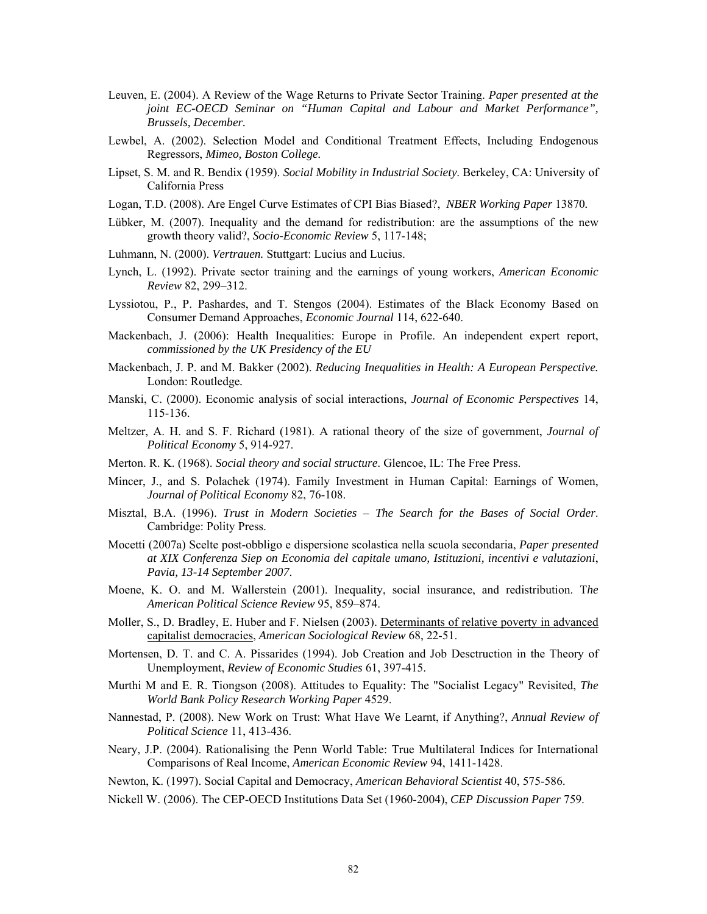- Leuven, E. (2004). A Review of the Wage Returns to Private Sector Training. *Paper presented at the joint EC-OECD Seminar on "Human Capital and Labour and Market Performance", Brussels, December.*
- Lewbel, A. (2002). Selection Model and Conditional Treatment Effects, Including Endogenous Regressors, *Mimeo, Boston College.*
- Lipset, S. M. and R. Bendix (1959). *Social Mobility in Industrial Society*. Berkeley, CA: University of California Press
- Logan, T.D. (2008). Are Engel Curve Estimates of CPI Bias Biased?, *NBER Working Paper* 13870*.*
- Lübker, M. (2007). Inequality and the demand for redistribution: are the assumptions of the new growth theory valid?, *Socio-Economic Review* 5, 117-148;
- Luhmann, N. (2000). *Vertrauen.* Stuttgart: Lucius and Lucius.
- Lynch, L. (1992). Private sector training and the earnings of young workers, *American Economic Review* 82, 299–312.
- Lyssiotou, P., P. Pashardes, and T. Stengos (2004). Estimates of the Black Economy Based on Consumer Demand Approaches, *Economic Journal* 114, 622-640.
- Mackenbach, J. (2006): Health Inequalities: Europe in Profile. An independent expert report, *commissioned by the UK Presidency of the EU*
- Mackenbach, J. P. and M. Bakker (2002). *Reducing Inequalities in Health: A European Perspective.* London: Routledge*.*
- Manski, C. (2000). Economic analysis of social interactions, *Journal of Economic Perspectives* 14, 115-136.
- Meltzer, A. H. and S. F. Richard (1981). A rational theory of the size of government, *Journal of Political Economy* 5, 914-927.
- Merton. R. K. (1968). *Social theory and social structure*. Glencoe, IL: The Free Press.
- Mincer, J., and S. Polachek (1974). Family Investment in Human Capital: Earnings of Women, *Journal of Political Economy* 82, 76-108.
- Misztal, B.A. (1996). *Trust in Modern Societies The Search for the Bases of Social Order*. Cambridge: Polity Press.
- Mocetti (2007a) Scelte post-obbligo e dispersione scolastica nella scuola secondaria, *Paper presented at XIX Conferenza Siep on Economia del capitale umano, Istituzioni, incentivi e valutazioni*, *Pavia, 13-14 September 2007*.
- Moene, K. O. and M. Wallerstein (2001). Inequality, social insurance, and redistribution. T*he American Political Science Review* 95, 859–874.
- Moller, S., D. Bradley, E. Huber and F. Nielsen (2003). Determinants of relative poverty in advanced capitalist democracies, *American Sociological Review* 68, 22-51.
- Mortensen, D. T. and C. A. Pissarides (1994). Job Creation and Job Desctruction in the Theory of Unemployment, *Review of Economic Studies* 61, 397-415.
- Murthi M and E. R. Tiongson (2008). Attitudes to Equality: The "Socialist Legacy" Revisited, *The World Bank Policy Research Working Paper* 4529.
- Nannestad, P. (2008). New Work on Trust: What Have We Learnt, if Anything?, *Annual Review of Political Science* 11, 413-436.
- Neary, J.P. (2004). Rationalising the Penn World Table: True Multilateral Indices for International Comparisons of Real Income, *American Economic Review* 94, 1411-1428.
- Newton, K. (1997). Social Capital and Democracy, *American Behavioral Scientist* 40, 575-586.
- Nickell W. (2006). The CEP-OECD Institutions Data Set (1960-2004), *CEP Discussion Paper* 759.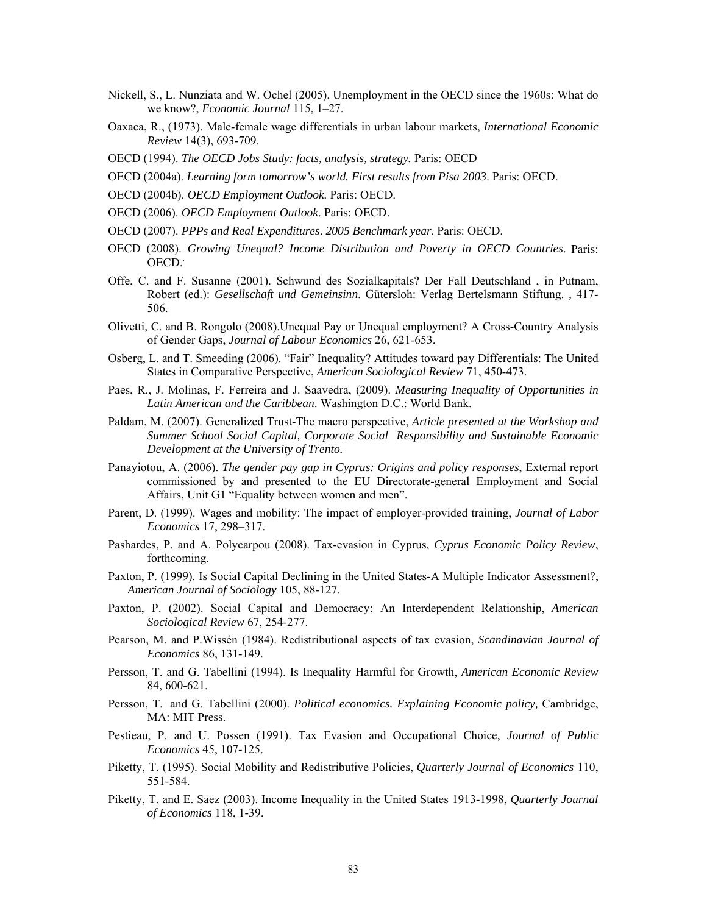- Nickell, S., L. Nunziata and W. Ochel (2005). Unemployment in the OECD since the 1960s: What do we know?, *Economic Journal* 115, 1–27.
- Oaxaca, R., (1973). Male-female wage differentials in urban labour markets, *International Economic Review* 14(3), 693-709.
- OECD (1994). *The OECD Jobs Study: facts, analysis, strategy.* Paris: OECD
- OECD (2004a). *Learning form tomorrow's world. First results from Pisa 2003*. Paris: OECD.
- OECD (2004b). *OECD Employment Outlook.* Paris: OECD.
- OECD (2006). *OECD Employment Outlook*. Paris: OECD.
- OECD (2007). *PPPs and Real Expenditures*. *2005 Benchmark year*. Paris: OECD.
- OECD (2008). *Growing Unequal? Income Distribution and Poverty in OECD Countries*. Paris: OECD..
- Offe, C. and F. Susanne (2001). Schwund des Sozialkapitals? Der Fall Deutschland , in Putnam, Robert (ed.): *Gesellschaft und Gemeinsinn*. Gütersloh: Verlag Bertelsmann Stiftung. *,* 417- 506.
- Olivetti, C. and B. Rongolo (2008).Unequal Pay or Unequal employment? A Cross-Country Analysis of Gender Gaps, *Journal of Labour Economics* 26, 621-653.
- Osberg, L. and T. Smeeding (2006). "Fair" Inequality? Attitudes toward pay Differentials: The United States in Comparative Perspective, *American Sociological Review* 71, 450-473.
- Paes, R., J. Molinas, F. Ferreira and J. Saavedra, (2009). *Measuring Inequality of Opportunities in Latin American and the Caribbean*. Washington D.C.: World Bank.
- Paldam, M. (2007). Generalized Trust-The macro perspective, *Article presented at the Workshop and Summer School Social Capital, Corporate Social Responsibility and Sustainable Economic Development at the University of Trento.*
- Panayiotou, A. (2006). *The gender pay gap in Cyprus: Origins and policy responses*, External report commissioned by and presented to the EU Directorate-general Employment and Social Affairs, Unit G1 "Equality between women and men".
- Parent, D. (1999). Wages and mobility: The impact of employer-provided training, *Journal of Labor Economics* 17, 298–317.
- Pashardes, P. and A. Polycarpou (2008). Tax-evasion in Cyprus, *Cyprus Economic Policy Review*, forthcoming.
- Paxton, P. (1999). Is Social Capital Declining in the United States-A Multiple Indicator Assessment?, *American Journal of Sociology* 105, 88-127.
- Paxton, P. (2002). Social Capital and Democracy: An Interdependent Relationship, *American Sociological Review* 67, 254-277.
- Pearson, M. and P.Wissén (1984). Redistributional aspects of tax evasion, *Scandinavian Journal of Economics* 86, 131-149.
- Persson, T. and G. Tabellini (1994). Is Inequality Harmful for Growth, *American Economic Review* 84, 600-621.
- Persson, T. and G. Tabellini (2000). *Political economics. Explaining Economic policy,* Cambridge, MA: MIT Press.
- Pestieau, P. and U. Possen (1991). Tax Evasion and Occupational Choice, *Journal of Public Economics* 45, 107-125.
- Piketty, T. (1995). Social Mobility and Redistributive Policies, *Quarterly Journal of Economics* 110, 551-584.
- Piketty, T. and E. Saez (2003). Income Inequality in the United States 1913-1998, *Quarterly Journal of Economics* 118, 1-39.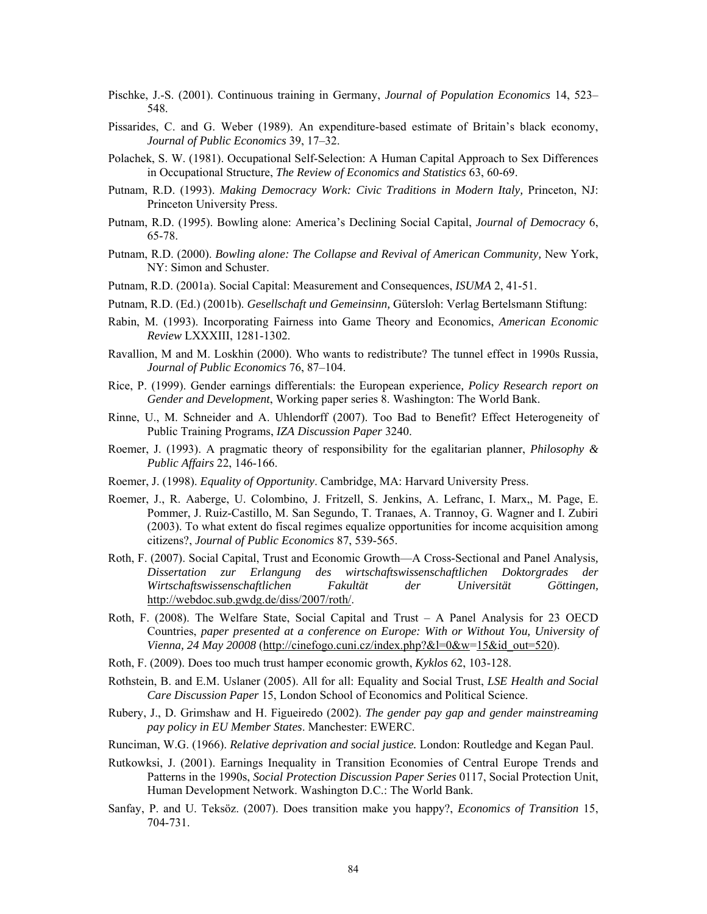- Pischke, J.-S. (2001). Continuous training in Germany, *Journal of Population Economics* 14, 523– 548.
- Pissarides, C. and G. Weber (1989). An expenditure-based estimate of Britain's black economy, *Journal of Public Economics* 39, 17–32.
- Polachek, S. W. (1981). Occupational Self-Selection: A Human Capital Approach to Sex Differences in Occupational Structure, *The Review of Economics and Statistics* 63, 60-69.
- Putnam, R.D. (1993). *Making Democracy Work: Civic Traditions in Modern Italy,* Princeton, NJ: Princeton University Press.
- Putnam, R.D. (1995). Bowling alone: America's Declining Social Capital, *Journal of Democracy* 6, 65-78.
- Putnam, R.D. (2000). *Bowling alone: The Collapse and Revival of American Community*, New York, NY: Simon and Schuster.
- Putnam, R.D. (2001a). Social Capital: Measurement and Consequences, *ISUMA* 2, 41-51.
- Putnam, R.D. (Ed.) (2001b). *Gesellschaft und Gemeinsinn,* Gütersloh: Verlag Bertelsmann Stiftung:
- Rabin, M. (1993). Incorporating Fairness into Game Theory and Economics, *American Economic Review* LXXXIII, 1281-1302.
- Ravallion, M and M. Loskhin (2000). Who wants to redistribute? The tunnel effect in 1990s Russia, *Journal of Public Economics* 76, 87–104.
- Rice, P. (1999). Gender earnings differentials: the European experience*, Policy Research report on Gender and Development*, Working paper series 8. Washington: The World Bank.
- Rinne, U., M. Schneider and A. Uhlendorff (2007). Too Bad to Benefit? Effect Heterogeneity of Public Training Programs, *IZA Discussion Paper* 3240.
- Roemer, J. (1993). A pragmatic theory of responsibility for the egalitarian planner, *Philosophy & Public Affairs* 22, 146-166.
- Roemer, J. (1998). *Equality of Opportunity*. Cambridge, MA: Harvard University Press.
- Roemer, J., R. Aaberge, U. Colombino, J. Fritzell, S. Jenkins, A. Lefranc, I. Marx,, M. Page, E. Pommer, J. Ruiz-Castillo, M. San Segundo, T. Tranaes, A. Trannoy, G. Wagner and I. Zubiri (2003). To what extent do fiscal regimes equalize opportunities for income acquisition among citizens?, *Journal of Public Economics* 87, 539-565.
- Roth, F. (2007). Social Capital, Trust and Economic Growth—A Cross-Sectional and Panel Analysis*, Dissertation zur Erlangung des wirtschaftswissenschaftlichen Doktorgrades der Wirtschaftswissenschaftlichen Fakultät der Universität Göttingen,*  http://webdoc.sub.gwdg.de/diss/2007/roth/.
- Roth, F. (2008). The Welfare State, Social Capital and Trust A Panel Analysis for 23 OECD Countries, *paper presented at a conference on Europe: With or Without You, University of Vienna, 24 May 20008* (http://cinefogo.cuni.cz/index.php?&l=0&w=15&id\_out=520).
- Roth, F. (2009). Does too much trust hamper economic growth, *Kyklos* 62, 103-128.
- Rothstein, B. and E.M. Uslaner (2005). All for all: Equality and Social Trust, *LSE Health and Social Care Discussion Paper* 15, London School of Economics and Political Science.
- Rubery, J., D. Grimshaw and H. Figueiredo (2002). *The gender pay gap and gender mainstreaming pay policy in EU Member States*. Manchester: EWERC.
- Runciman, W.G. (1966). *Relative deprivation and social justice.* London: Routledge and Kegan Paul.
- Rutkowksi, J. (2001). Earnings Inequality in Transition Economies of Central Europe Trends and Patterns in the 1990s, *Social Protection Discussion Paper Series* 0117, Social Protection Unit, Human Development Network. Washington D.C.: The World Bank.
- Sanfay, P. and U. Teksöz. (2007). Does transition make you happy?, *Economics of Transition* 15, 704-731.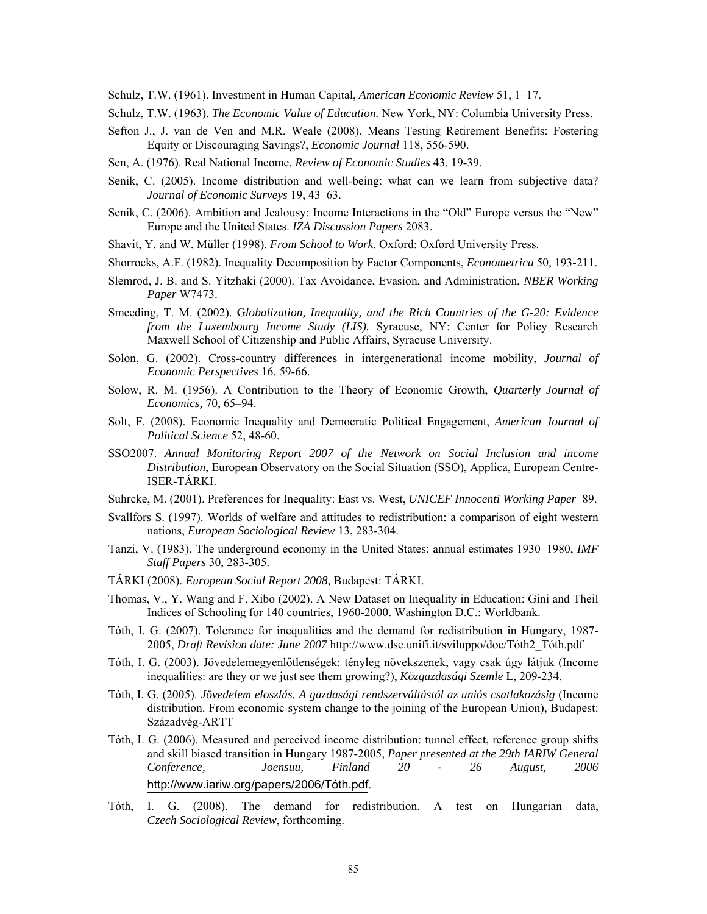Schulz, T.W. (1961). Investment in Human Capital, *American Economic Review* 51, 1–17.

Schulz, T.W. (1963). *The Economic Value of Education.* New York, NY: Columbia University Press.

- Sefton J., J. van de Ven and M.R. Weale (2008). Means Testing Retirement Benefits: Fostering Equity or Discouraging Savings?, *Economic Journal* 118, 556-590.
- Sen, A. (1976). Real National Income, *Review of Economic Studies* 43, 19-39.
- Senik, C. (2005). Income distribution and well-being: what can we learn from subjective data? *Journal of Economic Surveys* 19, 43–63.
- Senik, C. (2006). Ambition and Jealousy: Income Interactions in the "Old" Europe versus the "New" Europe and the United States. *IZA Discussion Papers* 2083.
- Shavit, Y. and W. Müller (1998). *From School to Work*. Oxford: Oxford University Press.
- Shorrocks, A.F. (1982). Inequality Decomposition by Factor Components, *Econometrica* 50, 193-211.
- Slemrod, J. B. and S. Yitzhaki (2000). Tax Avoidance, Evasion, and Administration, *NBER Working Paper* W7473.
- Smeeding, T. M. (2002). G*lobalization, Inequality, and the Rich Countries of the G-20: Evidence from the Luxembourg Income Study (LIS).* Syracuse, NY: Center for Policy Research Maxwell School of Citizenship and Public Affairs, Syracuse University.
- Solon, G. (2002). Cross-country differences in intergenerational income mobility, *Journal of Economic Perspectives* 16, 59-66.
- Solow, R. M. (1956). A Contribution to the Theory of Economic Growth, *Quarterly Journal of Economics,* 70, 65–94.
- Solt, F. (2008). Economic Inequality and Democratic Political Engagement, *American Journal of Political Science* 52, 48-60.
- SSO2007. *Annual Monitoring Report 2007 of the Network on Social Inclusion and income Distribution*, European Observatory on the Social Situation (SSO), Applica, European Centre-ISER-TÁRKI.
- Suhrcke, M. (2001). Preferences for Inequality: East vs. West, *UNICEF Innocenti Working Paper* 89.
- Svallfors S. (1997). Worlds of welfare and attitudes to redistribution: a comparison of eight western nations, *European Sociological Review* 13, 283-304.
- Tanzi, V. (1983). The underground economy in the United States: annual estimates 1930–1980, *IMF Staff Papers* 30, 283-305.
- TÁRKI (2008). *European Social Report 2008,* Budapest: TÁRKI.
- Thomas, V., Y. Wang and F. Xibo (2002). A New Dataset on Inequality in Education: Gini and Theil Indices of Schooling for 140 countries, 1960-2000. Washington D.C.: Worldbank.
- Tóth, I. G. (2007). Tolerance for inequalities and the demand for redistribution in Hungary, 1987- 2005, *Draft Revision date: June 2007* http://www.dse.unifi.it/sviluppo/doc/Tóth2\_Tóth.pdf
- Tóth, I. G. (2003). Jövedelemegyenlőtlenségek: tényleg növekszenek, vagy csak úgy látjuk (Income inequalities: are they or we just see them growing?), *Közgazdasági Szemle* L, 209-234.
- Tóth, I. G. (2005). *Jövedelem eloszlás. A gazdasági rendszerváltástól az uniós csatlakozásig* (Income distribution. From economic system change to the joining of the European Union), Budapest: Századvég-ARTT
- Tóth, I. G. (2006). Measured and perceived income distribution: tunnel effect, reference group shifts and skill biased transition in Hungary 1987-2005, *Paper presented at the 29th IARIW General Conference, Joensuu, Finland 20 - 26 August, 2006*  http://www.iariw.org/papers/2006/Tóth.pdf.
- Tóth, I. G. (2008). The demand for redistribution. A test on Hungarian data, *Czech Sociological Review*, forthcoming.